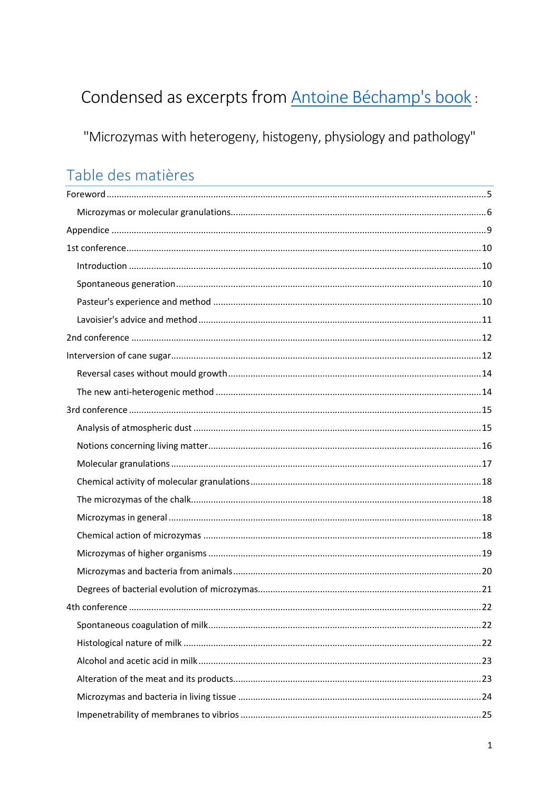# Condensed as excerpts from **Antoine Béchamp's book**:

"Microzymas with heterogeny, histogeny, physiology and pathology"

# Table des matières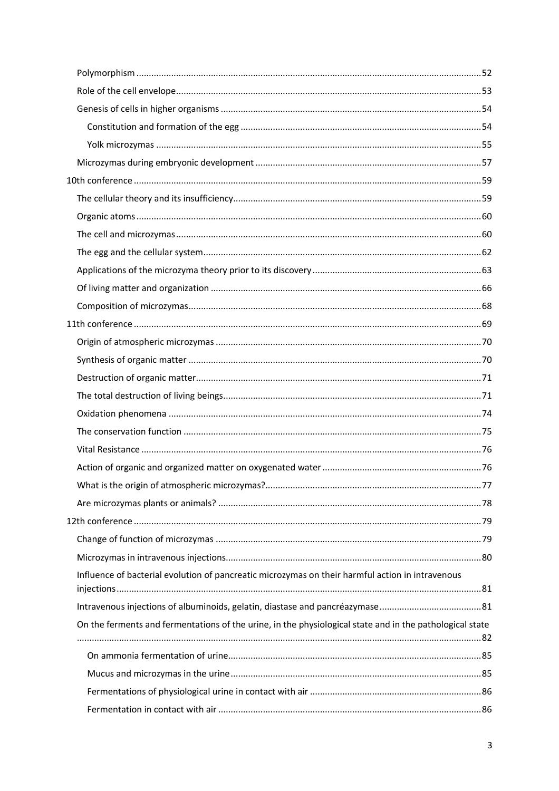|  | Influence of bacterial evolution of pancreatic microzymas on their harmful action in intravenous         |  |
|--|----------------------------------------------------------------------------------------------------------|--|
|  |                                                                                                          |  |
|  | On the ferments and fermentations of the urine, in the physiological state and in the pathological state |  |
|  |                                                                                                          |  |
|  |                                                                                                          |  |
|  |                                                                                                          |  |
|  |                                                                                                          |  |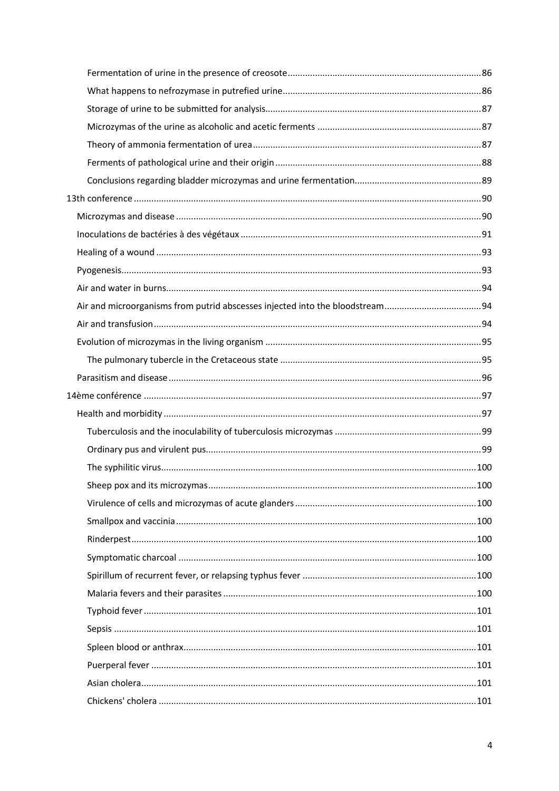| 100 |
|-----|
|     |
|     |
|     |
|     |
|     |
|     |
|     |
|     |
|     |
|     |
|     |
|     |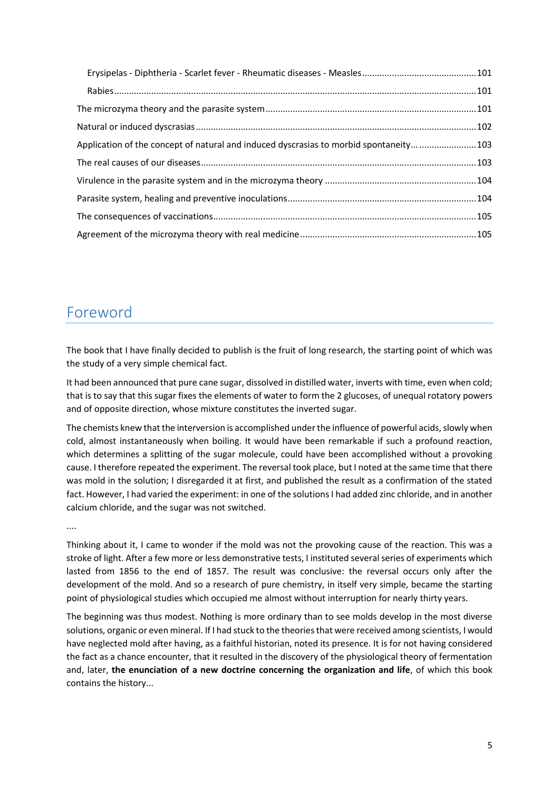| Application of the concept of natural and induced dyscrasias to morbid spontaneity 103 |  |
|----------------------------------------------------------------------------------------|--|
|                                                                                        |  |
|                                                                                        |  |
|                                                                                        |  |
|                                                                                        |  |
|                                                                                        |  |

## <span id="page-4-0"></span>Foreword

The book that I have finally decided to publish is the fruit of long research, the starting point of which was the study of a very simple chemical fact.

It had been announced that pure cane sugar, dissolved in distilled water, inverts with time, even when cold; that is to say that this sugar fixes the elements of water to form the 2 glucoses, of unequal rotatory powers and of opposite direction, whose mixture constitutes the inverted sugar.

The chemists knew that the interversion is accomplished under the influence of powerful acids, slowly when cold, almost instantaneously when boiling. It would have been remarkable if such a profound reaction, which determines a splitting of the sugar molecule, could have been accomplished without a provoking cause. I therefore repeated the experiment. The reversal took place, but I noted at the same time that there was mold in the solution; I disregarded it at first, and published the result as a confirmation of the stated fact. However, I had varied the experiment: in one of the solutions I had added zinc chloride, and in another calcium chloride, and the sugar was not switched.

....

Thinking about it, I came to wonder if the mold was not the provoking cause of the reaction. This was a stroke of light. After a few more or less demonstrative tests, I instituted several series of experiments which lasted from 1856 to the end of 1857. The result was conclusive: the reversal occurs only after the development of the mold. And so a research of pure chemistry, in itself very simple, became the starting point of physiological studies which occupied me almost without interruption for nearly thirty years.

The beginning was thus modest. Nothing is more ordinary than to see molds develop in the most diverse solutions, organic or even mineral. If I had stuck to the theories that were received among scientists, I would have neglected mold after having, as a faithful historian, noted its presence. It is for not having considered the fact as a chance encounter, that it resulted in the discovery of the physiological theory of fermentation and, later, **the enunciation of a new doctrine concerning the organization and life**, of which this book contains the history...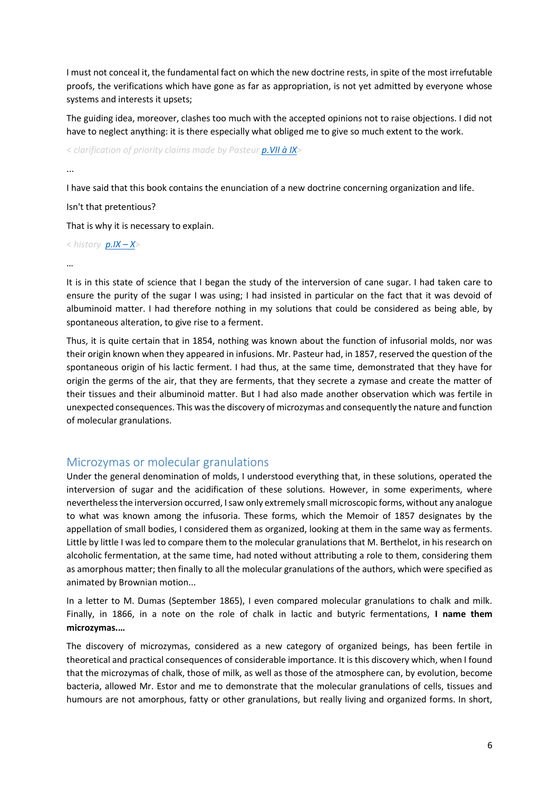I must not conceal it, the fundamental fact on which the new doctrine rests, in spite of the most irrefutable proofs, the verifications which have gone as far as appropriation, is not yet admitted by everyone whose systems and interests it upsets;

The guiding idea, moreover, clashes too much with the accepted opinions not to raise objections. I did not have to neglect anything: it is there especially what obliged me to give so much extent to the work.

< *clarification of priority claims made by Pasteu[r p.VII à IX](https://gallica.bnf.fr/ark:/12148/bpt6k65140517/f16.image.r=.langFR)*>

...

I have said that this book contains the enunciation of a new doctrine concerning organization and life.

Isn't that pretentious?

That is why it is necessary to explain.

< *history [p.IX](https://gallica.bnf.fr/ark:/12148/bpt6k65140517/f19.image.r=.langFR) – X*>

…

It is in this state of science that I began the study of the interversion of cane sugar. I had taken care to ensure the purity of the sugar I was using; I had insisted in particular on the fact that it was devoid of albuminoid matter. I had therefore nothing in my solutions that could be considered as being able, by spontaneous alteration, to give rise to a ferment.

Thus, it is quite certain that in 1854, nothing was known about the function of infusorial molds, nor was their origin known when they appeared in infusions. Mr. Pasteur had, in 1857, reserved the question of the spontaneous origin of his lactic ferment. I had thus, at the same time, demonstrated that they have for origin the germs of the air, that they are ferments, that they secrete a zymase and create the matter of their tissues and their albuminoid matter. But I had also made another observation which was fertile in unexpected consequences. This was the discovery of microzymas and consequently the nature and function of molecular granulations.

#### <span id="page-5-0"></span>Microzymas or molecular granulations

Under the general denomination of molds, I understood everything that, in these solutions, operated the interversion of sugar and the acidification of these solutions. However, in some experiments, where nevertheless the interversion occurred, I saw only extremely small microscopic forms, without any analogue to what was known among the infusoria. These forms, which the Memoir of 1857 designates by the appellation of small bodies, I considered them as organized, looking at them in the same way as ferments. Little by little I was led to compare them to the molecular granulations that M. Berthelot, in his research on alcoholic fermentation, at the same time, had noted without attributing a role to them, considering them as amorphous matter; then finally to all the molecular granulations of the authors, which were specified as animated by Brownian motion...

In a letter to M. Dumas (September 1865), I even compared molecular granulations to chalk and milk. Finally, in 1866, in a note on the role of chalk in lactic and butyric fermentations, **I name them microzymas.…**

The discovery of microzymas, considered as a new category of organized beings, has been fertile in theoretical and practical consequences of considerable importance. It is this discovery which, when I found that the microzymas of chalk, those of milk, as well as those of the atmosphere can, by evolution, become bacteria, allowed Mr. Estor and me to demonstrate that the molecular granulations of cells, tissues and humours are not amorphous, fatty or other granulations, but really living and organized forms. In short,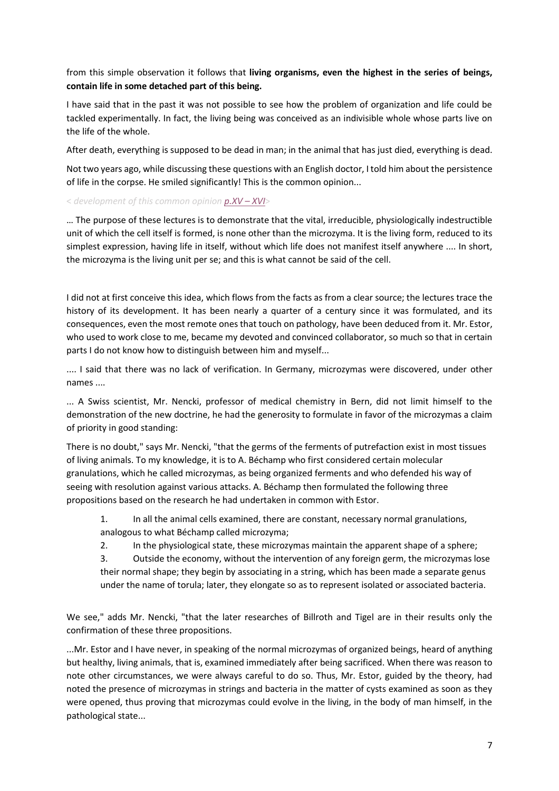from this simple observation it follows that **living organisms, even the highest in the series of beings, contain life in some detached part of this being.**

I have said that in the past it was not possible to see how the problem of organization and life could be tackled experimentally. In fact, the living being was conceived as an indivisible whole whose parts live on the life of the whole.

After death, everything is supposed to be dead in man; in the animal that has just died, everything is dead.

Not two years ago, while discussing these questions with an English doctor, I told him about the persistence of life in the corpse. He smiled significantly! This is the common opinion...

< *development of this common opinion [p.XV](https://gallica.bnf.fr/ark:/12148/bpt6k65140517/f25.image.r=.langFR) – XVI*>

… The purpose of these lectures is to demonstrate that the vital, irreducible, physiologically indestructible unit of which the cell itself is formed, is none other than the microzyma. It is the living form, reduced to its simplest expression, having life in itself, without which life does not manifest itself anywhere .... In short, the microzyma is the living unit per se; and this is what cannot be said of the cell.

I did not at first conceive this idea, which flows from the facts as from a clear source; the lectures trace the history of its development. It has been nearly a quarter of a century since it was formulated, and its consequences, even the most remote ones that touch on pathology, have been deduced from it. Mr. Estor, who used to work close to me, became my devoted and convinced collaborator, so much so that in certain parts I do not know how to distinguish between him and myself...

.... I said that there was no lack of verification. In Germany, microzymas were discovered, under other names ....

... A Swiss scientist, Mr. Nencki, professor of medical chemistry in Bern, did not limit himself to the demonstration of the new doctrine, he had the generosity to formulate in favor of the microzymas a claim of priority in good standing:

There is no doubt," says Mr. Nencki, "that the germs of the ferments of putrefaction exist in most tissues of living animals. To my knowledge, it is to A. Béchamp who first considered certain molecular granulations, which he called microzymas, as being organized ferments and who defended his way of seeing with resolution against various attacks. A. Béchamp then formulated the following three propositions based on the research he had undertaken in common with Estor.

- 1. In all the animal cells examined, there are constant, necessary normal granulations, analogous to what Béchamp called microzyma;
- 2. In the physiological state, these microzymas maintain the apparent shape of a sphere;

3. Outside the economy, without the intervention of any foreign germ, the microzymas lose their normal shape; they begin by associating in a string, which has been made a separate genus under the name of torula; later, they elongate so as to represent isolated or associated bacteria.

We see," adds Mr. Nencki, "that the later researches of Billroth and Tigel are in their results only the confirmation of these three propositions.

...Mr. Estor and I have never, in speaking of the normal microzymas of organized beings, heard of anything but healthy, living animals, that is, examined immediately after being sacrificed. When there was reason to note other circumstances, we were always careful to do so. Thus, Mr. Estor, guided by the theory, had noted the presence of microzymas in strings and bacteria in the matter of cysts examined as soon as they were opened, thus proving that microzymas could evolve in the living, in the body of man himself, in the pathological state...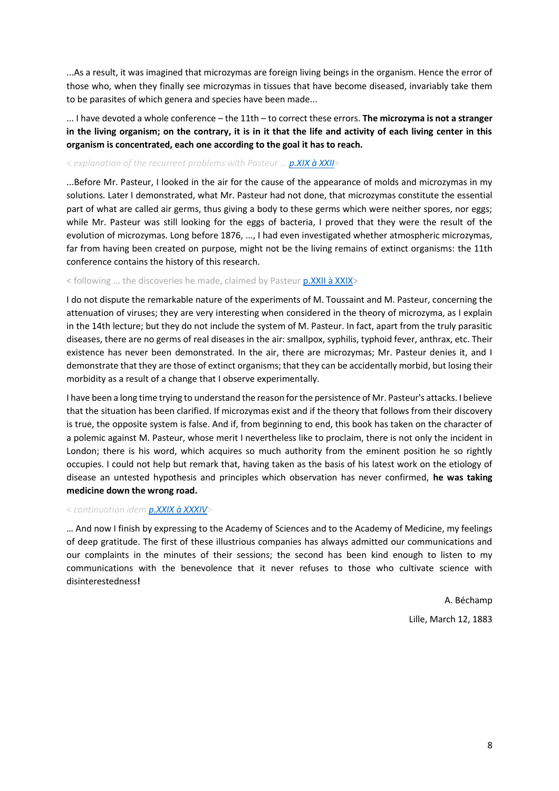...As a result, it was imagined that microzymas are foreign living beings in the organism. Hence the error of those who, when they finally see microzymas in tissues that have become diseased, invariably take them to be parasites of which genera and species have been made...

... I have devoted a whole conference – the 11th – to correct these errors. **The microzyma is not a stranger in the living organism; on the contrary, it is in it that the life and activity of each living center in this organism is concentrated, each one according to the goal it has to reach.**

#### < *explanation of the recurrent problems with Pasteur … [p.XIX à XXII](https://gallica.bnf.fr/ark:/12148/bpt6k65140517/f29.image.r=.langFR)*>

...Before Mr. Pasteur, I looked in the air for the cause of the appearance of molds and microzymas in my solutions. Later I demonstrated, what Mr. Pasteur had not done, that microzymas constitute the essential part of what are called air germs, thus giving a body to these germs which were neither spores, nor eggs; while Mr. Pasteur was still looking for the eggs of bacteria, I proved that they were the result of the evolution of microzymas. Long before 1876, ..., I had even investigated whether atmospheric microzymas, far from having been created on purpose, might not be the living remains of extinct organisms: the 11th conference contains the history of this research.

#### < following ... the discoveries he made, claimed by Pasteur p. XXII à XXIX>

I do not dispute the remarkable nature of the experiments of M. Toussaint and M. Pasteur, concerning the attenuation of viruses; they are very interesting when considered in the theory of microzyma, as I explain in the 14th lecture; but they do not include the system of M. Pasteur. In fact, apart from the truly parasitic diseases, there are no germs of real diseases in the air: smallpox, syphilis, typhoid fever, anthrax, etc. Their existence has never been demonstrated. In the air, there are microzymas; Mr. Pasteur denies it, and I demonstrate that they are those of extinct organisms; that they can be accidentally morbid, but losing their morbidity as a result of a change that I observe experimentally.

I have been a long time trying to understand the reason for the persistence of Mr. Pasteur's attacks. I believe that the situation has been clarified. If microzymas exist and if the theory that follows from their discovery is true, the opposite system is false. And if, from beginning to end, this book has taken on the character of a polemic against M. Pasteur, whose merit I nevertheless like to proclaim, there is not only the incident in London; there is his word, which acquires so much authority from the eminent position he so rightly occupies. I could not help but remark that, having taken as the basis of his latest work on the etiology of disease an untested hypothesis and principles which observation has never confirmed, **he was taking medicine down the wrong road.**

#### < *continuation idem p.XXIX [à XXXIV](https://gallica.bnf.fr/ark:/12148/bpt6k65140517/f39.image.r=.langFR)*>

… And now I finish by expressing to the Academy of Sciences and to the Academy of Medicine, my feelings of deep gratitude. The first of these illustrious companies has always admitted our communications and our complaints in the minutes of their sessions; the second has been kind enough to listen to my communications with the benevolence that it never refuses to those who cultivate science with disinterestedness**!**

> A. Béchamp Lille, March 12, 1883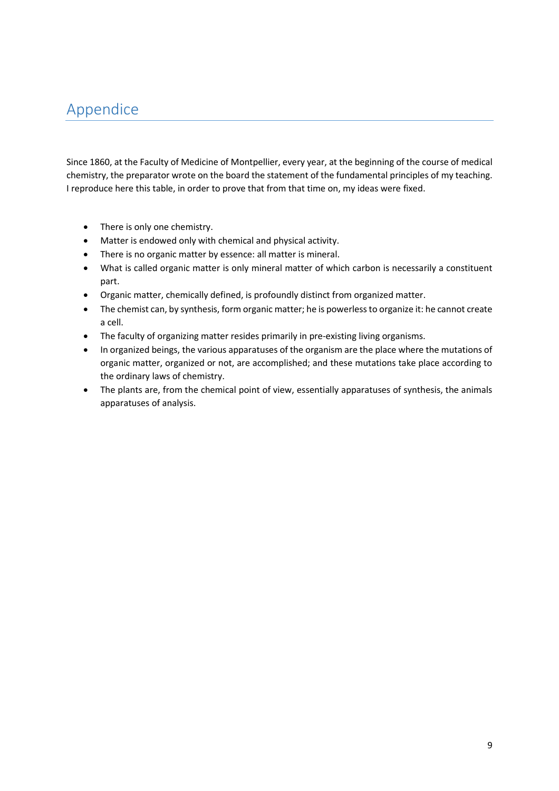## <span id="page-8-0"></span>Appendice

Since 1860, at the Faculty of Medicine of Montpellier, every year, at the beginning of the course of medical chemistry, the preparator wrote on the board the statement of the fundamental principles of my teaching. I reproduce here this table, in order to prove that from that time on, my ideas were fixed.

- There is only one chemistry.
- Matter is endowed only with chemical and physical activity.
- There is no organic matter by essence: all matter is mineral.
- What is called organic matter is only mineral matter of which carbon is necessarily a constituent part.
- Organic matter, chemically defined, is profoundly distinct from organized matter.
- The chemist can, by synthesis, form organic matter; he is powerless to organize it: he cannot create a cell.
- The faculty of organizing matter resides primarily in pre-existing living organisms.
- In organized beings, the various apparatuses of the organism are the place where the mutations of organic matter, organized or not, are accomplished; and these mutations take place according to the ordinary laws of chemistry.
- The plants are, from the chemical point of view, essentially apparatuses of synthesis, the animals apparatuses of analysis.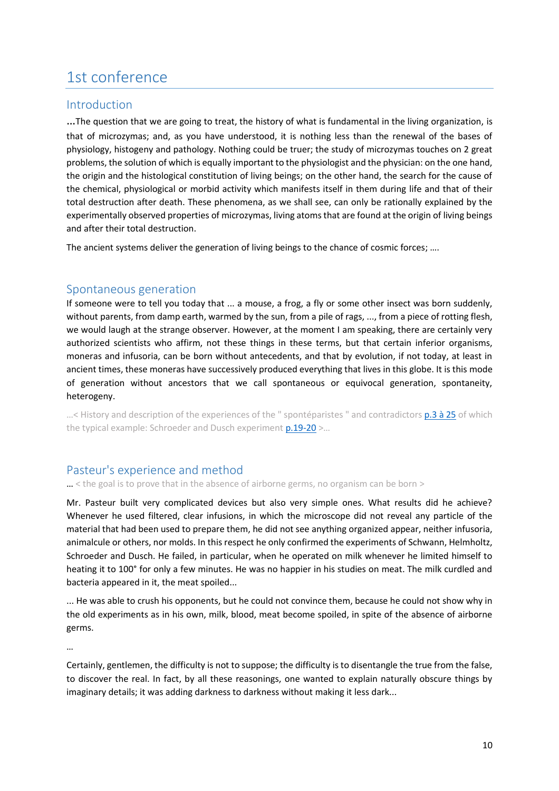## <span id="page-9-0"></span>1st conference

#### <span id="page-9-1"></span>Introduction

…The question that we are going to treat, the history of what is fundamental in the living organization, is that of microzymas; and, as you have understood, it is nothing less than the renewal of the bases of physiology, histogeny and pathology. Nothing could be truer; the study of microzymas touches on 2 great problems, the solution of which is equally important to the physiologist and the physician: on the one hand, the origin and the histological constitution of living beings; on the other hand, the search for the cause of the chemical, physiological or morbid activity which manifests itself in them during life and that of their total destruction after death. These phenomena, as we shall see, can only be rationally explained by the experimentally observed properties of microzymas, living atoms that are found at the origin of living beings and after their total destruction.

The ancient systems deliver the generation of living beings to the chance of cosmic forces; ....

#### <span id="page-9-2"></span>Spontaneous generation

If someone were to tell you today that ... a mouse, a frog, a fly or some other insect was born suddenly, without parents, from damp earth, warmed by the sun, from a pile of rags, ..., from a piece of rotting flesh, we would laugh at the strange observer. However, at the moment I am speaking, there are certainly very authorized scientists who affirm, not these things in these terms, but that certain inferior organisms, moneras and infusoria, can be born without antecedents, and that by evolution, if not today, at least in ancient times, these moneras have successively produced everything that lives in this globe. It is this mode of generation without ancestors that we call spontaneous or equivocal generation, spontaneity, heterogeny.

...< History and description of the experiences of the " spontéparistes " and contradictor[s p.3 à 25](https://gallica.bnf.fr/ark:/12148/bpt6k65140517/f51.image.r=.langFR) of which the typical example: Schroeder and Dusch experiment  $p.19-20$  >...

#### <span id="page-9-3"></span>Pasteur's experience and method

… < the goal is to prove that in the absence of airborne germs, no organism can be born >

Mr. Pasteur built very complicated devices but also very simple ones. What results did he achieve? Whenever he used filtered, clear infusions, in which the microscope did not reveal any particle of the material that had been used to prepare them, he did not see anything organized appear, neither infusoria, animalcule or others, nor molds. In this respect he only confirmed the experiments of Schwann, Helmholtz, Schroeder and Dusch. He failed, in particular, when he operated on milk whenever he limited himself to heating it to 100° for only a few minutes. He was no happier in his studies on meat. The milk curdled and bacteria appeared in it, the meat spoiled...

... He was able to crush his opponents, but he could not convince them, because he could not show why in the old experiments as in his own, milk, blood, meat become spoiled, in spite of the absence of airborne germs.

…

Certainly, gentlemen, the difficulty is not to suppose; the difficulty is to disentangle the true from the false, to discover the real. In fact, by all these reasonings, one wanted to explain naturally obscure things by imaginary details; it was adding darkness to darkness without making it less dark...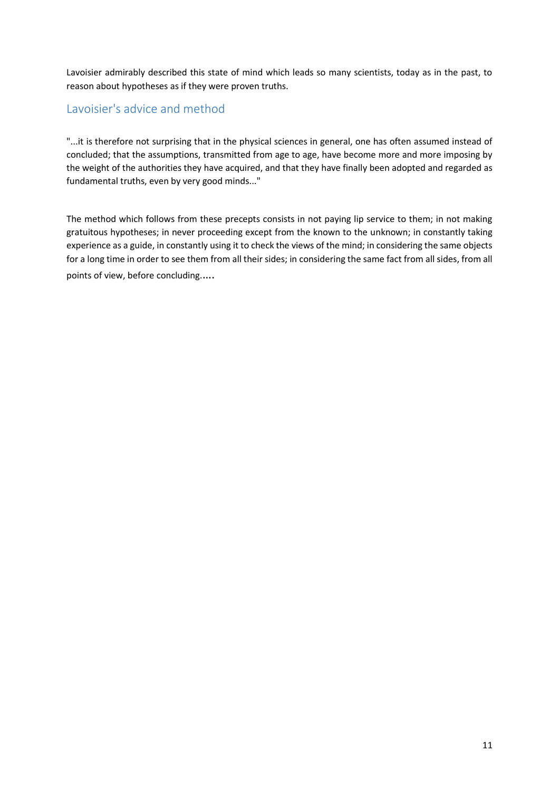Lavoisier admirably described this state of mind which leads so many scientists, today as in the past, to reason about hypotheses as if they were proven truths.

### <span id="page-10-0"></span>Lavoisier's advice and method

"...it is therefore not surprising that in the physical sciences in general, one has often assumed instead of concluded; that the assumptions, transmitted from age to age, have become more and more imposing by the weight of the authorities they have acquired, and that they have finally been adopted and regarded as fundamental truths, even by very good minds..."

The method which follows from these precepts consists in not paying lip service to them; in not making gratuitous hypotheses; in never proceeding except from the known to the unknown; in constantly taking experience as a guide, in constantly using it to check the views of the mind; in considering the same objects for a long time in order to see them from all their sides; in considering the same fact from all sides, from all points of view, before concluding.….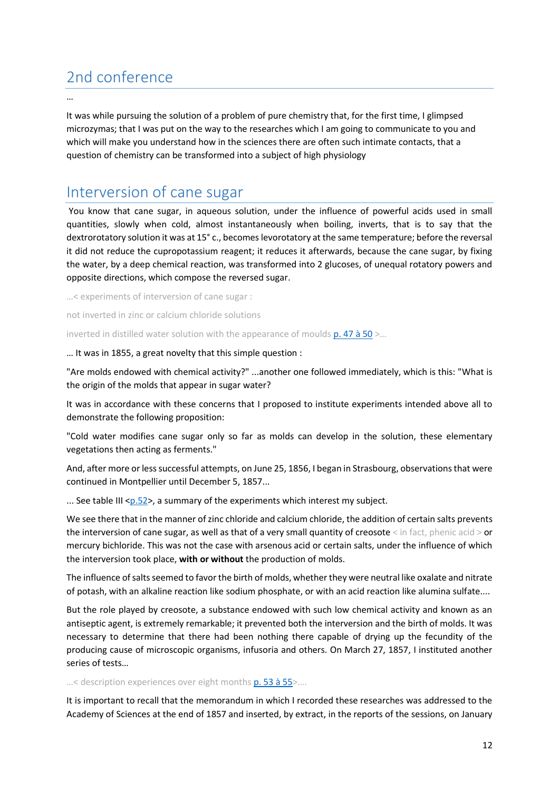## <span id="page-11-0"></span>2nd conference

…

It was while pursuing the solution of a problem of pure chemistry that, for the first time, I glimpsed microzymas; that I was put on the way to the researches which I am going to communicate to you and which will make you understand how in the sciences there are often such intimate contacts, that a question of chemistry can be transformed into a subject of high physiology

### <span id="page-11-1"></span>Interversion of cane sugar

You know that cane sugar, in aqueous solution, under the influence of powerful acids used in small quantities, slowly when cold, almost instantaneously when boiling, inverts, that is to say that the dextrorotatory solution it was at 15° c., becomes levorotatory at the same temperature; before the reversal it did not reduce the cupropotassium reagent; it reduces it afterwards, because the cane sugar, by fixing the water, by a deep chemical reaction, was transformed into 2 glucoses, of unequal rotatory powers and opposite directions, which compose the reversed sugar.

…< experiments of interversion of cane sugar :

not inverted in zinc or calcium chloride solutions

inverted in distilled water solution with the appearance of moulds  $p. 47$  à  $50$  >...

… It was in 1855, a great novelty that this simple question :

"Are molds endowed with chemical activity?" ...another one followed immediately, which is this: "What is the origin of the molds that appear in sugar water?

It was in accordance with these concerns that I proposed to institute experiments intended above all to demonstrate the following proposition:

"Cold water modifies cane sugar only so far as molds can develop in the solution, these elementary vegetations then acting as ferments."

And, after more or less successful attempts, on June 25, 1856, I began in Strasbourg, observations that were continued in Montpellier until December 5, 1857...

... See table III < $p.52$ >, a summary of the experiments which interest my subject.

We see there that in the manner of zinc chloride and calcium chloride, the addition of certain salts prevents the interversion of cane sugar, as well as that of a very small quantity of creosote < in fact, phenic acid > or mercury bichloride. This was not the case with arsenous acid or certain salts, under the influence of which the interversion took place, **with or without** the production of molds.

The influence of salts seemed to favor the birth of molds, whether they were neutral like oxalate and nitrate of potash, with an alkaline reaction like sodium phosphate, or with an acid reaction like alumina sulfate....

But the role played by creosote, a substance endowed with such low chemical activity and known as an antiseptic agent, is extremely remarkable; it prevented both the interversion and the birth of molds. It was necessary to determine that there had been nothing there capable of drying up the fecundity of the producing cause of microscopic organisms, infusoria and others. On March 27, 1857, I instituted another series of tests…

...< description experiences over eight months [p. 53 à 55>](https://gallica.bnf.fr/ark:/12148/bpt6k65140517/f101.image.r=.langFR)....

It is important to recall that the memorandum in which I recorded these researches was addressed to the Academy of Sciences at the end of 1857 and inserted, by extract, in the reports of the sessions, on January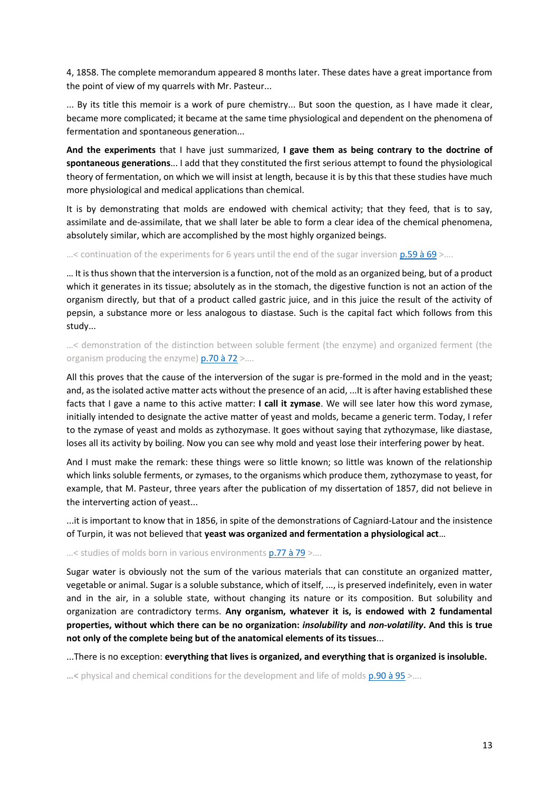4, 1858. The complete memorandum appeared 8 months later. These dates have a great importance from the point of view of my quarrels with Mr. Pasteur...

... By its title this memoir is a work of pure chemistry... But soon the question, as I have made it clear, became more complicated; it became at the same time physiological and dependent on the phenomena of fermentation and spontaneous generation...

**And the experiments** that I have just summarized, **I gave them as being contrary to the doctrine of spontaneous generations**... I add that they constituted the first serious attempt to found the physiological theory of fermentation, on which we will insist at length, because it is by this that these studies have much more physiological and medical applications than chemical.

It is by demonstrating that molds are endowed with chemical activity; that they feed, that is to say, assimilate and de-assimilate, that we shall later be able to form a clear idea of the chemical phenomena, absolutely similar, which are accomplished by the most highly organized beings.

 $\ldots$  continuation of the experiments for 6 years until the end of the sugar inversion  $p.59$  à 69  $\ldots$ .

… It is thus shown that the interversion is a function, not of the mold as an organized being, but of a product which it generates in its tissue; absolutely as in the stomach, the digestive function is not an action of the organism directly, but that of a product called gastric juice, and in this juice the result of the activity of pepsin, a substance more or less analogous to diastase. Such is the capital fact which follows from this study...

…< demonstration of the distinction between soluble ferment (the enzyme) and organized ferment (the organism producing the enzyme)  $p.70$  à  $72$  >...

All this proves that the cause of the interversion of the sugar is pre-formed in the mold and in the yeast; and, as the isolated active matter acts without the presence of an acid, ...It is after having established these facts that I gave a name to this active matter: **I call it zymase**. We will see later how this word zymase, initially intended to designate the active matter of yeast and molds, became a generic term. Today, I refer to the zymase of yeast and molds as zythozymase. It goes without saying that zythozymase, like diastase, loses all its activity by boiling. Now you can see why mold and yeast lose their interfering power by heat.

And I must make the remark: these things were so little known; so little was known of the relationship which links soluble ferments, or zymases, to the organisms which produce them, zythozymase to yeast, for example, that M. Pasteur, three years after the publication of my dissertation of 1857, did not believe in the interverting action of yeast...

...it is important to know that in 1856, in spite of the demonstrations of Cagniard-Latour and the insistence of Turpin, it was not believed that **yeast was organized and fermentation a physiological act**…

 $...$  studies of molds born in various environments  $p.77$  à  $79$   $>...$ 

Sugar water is obviously not the sum of the various materials that can constitute an organized matter, vegetable or animal. Sugar is a soluble substance, which of itself, ..., is preserved indefinitely, even in water and in the air, in a soluble state, without changing its nature or its composition. But solubility and organization are contradictory terms. **Any organism, whatever it is, is endowed with 2 fundamental properties, without which there can be no organization:** *insolubility* **and** *non-volatility***. And this is true not only of the complete being but of the anatomical elements of its tissues**...

...There is no exception: **everything that lives is organized, and everything that is organized is insoluble.**

**…<** physical and chemical conditions for the development and life of molds [p.90 à 95](https://gallica.bnf.fr/ark:/12148/bpt6k65140517/f138.image.r=.langFR) >….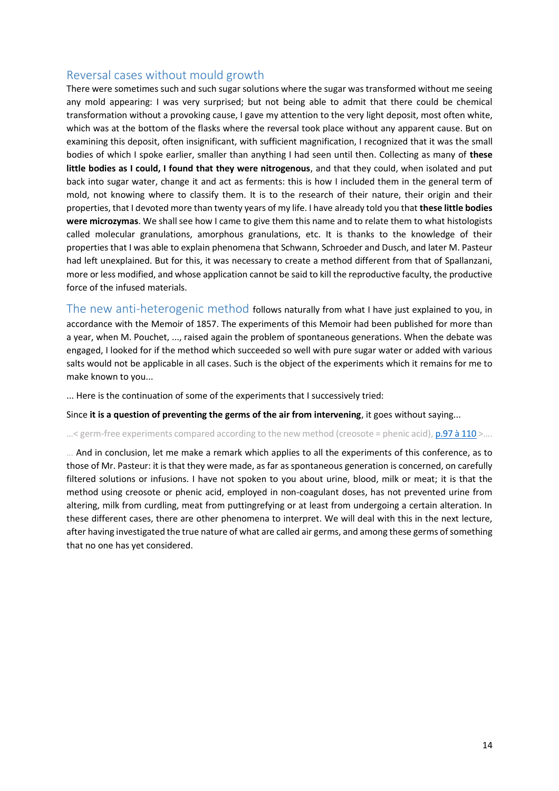#### <span id="page-13-0"></span>Reversal cases without mould growth

There were sometimes such and such sugar solutions where the sugar was transformed without me seeing any mold appearing: I was very surprised; but not being able to admit that there could be chemical transformation without a provoking cause, I gave my attention to the very light deposit, most often white, which was at the bottom of the flasks where the reversal took place without any apparent cause. But on examining this deposit, often insignificant, with sufficient magnification, I recognized that it was the small bodies of which I spoke earlier, smaller than anything I had seen until then. Collecting as many of **these little bodies as I could, I found that they were nitrogenous**, and that they could, when isolated and put back into sugar water, change it and act as ferments: this is how I included them in the general term of mold, not knowing where to classify them. It is to the research of their nature, their origin and their properties, that I devoted more than twenty years of my life. I have already told you that **these little bodies were microzymas**. We shall see how I came to give them this name and to relate them to what histologists called molecular granulations, amorphous granulations, etc. It is thanks to the knowledge of their properties that I was able to explain phenomena that Schwann, Schroeder and Dusch, and later M. Pasteur had left unexplained. But for this, it was necessary to create a method different from that of Spallanzani, more or less modified, and whose application cannot be said to kill the reproductive faculty, the productive force of the infused materials.

<span id="page-13-1"></span>The new anti-heterogenic method follows naturally from what I have just explained to you, in accordance with the Memoir of 1857. The experiments of this Memoir had been published for more than a year, when M. Pouchet, ..., raised again the problem of spontaneous generations. When the debate was engaged, I looked for if the method which succeeded so well with pure sugar water or added with various salts would not be applicable in all cases. Such is the object of the experiments which it remains for me to make known to you...

... Here is the continuation of some of the experiments that I successively tried:

Since **it is a question of preventing the germs of the air from intervening**, it goes without saying...

...< germ-free experiments compared according to the new method (creosote = phenic acid)[, p.97 à 110](https://gallica.bnf.fr/ark:/12148/bpt6k65140517/f145.image.r=.langFR) >....

… And in conclusion, let me make a remark which applies to all the experiments of this conference, as to those of Mr. Pasteur: it is that they were made, as far as spontaneous generation is concerned, on carefully filtered solutions or infusions. I have not spoken to you about urine, blood, milk or meat; it is that the method using creosote or phenic acid, employed in non-coagulant doses, has not prevented urine from altering, milk from curdling, meat from puttingrefying or at least from undergoing a certain alteration. In these different cases, there are other phenomena to interpret. We will deal with this in the next lecture, after having investigated the true nature of what are called air germs, and among these germs of something that no one has yet considered.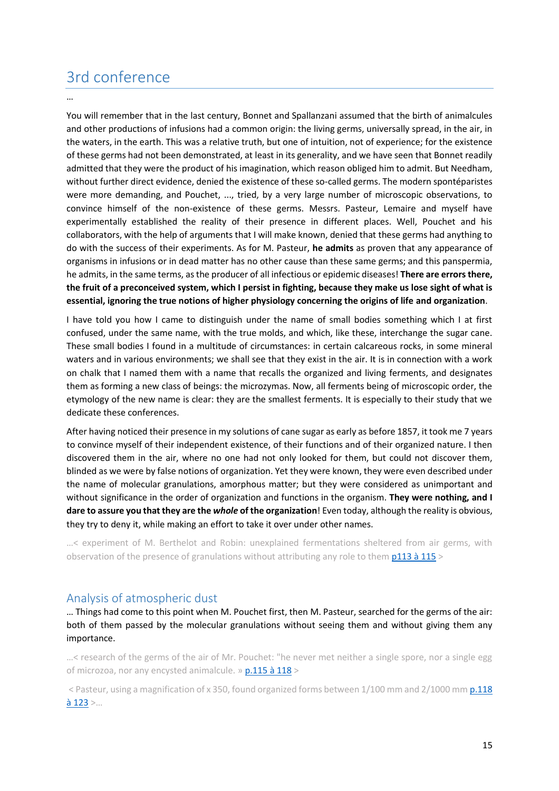## <span id="page-14-0"></span>3rd conference

…

You will remember that in the last century, Bonnet and Spallanzani assumed that the birth of animalcules and other productions of infusions had a common origin: the living germs, universally spread, in the air, in the waters, in the earth. This was a relative truth, but one of intuition, not of experience; for the existence of these germs had not been demonstrated, at least in its generality, and we have seen that Bonnet readily admitted that they were the product of his imagination, which reason obliged him to admit. But Needham, without further direct evidence, denied the existence of these so-called germs. The modern spontéparistes were more demanding, and Pouchet, ..., tried, by a very large number of microscopic observations, to convince himself of the non-existence of these germs. Messrs. Pasteur, Lemaire and myself have experimentally established the reality of their presence in different places. Well, Pouchet and his collaborators, with the help of arguments that I will make known, denied that these germs had anything to do with the success of their experiments. As for M. Pasteur, **he admits** as proven that any appearance of organisms in infusions or in dead matter has no other cause than these same germs; and this panspermia, he admits, in the same terms, as the producer of all infectious or epidemic diseases! **There are errors there, the fruit of a preconceived system, which I persist in fighting, because they make us lose sight of what is essential, ignoring the true notions of higher physiology concerning the origins of life and organization**.

I have told you how I came to distinguish under the name of small bodies something which I at first confused, under the same name, with the true molds, and which, like these, interchange the sugar cane. These small bodies I found in a multitude of circumstances: in certain calcareous rocks, in some mineral waters and in various environments; we shall see that they exist in the air. It is in connection with a work on chalk that I named them with a name that recalls the organized and living ferments, and designates them as forming a new class of beings: the microzymas. Now, all ferments being of microscopic order, the etymology of the new name is clear: they are the smallest ferments. It is especially to their study that we dedicate these conferences.

After having noticed their presence in my solutions of cane sugar as early as before 1857, it took me 7 years to convince myself of their independent existence, of their functions and of their organized nature. I then discovered them in the air, where no one had not only looked for them, but could not discover them, blinded as we were by false notions of organization. Yet they were known, they were even described under the name of molecular granulations, amorphous matter; but they were considered as unimportant and without significance in the order of organization and functions in the organism. **They were nothing, and I dare to assure you that they are the** *whole* **of the organization**! Even today, although the reality is obvious, they try to deny it, while making an effort to take it over under other names.

…< experiment of M. Berthelot and Robin: unexplained fermentations sheltered from air germs, with observation of the presence of granulations without attributing any role to them [p113 à 115](https://gallica.bnf.fr/ark:/12148/bpt6k65140517/f161.image.r=.langFR) >

#### <span id="page-14-1"></span>Analysis of atmospheric dust

… Things had come to this point when M. Pouchet first, then M. Pasteur, searched for the germs of the air: both of them passed by the molecular granulations without seeing them and without giving them any importance.

…< research of the germs of the air of Mr. Pouchet: "he never met neither a single spore, nor a single egg of microzoa, nor any encysted animalcule. »  $p.115$  à  $118$ 

< Pasteur, using a magnification of x 350, found organized forms between 1/100 mm and 2/1000 mm [p.118](https://gallica.bnf.fr/ark:/12148/bpt6k65140517/f166.image.r=.langFR)  $\frac{\lambda}{2}$  123 >...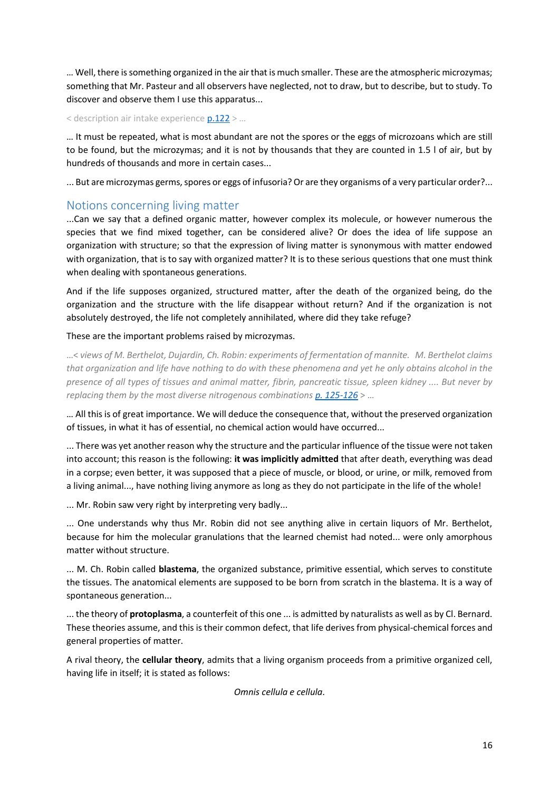… Well, there is something organized in the air that is much smaller. These are the atmospheric microzymas; something that Mr. Pasteur and all observers have neglected, not to draw, but to describe, but to study. To discover and observe them I use this apparatus...

#### < description air intake experienc[e p.122](https://gallica.bnf.fr/ark:/12148/bpt6k65140517/f170.image.r=.langFR) > …

… It must be repeated, what is most abundant are not the spores or the eggs of microzoans which are still to be found, but the microzymas; and it is not by thousands that they are counted in 1.5 l of air, but by hundreds of thousands and more in certain cases...

... But are microzymas germs, spores or eggs of infusoria? Or are they organisms of a very particular order?...

#### <span id="page-15-0"></span>Notions concerning living matter

...Can we say that a defined organic matter, however complex its molecule, or however numerous the species that we find mixed together, can be considered alive? Or does the idea of life suppose an organization with structure; so that the expression of living matter is synonymous with matter endowed with organization, that is to say with organized matter? It is to these serious questions that one must think when dealing with spontaneous generations.

And if the life supposes organized, structured matter, after the death of the organized being, do the organization and the structure with the life disappear without return? And if the organization is not absolutely destroyed, the life not completely annihilated, where did they take refuge?

#### These are the important problems raised by microzymas.

…< *views of M. Berthelot, Dujardin, Ch. Robin: experiments of fermentation of mannite. M. Berthelot claims that organization and life have nothing to do with these phenomena and yet he only obtains alcohol in the presence of all types of tissues and animal matter, fibrin, pancreatic tissue, spleen kidney .... But never by replacing them by the most diverse nitrogenous combination[s p. 125-126](https://gallica.bnf.fr/ark:/12148/bpt6k65140517/f173.image.r=.langFR)* > …

… All this is of great importance. We will deduce the consequence that, without the preserved organization of tissues, in what it has of essential, no chemical action would have occurred...

... There was yet another reason why the structure and the particular influence of the tissue were not taken into account; this reason is the following: **it was implicitly admitted** that after death, everything was dead in a corpse; even better, it was supposed that a piece of muscle, or blood, or urine, or milk, removed from a living animal..., have nothing living anymore as long as they do not participate in the life of the whole!

... Mr. Robin saw very right by interpreting very badly...

... One understands why thus Mr. Robin did not see anything alive in certain liquors of Mr. Berthelot, because for him the molecular granulations that the learned chemist had noted... were only amorphous matter without structure.

... M. Ch. Robin called **blastema**, the organized substance, primitive essential, which serves to constitute the tissues. The anatomical elements are supposed to be born from scratch in the blastema. It is a way of spontaneous generation...

... the theory of **protoplasma**, a counterfeit of this one ... is admitted by naturalists as well as by Cl. Bernard. These theories assume, and this is their common defect, that life derives from physical-chemical forces and general properties of matter.

A rival theory, the **cellular theory**, admits that a living organism proceeds from a primitive organized cell, having life in itself; it is stated as follows:

*Omnis cellula e cellula*.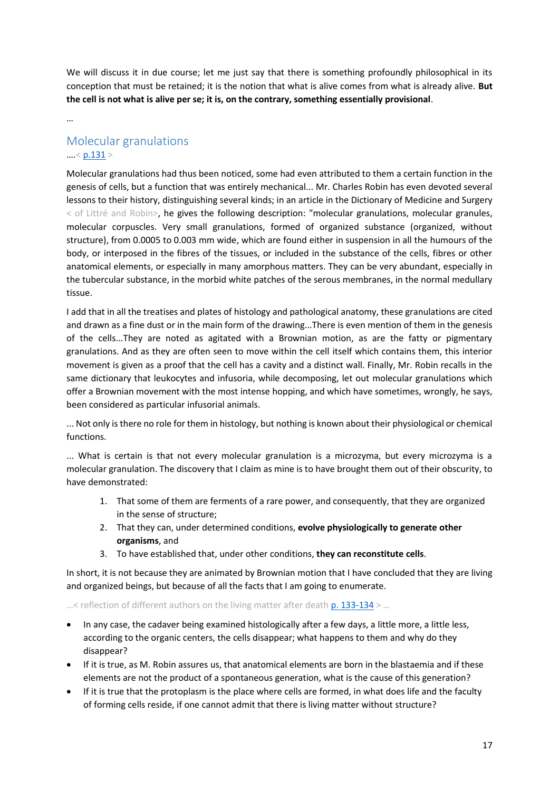We will discuss it in due course; let me just say that there is something profoundly philosophical in its conception that must be retained; it is the notion that what is alive comes from what is already alive. **But the cell is not what is alive per se; it is, on the contrary, something essentially provisional**.

…

### <span id="page-16-0"></span>Molecular granulations  $...$  [< p.131](https://gallica.bnf.fr/ark:/12148/bpt6k65140517/f179.image.r=.langFR) >

Molecular granulations had thus been noticed, some had even attributed to them a certain function in the genesis of cells, but a function that was entirely mechanical... Mr. Charles Robin has even devoted several lessons to their history, distinguishing several kinds; in an article in the Dictionary of Medicine and Surgery < of Littré and Robin>, he gives the following description: "molecular granulations, molecular granules, molecular corpuscles. Very small granulations, formed of organized substance (organized, without structure), from 0.0005 to 0.003 mm wide, which are found either in suspension in all the humours of the body, or interposed in the fibres of the tissues, or included in the substance of the cells, fibres or other anatomical elements, or especially in many amorphous matters. They can be very abundant, especially in the tubercular substance, in the morbid white patches of the serous membranes, in the normal medullary tissue.

I add that in all the treatises and plates of histology and pathological anatomy, these granulations are cited and drawn as a fine dust or in the main form of the drawing...There is even mention of them in the genesis of the cells...They are noted as agitated with a Brownian motion, as are the fatty or pigmentary granulations. And as they are often seen to move within the cell itself which contains them, this interior movement is given as a proof that the cell has a cavity and a distinct wall. Finally, Mr. Robin recalls in the same dictionary that leukocytes and infusoria, while decomposing, let out molecular granulations which offer a Brownian movement with the most intense hopping, and which have sometimes, wrongly, he says, been considered as particular infusorial animals.

... Not only is there no role for them in histology, but nothing is known about their physiological or chemical functions.

... What is certain is that not every molecular granulation is a microzyma, but every microzyma is a molecular granulation. The discovery that I claim as mine is to have brought them out of their obscurity, to have demonstrated:

- 1. That some of them are ferments of a rare power, and consequently, that they are organized in the sense of structure;
- 2. That they can, under determined conditions, **evolve physiologically to generate other organisms**, and
- 3. To have established that, under other conditions, **they can reconstitute cells**.

In short, it is not because they are animated by Brownian motion that I have concluded that they are living and organized beings, but because of all the facts that I am going to enumerate.

...< reflection of different authors on the living matter after death  $p. 133-134$  > ...

- In any case, the cadaver being examined histologically after a few days, a little more, a little less, according to the organic centers, the cells disappear; what happens to them and why do they disappear?
- If it is true, as M. Robin assures us, that anatomical elements are born in the blastaemia and if these elements are not the product of a spontaneous generation, what is the cause of this generation?
- If it is true that the protoplasm is the place where cells are formed, in what does life and the faculty of forming cells reside, if one cannot admit that there is living matter without structure?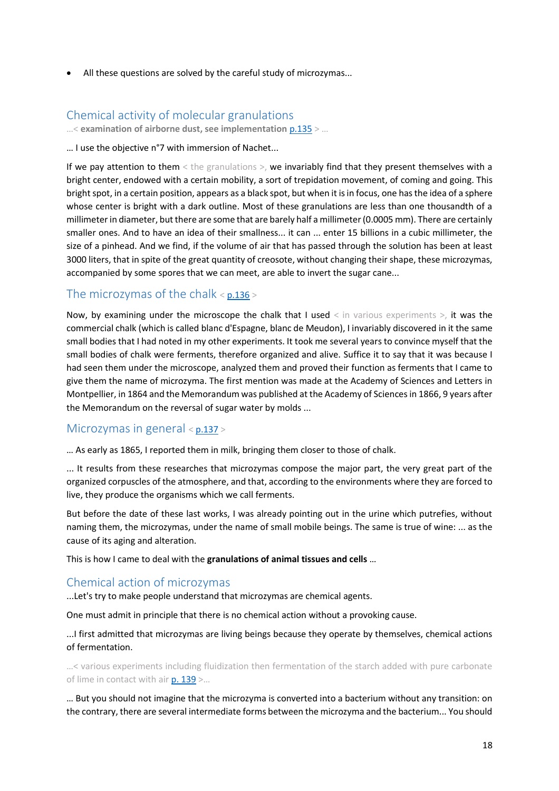• All these questions are solved by the careful study of microzymas...

### <span id="page-17-0"></span>Chemical activity of molecular granulations

…< **examination of airborne dust, see implementation** [p.135](https://gallica.bnf.fr/ark:/12148/bpt6k65140517/f183.image.r=.langFR) > …

… I use the objective n°7 with immersion of Nachet...

If we pay attention to them < the granulations >, we invariably find that they present themselves with a bright center, endowed with a certain mobility, a sort of trepidation movement, of coming and going. This bright spot, in a certain position, appears as a black spot, but when it is in focus, one has the idea of a sphere whose center is bright with a dark outline. Most of these granulations are less than one thousandth of a millimeter in diameter, but there are some that are barely half a millimeter (0.0005 mm). There are certainly smaller ones. And to have an idea of their smallness... it can ... enter 15 billions in a cubic millimeter, the size of a pinhead. And we find, if the volume of air that has passed through the solution has been at least 3000 liters, that in spite of the great quantity of creosote, without changing their shape, these microzymas, accompanied by some spores that we can meet, are able to invert the sugar cane...

#### <span id="page-17-1"></span>The microzymas of the chalk  $\le$  p.136  $\ge$

Now, by examining under the microscope the chalk that I used  $\leq$  in various experiments  $>$ , it was the commercial chalk (which is called blanc d'Espagne, blanc de Meudon), I invariably discovered in it the same small bodies that I had noted in my other experiments. It took me several years to convince myself that the small bodies of chalk were ferments, therefore organized and alive. Suffice it to say that it was because I had seen them under the microscope, analyzed them and proved their function as ferments that I came to give them the name of microzyma. The first mention was made at the Academy of Sciences and Letters in Montpellier, in 1864 and the Memorandum was published at the Academy of Sciences in 1866, 9 years after the Memorandum on the reversal of sugar water by molds ...

### <span id="page-17-2"></span>Microzymas in general < [p.137](https://gallica.bnf.fr/ark:/12148/bpt6k65140517/f185.image.r=.langFR) >

… As early as 1865, I reported them in milk, bringing them closer to those of chalk.

... It results from these researches that microzymas compose the major part, the very great part of the organized corpuscles of the atmosphere, and that, according to the environments where they are forced to live, they produce the organisms which we call ferments.

But before the date of these last works, I was already pointing out in the urine which putrefies, without naming them, the microzymas, under the name of small mobile beings. The same is true of wine: ... as the cause of its aging and alteration.

This is how I came to deal with the **granulations of animal tissues and cells** …

#### <span id="page-17-3"></span>Chemical action of microzymas

...Let's try to make people understand that microzymas are chemical agents.

One must admit in principle that there is no chemical action without a provoking cause.

...I first admitted that microzymas are living beings because they operate by themselves, chemical actions of fermentation.

…< various experiments including fluidization then fermentation of the starch added with pure carbonate of lime in contact with air  $p. 139$  >...

… But you should not imagine that the microzyma is converted into a bacterium without any transition: on the contrary, there are several intermediate forms between the microzyma and the bacterium... You should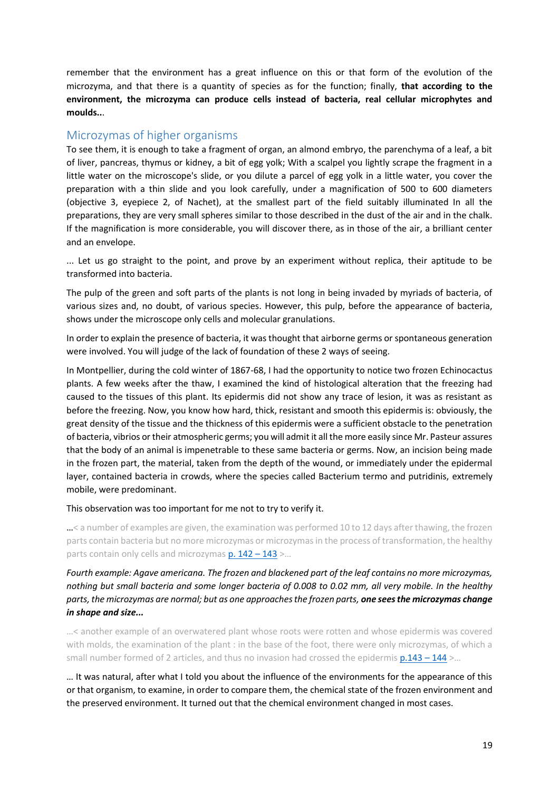remember that the environment has a great influence on this or that form of the evolution of the microzyma, and that there is a quantity of species as for the function; finally, **that according to the environment, the microzyma can produce cells instead of bacteria, real cellular microphytes and moulds..**.

#### <span id="page-18-0"></span>Microzymas of higher organisms

To see them, it is enough to take a fragment of organ, an almond embryo, the parenchyma of a leaf, a bit of liver, pancreas, thymus or kidney, a bit of egg yolk; With a scalpel you lightly scrape the fragment in a little water on the microscope's slide, or you dilute a parcel of egg yolk in a little water, you cover the preparation with a thin slide and you look carefully, under a magnification of 500 to 600 diameters (objective 3, eyepiece 2, of Nachet), at the smallest part of the field suitably illuminated In all the preparations, they are very small spheres similar to those described in the dust of the air and in the chalk. If the magnification is more considerable, you will discover there, as in those of the air, a brilliant center and an envelope.

... Let us go straight to the point, and prove by an experiment without replica, their aptitude to be transformed into bacteria.

The pulp of the green and soft parts of the plants is not long in being invaded by myriads of bacteria, of various sizes and, no doubt, of various species. However, this pulp, before the appearance of bacteria, shows under the microscope only cells and molecular granulations.

In order to explain the presence of bacteria, it was thought that airborne germs or spontaneous generation were involved. You will judge of the lack of foundation of these 2 ways of seeing.

In Montpellier, during the cold winter of 1867-68, I had the opportunity to notice two frozen Echinocactus plants. A few weeks after the thaw, I examined the kind of histological alteration that the freezing had caused to the tissues of this plant. Its epidermis did not show any trace of lesion, it was as resistant as before the freezing. Now, you know how hard, thick, resistant and smooth this epidermis is: obviously, the great density of the tissue and the thickness of this epidermis were a sufficient obstacle to the penetration of bacteria, vibrios or their atmospheric germs; you will admit it all the more easily since Mr. Pasteur assures that the body of an animal is impenetrable to these same bacteria or germs. Now, an incision being made in the frozen part, the material, taken from the depth of the wound, or immediately under the epidermal layer, contained bacteria in crowds, where the species called Bacterium termo and putridinis, extremely mobile, were predominant.

#### This observation was too important for me not to try to verify it.

…< a number of examples are given, the examination was performed 10 to 12 days after thawing, the frozen parts contain bacteria but no more microzymas or microzymas in the process of transformation, the healthy parts contain only cells and microzymas  $p. 142 - 143$  >...

*Fourth example: Agave americana. The frozen and blackened part of the leaf contains no more microzymas, nothing but small bacteria and some longer bacteria of 0.008 to 0.02 mm, all very mobile. In the healthy parts, the microzymas are normal; but as one approaches the frozen parts, one sees the microzymas change in shape and size...*

…< another example of an overwatered plant whose roots were rotten and whose epidermis was covered with molds, the examination of the plant : in the base of the foot, there were only microzymas, of which a small number formed of 2 articles, and thus no invasion had crossed the epidermis  $p.143 - 144$  >...

… It was natural, after what I told you about the influence of the environments for the appearance of this or that organism, to examine, in order to compare them, the chemical state of the frozen environment and the preserved environment. It turned out that the chemical environment changed in most cases.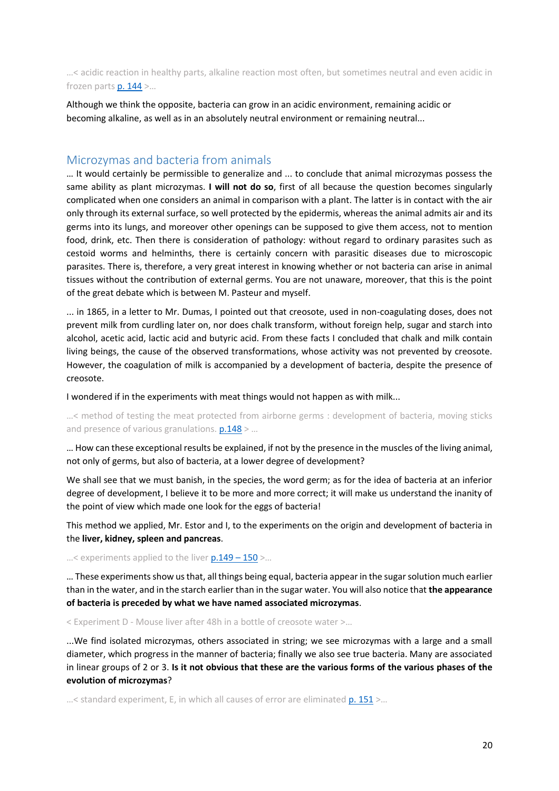…< acidic reaction in healthy parts, alkaline reaction most often, but sometimes neutral and even acidic in frozen parts  $p. 144$  >...

Although we think the opposite, bacteria can grow in an acidic environment, remaining acidic or becoming alkaline, as well as in an absolutely neutral environment or remaining neutral...

#### <span id="page-19-0"></span>Microzymas and bacteria from animals

… It would certainly be permissible to generalize and ... to conclude that animal microzymas possess the same ability as plant microzymas. **I will not do so**, first of all because the question becomes singularly complicated when one considers an animal in comparison with a plant. The latter is in contact with the air only through its external surface, so well protected by the epidermis, whereas the animal admits air and its germs into its lungs, and moreover other openings can be supposed to give them access, not to mention food, drink, etc. Then there is consideration of pathology: without regard to ordinary parasites such as cestoid worms and helminths, there is certainly concern with parasitic diseases due to microscopic parasites. There is, therefore, a very great interest in knowing whether or not bacteria can arise in animal tissues without the contribution of external germs. You are not unaware, moreover, that this is the point of the great debate which is between M. Pasteur and myself.

... in 1865, in a letter to Mr. Dumas, I pointed out that creosote, used in non-coagulating doses, does not prevent milk from curdling later on, nor does chalk transform, without foreign help, sugar and starch into alcohol, acetic acid, lactic acid and butyric acid. From these facts I concluded that chalk and milk contain living beings, the cause of the observed transformations, whose activity was not prevented by creosote. However, the coagulation of milk is accompanied by a development of bacteria, despite the presence of creosote.

I wondered if in the experiments with meat things would not happen as with milk...

…< method of testing the meat protected from airborne germs : development of bacteria, moving sticks and presence of various granulations.  $p.148$  > ...

… How can these exceptional results be explained, if not by the presence in the muscles of the living animal, not only of germs, but also of bacteria, at a lower degree of development?

We shall see that we must banish, in the species, the word germ; as for the idea of bacteria at an inferior degree of development, I believe it to be more and more correct; it will make us understand the inanity of the point of view which made one look for the eggs of bacteria!

This method we applied, Mr. Estor and I, to the experiments on the origin and development of bacteria in the **liver, kidney, spleen and pancreas**.

...< experiments applied to the liver  $p.149 - 150$  >...

… These experiments show us that, all things being equal, bacteria appear in the sugar solution much earlier than in the water, and in the starch earlier than in the sugar water. You will also notice that **the appearance of bacteria is preceded by what we have named associated microzymas**.

< Experiment D - Mouse liver after 48h in a bottle of creosote water >…

...We find isolated microzymas, others associated in string; we see microzymas with a large and a small diameter, which progress in the manner of bacteria; finally we also see true bacteria. Many are associated in linear groups of 2 or 3. **Is it not obvious that these are the various forms of the various phases of the evolution of microzymas**?

 $...$ < standard experiment, E, in which all causes of error are eliminated  $p. 151$  >...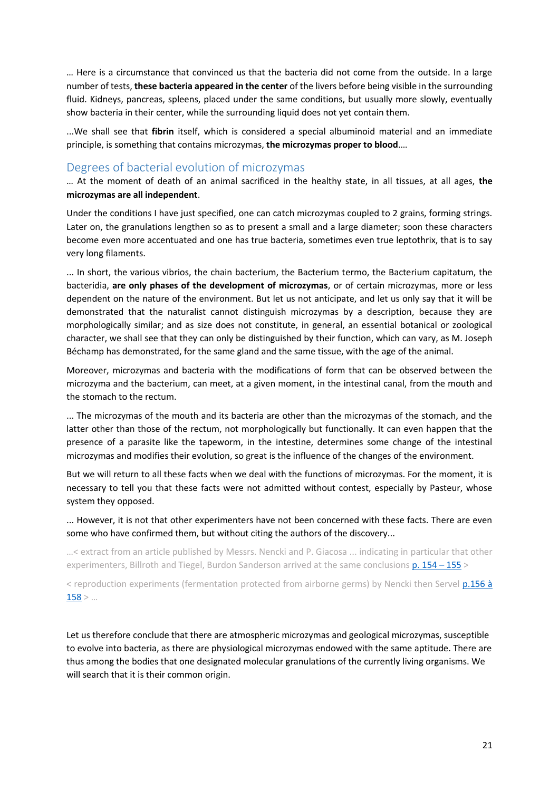… Here is a circumstance that convinced us that the bacteria did not come from the outside. In a large number of tests, **these bacteria appeared in the center** of the livers before being visible in the surrounding fluid. Kidneys, pancreas, spleens, placed under the same conditions, but usually more slowly, eventually show bacteria in their center, while the surrounding liquid does not yet contain them.

...We shall see that **fibrin** itself, which is considered a special albuminoid material and an immediate principle, is something that contains microzymas, **the microzymas proper to blood**.…

#### <span id="page-20-0"></span>Degrees of bacterial evolution of microzymas

… At the moment of death of an animal sacrificed in the healthy state, in all tissues, at all ages, **the microzymas are all independent**.

Under the conditions I have just specified, one can catch microzymas coupled to 2 grains, forming strings. Later on, the granulations lengthen so as to present a small and a large diameter; soon these characters become even more accentuated and one has true bacteria, sometimes even true leptothrix, that is to say very long filaments.

... In short, the various vibrios, the chain bacterium, the Bacterium termo, the Bacterium capitatum, the bacteridia, **are only phases of the development of microzymas**, or of certain microzymas, more or less dependent on the nature of the environment. But let us not anticipate, and let us only say that it will be demonstrated that the naturalist cannot distinguish microzymas by a description, because they are morphologically similar; and as size does not constitute, in general, an essential botanical or zoological character, we shall see that they can only be distinguished by their function, which can vary, as M. Joseph Béchamp has demonstrated, for the same gland and the same tissue, with the age of the animal.

Moreover, microzymas and bacteria with the modifications of form that can be observed between the microzyma and the bacterium, can meet, at a given moment, in the intestinal canal, from the mouth and the stomach to the rectum.

... The microzymas of the mouth and its bacteria are other than the microzymas of the stomach, and the latter other than those of the rectum, not morphologically but functionally. It can even happen that the presence of a parasite like the tapeworm, in the intestine, determines some change of the intestinal microzymas and modifies their evolution, so great is the influence of the changes of the environment.

But we will return to all these facts when we deal with the functions of microzymas. For the moment, it is necessary to tell you that these facts were not admitted without contest, especially by Pasteur, whose system they opposed.

... However, it is not that other experimenters have not been concerned with these facts. There are even some who have confirmed them, but without citing the authors of the discovery...

…< extract from an article published by Messrs. Nencki and P. Giacosa ... indicating in particular that other experimenters, Billroth and Tiegel, Burdon Sanderson arrived at the same conclusion[s p. 154](https://gallica.bnf.fr/ark:/12148/bpt6k65140517/f202.image.r=.langFR) - 155 >

< reproduction experiments (fermentation protected from airborne germs) by Nencki then Servel p.156 à  $158 > ...$  $158 > ...$ 

Let us therefore conclude that there are atmospheric microzymas and geological microzymas, susceptible to evolve into bacteria, as there are physiological microzymas endowed with the same aptitude. There are thus among the bodies that one designated molecular granulations of the currently living organisms. We will search that it is their common origin.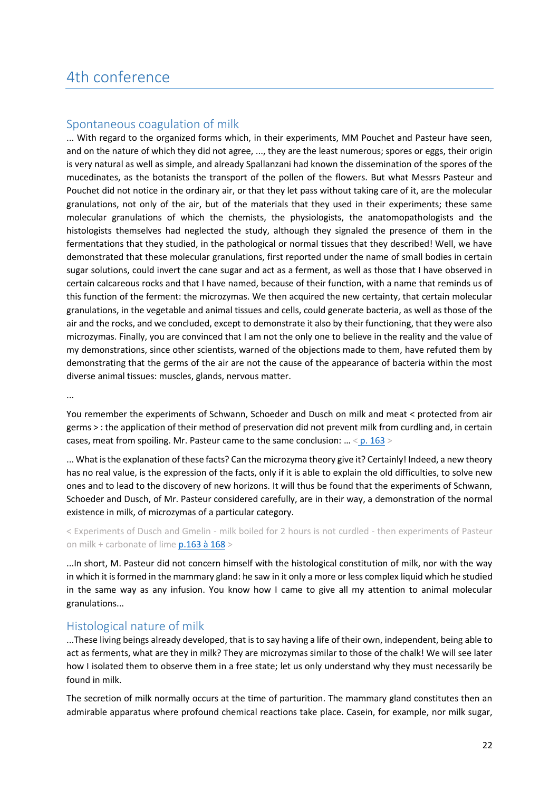### <span id="page-21-0"></span>4th conference

#### <span id="page-21-1"></span>Spontaneous coagulation of milk

... With regard to the organized forms which, in their experiments, MM Pouchet and Pasteur have seen, and on the nature of which they did not agree, ..., they are the least numerous; spores or eggs, their origin is very natural as well as simple, and already Spallanzani had known the dissemination of the spores of the mucedinates, as the botanists the transport of the pollen of the flowers. But what Messrs Pasteur and Pouchet did not notice in the ordinary air, or that they let pass without taking care of it, are the molecular granulations, not only of the air, but of the materials that they used in their experiments; these same molecular granulations of which the chemists, the physiologists, the anatomopathologists and the histologists themselves had neglected the study, although they signaled the presence of them in the fermentations that they studied, in the pathological or normal tissues that they described! Well, we have demonstrated that these molecular granulations, first reported under the name of small bodies in certain sugar solutions, could invert the cane sugar and act as a ferment, as well as those that I have observed in certain calcareous rocks and that I have named, because of their function, with a name that reminds us of this function of the ferment: the microzymas. We then acquired the new certainty, that certain molecular granulations, in the vegetable and animal tissues and cells, could generate bacteria, as well as those of the air and the rocks, and we concluded, except to demonstrate it also by their functioning, that they were also microzymas. Finally, you are convinced that I am not the only one to believe in the reality and the value of my demonstrations, since other scientists, warned of the objections made to them, have refuted them by demonstrating that the germs of the air are not the cause of the appearance of bacteria within the most diverse animal tissues: muscles, glands, nervous matter.

...

You remember the experiments of Schwann, Schoeder and Dusch on milk and meat < protected from air germs > : the application of their method of preservation did not prevent milk from curdling and, in certain cases, meat from spoiling. Mr. Pasteur came to the same conclusion:  $\ldots$  < [p. 163](https://gallica.bnf.fr/ark:/12148/bpt6k65140517/f211.image.r=.langFR) >

... What is the explanation of these facts? Can the microzyma theory give it? Certainly! Indeed, a new theory has no real value, is the expression of the facts, only if it is able to explain the old difficulties, to solve new ones and to lead to the discovery of new horizons. It will thus be found that the experiments of Schwann, Schoeder and Dusch, of Mr. Pasteur considered carefully, are in their way, a demonstration of the normal existence in milk, of microzymas of a particular category.

< Experiments of Dusch and Gmelin - milk boiled for 2 hours is not curdled - then experiments of Pasteur on milk + carbonate of lime  $p.163$  à  $168$ 

...In short, M. Pasteur did not concern himself with the histological constitution of milk, nor with the way in which it is formed in the mammary gland: he saw in it only a more or less complex liquid which he studied in the same way as any infusion. You know how I came to give all my attention to animal molecular granulations...

#### <span id="page-21-2"></span>Histological nature of milk

...These living beings already developed, that is to say having a life of their own, independent, being able to act as ferments, what are they in milk? They are microzymas similar to those of the chalk! We will see later how I isolated them to observe them in a free state; let us only understand why they must necessarily be found in milk.

The secretion of milk normally occurs at the time of parturition. The mammary gland constitutes then an admirable apparatus where profound chemical reactions take place. Casein, for example, nor milk sugar,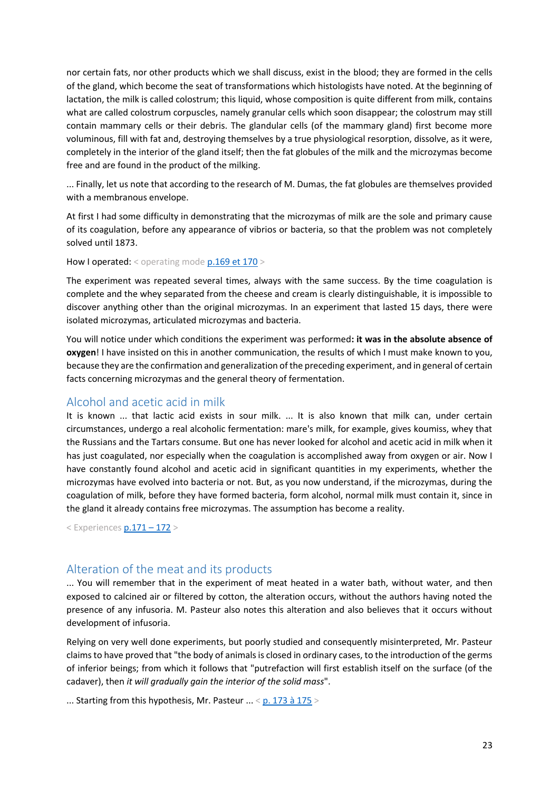nor certain fats, nor other products which we shall discuss, exist in the blood; they are formed in the cells of the gland, which become the seat of transformations which histologists have noted. At the beginning of lactation, the milk is called colostrum; this liquid, whose composition is quite different from milk, contains what are called colostrum corpuscles, namely granular cells which soon disappear; the colostrum may still contain mammary cells or their debris. The glandular cells (of the mammary gland) first become more voluminous, fill with fat and, destroying themselves by a true physiological resorption, dissolve, as it were, completely in the interior of the gland itself; then the fat globules of the milk and the microzymas become free and are found in the product of the milking.

... Finally, let us note that according to the research of M. Dumas, the fat globules are themselves provided with a membranous envelope.

At first I had some difficulty in demonstrating that the microzymas of milk are the sole and primary cause of its coagulation, before any appearance of vibrios or bacteria, so that the problem was not completely solved until 1873.

How I operated: < operating mod[e p.169 et 170](https://gallica.bnf.fr/ark:/12148/bpt6k65140517/f211.image.r=.langFR) >

The experiment was repeated several times, always with the same success. By the time coagulation is complete and the whey separated from the cheese and cream is clearly distinguishable, it is impossible to discover anything other than the original microzymas. In an experiment that lasted 15 days, there were isolated microzymas, articulated microzymas and bacteria.

You will notice under which conditions the experiment was performed**: it was in the absolute absence of oxygen**! I have insisted on this in another communication, the results of which I must make known to you, because they are the confirmation and generalization of the preceding experiment, and in general of certain facts concerning microzymas and the general theory of fermentation.

#### <span id="page-22-0"></span>Alcohol and acetic acid in milk

It is known ... that lactic acid exists in sour milk. ... It is also known that milk can, under certain circumstances, undergo a real alcoholic fermentation: mare's milk, for example, gives koumiss, whey that the Russians and the Tartars consume. But one has never looked for alcohol and acetic acid in milk when it has just coagulated, nor especially when the coagulation is accomplished away from oxygen or air. Now I have constantly found alcohol and acetic acid in significant quantities in my experiments, whether the microzymas have evolved into bacteria or not. But, as you now understand, if the microzymas, during the coagulation of milk, before they have formed bacteria, form alcohol, normal milk must contain it, since in the gland it already contains free microzymas. The assumption has become a reality.

< Experiences [p.171](https://gallica.bnf.fr/ark:/12148/bpt6k65140517/f219.image.r=.langFR) – 172 >

#### <span id="page-22-1"></span>Alteration of the meat and its products

... You will remember that in the experiment of meat heated in a water bath, without water, and then exposed to calcined air or filtered by cotton, the alteration occurs, without the authors having noted the presence of any infusoria. M. Pasteur also notes this alteration and also believes that it occurs without development of infusoria.

Relying on very well done experiments, but poorly studied and consequently misinterpreted, Mr. Pasteur claims to have proved that "the body of animals is closed in ordinary cases, to the introduction of the germs of inferior beings; from which it follows that "putrefaction will first establish itself on the surface (of the cadaver), then *it will gradually gain the interior of the solid mass*".

... Starting from this hypothesis, Mr. Pasteur  $\ldots$  [< p. 173 à 175](https://gallica.bnf.fr/ark:/12148/bpt6k65140517/f221.image.r=.langFR) >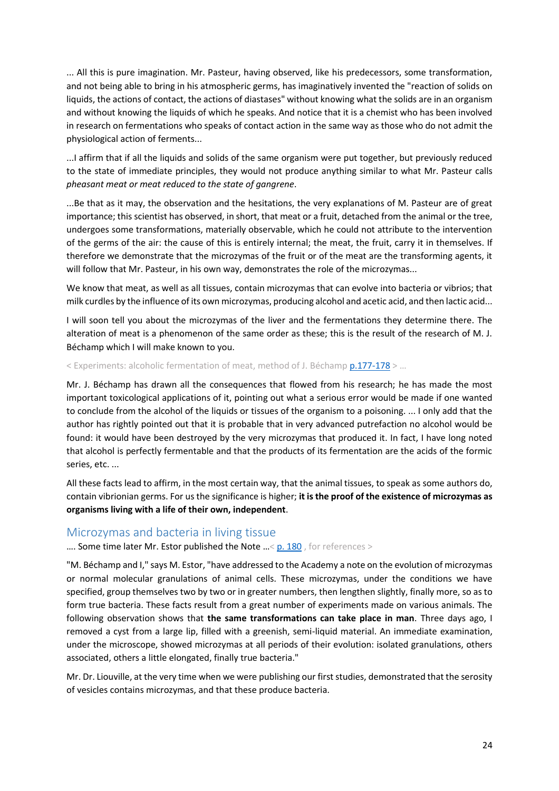... All this is pure imagination. Mr. Pasteur, having observed, like his predecessors, some transformation, and not being able to bring in his atmospheric germs, has imaginatively invented the "reaction of solids on liquids, the actions of contact, the actions of diastases" without knowing what the solids are in an organism and without knowing the liquids of which he speaks. And notice that it is a chemist who has been involved in research on fermentations who speaks of contact action in the same way as those who do not admit the physiological action of ferments...

...I affirm that if all the liquids and solids of the same organism were put together, but previously reduced to the state of immediate principles, they would not produce anything similar to what Mr. Pasteur calls *pheasant meat or meat reduced to the state of gangrene*.

...Be that as it may, the observation and the hesitations, the very explanations of M. Pasteur are of great importance; this scientist has observed, in short, that meat or a fruit, detached from the animal or the tree, undergoes some transformations, materially observable, which he could not attribute to the intervention of the germs of the air: the cause of this is entirely internal; the meat, the fruit, carry it in themselves. If therefore we demonstrate that the microzymas of the fruit or of the meat are the transforming agents, it will follow that Mr. Pasteur, in his own way, demonstrates the role of the microzymas...

We know that meat, as well as all tissues, contain microzymas that can evolve into bacteria or vibrios; that milk curdles by the influence of its own microzymas, producing alcohol and acetic acid, and then lactic acid...

I will soon tell you about the microzymas of the liver and the fermentations they determine there. The alteration of meat is a phenomenon of the same order as these; this is the result of the research of M. J. Béchamp which I will make known to you.

#### < Experiments: alcoholic fermentation of meat, method of J. Béchamp [p.177-178](https://gallica.bnf.fr/ark:/12148/bpt6k65140517/f225.image.r=.langFR) > …

Mr. J. Béchamp has drawn all the consequences that flowed from his research; he has made the most important toxicological applications of it, pointing out what a serious error would be made if one wanted to conclude from the alcohol of the liquids or tissues of the organism to a poisoning. ... I only add that the author has rightly pointed out that it is probable that in very advanced putrefaction no alcohol would be found: it would have been destroyed by the very microzymas that produced it. In fact, I have long noted that alcohol is perfectly fermentable and that the products of its fermentation are the acids of the formic series, etc. ...

All these facts lead to affirm, in the most certain way, that the animal tissues, to speak as some authors do, contain vibrionian germs. For us the significance is higher; **it is the proof of the existence of microzymas as organisms living with a life of their own, independent**.

#### <span id="page-23-0"></span>Microzymas and bacteria in living tissue

.... Some time later Mr. Estor published the Note ...[< p. 180](https://gallica.bnf.fr/ark:/12148/bpt6k65140517/f228.image.r=.langFR), for references >

"M. Béchamp and I," says M. Estor, "have addressed to the Academy a note on the evolution of microzymas or normal molecular granulations of animal cells. These microzymas, under the conditions we have specified, group themselves two by two or in greater numbers, then lengthen slightly, finally more, so as to form true bacteria. These facts result from a great number of experiments made on various animals. The following observation shows that **the same transformations can take place in man**. Three days ago, I removed a cyst from a large lip, filled with a greenish, semi-liquid material. An immediate examination, under the microscope, showed microzymas at all periods of their evolution: isolated granulations, others associated, others a little elongated, finally true bacteria."

Mr. Dr. Liouville, at the very time when we were publishing our first studies, demonstrated that the serosity of vesicles contains microzymas, and that these produce bacteria.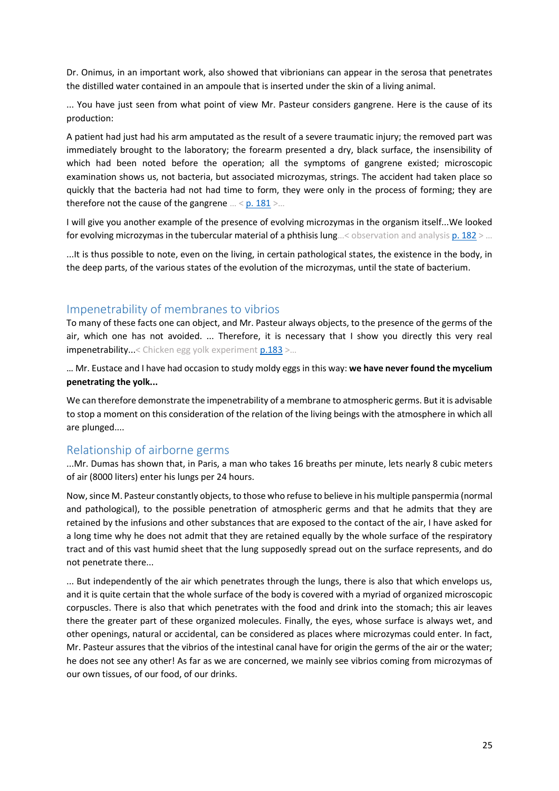Dr. Onimus, in an important work, also showed that vibrionians can appear in the serosa that penetrates the distilled water contained in an ampoule that is inserted under the skin of a living animal.

... You have just seen from what point of view Mr. Pasteur considers gangrene. Here is the cause of its production:

A patient had just had his arm amputated as the result of a severe traumatic injury; the removed part was immediately brought to the laboratory; the forearm presented a dry, black surface, the insensibility of which had been noted before the operation; all the symptoms of gangrene existed; microscopic examination shows us, not bacteria, but associated microzymas, strings. The accident had taken place so quickly that the bacteria had not had time to form, they were only in the process of forming; they are therefore not the cause of the gangrene  $\ldots$  < [p. 181](https://gallica.bnf.fr/ark:/12148/bpt6k65140517/f229.image.r=.langFR) >...

I will give you another example of the presence of evolving microzymas in the organism itself...We looked for evolving microzymas in the tubercular material of a phthisis lung...< observation and analysis [p. 182](https://gallica.bnf.fr/ark:/12148/bpt6k65140517/f230.image.r=.langFR) > ...

...It is thus possible to note, even on the living, in certain pathological states, the existence in the body, in the deep parts, of the various states of the evolution of the microzymas, until the state of bacterium.

#### <span id="page-24-0"></span>Impenetrability of membranes to vibrios

To many of these facts one can object, and Mr. Pasteur always objects, to the presence of the germs of the air, which one has not avoided. ... Therefore, it is necessary that I show you directly this very real impenetrability...< Chicken egg yolk experiment  $p.183$  >...

… Mr. Eustace and I have had occasion to study moldy eggs in this way: **we have never found the mycelium penetrating the yolk...**

We can therefore demonstrate the impenetrability of a membrane to atmospheric germs. But it is advisable to stop a moment on this consideration of the relation of the living beings with the atmosphere in which all are plunged....

#### <span id="page-24-1"></span>Relationship of airborne germs

...Mr. Dumas has shown that, in Paris, a man who takes 16 breaths per minute, lets nearly 8 cubic meters of air (8000 liters) enter his lungs per 24 hours.

Now, since M. Pasteur constantly objects, to those who refuse to believe in his multiple panspermia (normal and pathological), to the possible penetration of atmospheric germs and that he admits that they are retained by the infusions and other substances that are exposed to the contact of the air, I have asked for a long time why he does not admit that they are retained equally by the whole surface of the respiratory tract and of this vast humid sheet that the lung supposedly spread out on the surface represents, and do not penetrate there...

... But independently of the air which penetrates through the lungs, there is also that which envelops us, and it is quite certain that the whole surface of the body is covered with a myriad of organized microscopic corpuscles. There is also that which penetrates with the food and drink into the stomach; this air leaves there the greater part of these organized molecules. Finally, the eyes, whose surface is always wet, and other openings, natural or accidental, can be considered as places where microzymas could enter. In fact, Mr. Pasteur assures that the vibrios of the intestinal canal have for origin the germs of the air or the water; he does not see any other! As far as we are concerned, we mainly see vibrios coming from microzymas of our own tissues, of our food, of our drinks.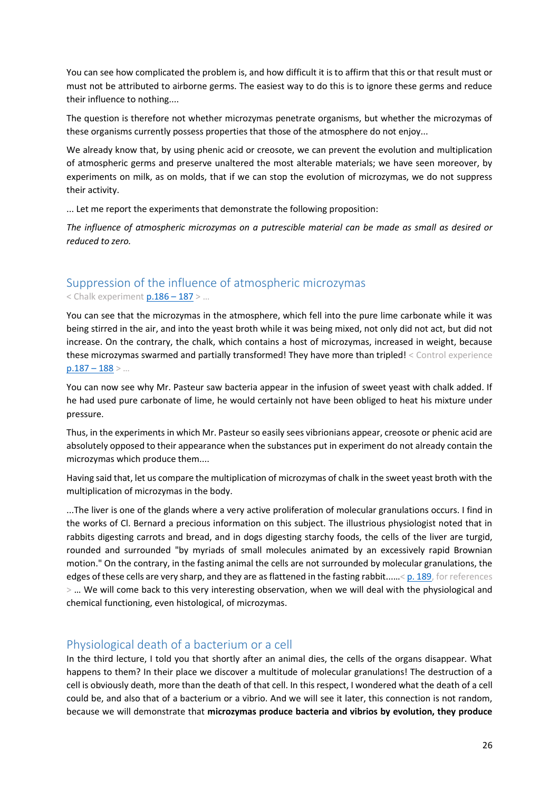You can see how complicated the problem is, and how difficult it is to affirm that this or that result must or must not be attributed to airborne germs. The easiest way to do this is to ignore these germs and reduce their influence to nothing....

The question is therefore not whether microzymas penetrate organisms, but whether the microzymas of these organisms currently possess properties that those of the atmosphere do not enjoy...

We already know that, by using phenic acid or creosote, we can prevent the evolution and multiplication of atmospheric germs and preserve unaltered the most alterable materials; we have seen moreover, by experiments on milk, as on molds, that if we can stop the evolution of microzymas, we do not suppress their activity.

... Let me report the experiments that demonstrate the following proposition:

*The influence of atmospheric microzymas on a putrescible material can be made as small as desired or reduced to zero.*

### <span id="page-25-0"></span>Suppression of the influence of atmospheric microzymas

< Chalk experiment [p.186](https://gallica.bnf.fr/ark:/12148/bpt6k65140517/f234.image.r=.langFR) – 187 > …

You can see that the microzymas in the atmosphere, which fell into the pure lime carbonate while it was being stirred in the air, and into the yeast broth while it was being mixed, not only did not act, but did not increase. On the contrary, the chalk, which contains a host of microzymas, increased in weight, because these microzymas swarmed and partially transformed! They have more than tripled! < Control experience  $p.187 - 188$  $p.187 - 188$  > ...

You can now see why Mr. Pasteur saw bacteria appear in the infusion of sweet yeast with chalk added. If he had used pure carbonate of lime, he would certainly not have been obliged to heat his mixture under pressure.

Thus, in the experiments in which Mr. Pasteur so easily sees vibrionians appear, creosote or phenic acid are absolutely opposed to their appearance when the substances put in experiment do not already contain the microzymas which produce them....

Having said that, let us compare the multiplication of microzymas of chalk in the sweet yeast broth with the multiplication of microzymas in the body.

...The liver is one of the glands where a very active proliferation of molecular granulations occurs. I find in the works of Cl. Bernard a precious information on this subject. The illustrious physiologist noted that in rabbits digesting carrots and bread, and in dogs digesting starchy foods, the cells of the liver are turgid, rounded and surrounded "by myriads of small molecules animated by an excessively rapid Brownian motion." On the contrary, in the fasting animal the cells are not surrounded by molecular granulations, the edges of these cells are very sharp, and they are as flattened in the fasting rabbit......[< p. 189,](https://gallica.bnf.fr/ark:/12148/bpt6k65140517/f237.image.r=.langFR) for references > … We will come back to this very interesting observation, when we will deal with the physiological and chemical functioning, even histological, of microzymas.

### <span id="page-25-1"></span>Physiological death of a bacterium or a cell

In the third lecture, I told you that shortly after an animal dies, the cells of the organs disappear. What happens to them? In their place we discover a multitude of molecular granulations! The destruction of a cell is obviously death, more than the death of that cell. In this respect, I wondered what the death of a cell could be, and also that of a bacterium or a vibrio. And we will see it later, this connection is not random, because we will demonstrate that **microzymas produce bacteria and vibrios by evolution, they produce**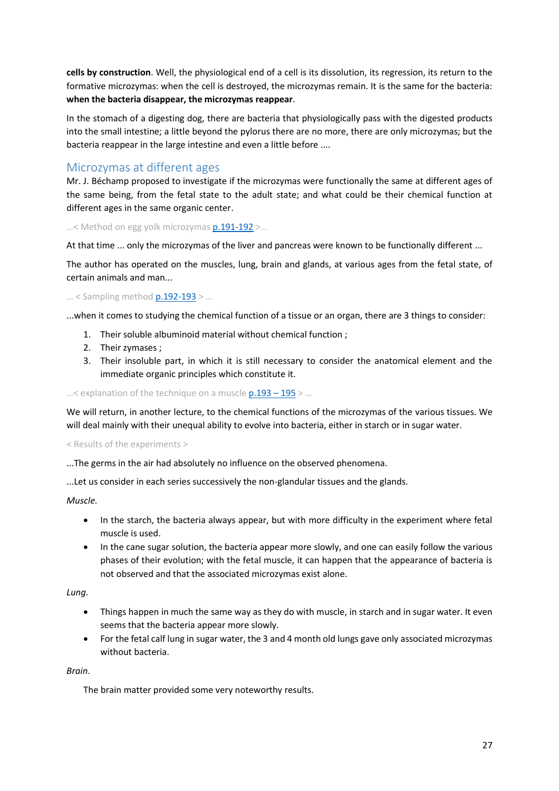**cells by construction**. Well, the physiological end of a cell is its dissolution, its regression, its return to the formative microzymas: when the cell is destroyed, the microzymas remain. It is the same for the bacteria: **when the bacteria disappear, the microzymas reappear**.

In the stomach of a digesting dog, there are bacteria that physiologically pass with the digested products into the small intestine; a little beyond the pylorus there are no more, there are only microzymas; but the bacteria reappear in the large intestine and even a little before ....

#### <span id="page-26-0"></span>Microzymas at different ages

Mr. J. Béchamp proposed to investigate if the microzymas were functionally the same at different ages of the same being, from the fetal state to the adult state; and what could be their chemical function at different ages in the same organic center.

...< Method on egg yolk microzyma[s p.191-192](https://gallica.bnf.fr/ark:/12148/bpt6k65140517/f239.image.r=.langFR) >...

At that time ... only the microzymas of the liver and pancreas were known to be functionally different ...

The author has operated on the muscles, lung, brain and glands, at various ages from the fetal state, of certain animals and man...

#### … < Sampling metho[d p.192-193](https://gallica.bnf.fr/ark:/12148/bpt6k65140517/f240.image.r=.langFR) > …

...when it comes to studying the chemical function of a tissue or an organ, there are 3 things to consider:

- 1. Their soluble albuminoid material without chemical function ;
- 2. Their zymases ;
- 3. Their insoluble part, in which it is still necessary to consider the anatomical element and the immediate organic principles which constitute it.

...< explanation of the technique on a muscle  $p.193 - 195$  > ...

We will return, in another lecture, to the chemical functions of the microzymas of the various tissues. We will deal mainly with their unequal ability to evolve into bacteria, either in starch or in sugar water.

< Results of the experiments >

...The germs in the air had absolutely no influence on the observed phenomena.

...Let us consider in each series successively the non-glandular tissues and the glands.

*Muscle.*

- In the starch, the bacteria always appear, but with more difficulty in the experiment where fetal muscle is used.
- In the cane sugar solution, the bacteria appear more slowly, and one can easily follow the various phases of their evolution; with the fetal muscle, it can happen that the appearance of bacteria is not observed and that the associated microzymas exist alone.

*Lung*.

- Things happen in much the same way as they do with muscle, in starch and in sugar water. It even seems that the bacteria appear more slowly.
- For the fetal calf lung in sugar water, the 3 and 4 month old lungs gave only associated microzymas without bacteria.

*Brain*.

The brain matter provided some very noteworthy results.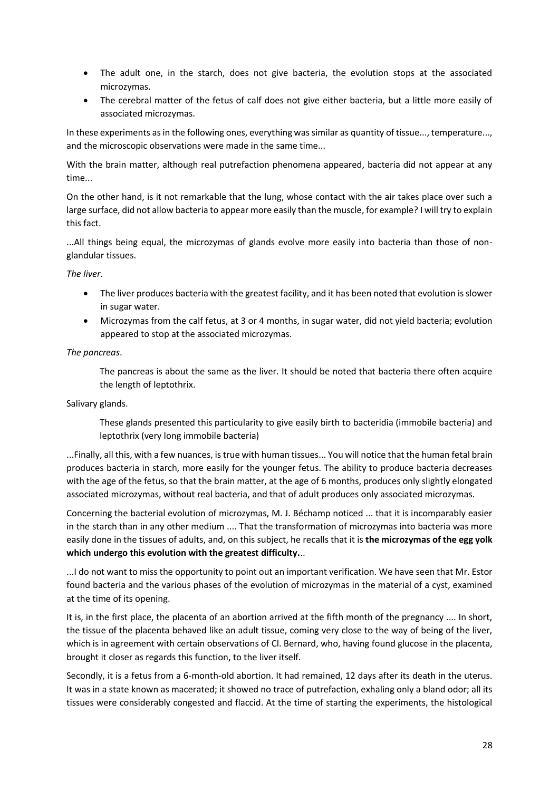- The adult one, in the starch, does not give bacteria, the evolution stops at the associated microzymas.
- The cerebral matter of the fetus of calf does not give either bacteria, but a little more easily of associated microzymas.

In these experiments as in the following ones, everything was similar as quantity of tissue..., temperature..., and the microscopic observations were made in the same time...

With the brain matter, although real putrefaction phenomena appeared, bacteria did not appear at any time...

On the other hand, is it not remarkable that the lung, whose contact with the air takes place over such a large surface, did not allow bacteria to appear more easily than the muscle, for example? I will try to explain this fact.

...All things being equal, the microzymas of glands evolve more easily into bacteria than those of nonglandular tissues.

#### *The liver*.

- The liver produces bacteria with the greatest facility, and it has been noted that evolution is slower in sugar water.
- Microzymas from the calf fetus, at 3 or 4 months, in sugar water, did not yield bacteria; evolution appeared to stop at the associated microzymas.

#### *The pancreas*.

The pancreas is about the same as the liver. It should be noted that bacteria there often acquire the length of leptothrix.

Salivary glands.

These glands presented this particularity to give easily birth to bacteridia (immobile bacteria) and leptothrix (very long immobile bacteria)

...Finally, all this, with a few nuances, is true with human tissues... You will notice that the human fetal brain produces bacteria in starch, more easily for the younger fetus. The ability to produce bacteria decreases with the age of the fetus, so that the brain matter, at the age of 6 months, produces only slightly elongated associated microzymas, without real bacteria, and that of adult produces only associated microzymas.

Concerning the bacterial evolution of microzymas, M. J. Béchamp noticed ... that it is incomparably easier in the starch than in any other medium .... That the transformation of microzymas into bacteria was more easily done in the tissues of adults, and, on this subject, he recalls that it is **the microzymas of the egg yolk which undergo this evolution with the greatest difficulty.**..

...I do not want to miss the opportunity to point out an important verification. We have seen that Mr. Estor found bacteria and the various phases of the evolution of microzymas in the material of a cyst, examined at the time of its opening.

It is, in the first place, the placenta of an abortion arrived at the fifth month of the pregnancy .... In short, the tissue of the placenta behaved like an adult tissue, coming very close to the way of being of the liver, which is in agreement with certain observations of Cl. Bernard, who, having found glucose in the placenta, brought it closer as regards this function, to the liver itself.

Secondly, it is a fetus from a 6-month-old abortion. It had remained, 12 days after its death in the uterus. It was in a state known as macerated; it showed no trace of putrefaction, exhaling only a bland odor; all its tissues were considerably congested and flaccid. At the time of starting the experiments, the histological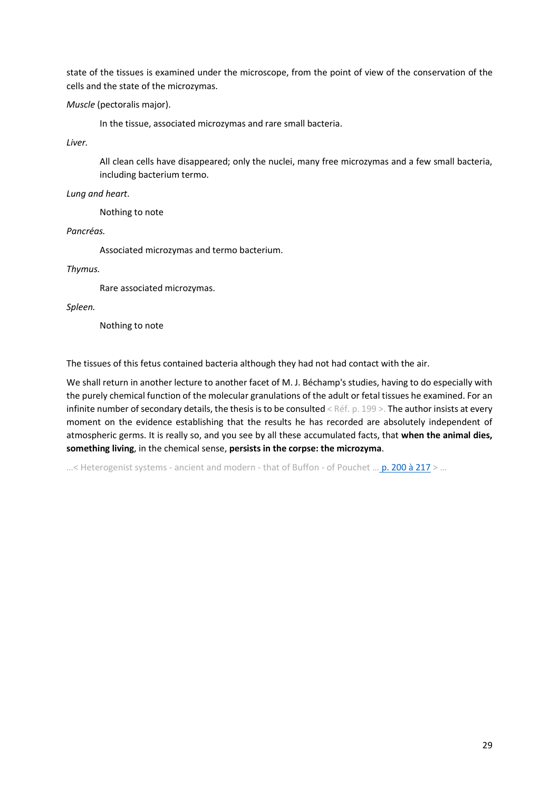state of the tissues is examined under the microscope, from the point of view of the conservation of the cells and the state of the microzymas.

*Muscle* (pectoralis major).

In the tissue, associated microzymas and rare small bacteria.

*Liver.* 

All clean cells have disappeared; only the nuclei, many free microzymas and a few small bacteria, including bacterium termo.

*Lung and heart*.

Nothing to note

*Pancréas.*

Associated microzymas and termo bacterium.

*Thymus.*

Rare associated microzymas.

*Spleen.*

Nothing to note

The tissues of this fetus contained bacteria although they had not had contact with the air.

We shall return in another lecture to another facet of M. J. Béchamp's studies, having to do especially with the purely chemical function of the molecular granulations of the adult or fetal tissues he examined. For an infinite number of secondary details, the thesis is to be consulted < Réf. p. 199 >. The author insists at every moment on the evidence establishing that the results he has recorded are absolutely independent of atmospheric germs. It is really so, and you see by all these accumulated facts, that **when the animal dies, something living**, in the chemical sense, **persists in the corpse: the microzyma**.

...< Heterogenist systems - ancient and modern - that of Buffon - of Pouchet ... [p. 200 à 217](https://gallica.bnf.fr/ark:/12148/bpt6k65140517/f248.image.r=.langFR) > ...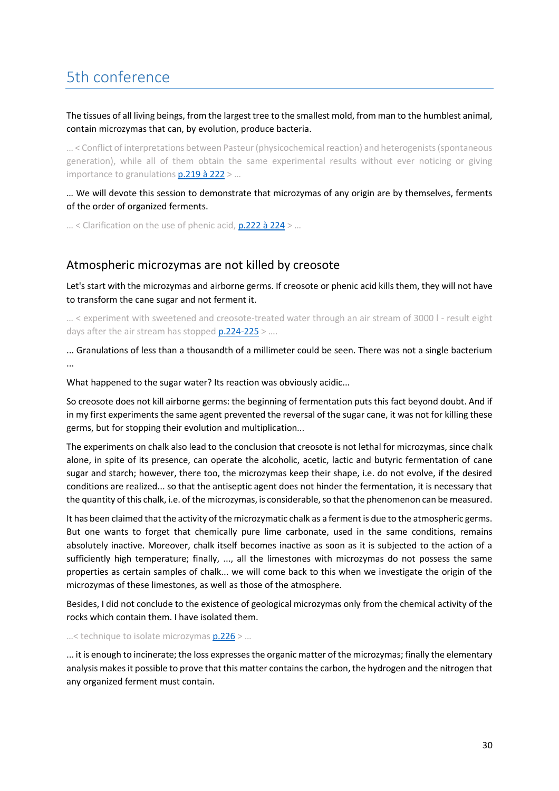## <span id="page-29-0"></span>5th conference

The tissues of all living beings, from the largest tree to the smallest mold, from man to the humblest animal, contain microzymas that can, by evolution, produce bacteria.

… < Conflict of interpretations between Pasteur (physicochemical reaction) and heterogenists (spontaneous generation), while all of them obtain the same experimental results without ever noticing or giving importance to granulations **p.219 à 222** > ...

… We will devote this session to demonstrate that microzymas of any origin are by themselves, ferments of the order of organized ferments.

… < Clarification on the use of phenic acid[, p.222 à 224](https://gallica.bnf.fr/ark:/12148/bpt6k65140517/f270.image.r=.langFR) > …

#### Atmospheric microzymas are not killed by creosote

Let's start with the microzymas and airborne germs. If creosote or phenic acid kills them, they will not have to transform the cane sugar and not ferment it.

… < experiment with sweetened and creosote-treated water through an air stream of 3000 l - result eight days after the air stream has stopped [p.224-225](https://gallica.bnf.fr/ark:/12148/bpt6k65140517/f272.image.r=.langFR) > ....

... Granulations of less than a thousandth of a millimeter could be seen. There was not a single bacterium ...

What happened to the sugar water? Its reaction was obviously acidic...

So creosote does not kill airborne germs: the beginning of fermentation puts this fact beyond doubt. And if in my first experiments the same agent prevented the reversal of the sugar cane, it was not for killing these germs, but for stopping their evolution and multiplication...

The experiments on chalk also lead to the conclusion that creosote is not lethal for microzymas, since chalk alone, in spite of its presence, can operate the alcoholic, acetic, lactic and butyric fermentation of cane sugar and starch; however, there too, the microzymas keep their shape, i.e. do not evolve, if the desired conditions are realized... so that the antiseptic agent does not hinder the fermentation, it is necessary that the quantity of this chalk, i.e. of the microzymas, is considerable, so that the phenomenon can be measured.

It has been claimed that the activity of the microzymatic chalk as a ferment is due to the atmospheric germs. But one wants to forget that chemically pure lime carbonate, used in the same conditions, remains absolutely inactive. Moreover, chalk itself becomes inactive as soon as it is subjected to the action of a sufficiently high temperature; finally, ..., all the limestones with microzymas do not possess the same properties as certain samples of chalk... we will come back to this when we investigate the origin of the microzymas of these limestones, as well as those of the atmosphere.

Besides, I did not conclude to the existence of geological microzymas only from the chemical activity of the rocks which contain them. I have isolated them.

...< technique to isolate microzymas  $p.226$  > ...

... it is enough to incinerate; the loss expresses the organic matter of the microzymas; finally the elementary analysis makes it possible to prove that this matter contains the carbon, the hydrogen and the nitrogen that any organized ferment must contain.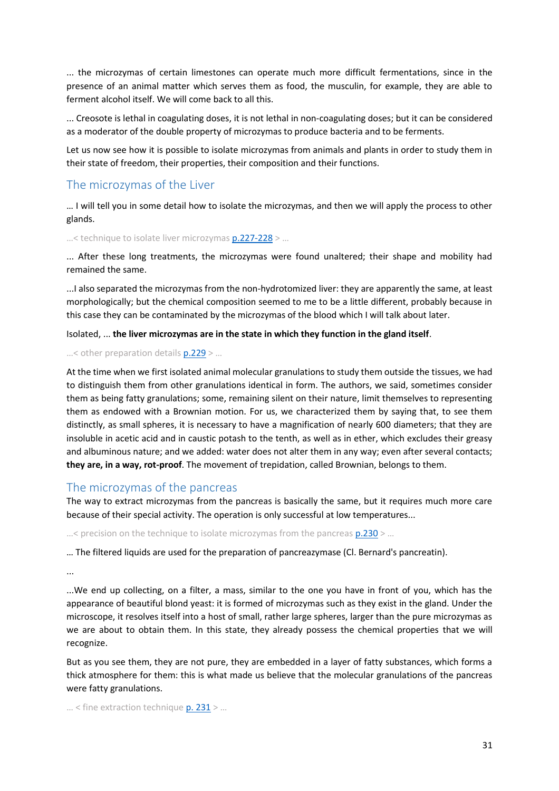... the microzymas of certain limestones can operate much more difficult fermentations, since in the presence of an animal matter which serves them as food, the musculin, for example, they are able to ferment alcohol itself. We will come back to all this.

... Creosote is lethal in coagulating doses, it is not lethal in non-coagulating doses; but it can be considered as a moderator of the double property of microzymas to produce bacteria and to be ferments.

Let us now see how it is possible to isolate microzymas from animals and plants in order to study them in their state of freedom, their properties, their composition and their functions.

#### The microzymas of the Liver

… I will tell you in some detail how to isolate the microzymas, and then we will apply the process to other glands.

…< technique to isolate liver microzymas [p.227-228](https://gallica.bnf.fr/ark:/12148/bpt6k65140517/f275.image.r=.langFR) > …

... After these long treatments, the microzymas were found unaltered; their shape and mobility had remained the same.

...I also separated the microzymas from the non-hydrotomized liver: they are apparently the same, at least morphologically; but the chemical composition seemed to me to be a little different, probably because in this case they can be contaminated by the microzymas of the blood which I will talk about later.

Isolated, ... **the liver microzymas are in the state in which they function in the gland itself**.

...< other preparation details  $p.229$  > ...

At the time when we first isolated animal molecular granulations to study them outside the tissues, we had to distinguish them from other granulations identical in form. The authors, we said, sometimes consider them as being fatty granulations; some, remaining silent on their nature, limit themselves to representing them as endowed with a Brownian motion. For us, we characterized them by saying that, to see them distinctly, as small spheres, it is necessary to have a magnification of nearly 600 diameters; that they are insoluble in acetic acid and in caustic potash to the tenth, as well as in ether, which excludes their greasy and albuminous nature; and we added: water does not alter them in any way; even after several contacts; **they are, in a way, rot-proof**. The movement of trepidation, called Brownian, belongs to them.

#### <span id="page-30-0"></span>The microzymas of the pancreas

The way to extract microzymas from the pancreas is basically the same, but it requires much more care because of their special activity. The operation is only successful at low temperatures...

...< precision on the technique to isolate microzymas from the pancreas  $p.230$  > ...

… The filtered liquids are used for the preparation of pancreazymase (Cl. Bernard's pancreatin).

...

...We end up collecting, on a filter, a mass, similar to the one you have in front of you, which has the appearance of beautiful blond yeast: it is formed of microzymas such as they exist in the gland. Under the microscope, it resolves itself into a host of small, rather large spheres, larger than the pure microzymas as we are about to obtain them. In this state, they already possess the chemical properties that we will recognize.

But as you see them, they are not pure, they are embedded in a layer of fatty substances, which forms a thick atmosphere for them: this is what made us believe that the molecular granulations of the pancreas were fatty granulations.

 $...$  < fine extraction technique  $p. 231$  > ...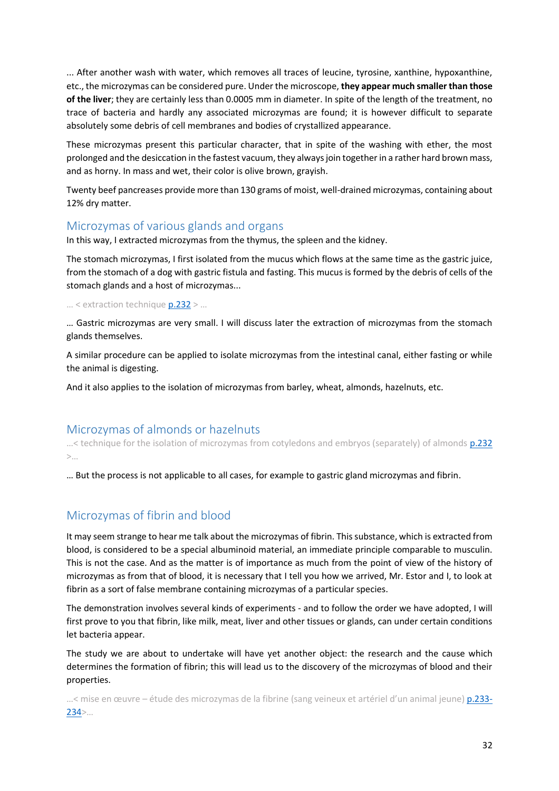... After another wash with water, which removes all traces of leucine, tyrosine, xanthine, hypoxanthine, etc., the microzymas can be considered pure. Under the microscope, **they appear much smaller than those of the liver**; they are certainly less than 0.0005 mm in diameter. In spite of the length of the treatment, no trace of bacteria and hardly any associated microzymas are found; it is however difficult to separate absolutely some debris of cell membranes and bodies of crystallized appearance.

These microzymas present this particular character, that in spite of the washing with ether, the most prolonged and the desiccation in the fastest vacuum, they always join together in a rather hard brown mass, and as horny. In mass and wet, their color is olive brown, grayish.

Twenty beef pancreases provide more than 130 grams of moist, well-drained microzymas, containing about 12% dry matter.

#### <span id="page-31-0"></span>Microzymas of various glands and organs

In this way, I extracted microzymas from the thymus, the spleen and the kidney.

The stomach microzymas, I first isolated from the mucus which flows at the same time as the gastric juice, from the stomach of a dog with gastric fistula and fasting. This mucus is formed by the debris of cells of the stomach glands and a host of microzymas...

… < extraction technique [p.232](https://gallica.bnf.fr/ark:/12148/bpt6k65140517/f280.image.r=.langFR) > …

… Gastric microzymas are very small. I will discuss later the extraction of microzymas from the stomach glands themselves.

A similar procedure can be applied to isolate microzymas from the intestinal canal, either fasting or while the animal is digesting.

And it also applies to the isolation of microzymas from barley, wheat, almonds, hazelnuts, etc.

#### <span id="page-31-1"></span>Microzymas of almonds or hazelnuts

...< technique for the isolation of microzymas from cotyledons and embryos (separately) of almonds **p.232** >…

… But the process is not applicable to all cases, for example to gastric gland microzymas and fibrin.

### Microzymas of fibrin and blood

It may seem strange to hear me talk about the microzymas of fibrin. This substance, which is extracted from blood, is considered to be a special albuminoid material, an immediate principle comparable to musculin. This is not the case. And as the matter is of importance as much from the point of view of the history of microzymas as from that of blood, it is necessary that I tell you how we arrived, Mr. Estor and I, to look at fibrin as a sort of false membrane containing microzymas of a particular species.

The demonstration involves several kinds of experiments - and to follow the order we have adopted, I will first prove to you that fibrin, like milk, meat, liver and other tissues or glands, can under certain conditions let bacteria appear.

The study we are about to undertake will have yet another object: the research and the cause which determines the formation of fibrin; this will lead us to the discovery of the microzymas of blood and their properties.

…< mise en œuvre – étude des microzymas de la fibrine (sang veineux et artériel d'un animal jeune) [p.233-](https://gallica.bnf.fr/ark:/12148/bpt6k65140517/f281.image.r=.langFR) [234](https://gallica.bnf.fr/ark:/12148/bpt6k65140517/f281.image.r=.langFR)>…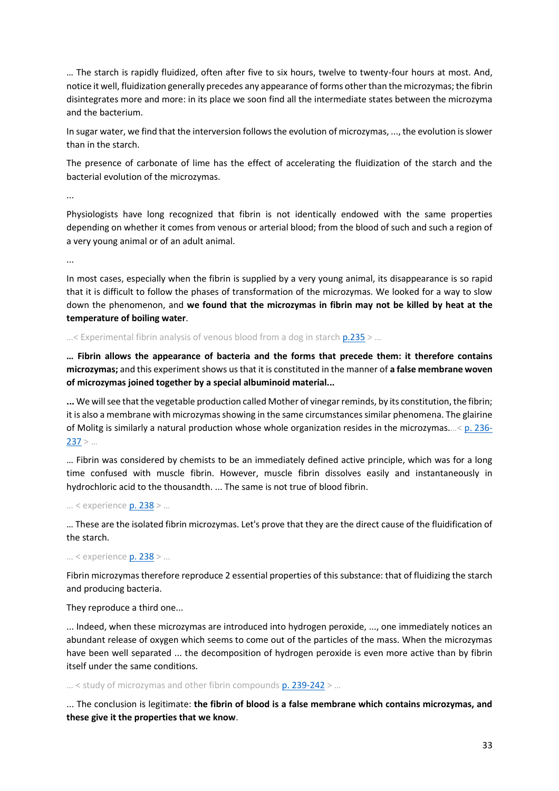… The starch is rapidly fluidized, often after five to six hours, twelve to twenty-four hours at most. And, notice it well, fluidization generally precedes any appearance of forms other than the microzymas; the fibrin disintegrates more and more: in its place we soon find all the intermediate states between the microzyma and the bacterium.

In sugar water, we find that the interversion follows the evolution of microzymas, ..., the evolution is slower than in the starch.

The presence of carbonate of lime has the effect of accelerating the fluidization of the starch and the bacterial evolution of the microzymas.

...

Physiologists have long recognized that fibrin is not identically endowed with the same properties depending on whether it comes from venous or arterial blood; from the blood of such and such a region of a very young animal or of an adult animal.

...

In most cases, especially when the fibrin is supplied by a very young animal, its disappearance is so rapid that it is difficult to follow the phases of transformation of the microzymas. We looked for a way to slow down the phenomenon, and **we found that the microzymas in fibrin may not be killed by heat at the temperature of boiling water**.

 $...$ < Experimental fibrin analysis of venous blood from a dog in starch  $p.235$  > ...

**… Fibrin allows the appearance of bacteria and the forms that precede them: it therefore contains microzymas;** and this experiment shows us that it is constituted in the manner of **a false membrane woven of microzymas joined together by a special albuminoid material...**

**...** We will see that the vegetable production called Mother of vinegar reminds, by its constitution, the fibrin; it is also a membrane with microzymas showing in the same circumstances similar phenomena. The glairine of Molitg is similarly a natural production whose whole organization resides in the microzymas.…< [p. 236-](https://gallica.bnf.fr/ark:/12148/bpt6k65140517/f284.image.r=.langFR)  $237$  > ...

… Fibrin was considered by chemists to be an immediately defined active principle, which was for a long time confused with muscle fibrin. However, muscle fibrin dissolves easily and instantaneously in hydrochloric acid to the thousandth. ... The same is not true of blood fibrin.

… < experience [p. 238](https://gallica.bnf.fr/ark:/12148/bpt6k65140517/f286.image.r=.langFR) > …

… These are the isolated fibrin microzymas. Let's prove that they are the direct cause of the fluidification of the starch.

… < experience [p. 238](https://gallica.bnf.fr/ark:/12148/bpt6k65140517/f286.image.r=.langFR) > …

Fibrin microzymas therefore reproduce 2 essential properties of this substance: that of fluidizing the starch and producing bacteria.

They reproduce a third one...

... Indeed, when these microzymas are introduced into hydrogen peroxide, ..., one immediately notices an abundant release of oxygen which seems to come out of the particles of the mass. When the microzymas have been well separated ... the decomposition of hydrogen peroxide is even more active than by fibrin itself under the same conditions.

 $...$  < study of microzymas and other fibrin compounds [p. 239-242](https://gallica.bnf.fr/ark:/12148/bpt6k65140517/f287.image.r=.langFR) > ...

... The conclusion is legitimate: **the fibrin of blood is a false membrane which contains microzymas, and these give it the properties that we know**.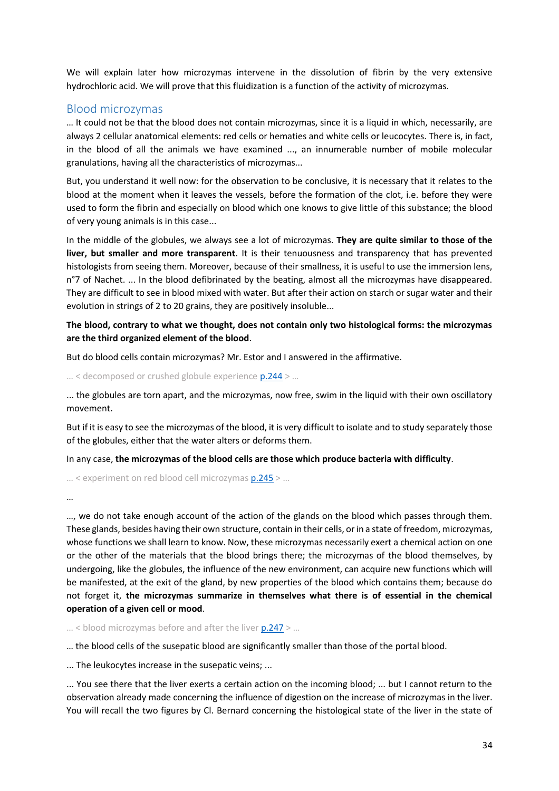We will explain later how microzymas intervene in the dissolution of fibrin by the very extensive hydrochloric acid. We will prove that this fluidization is a function of the activity of microzymas.

#### <span id="page-33-0"></span>Blood microzymas

… It could not be that the blood does not contain microzymas, since it is a liquid in which, necessarily, are always 2 cellular anatomical elements: red cells or hematies and white cells or leucocytes. There is, in fact, in the blood of all the animals we have examined ..., an innumerable number of mobile molecular granulations, having all the characteristics of microzymas...

But, you understand it well now: for the observation to be conclusive, it is necessary that it relates to the blood at the moment when it leaves the vessels, before the formation of the clot, i.e. before they were used to form the fibrin and especially on blood which one knows to give little of this substance; the blood of very young animals is in this case...

In the middle of the globules, we always see a lot of microzymas. **They are quite similar to those of the liver, but smaller and more transparent**. It is their tenuousness and transparency that has prevented histologists from seeing them. Moreover, because of their smallness, it is useful to use the immersion lens, n°7 of Nachet. ... In the blood defibrinated by the beating, almost all the microzymas have disappeared. They are difficult to see in blood mixed with water. But after their action on starch or sugar water and their evolution in strings of 2 to 20 grains, they are positively insoluble...

#### **The blood, contrary to what we thought, does not contain only two histological forms: the microzymas are the third organized element of the blood**.

But do blood cells contain microzymas? Mr. Estor and I answered in the affirmative.

… < decomposed or crushed globule experienc[e p.244](https://gallica.bnf.fr/ark:/12148/bpt6k65140517/f292.image.r=.langFR) > …

... the globules are torn apart, and the microzymas, now free, swim in the liquid with their own oscillatory movement.

But if it is easy to see the microzymas of the blood, it is very difficult to isolate and to study separately those of the globules, either that the water alters or deforms them.

In any case, **the microzymas of the blood cells are those which produce bacteria with difficulty**.

… < experiment on red blood cell microzymas [p.245](https://gallica.bnf.fr/ark:/12148/bpt6k65140517/f292.image.r=.langFR) > …

…

…, we do not take enough account of the action of the glands on the blood which passes through them. These glands, besides having their own structure, contain in their cells, or in a state of freedom, microzymas, whose functions we shall learn to know. Now, these microzymas necessarily exert a chemical action on one or the other of the materials that the blood brings there; the microzymas of the blood themselves, by undergoing, like the globules, the influence of the new environment, can acquire new functions which will be manifested, at the exit of the gland, by new properties of the blood which contains them; because do not forget it, **the microzymas summarize in themselves what there is of essential in the chemical operation of a given cell or mood**.

 $\ldots$  < blood microzymas before and after the liver  $p.247$  > ...

… the blood cells of the susepatic blood are significantly smaller than those of the portal blood.

... The leukocytes increase in the susepatic veins; ...

... You see there that the liver exerts a certain action on the incoming blood; ... but I cannot return to the observation already made concerning the influence of digestion on the increase of microzymas in the liver. You will recall the two figures by Cl. Bernard concerning the histological state of the liver in the state of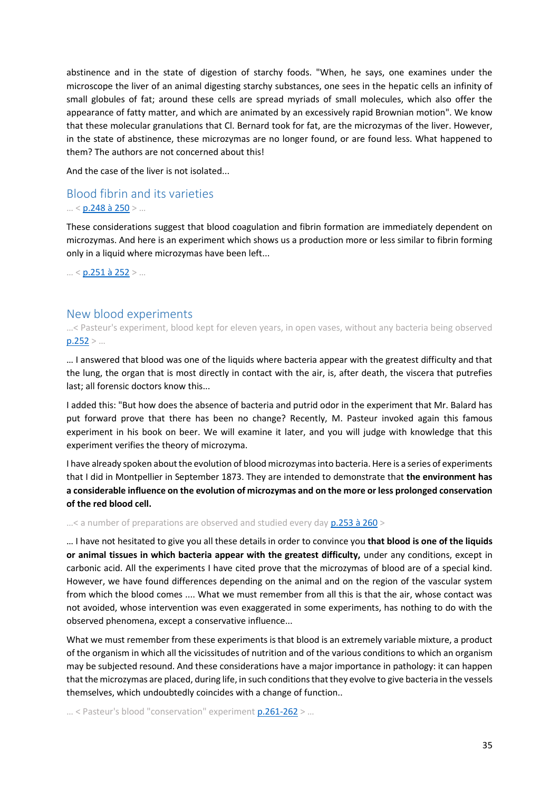abstinence and in the state of digestion of starchy foods. "When, he says, one examines under the microscope the liver of an animal digesting starchy substances, one sees in the hepatic cells an infinity of small globules of fat; around these cells are spread myriads of small molecules, which also offer the appearance of fatty matter, and which are animated by an excessively rapid Brownian motion". We know that these molecular granulations that Cl. Bernard took for fat, are the microzymas of the liver. However, in the state of abstinence, these microzymas are no longer found, or are found less. What happened to them? The authors are not concerned about this!

And the case of the liver is not isolated...

#### <span id="page-34-0"></span>Blood fibrin and its varieties … < [p.248 à 250](https://gallica.bnf.fr/ark:/12148/bpt6k65140517/f296.image.r=.langFR) > …

These considerations suggest that blood coagulation and fibrin formation are immediately dependent on microzymas. And here is an experiment which shows us a production more or less similar to fibrin forming only in a liquid where microzymas have been left...

 $... < p.251$  à 252 > ...

#### <span id="page-34-1"></span>New blood experiments

…< Pasteur's experiment, blood kept for eleven years, in open vases, without any bacteria being observed  $p.252 > ...$  $p.252 > ...$ 

… I answered that blood was one of the liquids where bacteria appear with the greatest difficulty and that the lung, the organ that is most directly in contact with the air, is, after death, the viscera that putrefies last; all forensic doctors know this...

I added this: "But how does the absence of bacteria and putrid odor in the experiment that Mr. Balard has put forward prove that there has been no change? Recently, M. Pasteur invoked again this famous experiment in his book on beer. We will examine it later, and you will judge with knowledge that this experiment verifies the theory of microzyma.

I have already spoken about the evolution of blood microzymas into bacteria. Here is a series of experiments that I did in Montpellier in September 1873. They are intended to demonstrate that **the environment has a considerable influence on the evolution of microzymas and on the more or less prolonged conservation of the red blood cell.**

 $...$ < a number of preparations are observed and studied every day  $p.253$  à  $260$  >

… I have not hesitated to give you all these details in order to convince you **that blood is one of the liquids or animal tissues in which bacteria appear with the greatest difficulty,** under any conditions, except in carbonic acid. All the experiments I have cited prove that the microzymas of blood are of a special kind. However, we have found differences depending on the animal and on the region of the vascular system from which the blood comes .... What we must remember from all this is that the air, whose contact was not avoided, whose intervention was even exaggerated in some experiments, has nothing to do with the observed phenomena, except a conservative influence...

What we must remember from these experiments is that blood is an extremely variable mixture, a product of the organism in which all the vicissitudes of nutrition and of the various conditions to which an organism may be subjected resound. And these considerations have a major importance in pathology: it can happen that the microzymas are placed, during life, in such conditions that they evolve to give bacteria in the vessels themselves, which undoubtedly coincides with a change of function..

... < Pasteur's blood "conservation" experiment  $p.261-262$  > ...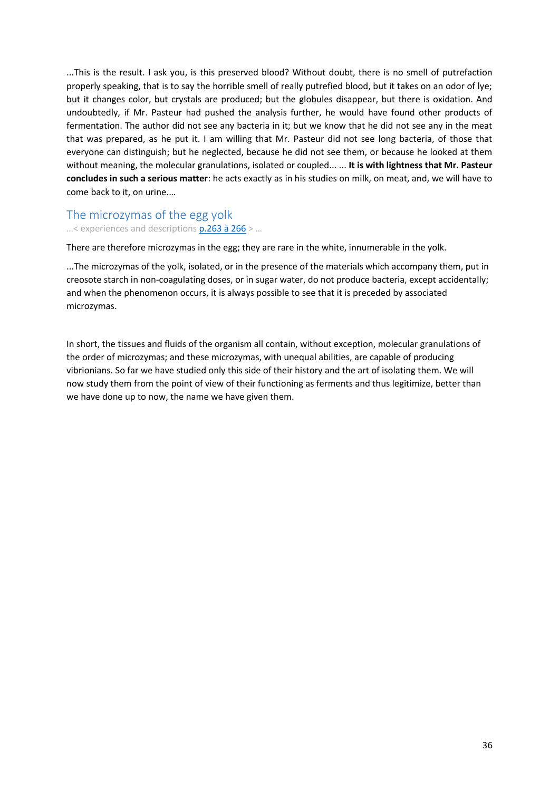...This is the result. I ask you, is this preserved blood? Without doubt, there is no smell of putrefaction properly speaking, that is to say the horrible smell of really putrefied blood, but it takes on an odor of lye; but it changes color, but crystals are produced; but the globules disappear, but there is oxidation. And undoubtedly, if Mr. Pasteur had pushed the analysis further, he would have found other products of fermentation. The author did not see any bacteria in it; but we know that he did not see any in the meat that was prepared, as he put it. I am willing that Mr. Pasteur did not see long bacteria, of those that everyone can distinguish; but he neglected, because he did not see them, or because he looked at them without meaning, the molecular granulations, isolated or coupled... ... **It is with lightness that Mr. Pasteur concludes in such a serious matter**: he acts exactly as in his studies on milk, on meat, and, we will have to come back to it, on urine.…

#### <span id="page-35-0"></span>The microzymas of the egg yolk

…< experiences and descriptions [p.263 à 266](https://gallica.bnf.fr/ark:/12148/bpt6k65140517/f311.image.r=.langFR) > …

There are therefore microzymas in the egg; they are rare in the white, innumerable in the yolk.

...The microzymas of the yolk, isolated, or in the presence of the materials which accompany them, put in creosote starch in non-coagulating doses, or in sugar water, do not produce bacteria, except accidentally; and when the phenomenon occurs, it is always possible to see that it is preceded by associated microzymas.

In short, the tissues and fluids of the organism all contain, without exception, molecular granulations of the order of microzymas; and these microzymas, with unequal abilities, are capable of producing vibrionians. So far we have studied only this side of their history and the art of isolating them. We will now study them from the point of view of their functioning as ferments and thus legitimize, better than we have done up to now, the name we have given them.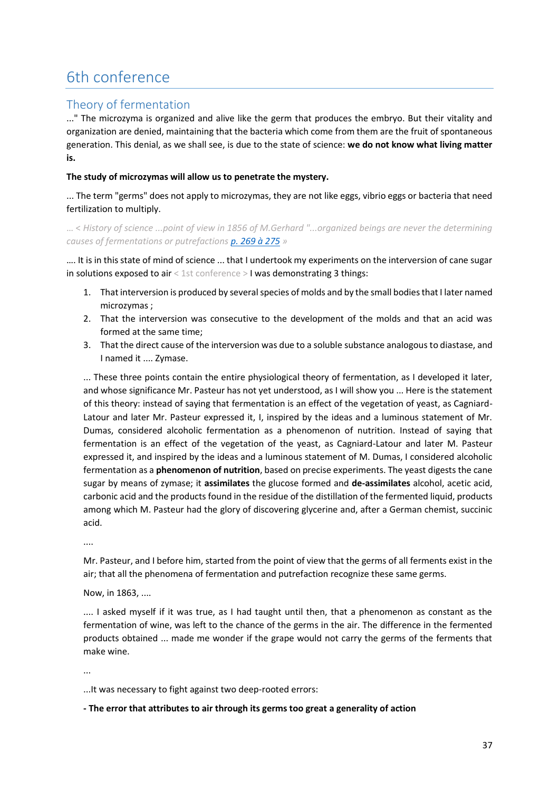# 6th conference

# Theory of fermentation

..." The microzyma is organized and alive like the germ that produces the embryo. But their vitality and organization are denied, maintaining that the bacteria which come from them are the fruit of spontaneous generation. This denial, as we shall see, is due to the state of science: **we do not know what living matter is.**

### **The study of microzymas will allow us to penetrate the mystery.**

... The term "germs" does not apply to microzymas, they are not like eggs, vibrio eggs or bacteria that need fertilization to multiply.

… < *History of science ...point of view in 1856 of M.Gerhard "...organized beings are never the determining causes of fermentations or putrefaction[s p. 269 à 275](https://gallica.bnf.fr/ark:/12148/bpt6k65140517/f317.image.r=.langFR) »*

…. It is in this state of mind of science ... that I undertook my experiments on the interversion of cane sugar in solutions exposed to air < 1st conference > I was demonstrating 3 things:

- 1. That interversion is produced by several species of molds and by the small bodies that I later named microzymas ;
- 2. That the interversion was consecutive to the development of the molds and that an acid was formed at the same time;
- 3. That the direct cause of the interversion was due to a soluble substance analogous to diastase, and I named it .... Zymase.

... These three points contain the entire physiological theory of fermentation, as I developed it later, and whose significance Mr. Pasteur has not yet understood, as I will show you ... Here is the statement of this theory: instead of saying that fermentation is an effect of the vegetation of yeast, as Cagniard-Latour and later Mr. Pasteur expressed it, I, inspired by the ideas and a luminous statement of Mr. Dumas, considered alcoholic fermentation as a phenomenon of nutrition. Instead of saying that fermentation is an effect of the vegetation of the yeast, as Cagniard-Latour and later M. Pasteur expressed it, and inspired by the ideas and a luminous statement of M. Dumas, I considered alcoholic fermentation as a **phenomenon of nutrition**, based on precise experiments. The yeast digests the cane sugar by means of zymase; it **assimilates** the glucose formed and **de-assimilates** alcohol, acetic acid, carbonic acid and the products found in the residue of the distillation of the fermented liquid, products among which M. Pasteur had the glory of discovering glycerine and, after a German chemist, succinic acid.

....

Mr. Pasteur, and I before him, started from the point of view that the germs of all ferments exist in the air; that all the phenomena of fermentation and putrefaction recognize these same germs.

Now, in 1863, ....

.... I asked myself if it was true, as I had taught until then, that a phenomenon as constant as the fermentation of wine, was left to the chance of the germs in the air. The difference in the fermented products obtained ... made me wonder if the grape would not carry the germs of the ferments that make wine.

...

...It was necessary to fight against two deep-rooted errors:

#### **- The error that attributes to air through its germs too great a generality of action**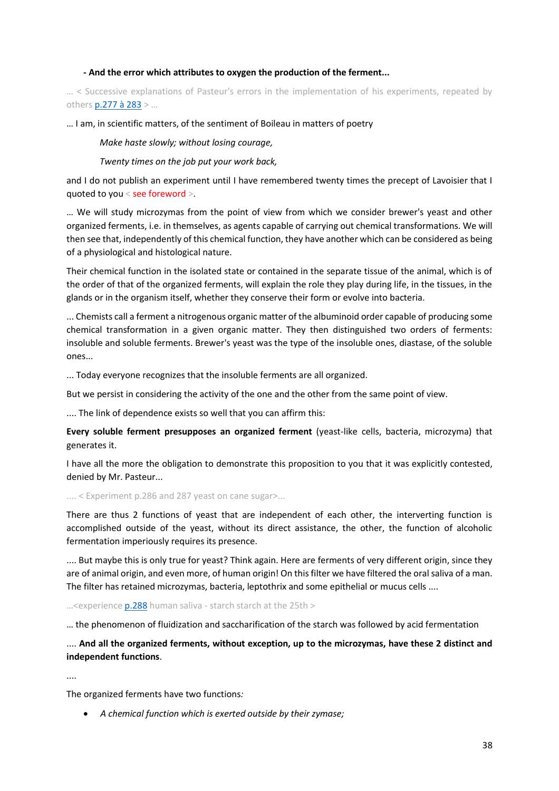#### **- And the error which attributes to oxygen the production of the ferment...**

… < Successive explanations of Pasteur's errors in the implementation of his experiments, repeated by others [p.277 à 283](https://gallica.bnf.fr/ark:/12148/bpt6k65140517/f325.image.r=.langFR) > …

#### … I am, in scientific matters, of the sentiment of Boileau in matters of poetry

*Make haste slowly; without losing courage,*

*Twenty times on the job put your work back,*

and I do not publish an experiment until I have remembered twenty times the precept of Lavoisier that I quoted to you < see foreword >.

… We will study microzymas from the point of view from which we consider brewer's yeast and other organized ferments, i.e. in themselves, as agents capable of carrying out chemical transformations. We will then see that, independently of this chemical function, they have another which can be considered as being of a physiological and histological nature.

Their chemical function in the isolated state or contained in the separate tissue of the animal, which is of the order of that of the organized ferments, will explain the role they play during life, in the tissues, in the glands or in the organism itself, whether they conserve their form or evolve into bacteria.

... Chemists call a ferment a nitrogenous organic matter of the albuminoid order capable of producing some chemical transformation in a given organic matter. They then distinguished two orders of ferments: insoluble and soluble ferments. Brewer's yeast was the type of the insoluble ones, diastase, of the soluble ones...

... Today everyone recognizes that the insoluble ferments are all organized.

But we persist in considering the activity of the one and the other from the same point of view.

.... The link of dependence exists so well that you can affirm this:

**Every soluble ferment presupposes an organized ferment** (yeast-like cells, bacteria, microzyma) that generates it.

I have all the more the obligation to demonstrate this proposition to you that it was explicitly contested, denied by Mr. Pasteur...

.... < Experiment p.286 and 287 yeast on cane sugar>...

There are thus 2 functions of yeast that are independent of each other, the interverting function is accomplished outside of the yeast, without its direct assistance, the other, the function of alcoholic fermentation imperiously requires its presence.

.... But maybe this is only true for yeast? Think again. Here are ferments of very different origin, since they are of animal origin, and even more, of human origin! On this filter we have filtered the oral saliva of a man. The filter has retained microzymas, bacteria, leptothrix and some epithelial or mucus cells ....

 $...$ <experience  $p.288$  human saliva - starch starch at the 25th >

… the phenomenon of fluidization and saccharification of the starch was followed by acid fermentation

.... **And all the organized ferments, without exception, up to the microzymas, have these 2 distinct and independent functions**.

....

The organized ferments have two functions*:*

• *A chemical function which is exerted outside by their zymase;*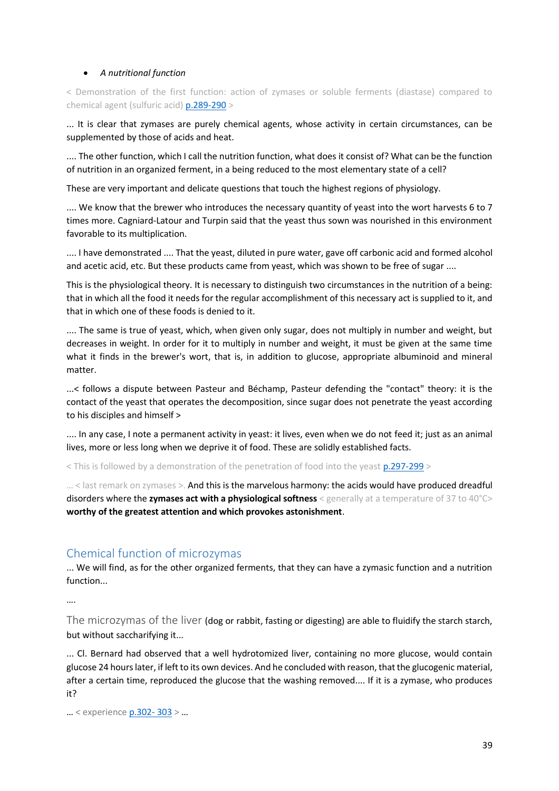## • *A nutritional function*

< Demonstration of the first function: action of zymases or soluble ferments (diastase) compared to chemical agent (sulfuric acid[\) p.289-290](https://gallica.bnf.fr/ark:/12148/bpt6k65140517/f337.image.r=.langFR) >

... It is clear that zymases are purely chemical agents, whose activity in certain circumstances, can be supplemented by those of acids and heat.

.... The other function, which I call the nutrition function, what does it consist of? What can be the function of nutrition in an organized ferment, in a being reduced to the most elementary state of a cell?

These are very important and delicate questions that touch the highest regions of physiology.

.... We know that the brewer who introduces the necessary quantity of yeast into the wort harvests 6 to 7 times more. Cagniard-Latour and Turpin said that the yeast thus sown was nourished in this environment favorable to its multiplication.

.... I have demonstrated .... That the yeast, diluted in pure water, gave off carbonic acid and formed alcohol and acetic acid, etc. But these products came from yeast, which was shown to be free of sugar ....

This is the physiological theory. It is necessary to distinguish two circumstances in the nutrition of a being: that in which all the food it needs for the regular accomplishment of this necessary act is supplied to it, and that in which one of these foods is denied to it.

.... The same is true of yeast, which, when given only sugar, does not multiply in number and weight, but decreases in weight. In order for it to multiply in number and weight, it must be given at the same time what it finds in the brewer's wort, that is, in addition to glucose, appropriate albuminoid and mineral matter.

...< follows a dispute between Pasteur and Béchamp, Pasteur defending the "contact" theory: it is the contact of the yeast that operates the decomposition, since sugar does not penetrate the yeast according to his disciples and himself >

.... In any case, I note a permanent activity in yeast: it lives, even when we do not feed it; just as an animal lives, more or less long when we deprive it of food. These are solidly established facts.

< This is followed by a demonstration of the penetration of food into the yeas[t p.297-299](https://gallica.bnf.fr/ark:/12148/bpt6k65140517/f345.image.r=.langFR) >

... < last remark on zymases >. And this is the marvelous harmony: the acids would have produced dreadful disorders where the zymases act with a physiological softness < generally at a temperature of 37 to 40°C> **worthy of the greatest attention and which provokes astonishment**.

## Chemical function of microzymas

... We will find, as for the other organized ferments, that they can have a zymasic function and a nutrition function...

….

The microzymas of the liver (dog or rabbit, fasting or digesting) are able to fluidify the starch starch, but without saccharifying it...

... Cl. Bernard had observed that a well hydrotomized liver, containing no more glucose, would contain glucose 24 hours later, if left to its own devices. And he concluded with reason, that the glucogenic material, after a certain time, reproduced the glucose that the washing removed.... If it is a zymase, who produces it?

… < experienc[e p.302-](https://gallica.bnf.fr/ark:/12148/bpt6k65140517/f350.image.r=.langFR) 303 > …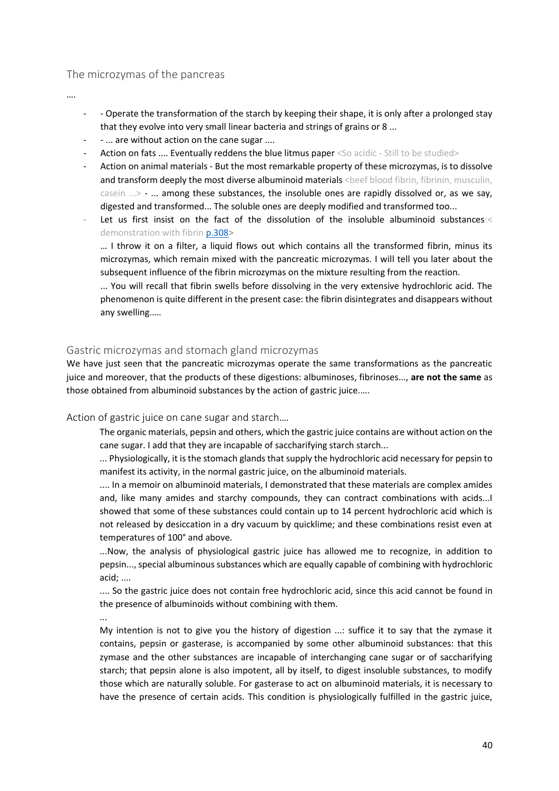## The microzymas of the pancreas

….

- - Operate the transformation of the starch by keeping their shape, it is only after a prolonged stay that they evolve into very small linear bacteria and strings of grains or 8 ...
- - ... are without action on the cane sugar ....
- Action on fats .... Eventually reddens the blue litmus paper <So acidic Still to be studied>
- Action on animal materials But the most remarkable property of these microzymas, is to dissolve and transform deeply the most diverse albuminoid materials <beef blood fibrin, fibrinin, musculin, casein ...> - ... among these substances, the insoluble ones are rapidly dissolved or, as we say, digested and transformed... The soluble ones are deeply modified and transformed too...
- Let us first insist on the fact of the dissolution of the insoluble albuminoid substances:< demonstration with fibrin [p.308>](https://gallica.bnf.fr/ark:/12148/bpt6k65140517/f356.image.r=.langFR)

… I throw it on a filter, a liquid flows out which contains all the transformed fibrin, minus its microzymas, which remain mixed with the pancreatic microzymas. I will tell you later about the subsequent influence of the fibrin microzymas on the mixture resulting from the reaction.

... You will recall that fibrin swells before dissolving in the very extensive hydrochloric acid. The phenomenon is quite different in the present case: the fibrin disintegrates and disappears without any swelling.….

## Gastric microzymas and stomach gland microzymas

We have just seen that the pancreatic microzymas operate the same transformations as the pancreatic juice and moreover, that the products of these digestions: albuminoses, fibrinoses..., **are not the same** as those obtained from albuminoid substances by the action of gastric juice.….

#### Action of gastric juice on cane sugar and starch….

The organic materials, pepsin and others, which the gastric juice contains are without action on the cane sugar. I add that they are incapable of saccharifying starch starch...

... Physiologically, it is the stomach glands that supply the hydrochloric acid necessary for pepsin to manifest its activity, in the normal gastric juice, on the albuminoid materials.

.... In a memoir on albuminoid materials, I demonstrated that these materials are complex amides and, like many amides and starchy compounds, they can contract combinations with acids...I showed that some of these substances could contain up to 14 percent hydrochloric acid which is not released by desiccation in a dry vacuum by quicklime; and these combinations resist even at temperatures of 100° and above.

...Now, the analysis of physiological gastric juice has allowed me to recognize, in addition to pepsin..., special albuminous substances which are equally capable of combining with hydrochloric acid; ....

.... So the gastric juice does not contain free hydrochloric acid, since this acid cannot be found in the presence of albuminoids without combining with them.

...

My intention is not to give you the history of digestion ...: suffice it to say that the zymase it contains, pepsin or gasterase, is accompanied by some other albuminoid substances: that this zymase and the other substances are incapable of interchanging cane sugar or of saccharifying starch; that pepsin alone is also impotent, all by itself, to digest insoluble substances, to modify those which are naturally soluble. For gasterase to act on albuminoid materials, it is necessary to have the presence of certain acids. This condition is physiologically fulfilled in the gastric juice,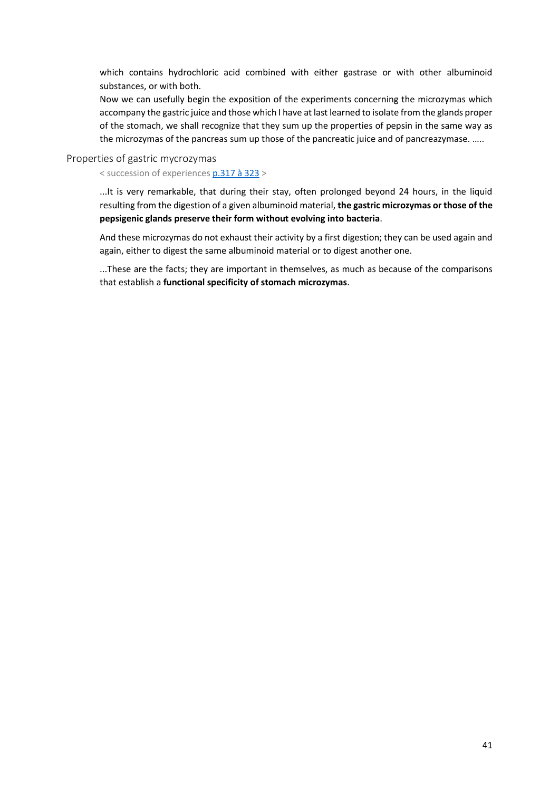which contains hydrochloric acid combined with either gastrase or with other albuminoid substances, or with both.

Now we can usefully begin the exposition of the experiments concerning the microzymas which accompany the gastric juice and those which I have at last learned to isolate from the glands proper of the stomach, we shall recognize that they sum up the properties of pepsin in the same way as the microzymas of the pancreas sum up those of the pancreatic juice and of pancreazymase. …..

Properties of gastric mycrozymas

< succession of experiences [p.317 à 323](https://gallica.bnf.fr/ark:/12148/bpt6k65140517/f365.image.r=.langFR) >

...It is very remarkable, that during their stay, often prolonged beyond 24 hours, in the liquid resulting from the digestion of a given albuminoid material, **the gastric microzymas or those of the pepsigenic glands preserve their form without evolving into bacteria**.

And these microzymas do not exhaust their activity by a first digestion; they can be used again and again, either to digest the same albuminoid material or to digest another one.

...These are the facts; they are important in themselves, as much as because of the comparisons that establish a **functional specificity of stomach microzymas**.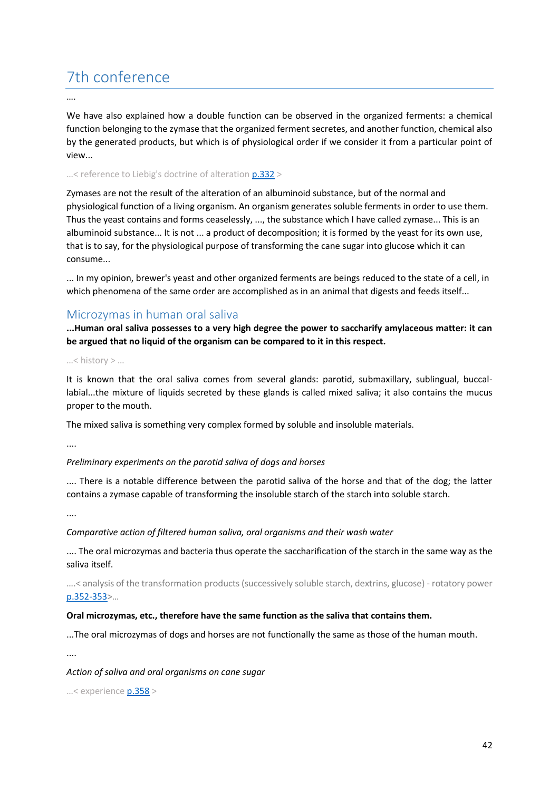# 7th conference

….

We have also explained how a double function can be observed in the organized ferments: a chemical function belonging to the zymase that the organized ferment secretes, and another function, chemical also by the generated products, but which is of physiological order if we consider it from a particular point of view...

...< reference to Liebig's doctrine of alteration  $p.332 >$ 

Zymases are not the result of the alteration of an albuminoid substance, but of the normal and physiological function of a living organism. An organism generates soluble ferments in order to use them. Thus the yeast contains and forms ceaselessly, ..., the substance which I have called zymase... This is an albuminoid substance... It is not ... a product of decomposition; it is formed by the yeast for its own use, that is to say, for the physiological purpose of transforming the cane sugar into glucose which it can consume...

... In my opinion, brewer's yeast and other organized ferments are beings reduced to the state of a cell, in which phenomena of the same order are accomplished as in an animal that digests and feeds itself...

# Microzymas in human oral saliva

**...Human oral saliva possesses to a very high degree the power to saccharify amylaceous matter: it can be argued that no liquid of the organism can be compared to it in this respect.**

…< history > …

It is known that the oral saliva comes from several glands: parotid, submaxillary, sublingual, buccallabial...the mixture of liquids secreted by these glands is called mixed saliva; it also contains the mucus proper to the mouth.

The mixed saliva is something very complex formed by soluble and insoluble materials.

....

## *Preliminary experiments on the parotid saliva of dogs and horses*

.... There is a notable difference between the parotid saliva of the horse and that of the dog; the latter contains a zymase capable of transforming the insoluble starch of the starch into soluble starch.

....

*Comparative action of filtered human saliva, oral organisms and their wash water*

.... The oral microzymas and bacteria thus operate the saccharification of the starch in the same way as the saliva itself.

….< analysis of the transformation products (successively soluble starch, dextrins, glucose) - rotatory power [p.352-353](https://gallica.bnf.fr/ark:/12148/bpt6k65140517/f400.image.r=.langFR)>…

#### **Oral microzymas, etc., therefore have the same function as the saliva that contains them.**

...The oral microzymas of dogs and horses are not functionally the same as those of the human mouth.

....

*Action of saliva and oral organisms on cane sugar*

…< experience [p.358](https://gallica.bnf.fr/ark:/12148/bpt6k65140517/f406.image.r=.langFR) >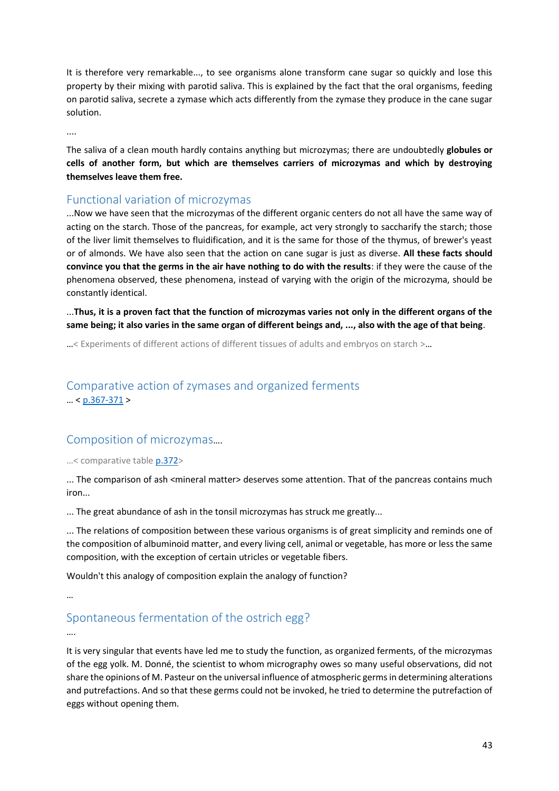It is therefore very remarkable..., to see organisms alone transform cane sugar so quickly and lose this property by their mixing with parotid saliva. This is explained by the fact that the oral organisms, feeding on parotid saliva, secrete a zymase which acts differently from the zymase they produce in the cane sugar solution.

....

The saliva of a clean mouth hardly contains anything but microzymas; there are undoubtedly **globules or cells of another form, but which are themselves carriers of microzymas and which by destroying themselves leave them free.**

# Functional variation of microzymas

...Now we have seen that the microzymas of the different organic centers do not all have the same way of acting on the starch. Those of the pancreas, for example, act very strongly to saccharify the starch; those of the liver limit themselves to fluidification, and it is the same for those of the thymus, of brewer's yeast or of almonds. We have also seen that the action on cane sugar is just as diverse. **All these facts should convince you that the germs in the air have nothing to do with the results**: if they were the cause of the phenomena observed, these phenomena, instead of varying with the origin of the microzyma, should be constantly identical.

...**Thus, it is a proven fact that the function of microzymas varies not only in the different organs of the same being; it also varies in the same organ of different beings and, ..., also with the age of that being**.

…< Experiments of different actions of different tissues of adults and embryos on starch >…

# Comparative action of zymases and organized ferments  $\ldots$  < [p.367-371](https://gallica.bnf.fr/ark:/12148/bpt6k65140517/f415.image.r=.langFR) >

# Composition of microzymas….

…< comparative tabl[e p.372>](https://gallica.bnf.fr/ark:/12148/bpt6k65140517/f420.image.r=.langFR)

... The comparison of ash <mineral matter> deserves some attention. That of the pancreas contains much iron...

... The great abundance of ash in the tonsil microzymas has struck me greatly...

... The relations of composition between these various organisms is of great simplicity and reminds one of the composition of albuminoid matter, and every living cell, animal or vegetable, has more or less the same composition, with the exception of certain utricles or vegetable fibers.

Wouldn't this analogy of composition explain the analogy of function?

…

# Spontaneous fermentation of the ostrich egg?

….

It is very singular that events have led me to study the function, as organized ferments, of the microzymas of the egg yolk. M. Donné, the scientist to whom micrography owes so many useful observations, did not share the opinions of M. Pasteur on the universal influence of atmospheric germs in determining alterations and putrefactions. And so that these germs could not be invoked, he tried to determine the putrefaction of eggs without opening them.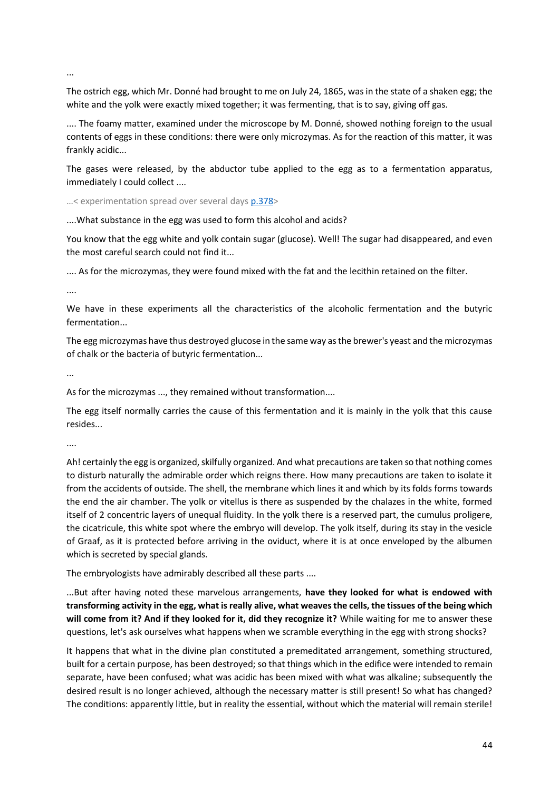...

The ostrich egg, which Mr. Donné had brought to me on July 24, 1865, was in the state of a shaken egg; the white and the yolk were exactly mixed together; it was fermenting, that is to say, giving off gas.

.... The foamy matter, examined under the microscope by M. Donné, showed nothing foreign to the usual contents of eggs in these conditions: there were only microzymas. As for the reaction of this matter, it was frankly acidic...

The gases were released, by the abductor tube applied to the egg as to a fermentation apparatus, immediately I could collect ....

…< experimentation spread over several days [p.378>](https://gallica.bnf.fr/ark:/12148/bpt6k65140517/f426.image.r=.langFR)

....What substance in the egg was used to form this alcohol and acids?

You know that the egg white and yolk contain sugar (glucose). Well! The sugar had disappeared, and even the most careful search could not find it...

.... As for the microzymas, they were found mixed with the fat and the lecithin retained on the filter.

....

We have in these experiments all the characteristics of the alcoholic fermentation and the butyric fermentation...

The egg microzymas have thus destroyed glucose in the same way as the brewer's yeast and the microzymas of chalk or the bacteria of butyric fermentation...

...

As for the microzymas ..., they remained without transformation....

The egg itself normally carries the cause of this fermentation and it is mainly in the yolk that this cause resides...

....

Ah! certainly the egg is organized, skilfully organized. And what precautions are taken so that nothing comes to disturb naturally the admirable order which reigns there. How many precautions are taken to isolate it from the accidents of outside. The shell, the membrane which lines it and which by its folds forms towards the end the air chamber. The yolk or vitellus is there as suspended by the chalazes in the white, formed itself of 2 concentric layers of unequal fluidity. In the yolk there is a reserved part, the cumulus proligere, the cicatricule, this white spot where the embryo will develop. The yolk itself, during its stay in the vesicle of Graaf, as it is protected before arriving in the oviduct, where it is at once enveloped by the albumen which is secreted by special glands.

The embryologists have admirably described all these parts ....

...But after having noted these marvelous arrangements, **have they looked for what is endowed with transforming activity in the egg, what is really alive, what weaves the cells, the tissues of the being which will come from it? And if they looked for it, did they recognize it?** While waiting for me to answer these questions, let's ask ourselves what happens when we scramble everything in the egg with strong shocks?

It happens that what in the divine plan constituted a premeditated arrangement, something structured, built for a certain purpose, has been destroyed; so that things which in the edifice were intended to remain separate, have been confused; what was acidic has been mixed with what was alkaline; subsequently the desired result is no longer achieved, although the necessary matter is still present! So what has changed? The conditions: apparently little, but in reality the essential, without which the material will remain sterile!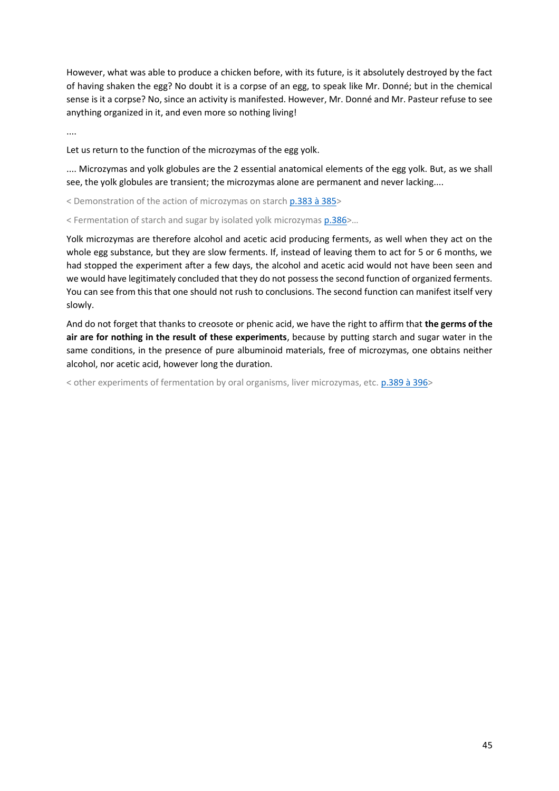However, what was able to produce a chicken before, with its future, is it absolutely destroyed by the fact of having shaken the egg? No doubt it is a corpse of an egg, to speak like Mr. Donné; but in the chemical sense is it a corpse? No, since an activity is manifested. However, Mr. Donné and Mr. Pasteur refuse to see anything organized in it, and even more so nothing living!

....

Let us return to the function of the microzymas of the egg yolk.

.... Microzymas and yolk globules are the 2 essential anatomical elements of the egg yolk. But, as we shall see, the yolk globules are transient; the microzymas alone are permanent and never lacking....

< Demonstration of the action of microzymas on starch [p.383 à 385>](https://gallica.bnf.fr/ark:/12148/bpt6k65140517/f431.image.r=.langFR)

< Fermentation of starch and sugar by isolated yolk microzymas [p.386>](https://gallica.bnf.fr/ark:/12148/bpt6k65140517/f434.image.r=.langFR)…

Yolk microzymas are therefore alcohol and acetic acid producing ferments, as well when they act on the whole egg substance, but they are slow ferments. If, instead of leaving them to act for 5 or 6 months, we had stopped the experiment after a few days, the alcohol and acetic acid would not have been seen and we would have legitimately concluded that they do not possess the second function of organized ferments. You can see from this that one should not rush to conclusions. The second function can manifest itself very slowly.

And do not forget that thanks to creosote or phenic acid, we have the right to affirm that **the germs of the air are for nothing in the result of these experiments**, because by putting starch and sugar water in the same conditions, in the presence of pure albuminoid materials, free of microzymas, one obtains neither alcohol, nor acetic acid, however long the duration.

< other experiments of fermentation by oral organisms, liver microzymas, etc[. p.389 à 396>](https://gallica.bnf.fr/ark:/12148/bpt6k65140517/f437.image.r=.langFR)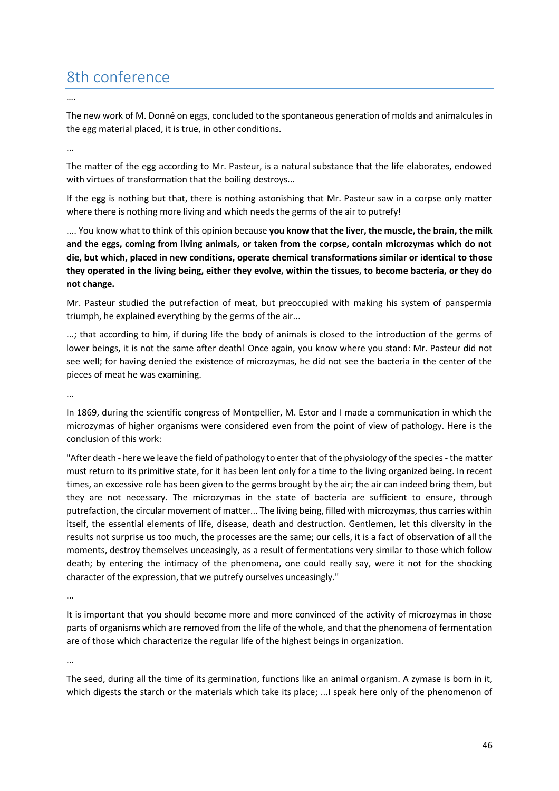# 8th conference

….

The new work of M. Donné on eggs, concluded to the spontaneous generation of molds and animalcules in the egg material placed, it is true, in other conditions.

...

The matter of the egg according to Mr. Pasteur, is a natural substance that the life elaborates, endowed with virtues of transformation that the boiling destroys...

If the egg is nothing but that, there is nothing astonishing that Mr. Pasteur saw in a corpse only matter where there is nothing more living and which needs the germs of the air to putrefy!

.... You know what to think of this opinion because **you know that the liver, the muscle, the brain, the milk and the eggs, coming from living animals, or taken from the corpse, contain microzymas which do not die, but which, placed in new conditions, operate chemical transformations similar or identical to those they operated in the living being, either they evolve, within the tissues, to become bacteria, or they do not change.**

Mr. Pasteur studied the putrefaction of meat, but preoccupied with making his system of panspermia triumph, he explained everything by the germs of the air...

...; that according to him, if during life the body of animals is closed to the introduction of the germs of lower beings, it is not the same after death! Once again, you know where you stand: Mr. Pasteur did not see well; for having denied the existence of microzymas, he did not see the bacteria in the center of the pieces of meat he was examining.

...

In 1869, during the scientific congress of Montpellier, M. Estor and I made a communication in which the microzymas of higher organisms were considered even from the point of view of pathology. Here is the conclusion of this work:

"After death - here we leave the field of pathology to enter that of the physiology of the species - the matter must return to its primitive state, for it has been lent only for a time to the living organized being. In recent times, an excessive role has been given to the germs brought by the air; the air can indeed bring them, but they are not necessary. The microzymas in the state of bacteria are sufficient to ensure, through putrefaction, the circular movement of matter... The living being, filled with microzymas, thus carries within itself, the essential elements of life, disease, death and destruction. Gentlemen, let this diversity in the results not surprise us too much, the processes are the same; our cells, it is a fact of observation of all the moments, destroy themselves unceasingly, as a result of fermentations very similar to those which follow death; by entering the intimacy of the phenomena, one could really say, were it not for the shocking character of the expression, that we putrefy ourselves unceasingly."

...

It is important that you should become more and more convinced of the activity of microzymas in those parts of organisms which are removed from the life of the whole, and that the phenomena of fermentation are of those which characterize the regular life of the highest beings in organization.

...

The seed, during all the time of its germination, functions like an animal organism. A zymase is born in it, which digests the starch or the materials which take its place; ...I speak here only of the phenomenon of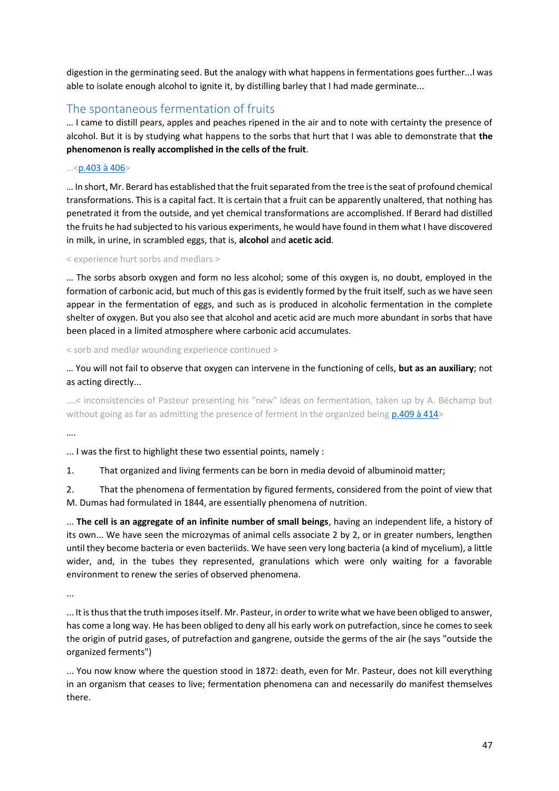digestion in the germinating seed. But the analogy with what happens in fermentations goes further...I was able to isolate enough alcohol to ignite it, by distilling barley that I had made germinate...

# The spontaneous fermentation of fruits

… I came to distill pears, apples and peaches ripened in the air and to note with certainty the presence of alcohol. But it is by studying what happens to the sorbs that hurt that I was able to demonstrate that **the phenomenon is really accomplished in the cells of the fruit**.

### …<[p.403 à 406>](https://gallica.bnf.fr/ark:/12148/bpt6k65140517/f451.image.r=.langFR)

… In short, Mr. Berard has established that the fruit separated from the tree is the seat of profound chemical transformations. This is a capital fact. It is certain that a fruit can be apparently unaltered, that nothing has penetrated it from the outside, and yet chemical transformations are accomplished. If Berard had distilled the fruits he had subjected to his various experiments, he would have found in them what I have discovered in milk, in urine, in scrambled eggs, that is, **alcohol** and **acetic acid**.

#### < experience hurt sorbs and medlars >

… The sorbs absorb oxygen and form no less alcohol; some of this oxygen is, no doubt, employed in the formation of carbonic acid, but much of this gas is evidently formed by the fruit itself, such as we have seen appear in the fermentation of eggs, and such as is produced in alcoholic fermentation in the complete shelter of oxygen. But you also see that alcohol and acetic acid are much more abundant in sorbs that have been placed in a limited atmosphere where carbonic acid accumulates.

< sorb and medlar wounding experience continued >

… You will not fail to observe that oxygen can intervene in the functioning of cells, **but as an auxiliary**; not as acting directly...

….< inconsistencies of Pasteur presenting his "new" ideas on fermentation, taken up by A. Béchamp but without going as far as admitting the presence of ferment in the organized being [p.409 à 414>](https://gallica.bnf.fr/ark:/12148/bpt6k65140517/f457.image.r=.langFR)

….

... I was the first to highlight these two essential points, namely :

1. That organized and living ferments can be born in media devoid of albuminoid matter;

2. That the phenomena of fermentation by figured ferments, considered from the point of view that M. Dumas had formulated in 1844, are essentially phenomena of nutrition.

... **The cell is an aggregate of an infinite number of small beings**, having an independent life, a history of its own... We have seen the microzymas of animal cells associate 2 by 2, or in greater numbers, lengthen until they become bacteria or even bacteriids. We have seen very long bacteria (a kind of mycelium), a little wider, and, in the tubes they represented, granulations which were only waiting for a favorable environment to renew the series of observed phenomena.

...

... It is thus that the truth imposes itself. Mr. Pasteur, in order to write what we have been obliged to answer, has come a long way. He has been obliged to deny all his early work on putrefaction, since he comes to seek the origin of putrid gases, of putrefaction and gangrene, outside the germs of the air (he says "outside the organized ferments")

... You now know where the question stood in 1872: death, even for Mr. Pasteur, does not kill everything in an organism that ceases to live; fermentation phenomena can and necessarily do manifest themselves there.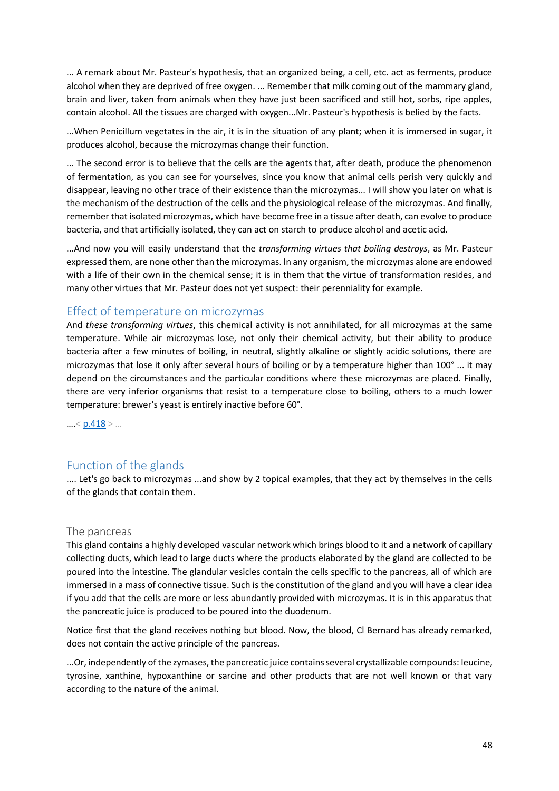... A remark about Mr. Pasteur's hypothesis, that an organized being, a cell, etc. act as ferments, produce alcohol when they are deprived of free oxygen. ... Remember that milk coming out of the mammary gland, brain and liver, taken from animals when they have just been sacrificed and still hot, sorbs, ripe apples, contain alcohol. All the tissues are charged with oxygen...Mr. Pasteur's hypothesis is belied by the facts.

...When Penicillum vegetates in the air, it is in the situation of any plant; when it is immersed in sugar, it produces alcohol, because the microzymas change their function.

... The second error is to believe that the cells are the agents that, after death, produce the phenomenon of fermentation, as you can see for yourselves, since you know that animal cells perish very quickly and disappear, leaving no other trace of their existence than the microzymas... I will show you later on what is the mechanism of the destruction of the cells and the physiological release of the microzymas. And finally, remember that isolated microzymas, which have become free in a tissue after death, can evolve to produce bacteria, and that artificially isolated, they can act on starch to produce alcohol and acetic acid.

...And now you will easily understand that the *transforming virtues that boiling destroys*, as Mr. Pasteur expressed them, are none other than the microzymas. In any organism, the microzymas alone are endowed with a life of their own in the chemical sense; it is in them that the virtue of transformation resides, and many other virtues that Mr. Pasteur does not yet suspect: their perenniality for example.

## Effect of temperature on microzymas

And *these transforming virtues*, this chemical activity is not annihilated, for all microzymas at the same temperature. While air microzymas lose, not only their chemical activity, but their ability to produce bacteria after a few minutes of boiling, in neutral, slightly alkaline or slightly acidic solutions, there are microzymas that lose it only after several hours of boiling or by a temperature higher than 100° ... it may depend on the circumstances and the particular conditions where these microzymas are placed. Finally, there are very inferior organisms that resist to a temperature close to boiling, others to a much lower temperature: brewer's yeast is entirely inactive before 60°.

 $\ldots$  [< p.418](https://gallica.bnf.fr/ark:/12148/bpt6k65140517/f466.image.r=.langFR) >  $\ldots$ 

## Function of the glands

.... Let's go back to microzymas ...and show by 2 topical examples, that they act by themselves in the cells of the glands that contain them.

## The pancreas

This gland contains a highly developed vascular network which brings blood to it and a network of capillary collecting ducts, which lead to large ducts where the products elaborated by the gland are collected to be poured into the intestine. The glandular vesicles contain the cells specific to the pancreas, all of which are immersed in a mass of connective tissue. Such is the constitution of the gland and you will have a clear idea if you add that the cells are more or less abundantly provided with microzymas. It is in this apparatus that the pancreatic juice is produced to be poured into the duodenum.

Notice first that the gland receives nothing but blood. Now, the blood, Cl Bernard has already remarked, does not contain the active principle of the pancreas.

...Or, independently of the zymases, the pancreatic juice contains several crystallizable compounds: leucine, tyrosine, xanthine, hypoxanthine or sarcine and other products that are not well known or that vary according to the nature of the animal.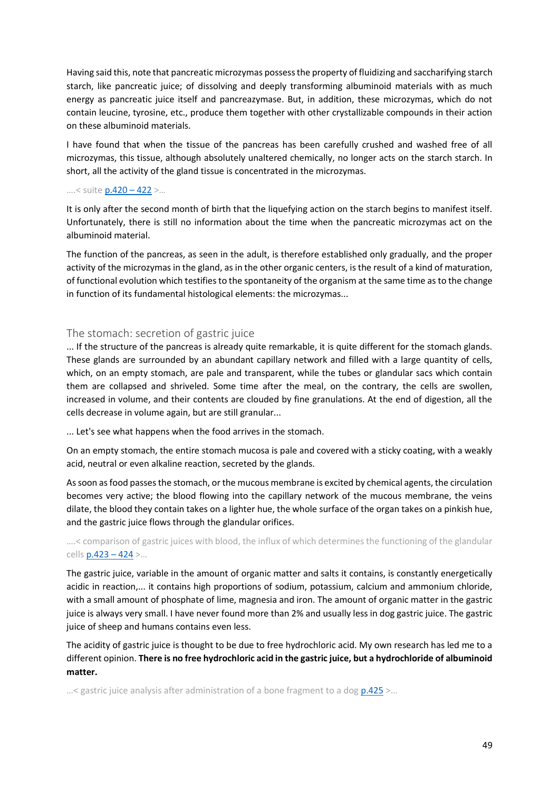Having said this, note that pancreatic microzymas possess the property of fluidizing and saccharifying starch starch, like pancreatic juice; of dissolving and deeply transforming albuminoid materials with as much energy as pancreatic juice itself and pancreazymase. But, in addition, these microzymas, which do not contain leucine, tyrosine, etc., produce them together with other crystallizable compounds in their action on these albuminoid materials.

I have found that when the tissue of the pancreas has been carefully crushed and washed free of all microzymas, this tissue, although absolutely unaltered chemically, no longer acts on the starch starch. In short, all the activity of the gland tissue is concentrated in the microzymas.

#### ….< suite [p.420](https://gallica.bnf.fr/ark:/12148/bpt6k65140517/f468.image.r=.langFR) – 422 >…

It is only after the second month of birth that the liquefying action on the starch begins to manifest itself. Unfortunately, there is still no information about the time when the pancreatic microzymas act on the albuminoid material.

The function of the pancreas, as seen in the adult, is therefore established only gradually, and the proper activity of the microzymas in the gland, as in the other organic centers, is the result of a kind of maturation, of functional evolution which testifies to the spontaneity of the organism at the same time as to the change in function of its fundamental histological elements: the microzymas...

## The stomach: secretion of gastric juice

... If the structure of the pancreas is already quite remarkable, it is quite different for the stomach glands. These glands are surrounded by an abundant capillary network and filled with a large quantity of cells, which, on an empty stomach, are pale and transparent, while the tubes or glandular sacs which contain them are collapsed and shriveled. Some time after the meal, on the contrary, the cells are swollen, increased in volume, and their contents are clouded by fine granulations. At the end of digestion, all the cells decrease in volume again, but are still granular...

... Let's see what happens when the food arrives in the stomach.

On an empty stomach, the entire stomach mucosa is pale and covered with a sticky coating, with a weakly acid, neutral or even alkaline reaction, secreted by the glands.

As soon as food passes the stomach, or the mucous membrane is excited by chemical agents, the circulation becomes very active; the blood flowing into the capillary network of the mucous membrane, the veins dilate, the blood they contain takes on a lighter hue, the whole surface of the organ takes on a pinkish hue, and the gastric juice flows through the glandular orifices.

….< comparison of gastric juices with blood, the influx of which determines the functioning of the glandular cells [p.423](https://gallica.bnf.fr/ark:/12148/bpt6k65140517/f471.image.r=.langFR) – 424 >…

The gastric juice, variable in the amount of organic matter and salts it contains, is constantly energetically acidic in reaction,... it contains high proportions of sodium, potassium, calcium and ammonium chloride, with a small amount of phosphate of lime, magnesia and iron. The amount of organic matter in the gastric juice is always very small. I have never found more than 2% and usually less in dog gastric juice. The gastric juice of sheep and humans contains even less.

The acidity of gastric juice is thought to be due to free hydrochloric acid. My own research has led me to a different opinion. **There is no free hydrochloric acid in the gastric juice, but a hydrochloride of albuminoid matter.**

…< gastric juice analysis after administration of a bone fragment to a dog [p.425](https://gallica.bnf.fr/ark:/12148/bpt6k65140517/f473.image.r=.langFR) >…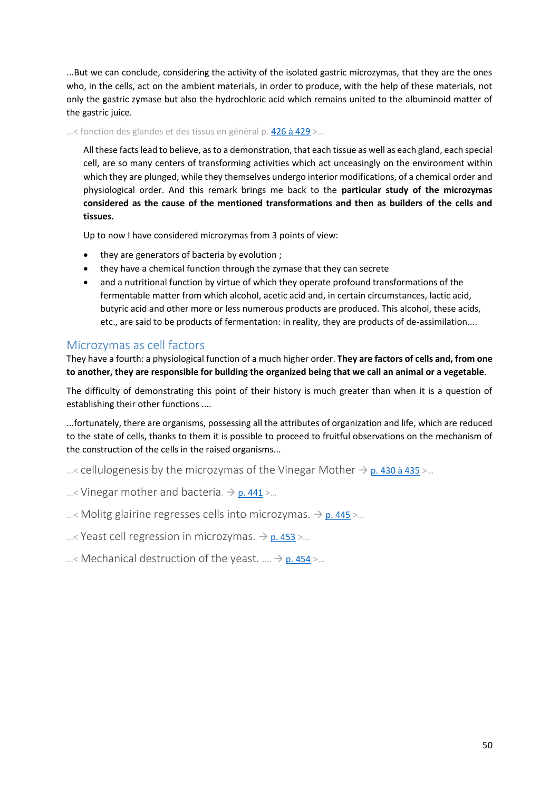...But we can conclude, considering the activity of the isolated gastric microzymas, that they are the ones who, in the cells, act on the ambient materials, in order to produce, with the help of these materials, not only the gastric zymase but also the hydrochloric acid which remains united to the albuminoid matter of the gastric juice.

…< fonction des glandes et des tissus en général p. [426 à 429](https://gallica.bnf.fr/ark:/12148/bpt6k65140517/f473.image.r=.langFR) >…

All these facts lead to believe, as to a demonstration, that each tissue as well as each gland, each special cell, are so many centers of transforming activities which act unceasingly on the environment within which they are plunged, while they themselves undergo interior modifications, of a chemical order and physiological order. And this remark brings me back to the **particular study of the microzymas considered as the cause of the mentioned transformations and then as builders of the cells and tissues.**

Up to now I have considered microzymas from 3 points of view:

- they are generators of bacteria by evolution ;
- they have a chemical function through the zymase that they can secrete
- and a nutritional function by virtue of which they operate profound transformations of the fermentable matter from which alcohol, acetic acid and, in certain circumstances, lactic acid, butyric acid and other more or less numerous products are produced. This alcohol, these acids, etc., are said to be products of fermentation: in reality, they are products of de-assimilation....

# Microzymas as cell factors

They have a fourth: a physiological function of a much higher order. **They are factors of cells and, from one to another, they are responsible for building the organized being that we call an animal or a vegetable**.

The difficulty of demonstrating this point of their history is much greater than when it is a question of establishing their other functions ....

...fortunately, there are organisms, possessing all the attributes of organization and life, which are reduced to the state of cells, thanks to them it is possible to proceed to fruitful observations on the mechanism of the construction of the cells in the raised organisms...

…< cellulogenesis by the microzymas of the Vinegar Mother  $\rightarrow$  [p. 430 à 435](https://gallica.bnf.fr/ark:/12148/bpt6k65140517/f478.image.r=.langFR) >...

...< Vinegar mother and bacteria.  $\rightarrow$  [p. 441](https://gallica.bnf.fr/ark:/12148/bpt6k65140517/f489.image.r=.langFR) >...

 $\ldots$  Molitg glairine regresses cells into microzymas.  $\rightarrow$  [p. 445](https://gallica.bnf.fr/ark:/12148/bpt6k65140517/f493.image.r=.langFR) >...

...< Yeast cell regression in microzymas.  $\rightarrow$  [p. 453](https://gallica.bnf.fr/ark:/12148/bpt6k65140517/f501.image.r=.langFR) >...

...< Mechanical destruction of the yeast.  $\dots \rightarrow p.454$ .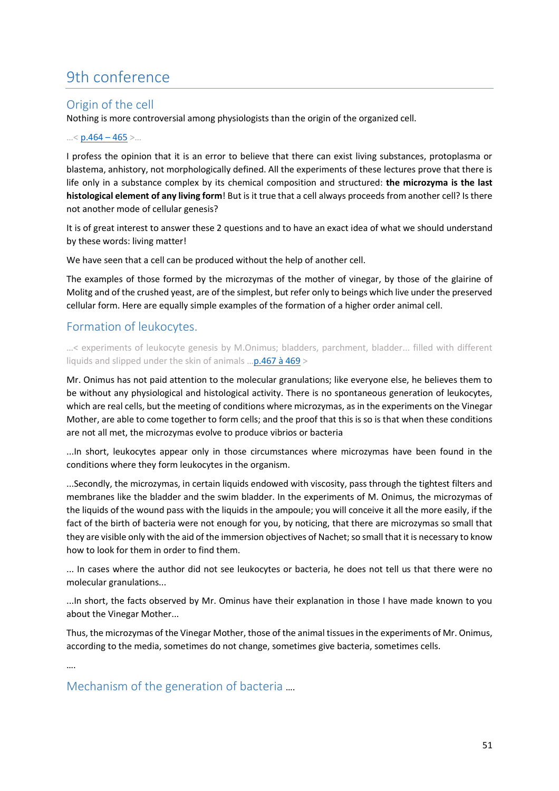# 9th conference

# Origin of the cell

Nothing is more controversial among physiologists than the origin of the organized cell.

#### …< [p.464](https://gallica.bnf.fr/ark:/12148/bpt6k65140517/f512.image.r=.langFR) – 465 >…

I profess the opinion that it is an error to believe that there can exist living substances, protoplasma or blastema, anhistory, not morphologically defined. All the experiments of these lectures prove that there is life only in a substance complex by its chemical composition and structured: **the microzyma is the last histological element of any living form**! But is it true that a cell always proceeds from another cell? Is there not another mode of cellular genesis?

It is of great interest to answer these 2 questions and to have an exact idea of what we should understand by these words: living matter!

We have seen that a cell can be produced without the help of another cell.

The examples of those formed by the microzymas of the mother of vinegar, by those of the glairine of Molitg and of the crushed yeast, are of the simplest, but refer only to beings which live under the preserved cellular form. Here are equally simple examples of the formation of a higher order animal cell.

# Formation of leukocytes.

…< experiments of leukocyte genesis by M.Onimus; bladders, parchment, bladder... filled with different liquids and slipped under the skin of animals …[p.467 à 469](https://gallica.bnf.fr/ark:/12148/bpt6k65140517/f515.image.r=.langFR) >

Mr. Onimus has not paid attention to the molecular granulations; like everyone else, he believes them to be without any physiological and histological activity. There is no spontaneous generation of leukocytes, which are real cells, but the meeting of conditions where microzymas, as in the experiments on the Vinegar Mother, are able to come together to form cells; and the proof that this is so is that when these conditions are not all met, the microzymas evolve to produce vibrios or bacteria

...In short, leukocytes appear only in those circumstances where microzymas have been found in the conditions where they form leukocytes in the organism.

...Secondly, the microzymas, in certain liquids endowed with viscosity, pass through the tightest filters and membranes like the bladder and the swim bladder. In the experiments of M. Onimus, the microzymas of the liquids of the wound pass with the liquids in the ampoule; you will conceive it all the more easily, if the fact of the birth of bacteria were not enough for you, by noticing, that there are microzymas so small that they are visible only with the aid of the immersion objectives of Nachet; so small that it is necessary to know how to look for them in order to find them.

... In cases where the author did not see leukocytes or bacteria, he does not tell us that there were no molecular granulations...

...In short, the facts observed by Mr. Ominus have their explanation in those I have made known to you about the Vinegar Mother...

Thus, the microzymas of the Vinegar Mother, those of the animal tissues in the experiments of Mr. Onimus, according to the media, sometimes do not change, sometimes give bacteria, sometimes cells.

….

Mechanism of the generation of bacteria ….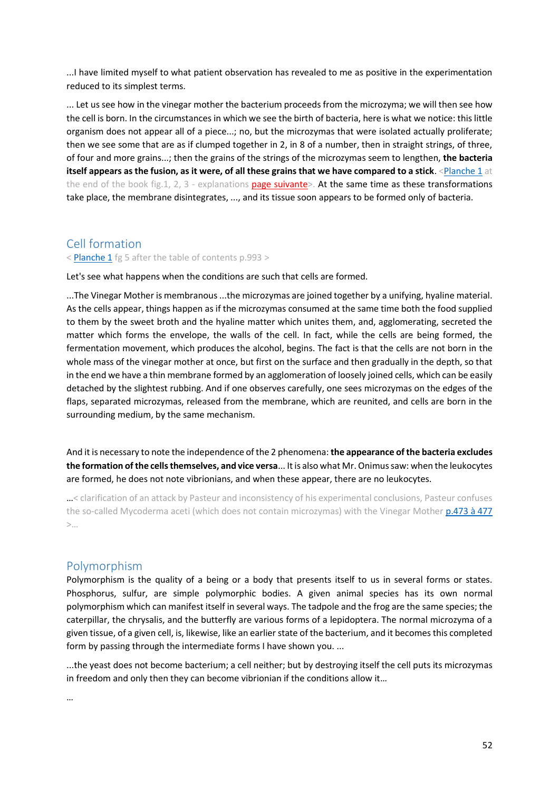...I have limited myself to what patient observation has revealed to me as positive in the experimentation reduced to its simplest terms.

... Let us see how in the vinegar mother the bacterium proceeds from the microzyma; we will then see how the cell is born. In the circumstances in which we see the birth of bacteria, here is what we notice: this little organism does not appear all of a piece...; no, but the microzymas that were isolated actually proliferate; then we see some that are as if clumped together in 2, in 8 of a number, then in straight strings, of three, of four and more grains...; then the grains of the strings of the microzymas seem to lengthen, **the bacteria itself appears as the fusion, as it were, of all these grains that we have compared to a stick**. [<Planche 1](https://gallica.bnf.fr/ark:/12148/bpt6k65140517/f1042.image.r=.langFR) at the end of the book fig.1, 2, 3 - explanations [page suivante>](https://gallica.bnf.fr/ark:/12148/bpt6k65140517/f1043.image.r=.langFR). At the same time as these transformations take place, the membrane disintegrates, ..., and its tissue soon appears to be formed only of bacteria.

## Cell formation

[< Planche 1](https://gallica.bnf.fr/ark:/12148/bpt6k65140517/f1042.image.r=.langFR) fg 5 after the table of contents p.993 >

Let's see what happens when the conditions are such that cells are formed.

...The Vinegar Mother is membranous ...the microzymas are joined together by a unifying, hyaline material. As the cells appear, things happen as if the microzymas consumed at the same time both the food supplied to them by the sweet broth and the hyaline matter which unites them, and, agglomerating, secreted the matter which forms the envelope, the walls of the cell. In fact, while the cells are being formed, the fermentation movement, which produces the alcohol, begins. The fact is that the cells are not born in the whole mass of the vinegar mother at once, but first on the surface and then gradually in the depth, so that in the end we have a thin membrane formed by an agglomeration of loosely joined cells, which can be easily detached by the slightest rubbing. And if one observes carefully, one sees microzymas on the edges of the flaps, separated microzymas, released from the membrane, which are reunited, and cells are born in the surrounding medium, by the same mechanism.

And it is necessary to note the independence of the 2 phenomena: **the appearance of the bacteria excludes the formation of the cells themselves, and vice versa**... It is also what Mr. Onimus saw: when the leukocytes are formed, he does not note vibrionians, and when these appear, there are no leukocytes.

…< clarification of an attack by Pasteur and inconsistency of his experimental conclusions, Pasteur confuses the so-called Mycoderma aceti (which does not contain microzymas) with the Vinegar Mother [p.473 à 477](https://gallica.bnf.fr/ark:/12148/bpt6k65140517/f521.image.r=.langFR)  $>$ …

## Polymorphism

Polymorphism is the quality of a being or a body that presents itself to us in several forms or states. Phosphorus, sulfur, are simple polymorphic bodies. A given animal species has its own normal polymorphism which can manifest itself in several ways. The tadpole and the frog are the same species; the caterpillar, the chrysalis, and the butterfly are various forms of a lepidoptera. The normal microzyma of a given tissue, of a given cell, is, likewise, like an earlier state of the bacterium, and it becomes this completed form by passing through the intermediate forms I have shown you. ...

...the yeast does not become bacterium; a cell neither; but by destroying itself the cell puts its microzymas in freedom and only then they can become vibrionian if the conditions allow it…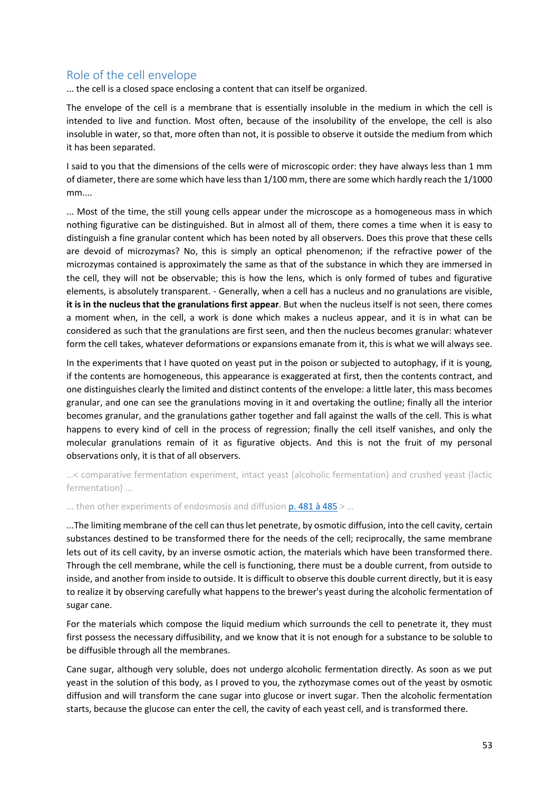# Role of the cell envelope

... the cell is a closed space enclosing a content that can itself be organized.

The envelope of the cell is a membrane that is essentially insoluble in the medium in which the cell is intended to live and function. Most often, because of the insolubility of the envelope, the cell is also insoluble in water, so that, more often than not, it is possible to observe it outside the medium from which it has been separated.

I said to you that the dimensions of the cells were of microscopic order: they have always less than 1 mm of diameter, there are some which have less than 1/100 mm, there are some which hardly reach the 1/1000 mm....

... Most of the time, the still young cells appear under the microscope as a homogeneous mass in which nothing figurative can be distinguished. But in almost all of them, there comes a time when it is easy to distinguish a fine granular content which has been noted by all observers. Does this prove that these cells are devoid of microzymas? No, this is simply an optical phenomenon; if the refractive power of the microzymas contained is approximately the same as that of the substance in which they are immersed in the cell, they will not be observable; this is how the lens, which is only formed of tubes and figurative elements, is absolutely transparent. - Generally, when a cell has a nucleus and no granulations are visible, **it is in the nucleus that the granulations first appear**. But when the nucleus itself is not seen, there comes a moment when, in the cell, a work is done which makes a nucleus appear, and it is in what can be considered as such that the granulations are first seen, and then the nucleus becomes granular: whatever form the cell takes, whatever deformations or expansions emanate from it, this is what we will always see.

In the experiments that I have quoted on yeast put in the poison or subjected to autophagy, if it is young, if the contents are homogeneous, this appearance is exaggerated at first, then the contents contract, and one distinguishes clearly the limited and distinct contents of the envelope: a little later, this mass becomes granular, and one can see the granulations moving in it and overtaking the outline; finally all the interior becomes granular, and the granulations gather together and fall against the walls of the cell. This is what happens to every kind of cell in the process of regression; finally the cell itself vanishes, and only the molecular granulations remain of it as figurative objects. And this is not the fruit of my personal observations only, it is that of all observers.

…< comparative fermentation experiment, intact yeast (alcoholic fermentation) and crushed yeast (lactic fermentation) ...

... then other experiments of endosmosis and diffusion  $p.481$  à  $485$  > ...

...The limiting membrane of the cell can thus let penetrate, by osmotic diffusion, into the cell cavity, certain substances destined to be transformed there for the needs of the cell; reciprocally, the same membrane lets out of its cell cavity, by an inverse osmotic action, the materials which have been transformed there. Through the cell membrane, while the cell is functioning, there must be a double current, from outside to inside, and another from inside to outside. It is difficult to observe this double current directly, but it is easy to realize it by observing carefully what happens to the brewer's yeast during the alcoholic fermentation of sugar cane.

For the materials which compose the liquid medium which surrounds the cell to penetrate it, they must first possess the necessary diffusibility, and we know that it is not enough for a substance to be soluble to be diffusible through all the membranes.

Cane sugar, although very soluble, does not undergo alcoholic fermentation directly. As soon as we put yeast in the solution of this body, as I proved to you, the zythozymase comes out of the yeast by osmotic diffusion and will transform the cane sugar into glucose or invert sugar. Then the alcoholic fermentation starts, because the glucose can enter the cell, the cavity of each yeast cell, and is transformed there.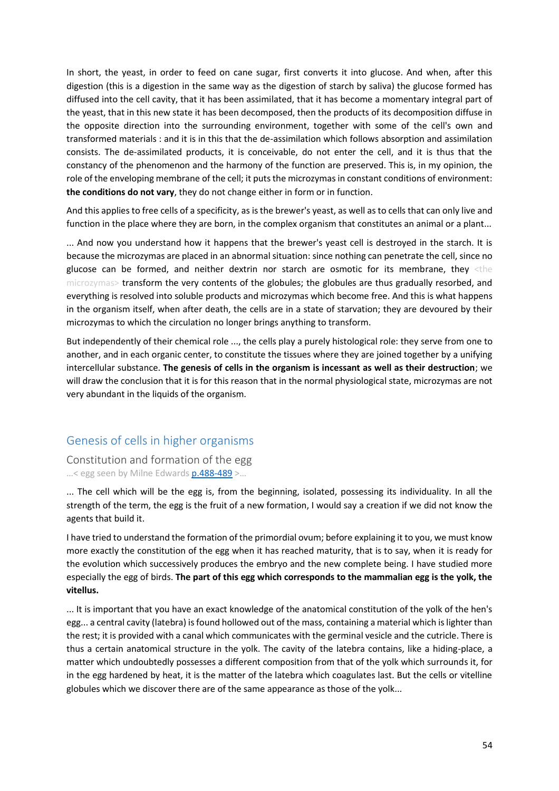In short, the yeast, in order to feed on cane sugar, first converts it into glucose. And when, after this digestion (this is a digestion in the same way as the digestion of starch by saliva) the glucose formed has diffused into the cell cavity, that it has been assimilated, that it has become a momentary integral part of the yeast, that in this new state it has been decomposed, then the products of its decomposition diffuse in the opposite direction into the surrounding environment, together with some of the cell's own and transformed materials : and it is in this that the de-assimilation which follows absorption and assimilation consists. The de-assimilated products, it is conceivable, do not enter the cell, and it is thus that the constancy of the phenomenon and the harmony of the function are preserved. This is, in my opinion, the role of the enveloping membrane of the cell; it puts the microzymas in constant conditions of environment: **the conditions do not vary**, they do not change either in form or in function.

And this applies to free cells of a specificity, as is the brewer's yeast, as well as to cells that can only live and function in the place where they are born, in the complex organism that constitutes an animal or a plant...

... And now you understand how it happens that the brewer's yeast cell is destroyed in the starch. It is because the microzymas are placed in an abnormal situation: since nothing can penetrate the cell, since no glucose can be formed, and neither dextrin nor starch are osmotic for its membrane, they <the microzymas> transform the very contents of the globules; the globules are thus gradually resorbed, and everything is resolved into soluble products and microzymas which become free. And this is what happens in the organism itself, when after death, the cells are in a state of starvation; they are devoured by their microzymas to which the circulation no longer brings anything to transform.

But independently of their chemical role ..., the cells play a purely histological role: they serve from one to another, and in each organic center, to constitute the tissues where they are joined together by a unifying intercellular substance. **The genesis of cells in the organism is incessant as well as their destruction**; we will draw the conclusion that it is for this reason that in the normal physiological state, microzymas are not very abundant in the liquids of the organism.

# Genesis of cells in higher organisms

Constitution and formation of the egg …< egg seen by Milne Edwards [p.488-489](https://gallica.bnf.fr/ark:/12148/bpt6k65140517/f536.image.r=.langFR) >…

... The cell which will be the egg is, from the beginning, isolated, possessing its individuality. In all the strength of the term, the egg is the fruit of a new formation, I would say a creation if we did not know the agents that build it.

I have tried to understand the formation of the primordial ovum; before explaining it to you, we must know more exactly the constitution of the egg when it has reached maturity, that is to say, when it is ready for the evolution which successively produces the embryo and the new complete being. I have studied more especially the egg of birds. **The part of this egg which corresponds to the mammalian egg is the yolk, the vitellus.**

... It is important that you have an exact knowledge of the anatomical constitution of the yolk of the hen's egg... a central cavity (latebra) is found hollowed out of the mass, containing a material which is lighter than the rest; it is provided with a canal which communicates with the germinal vesicle and the cutricle. There is thus a certain anatomical structure in the yolk. The cavity of the latebra contains, like a hiding-place, a matter which undoubtedly possesses a different composition from that of the yolk which surrounds it, for in the egg hardened by heat, it is the matter of the latebra which coagulates last. But the cells or vitelline globules which we discover there are of the same appearance as those of the yolk...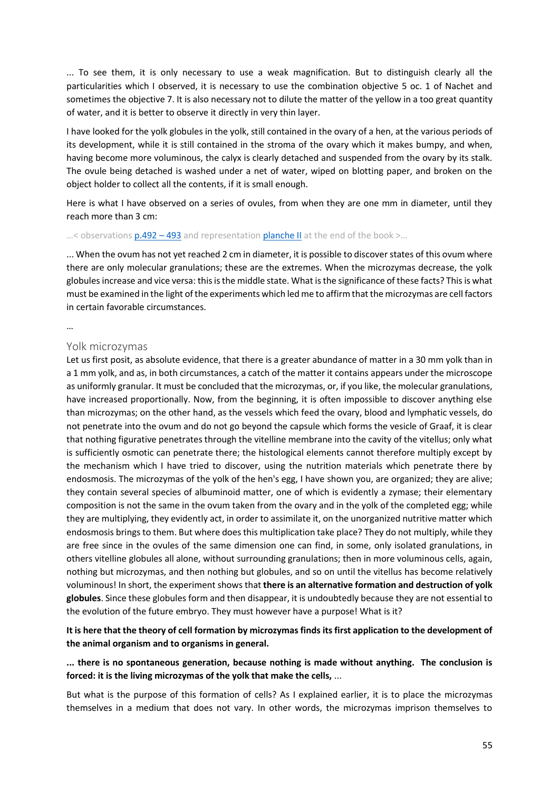... To see them, it is only necessary to use a weak magnification. But to distinguish clearly all the particularities which I observed, it is necessary to use the combination objective 5 oc. 1 of Nachet and sometimes the objective 7. It is also necessary not to dilute the matter of the yellow in a too great quantity of water, and it is better to observe it directly in very thin layer.

I have looked for the yolk globules in the yolk, still contained in the ovary of a hen, at the various periods of its development, while it is still contained in the stroma of the ovary which it makes bumpy, and when, having become more voluminous, the calyx is clearly detached and suspended from the ovary by its stalk. The ovule being detached is washed under a net of water, wiped on blotting paper, and broken on the object holder to collect all the contents, if it is small enough.

Here is what I have observed on a series of ovules, from when they are one mm in diameter, until they reach more than 3 cm:

#### ...< observations  $p.492 - 493$  $p.492 - 493$  and representation [planche II](https://gallica.bnf.fr/ark:/12148/bpt6k65140517/f540.image.r=.langFR) at the end of the book >...

... When the ovum has not yet reached 2 cm in diameter, it is possible to discover states of this ovum where there are only molecular granulations; these are the extremes. When the microzymas decrease, the yolk globules increase and vice versa: this is the middle state. What is the significance of these facts? This is what must be examined in the light of the experiments which led me to affirm that the microzymas are cell factors in certain favorable circumstances.

#### …

#### Yolk microzymas

Let us first posit, as absolute evidence, that there is a greater abundance of matter in a 30 mm yolk than in a 1 mm yolk, and as, in both circumstances, a catch of the matter it contains appears under the microscope as uniformly granular. It must be concluded that the microzymas, or, if you like, the molecular granulations, have increased proportionally. Now, from the beginning, it is often impossible to discover anything else than microzymas; on the other hand, as the vessels which feed the ovary, blood and lymphatic vessels, do not penetrate into the ovum and do not go beyond the capsule which forms the vesicle of Graaf, it is clear that nothing figurative penetrates through the vitelline membrane into the cavity of the vitellus; only what is sufficiently osmotic can penetrate there; the histological elements cannot therefore multiply except by the mechanism which I have tried to discover, using the nutrition materials which penetrate there by endosmosis. The microzymas of the yolk of the hen's egg, I have shown you, are organized; they are alive; they contain several species of albuminoid matter, one of which is evidently a zymase; their elementary composition is not the same in the ovum taken from the ovary and in the yolk of the completed egg; while they are multiplying, they evidently act, in order to assimilate it, on the unorganized nutritive matter which endosmosis brings to them. But where does this multiplication take place? They do not multiply, while they are free since in the ovules of the same dimension one can find, in some, only isolated granulations, in others vitelline globules all alone, without surrounding granulations; then in more voluminous cells, again, nothing but microzymas, and then nothing but globules, and so on until the vitellus has become relatively voluminous! In short, the experiment shows that **there is an alternative formation and destruction of yolk globules**. Since these globules form and then disappear, it is undoubtedly because they are not essential to the evolution of the future embryo. They must however have a purpose! What is it?

## **It is here that the theory of cell formation by microzymas finds its first application to the development of the animal organism and to organisms in general.**

### **... there is no spontaneous generation, because nothing is made without anything. The conclusion is forced: it is the living microzymas of the yolk that make the cells,** ...

But what is the purpose of this formation of cells? As I explained earlier, it is to place the microzymas themselves in a medium that does not vary. In other words, the microzymas imprison themselves to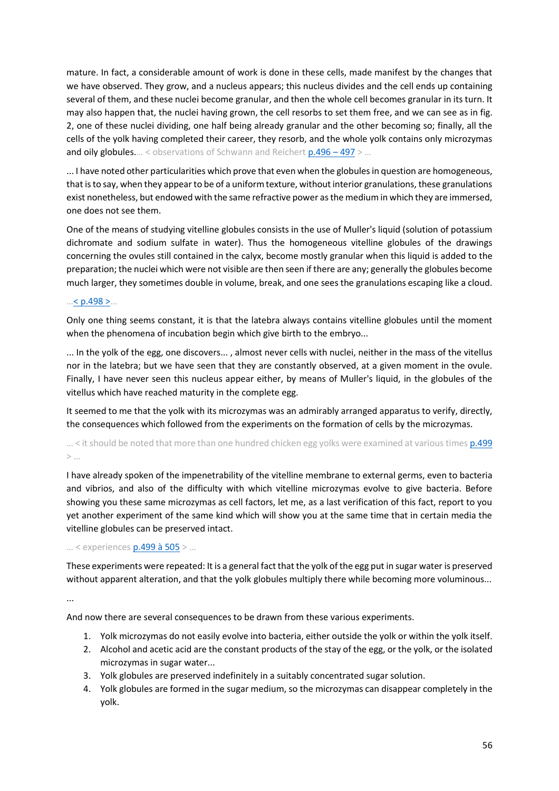mature. In fact, a considerable amount of work is done in these cells, made manifest by the changes that we have observed. They grow, and a nucleus appears; this nucleus divides and the cell ends up containing several of them, and these nuclei become granular, and then the whole cell becomes granular in its turn. It may also happen that, the nuclei having grown, the cell resorbs to set them free, and we can see as in fig. 2, one of these nuclei dividing, one half being already granular and the other becoming so; finally, all the cells of the yolk having completed their career, they resorb, and the whole yolk contains only microzymas and oily globules.... < observations of Schwann and Reichert [p.496](https://gallica.bnf.fr/ark:/12148/bpt6k65140517/f544.image.r=.langFR) – 497 > ...

... I have noted other particularities which prove that even when the globules in question are homogeneous, that is to say, when they appear to be of a uniform texture, without interior granulations, these granulations exist nonetheless, but endowed with the same refractive power as the medium in which they are immersed, one does not see them.

One of the means of studying vitelline globules consists in the use of Muller's liquid (solution of potassium dichromate and sodium sulfate in water). Thus the homogeneous vitelline globules of the drawings concerning the ovules still contained in the calyx, become mostly granular when this liquid is added to the preparation; the nuclei which were not visible are then seen if there are any; generally the globules become much larger, they sometimes double in volume, break, and one sees the granulations escaping like a cloud.

#### …  $\leq p.498$  >…

Only one thing seems constant, it is that the latebra always contains vitelline globules until the moment when the phenomena of incubation begin which give birth to the embryo...

... In the yolk of the egg, one discovers... , almost never cells with nuclei, neither in the mass of the vitellus nor in the latebra; but we have seen that they are constantly observed, at a given moment in the ovule. Finally, I have never seen this nucleus appear either, by means of Muller's liquid, in the globules of the vitellus which have reached maturity in the complete egg.

It seemed to me that the yolk with its microzymas was an admirably arranged apparatus to verify, directly, the consequences which followed from the experiments on the formation of cells by the microzymas.

## ... < it should be noted that more than one hundred chicken egg yolks were examined at various times  $p.499$  $>$   $\dots$

I have already spoken of the impenetrability of the vitelline membrane to external germs, even to bacteria and vibrios, and also of the difficulty with which vitelline microzymas evolve to give bacteria. Before showing you these same microzymas as cell factors, let me, as a last verification of this fact, report to you yet another experiment of the same kind which will show you at the same time that in certain media the vitelline globules can be preserved intact.

#### … < experience[s p.499 à 505](https://gallica.bnf.fr/ark:/12148/bpt6k65140517/f547.image.r=.langFR) > …

These experiments were repeated: It is a general fact that the yolk of the egg put in sugar water is preserved without apparent alteration, and that the yolk globules multiply there while becoming more voluminous...

...

And now there are several consequences to be drawn from these various experiments.

- 1. Yolk microzymas do not easily evolve into bacteria, either outside the yolk or within the yolk itself.
- 2. Alcohol and acetic acid are the constant products of the stay of the egg, or the yolk, or the isolated microzymas in sugar water...
- 3. Yolk globules are preserved indefinitely in a suitably concentrated sugar solution.
- 4. Yolk globules are formed in the sugar medium, so the microzymas can disappear completely in the yolk.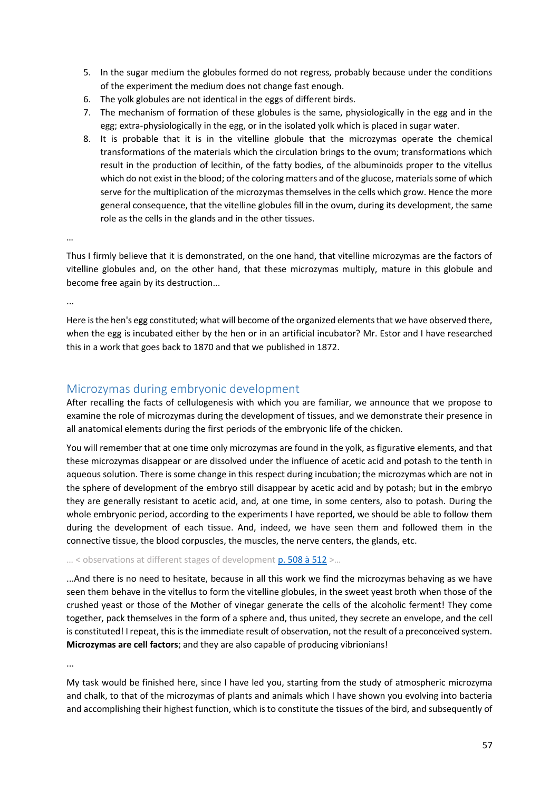- 5. In the sugar medium the globules formed do not regress, probably because under the conditions of the experiment the medium does not change fast enough.
- 6. The yolk globules are not identical in the eggs of different birds.
- 7. The mechanism of formation of these globules is the same, physiologically in the egg and in the egg; extra-physiologically in the egg, or in the isolated yolk which is placed in sugar water.
- 8. It is probable that it is in the vitelline globule that the microzymas operate the chemical transformations of the materials which the circulation brings to the ovum; transformations which result in the production of lecithin, of the fatty bodies, of the albuminoids proper to the vitellus which do not exist in the blood; of the coloring matters and of the glucose, materials some of which serve for the multiplication of the microzymas themselves in the cells which grow. Hence the more general consequence, that the vitelline globules fill in the ovum, during its development, the same role as the cells in the glands and in the other tissues.

Thus I firmly believe that it is demonstrated, on the one hand, that vitelline microzymas are the factors of vitelline globules and, on the other hand, that these microzymas multiply, mature in this globule and become free again by its destruction...

...

…

Here is the hen's egg constituted; what will become of the organized elements that we have observed there, when the egg is incubated either by the hen or in an artificial incubator? Mr. Estor and I have researched this in a work that goes back to 1870 and that we published in 1872.

# Microzymas during embryonic development

After recalling the facts of cellulogenesis with which you are familiar, we announce that we propose to examine the role of microzymas during the development of tissues, and we demonstrate their presence in all anatomical elements during the first periods of the embryonic life of the chicken.

You will remember that at one time only microzymas are found in the yolk, as figurative elements, and that these microzymas disappear or are dissolved under the influence of acetic acid and potash to the tenth in aqueous solution. There is some change in this respect during incubation; the microzymas which are not in the sphere of development of the embryo still disappear by acetic acid and by potash; but in the embryo they are generally resistant to acetic acid, and, at one time, in some centers, also to potash. During the whole embryonic period, according to the experiments I have reported, we should be able to follow them during the development of each tissue. And, indeed, we have seen them and followed them in the connective tissue, the blood corpuscles, the muscles, the nerve centers, the glands, etc.

## ... < observations at different stages of developmen[t p. 508 à 512](https://gallica.bnf.fr/ark:/12148/bpt6k65140517/f556.image.r=.langFR) >...

...And there is no need to hesitate, because in all this work we find the microzymas behaving as we have seen them behave in the vitellus to form the vitelline globules, in the sweet yeast broth when those of the crushed yeast or those of the Mother of vinegar generate the cells of the alcoholic ferment! They come together, pack themselves in the form of a sphere and, thus united, they secrete an envelope, and the cell is constituted! I repeat, this is the immediate result of observation, not the result of a preconceived system. **Microzymas are cell factors**; and they are also capable of producing vibrionians!

...

My task would be finished here, since I have led you, starting from the study of atmospheric microzyma and chalk, to that of the microzymas of plants and animals which I have shown you evolving into bacteria and accomplishing their highest function, which is to constitute the tissues of the bird, and subsequently of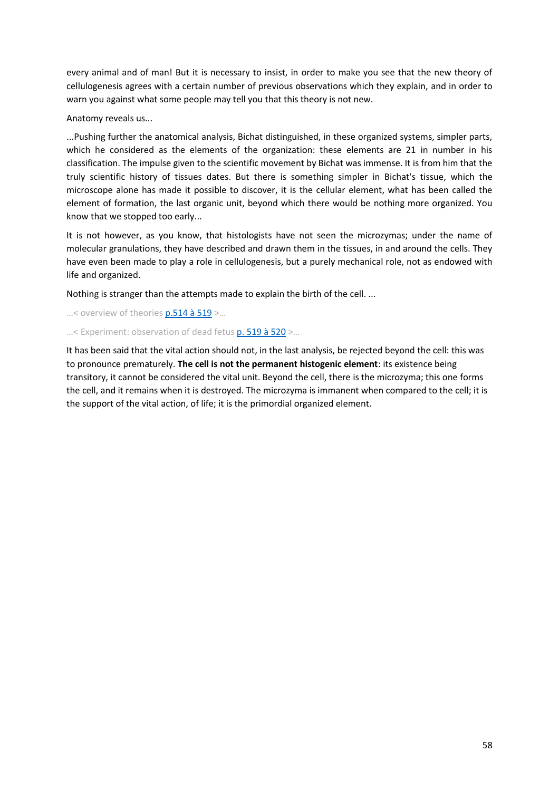every animal and of man! But it is necessary to insist, in order to make you see that the new theory of cellulogenesis agrees with a certain number of previous observations which they explain, and in order to warn you against what some people may tell you that this theory is not new.

Anatomy reveals us...

...Pushing further the anatomical analysis, Bichat distinguished, in these organized systems, simpler parts, which he considered as the elements of the organization: these elements are 21 in number in his classification. The impulse given to the scientific movement by Bichat was immense. It is from him that the truly scientific history of tissues dates. But there is something simpler in Bichat's tissue, which the microscope alone has made it possible to discover, it is the cellular element, what has been called the element of formation, the last organic unit, beyond which there would be nothing more organized. You know that we stopped too early...

It is not however, as you know, that histologists have not seen the microzymas; under the name of molecular granulations, they have described and drawn them in the tissues, in and around the cells. They have even been made to play a role in cellulogenesis, but a purely mechanical role, not as endowed with life and organized.

Nothing is stranger than the attempts made to explain the birth of the cell. ...

...< overview of theories **p.514 à 519** >...

...< Experiment: observation of dead fetus [p. 519 à 520](https://gallica.bnf.fr/ark:/12148/bpt6k65140517/f567.image.r=.langFR) >...

It has been said that the vital action should not, in the last analysis, be rejected beyond the cell: this was to pronounce prematurely. **The cell is not the permanent histogenic element**: its existence being transitory, it cannot be considered the vital unit. Beyond the cell, there is the microzyma; this one forms the cell, and it remains when it is destroyed. The microzyma is immanent when compared to the cell; it is the support of the vital action, of life; it is the primordial organized element.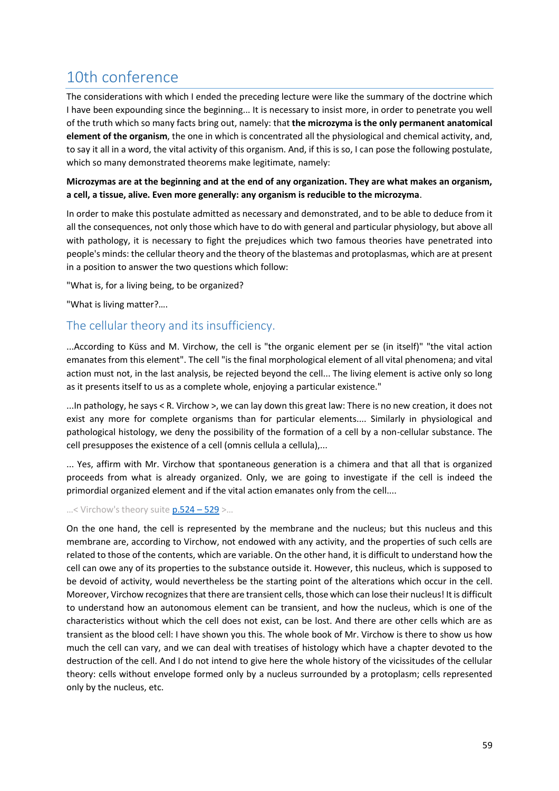# 10th conference

The considerations with which I ended the preceding lecture were like the summary of the doctrine which I have been expounding since the beginning... It is necessary to insist more, in order to penetrate you well of the truth which so many facts bring out, namely: that **the microzyma is the only permanent anatomical element of the organism**, the one in which is concentrated all the physiological and chemical activity, and, to say it all in a word, the vital activity of this organism. And, if this is so, I can pose the following postulate, which so many demonstrated theorems make legitimate, namely:

## **Microzymas are at the beginning and at the end of any organization. They are what makes an organism, a cell, a tissue, alive. Even more generally: any organism is reducible to the microzyma**.

In order to make this postulate admitted as necessary and demonstrated, and to be able to deduce from it all the consequences, not only those which have to do with general and particular physiology, but above all with pathology, it is necessary to fight the prejudices which two famous theories have penetrated into people's minds: the cellular theory and the theory of the blastemas and protoplasmas, which are at present in a position to answer the two questions which follow:

"What is, for a living being, to be organized?

"What is living matter?….

# The cellular theory and its insufficiency.

...According to Küss and M. Virchow, the cell is "the organic element per se (in itself)" "the vital action emanates from this element". The cell "is the final morphological element of all vital phenomena; and vital action must not, in the last analysis, be rejected beyond the cell... The living element is active only so long as it presents itself to us as a complete whole, enjoying a particular existence."

...In pathology, he says < R. Virchow >, we can lay down this great law: There is no new creation, it does not exist any more for complete organisms than for particular elements.... Similarly in physiological and pathological histology, we deny the possibility of the formation of a cell by a non-cellular substance. The cell presupposes the existence of a cell (omnis cellula a cellula),...

... Yes, affirm with Mr. Virchow that spontaneous generation is a chimera and that all that is organized proceeds from what is already organized. Only, we are going to investigate if the cell is indeed the primordial organized element and if the vital action emanates only from the cell....

### …< Virchow's theory suite [p.524](https://gallica.bnf.fr/ark:/12148/bpt6k65140517/f572.image.r=.langFR) – 529 >…

On the one hand, the cell is represented by the membrane and the nucleus; but this nucleus and this membrane are, according to Virchow, not endowed with any activity, and the properties of such cells are related to those of the contents, which are variable. On the other hand, it is difficult to understand how the cell can owe any of its properties to the substance outside it. However, this nucleus, which is supposed to be devoid of activity, would nevertheless be the starting point of the alterations which occur in the cell. Moreover, Virchow recognizes that there are transient cells, those which can lose their nucleus! It is difficult to understand how an autonomous element can be transient, and how the nucleus, which is one of the characteristics without which the cell does not exist, can be lost. And there are other cells which are as transient as the blood cell: I have shown you this. The whole book of Mr. Virchow is there to show us how much the cell can vary, and we can deal with treatises of histology which have a chapter devoted to the destruction of the cell. And I do not intend to give here the whole history of the vicissitudes of the cellular theory: cells without envelope formed only by a nucleus surrounded by a protoplasm; cells represented only by the nucleus, etc.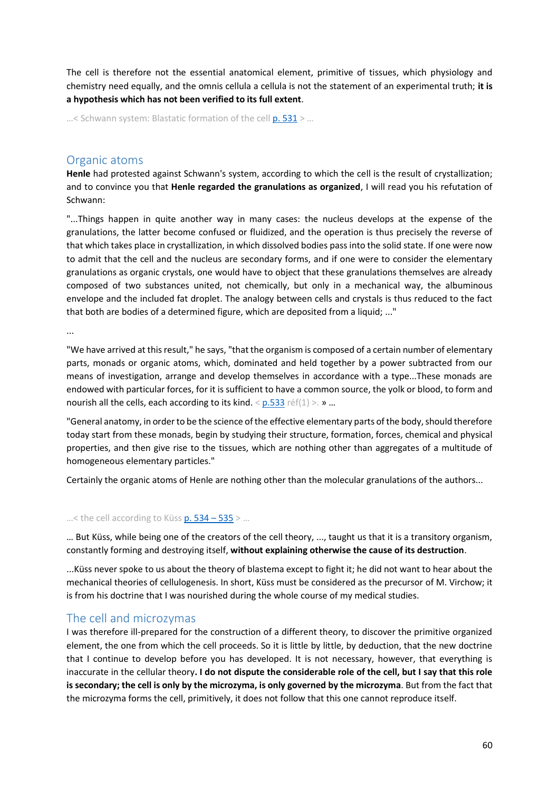The cell is therefore not the essential anatomical element, primitive of tissues, which physiology and chemistry need equally, and the omnis cellula a cellula is not the statement of an experimental truth; **it is a hypothesis which has not been verified to its full extent**.

...< Schwann system: Blastatic formation of the cell [p. 531](https://gallica.bnf.fr/ark:/12148/bpt6k65140517/f579.image.r=.langFR) > ...

## Organic atoms

**Henle** had protested against Schwann's system, according to which the cell is the result of crystallization; and to convince you that **Henle regarded the granulations as organized**, I will read you his refutation of Schwann:

"...Things happen in quite another way in many cases: the nucleus develops at the expense of the granulations, the latter become confused or fluidized, and the operation is thus precisely the reverse of that which takes place in crystallization, in which dissolved bodies pass into the solid state. If one were now to admit that the cell and the nucleus are secondary forms, and if one were to consider the elementary granulations as organic crystals, one would have to object that these granulations themselves are already composed of two substances united, not chemically, but only in a mechanical way, the albuminous envelope and the included fat droplet. The analogy between cells and crystals is thus reduced to the fact that both are bodies of a determined figure, which are deposited from a liquid; ..."

...

"We have arrived at this result," he says, "that the organism is composed of a certain number of elementary parts, monads or organic atoms, which, dominated and held together by a power subtracted from our means of investigation, arrange and develop themselves in accordance with a type...These monads are endowed with particular forces, for it is sufficient to have a common source, the yolk or blood, to form and nourish all the cells, each according to its kind. < [p.533](https://gallica.bnf.fr/ark:/12148/bpt6k65140517/f581.image.r=.langFR) réf(1) >. » ...

"General anatomy, in order to be the science of the effective elementary parts of the body, should therefore today start from these monads, begin by studying their structure, formation, forces, chemical and physical properties, and then give rise to the tissues, which are nothing other than aggregates of a multitude of homogeneous elementary particles."

Certainly the organic atoms of Henle are nothing other than the molecular granulations of the authors...

#### ...< the cell according to Küss  $p. 534 - 535$  > ...

… But Küss, while being one of the creators of the cell theory, ..., taught us that it is a transitory organism, constantly forming and destroying itself, **without explaining otherwise the cause of its destruction**.

...Küss never spoke to us about the theory of blastema except to fight it; he did not want to hear about the mechanical theories of cellulogenesis. In short, Küss must be considered as the precursor of M. Virchow; it is from his doctrine that I was nourished during the whole course of my medical studies.

## The cell and microzymas

I was therefore ill-prepared for the construction of a different theory, to discover the primitive organized element, the one from which the cell proceeds. So it is little by little, by deduction, that the new doctrine that I continue to develop before you has developed. It is not necessary, however, that everything is inaccurate in the cellular theory**. I do not dispute the considerable role of the cell, but I say that this role is secondary; the cell is only by the microzyma, is only governed by the microzyma**. But from the fact that the microzyma forms the cell, primitively, it does not follow that this one cannot reproduce itself.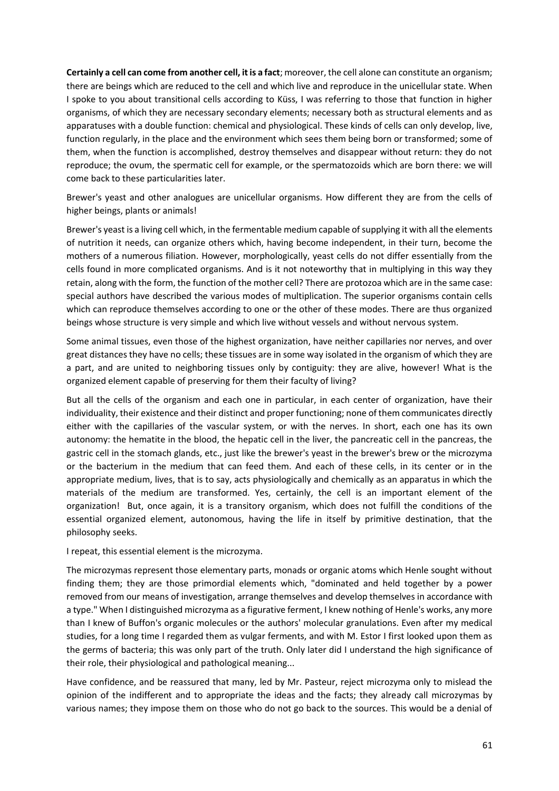**Certainly a cell can come from another cell, it is a fact**; moreover, the cell alone can constitute an organism; there are beings which are reduced to the cell and which live and reproduce in the unicellular state. When I spoke to you about transitional cells according to Küss, I was referring to those that function in higher organisms, of which they are necessary secondary elements; necessary both as structural elements and as apparatuses with a double function: chemical and physiological. These kinds of cells can only develop, live, function regularly, in the place and the environment which sees them being born or transformed; some of them, when the function is accomplished, destroy themselves and disappear without return: they do not reproduce; the ovum, the spermatic cell for example, or the spermatozoids which are born there: we will come back to these particularities later.

Brewer's yeast and other analogues are unicellular organisms. How different they are from the cells of higher beings, plants or animals!

Brewer's yeast is a living cell which, in the fermentable medium capable of supplying it with all the elements of nutrition it needs, can organize others which, having become independent, in their turn, become the mothers of a numerous filiation. However, morphologically, yeast cells do not differ essentially from the cells found in more complicated organisms. And is it not noteworthy that in multiplying in this way they retain, along with the form, the function of the mother cell? There are protozoa which are in the same case: special authors have described the various modes of multiplication. The superior organisms contain cells which can reproduce themselves according to one or the other of these modes. There are thus organized beings whose structure is very simple and which live without vessels and without nervous system.

Some animal tissues, even those of the highest organization, have neither capillaries nor nerves, and over great distances they have no cells; these tissues are in some way isolated in the organism of which they are a part, and are united to neighboring tissues only by contiguity: they are alive, however! What is the organized element capable of preserving for them their faculty of living?

But all the cells of the organism and each one in particular, in each center of organization, have their individuality, their existence and their distinct and proper functioning; none of them communicates directly either with the capillaries of the vascular system, or with the nerves. In short, each one has its own autonomy: the hematite in the blood, the hepatic cell in the liver, the pancreatic cell in the pancreas, the gastric cell in the stomach glands, etc., just like the brewer's yeast in the brewer's brew or the microzyma or the bacterium in the medium that can feed them. And each of these cells, in its center or in the appropriate medium, lives, that is to say, acts physiologically and chemically as an apparatus in which the materials of the medium are transformed. Yes, certainly, the cell is an important element of the organization! But, once again, it is a transitory organism, which does not fulfill the conditions of the essential organized element, autonomous, having the life in itself by primitive destination, that the philosophy seeks.

I repeat, this essential element is the microzyma.

The microzymas represent those elementary parts, monads or organic atoms which Henle sought without finding them; they are those primordial elements which, "dominated and held together by a power removed from our means of investigation, arrange themselves and develop themselves in accordance with a type." When I distinguished microzyma as a figurative ferment, I knew nothing of Henle's works, any more than I knew of Buffon's organic molecules or the authors' molecular granulations. Even after my medical studies, for a long time I regarded them as vulgar ferments, and with M. Estor I first looked upon them as the germs of bacteria; this was only part of the truth. Only later did I understand the high significance of their role, their physiological and pathological meaning...

Have confidence, and be reassured that many, led by Mr. Pasteur, reject microzyma only to mislead the opinion of the indifferent and to appropriate the ideas and the facts; they already call microzymas by various names; they impose them on those who do not go back to the sources. This would be a denial of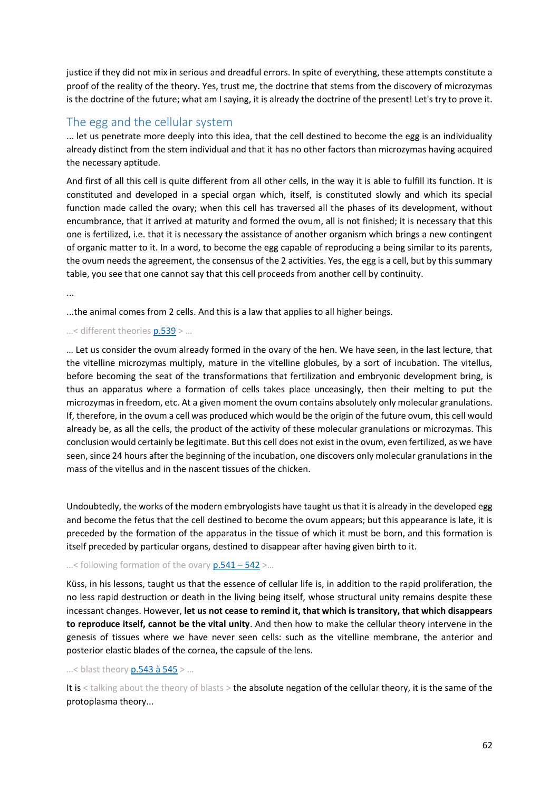justice if they did not mix in serious and dreadful errors. In spite of everything, these attempts constitute a proof of the reality of the theory. Yes, trust me, the doctrine that stems from the discovery of microzymas is the doctrine of the future; what am I saying, it is already the doctrine of the present! Let's try to prove it.

# The egg and the cellular system

... let us penetrate more deeply into this idea, that the cell destined to become the egg is an individuality already distinct from the stem individual and that it has no other factors than microzymas having acquired the necessary aptitude.

And first of all this cell is quite different from all other cells, in the way it is able to fulfill its function. It is constituted and developed in a special organ which, itself, is constituted slowly and which its special function made called the ovary; when this cell has traversed all the phases of its development, without encumbrance, that it arrived at maturity and formed the ovum, all is not finished; it is necessary that this one is fertilized, i.e. that it is necessary the assistance of another organism which brings a new contingent of organic matter to it. In a word, to become the egg capable of reproducing a being similar to its parents, the ovum needs the agreement, the consensus of the 2 activities. Yes, the egg is a cell, but by this summary table, you see that one cannot say that this cell proceeds from another cell by continuity.

...

...the animal comes from 2 cells. And this is a law that applies to all higher beings.

## …< different theories [p.539](https://gallica.bnf.fr/ark:/12148/bpt6k65140517/f587.image.r=.langFR) > …

… Let us consider the ovum already formed in the ovary of the hen. We have seen, in the last lecture, that the vitelline microzymas multiply, mature in the vitelline globules, by a sort of incubation. The vitellus, before becoming the seat of the transformations that fertilization and embryonic development bring, is thus an apparatus where a formation of cells takes place unceasingly, then their melting to put the microzymas in freedom, etc. At a given moment the ovum contains absolutely only molecular granulations. If, therefore, in the ovum a cell was produced which would be the origin of the future ovum, this cell would already be, as all the cells, the product of the activity of these molecular granulations or microzymas. This conclusion would certainly be legitimate. But this cell does not exist in the ovum, even fertilized, as we have seen, since 24 hours after the beginning of the incubation, one discovers only molecular granulations in the mass of the vitellus and in the nascent tissues of the chicken.

Undoubtedly, the works of the modern embryologists have taught us that it is already in the developed egg and become the fetus that the cell destined to become the ovum appears; but this appearance is late, it is preceded by the formation of the apparatus in the tissue of which it must be born, and this formation is itself preceded by particular organs, destined to disappear after having given birth to it.

#### ...< following formation of the ovary  $p.541 - 542$  >...

Küss, in his lessons, taught us that the essence of cellular life is, in addition to the rapid proliferation, the no less rapid destruction or death in the living being itself, whose structural unity remains despite these incessant changes. However, **let us not cease to remind it, that which is transitory, that which disappears to reproduce itself, cannot be the vital unity**. And then how to make the cellular theory intervene in the genesis of tissues where we have never seen cells: such as the vitelline membrane, the anterior and posterior elastic blades of the cornea, the capsule of the lens.

#### …< blast theory [p.543 à 545](https://gallica.bnf.fr/ark:/12148/bpt6k65140517/f591.image.r=.langFR) > …

It is < talking about the theory of blasts > the absolute negation of the cellular theory, it is the same of the protoplasma theory...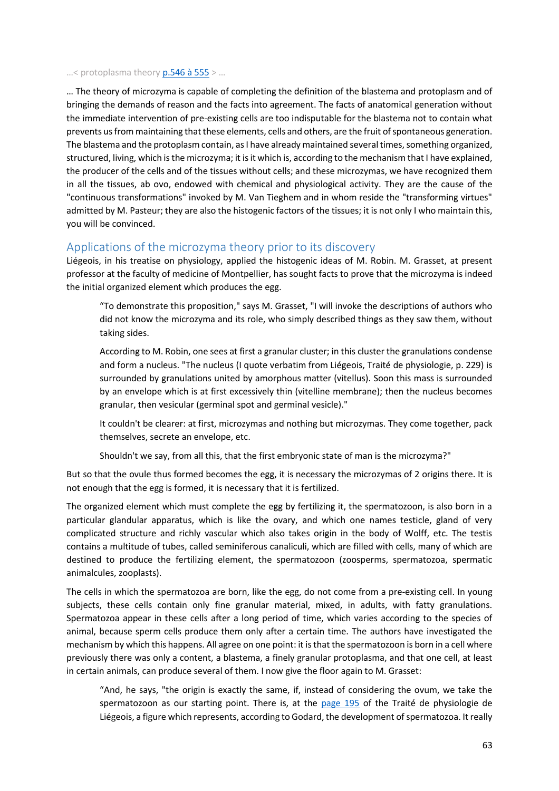#### …< protoplasma theory [p.546 à 555](https://gallica.bnf.fr/ark:/12148/bpt6k65140517/f594.image.r=.langFR) > …

… The theory of microzyma is capable of completing the definition of the blastema and protoplasm and of bringing the demands of reason and the facts into agreement. The facts of anatomical generation without the immediate intervention of pre-existing cells are too indisputable for the blastema not to contain what prevents us from maintaining that these elements, cells and others, are the fruit of spontaneous generation. The blastema and the protoplasm contain, as I have already maintained several times, something organized, structured, living, which is the microzyma; it is it which is, according to the mechanism that I have explained, the producer of the cells and of the tissues without cells; and these microzymas, we have recognized them in all the tissues, ab ovo, endowed with chemical and physiological activity. They are the cause of the "continuous transformations" invoked by M. Van Tieghem and in whom reside the "transforming virtues" admitted by M. Pasteur; they are also the histogenic factors of the tissues; it is not only I who maintain this, you will be convinced.

## Applications of the microzyma theory prior to its discovery

Liégeois, in his treatise on physiology, applied the histogenic ideas of M. Robin. M. Grasset, at present professor at the faculty of medicine of Montpellier, has sought facts to prove that the microzyma is indeed the initial organized element which produces the egg.

"To demonstrate this proposition," says M. Grasset, "I will invoke the descriptions of authors who did not know the microzyma and its role, who simply described things as they saw them, without taking sides.

According to M. Robin, one sees at first a granular cluster; in this cluster the granulations condense and form a nucleus. "The nucleus (I quote verbatim from Liégeois, Traité de physiologie, p. 229) is surrounded by granulations united by amorphous matter (vitellus). Soon this mass is surrounded by an envelope which is at first excessively thin (vitelline membrane); then the nucleus becomes granular, then vesicular (germinal spot and germinal vesicle)."

It couldn't be clearer: at first, microzymas and nothing but microzymas. They come together, pack themselves, secrete an envelope, etc.

Shouldn't we say, from all this, that the first embryonic state of man is the microzyma?"

But so that the ovule thus formed becomes the egg, it is necessary the microzymas of 2 origins there. It is not enough that the egg is formed, it is necessary that it is fertilized.

The organized element which must complete the egg by fertilizing it, the spermatozoon, is also born in a particular glandular apparatus, which is like the ovary, and which one names testicle, gland of very complicated structure and richly vascular which also takes origin in the body of Wolff, etc. The testis contains a multitude of tubes, called seminiferous canaliculi, which are filled with cells, many of which are destined to produce the fertilizing element, the spermatozoon (zoosperms, spermatozoa, spermatic animalcules, zooplasts).

The cells in which the spermatozoa are born, like the egg, do not come from a pre-existing cell. In young subjects, these cells contain only fine granular material, mixed, in adults, with fatty granulations. Spermatozoa appear in these cells after a long period of time, which varies according to the species of animal, because sperm cells produce them only after a certain time. The authors have investigated the mechanism by which this happens. All agree on one point: it is that the spermatozoon is born in a cell where previously there was only a content, a blastema, a finely granular protoplasma, and that one cell, at least in certain animals, can produce several of them. I now give the floor again to M. Grasset:

"And, he says, "the origin is exactly the same, if, instead of considering the ovum, we take the spermatozoon as our starting point. There is, at the [page 195](https://archive.org/details/traitdephysiolo01ligoog/page/n213) of the Traité de physiologie de Liégeois, a figure which represents, according to Godard, the development of spermatozoa. It really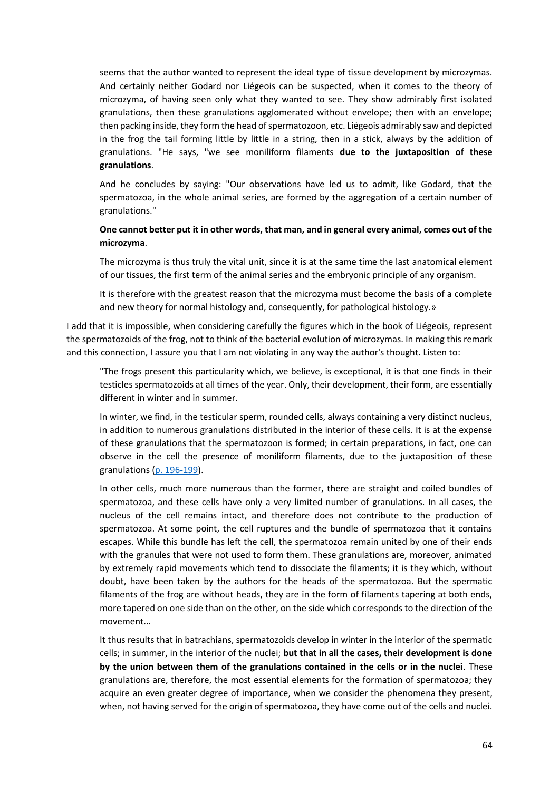seems that the author wanted to represent the ideal type of tissue development by microzymas. And certainly neither Godard nor Liégeois can be suspected, when it comes to the theory of microzyma, of having seen only what they wanted to see. They show admirably first isolated granulations, then these granulations agglomerated without envelope; then with an envelope; then packing inside, they form the head of spermatozoon, etc. Liégeois admirably saw and depicted in the frog the tail forming little by little in a string, then in a stick, always by the addition of granulations. "He says, "we see moniliform filaments **due to the juxtaposition of these granulations**.

And he concludes by saying: "Our observations have led us to admit, like Godard, that the spermatozoa, in the whole animal series, are formed by the aggregation of a certain number of granulations."

### **One cannot better put it in other words, that man, and in general every animal, comes out of the microzyma**.

The microzyma is thus truly the vital unit, since it is at the same time the last anatomical element of our tissues, the first term of the animal series and the embryonic principle of any organism.

It is therefore with the greatest reason that the microzyma must become the basis of a complete and new theory for normal histology and, consequently, for pathological histology.»

I add that it is impossible, when considering carefully the figures which in the book of Liégeois, represent the spermatozoids of the frog, not to think of the bacterial evolution of microzymas. In making this remark and this connection, I assure you that I am not violating in any way the author's thought. Listen to:

"The frogs present this particularity which, we believe, is exceptional, it is that one finds in their testicles spermatozoids at all times of the year. Only, their development, their form, are essentially different in winter and in summer.

In winter, we find, in the testicular sperm, rounded cells, always containing a very distinct nucleus, in addition to numerous granulations distributed in the interior of these cells. It is at the expense of these granulations that the spermatozoon is formed; in certain preparations, in fact, one can observe in the cell the presence of moniliform filaments, due to the juxtaposition of these granulations [\(p. 196-199\)](https://archive.org/details/traitdephysiolo01ligoog/page/n215).

In other cells, much more numerous than the former, there are straight and coiled bundles of spermatozoa, and these cells have only a very limited number of granulations. In all cases, the nucleus of the cell remains intact, and therefore does not contribute to the production of spermatozoa. At some point, the cell ruptures and the bundle of spermatozoa that it contains escapes. While this bundle has left the cell, the spermatozoa remain united by one of their ends with the granules that were not used to form them. These granulations are, moreover, animated by extremely rapid movements which tend to dissociate the filaments; it is they which, without doubt, have been taken by the authors for the heads of the spermatozoa. But the spermatic filaments of the frog are without heads, they are in the form of filaments tapering at both ends, more tapered on one side than on the other, on the side which corresponds to the direction of the movement...

It thus results that in batrachians, spermatozoids develop in winter in the interior of the spermatic cells; in summer, in the interior of the nuclei; **but that in all the cases, their development is done by the union between them of the granulations contained in the cells or in the nuclei**. These granulations are, therefore, the most essential elements for the formation of spermatozoa; they acquire an even greater degree of importance, when we consider the phenomena they present, when, not having served for the origin of spermatozoa, they have come out of the cells and nuclei.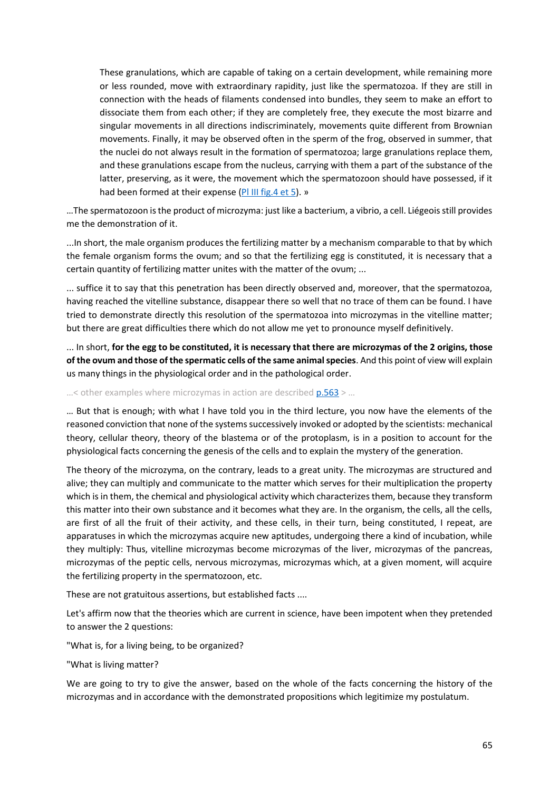These granulations, which are capable of taking on a certain development, while remaining more or less rounded, move with extraordinary rapidity, just like the spermatozoa. If they are still in connection with the heads of filaments condensed into bundles, they seem to make an effort to dissociate them from each other; if they are completely free, they execute the most bizarre and singular movements in all directions indiscriminately, movements quite different from Brownian movements. Finally, it may be observed often in the sperm of the frog, observed in summer, that the nuclei do not always result in the formation of spermatozoa; large granulations replace them, and these granulations escape from the nucleus, carrying with them a part of the substance of the latter, preserving, as it were, the movement which the spermatozoon should have possessed, if it had been formed at their expense (PI III fig. 4 et 5). »

…The spermatozoon is the product of microzyma: just like a bacterium, a vibrio, a cell. Liégeois still provides me the demonstration of it.

...In short, the male organism produces the fertilizing matter by a mechanism comparable to that by which the female organism forms the ovum; and so that the fertilizing egg is constituted, it is necessary that a certain quantity of fertilizing matter unites with the matter of the ovum; ...

... suffice it to say that this penetration has been directly observed and, moreover, that the spermatozoa, having reached the vitelline substance, disappear there so well that no trace of them can be found. I have tried to demonstrate directly this resolution of the spermatozoa into microzymas in the vitelline matter; but there are great difficulties there which do not allow me yet to pronounce myself definitively.

... In short, **for the egg to be constituted, it is necessary that there are microzymas of the 2 origins, those of the ovum and those of the spermatic cells of the same animal species**. And this point of view will explain us many things in the physiological order and in the pathological order.

...< other examples where microzymas in action are described  $p.563$  > ...

… But that is enough; with what I have told you in the third lecture, you now have the elements of the reasoned conviction that none of the systems successively invoked or adopted by the scientists: mechanical theory, cellular theory, theory of the blastema or of the protoplasm, is in a position to account for the physiological facts concerning the genesis of the cells and to explain the mystery of the generation.

The theory of the microzyma, on the contrary, leads to a great unity. The microzymas are structured and alive; they can multiply and communicate to the matter which serves for their multiplication the property which is in them, the chemical and physiological activity which characterizes them, because they transform this matter into their own substance and it becomes what they are. In the organism, the cells, all the cells, are first of all the fruit of their activity, and these cells, in their turn, being constituted, I repeat, are apparatuses in which the microzymas acquire new aptitudes, undergoing there a kind of incubation, while they multiply: Thus, vitelline microzymas become microzymas of the liver, microzymas of the pancreas, microzymas of the peptic cells, nervous microzymas, microzymas which, at a given moment, will acquire the fertilizing property in the spermatozoon, etc.

These are not gratuitous assertions, but established facts ....

Let's affirm now that the theories which are current in science, have been impotent when they pretended to answer the 2 questions:

"What is, for a living being, to be organized?

"What is living matter?

We are going to try to give the answer, based on the whole of the facts concerning the history of the microzymas and in accordance with the demonstrated propositions which legitimize my postulatum.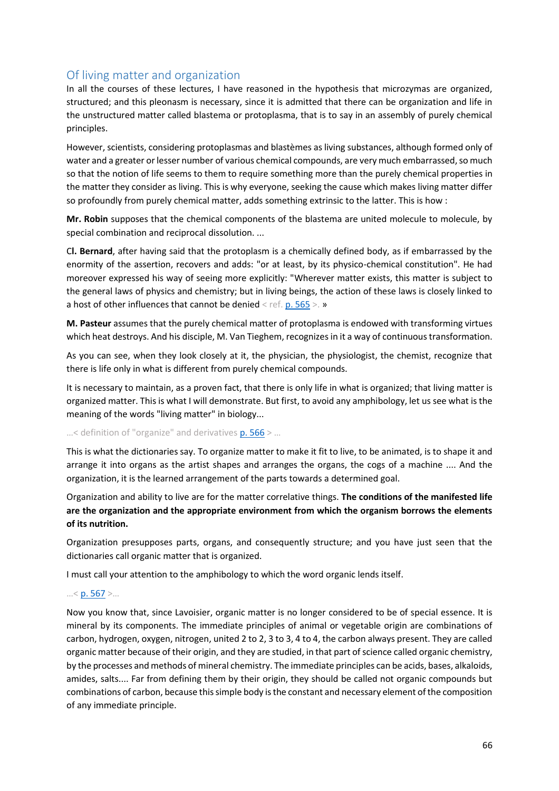# Of living matter and organization

In all the courses of these lectures, I have reasoned in the hypothesis that microzymas are organized, structured; and this pleonasm is necessary, since it is admitted that there can be organization and life in the unstructured matter called blastema or protoplasma, that is to say in an assembly of purely chemical principles.

However, scientists, considering protoplasmas and blastèmes as living substances, although formed only of water and a greater or lesser number of various chemical compounds, are very much embarrassed, so much so that the notion of life seems to them to require something more than the purely chemical properties in the matter they consider as living. This is why everyone, seeking the cause which makes living matter differ so profoundly from purely chemical matter, adds something extrinsic to the latter. This is how :

**Mr. Robin** supposes that the chemical components of the blastema are united molecule to molecule, by special combination and reciprocal dissolution. ...

C**l. Bernard**, after having said that the protoplasm is a chemically defined body, as if embarrassed by the enormity of the assertion, recovers and adds: "or at least, by its physico-chemical constitution". He had moreover expressed his way of seeing more explicitly: "Wherever matter exists, this matter is subject to the general laws of physics and chemistry; but in living beings, the action of these laws is closely linked to a host of other influences that cannot be denied < ref[. p. 565](https://gallica.bnf.fr/ark:/12148/bpt6k65140517/f613.image.r=.langFR) >. »

**M. Pasteur** assumes that the purely chemical matter of protoplasma is endowed with transforming virtues which heat destroys. And his disciple, M. Van Tieghem, recognizes in it a way of continuous transformation.

As you can see, when they look closely at it, the physician, the physiologist, the chemist, recognize that there is life only in what is different from purely chemical compounds.

It is necessary to maintain, as a proven fact, that there is only life in what is organized; that living matter is organized matter. This is what I will demonstrate. But first, to avoid any amphibology, let us see what is the meaning of the words "living matter" in biology...

#### ...< definition of "organize" and derivatives [p. 566](https://gallica.bnf.fr/ark:/12148/bpt6k65140517/f614.image.r=.langFR) > ...

This is what the dictionaries say. To organize matter to make it fit to live, to be animated, is to shape it and arrange it into organs as the artist shapes and arranges the organs, the cogs of a machine .... And the organization, it is the learned arrangement of the parts towards a determined goal.

Organization and ability to live are for the matter correlative things. **The conditions of the manifested life are the organization and the appropriate environment from which the organism borrows the elements of its nutrition.**

Organization presupposes parts, organs, and consequently structure; and you have just seen that the dictionaries call organic matter that is organized.

I must call your attention to the amphibology to which the word organic lends itself.

## …< [p. 567](https://gallica.bnf.fr/ark:/12148/bpt6k65140517/f615.image.r=.langFR) >…

Now you know that, since Lavoisier, organic matter is no longer considered to be of special essence. It is mineral by its components. The immediate principles of animal or vegetable origin are combinations of carbon, hydrogen, oxygen, nitrogen, united 2 to 2, 3 to 3, 4 to 4, the carbon always present. They are called organic matter because of their origin, and they are studied, in that part of science called organic chemistry, by the processes and methods of mineral chemistry. The immediate principles can be acids, bases, alkaloids, amides, salts.... Far from defining them by their origin, they should be called not organic compounds but combinations of carbon, because this simple body is the constant and necessary element of the composition of any immediate principle.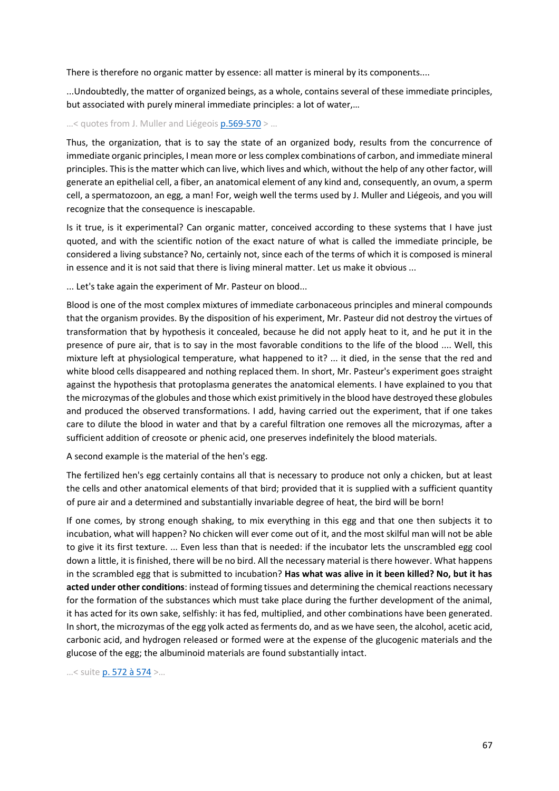There is therefore no organic matter by essence: all matter is mineral by its components....

...Undoubtedly, the matter of organized beings, as a whole, contains several of these immediate principles, but associated with purely mineral immediate principles: a lot of water,…

#### …< quotes from J. Muller and Liégeoi[s p.569-570](https://gallica.bnf.fr/ark:/12148/bpt6k65140517/f617.image.r=.langFR) > …

Thus, the organization, that is to say the state of an organized body, results from the concurrence of immediate organic principles, I mean more or less complex combinations of carbon, and immediate mineral principles. This is the matter which can live, which lives and which, without the help of any other factor, will generate an epithelial cell, a fiber, an anatomical element of any kind and, consequently, an ovum, a sperm cell, a spermatozoon, an egg, a man! For, weigh well the terms used by J. Muller and Liégeois, and you will recognize that the consequence is inescapable.

Is it true, is it experimental? Can organic matter, conceived according to these systems that I have just quoted, and with the scientific notion of the exact nature of what is called the immediate principle, be considered a living substance? No, certainly not, since each of the terms of which it is composed is mineral in essence and it is not said that there is living mineral matter. Let us make it obvious ...

... Let's take again the experiment of Mr. Pasteur on blood...

Blood is one of the most complex mixtures of immediate carbonaceous principles and mineral compounds that the organism provides. By the disposition of his experiment, Mr. Pasteur did not destroy the virtues of transformation that by hypothesis it concealed, because he did not apply heat to it, and he put it in the presence of pure air, that is to say in the most favorable conditions to the life of the blood .... Well, this mixture left at physiological temperature, what happened to it? ... it died, in the sense that the red and white blood cells disappeared and nothing replaced them. In short, Mr. Pasteur's experiment goes straight against the hypothesis that protoplasma generates the anatomical elements. I have explained to you that the microzymas of the globules and those which exist primitively in the blood have destroyed these globules and produced the observed transformations. I add, having carried out the experiment, that if one takes care to dilute the blood in water and that by a careful filtration one removes all the microzymas, after a sufficient addition of creosote or phenic acid, one preserves indefinitely the blood materials.

A second example is the material of the hen's egg.

The fertilized hen's egg certainly contains all that is necessary to produce not only a chicken, but at least the cells and other anatomical elements of that bird; provided that it is supplied with a sufficient quantity of pure air and a determined and substantially invariable degree of heat, the bird will be born!

If one comes, by strong enough shaking, to mix everything in this egg and that one then subjects it to incubation, what will happen? No chicken will ever come out of it, and the most skilful man will not be able to give it its first texture. ... Even less than that is needed: if the incubator lets the unscrambled egg cool down a little, it is finished, there will be no bird. All the necessary material is there however. What happens in the scrambled egg that is submitted to incubation? **Has what was alive in it been killed? No, but it has acted under other conditions**: instead of forming tissues and determining the chemical reactions necessary for the formation of the substances which must take place during the further development of the animal, it has acted for its own sake, selfishly: it has fed, multiplied, and other combinations have been generated. In short, the microzymas of the egg yolk acted as ferments do, and as we have seen, the alcohol, acetic acid, carbonic acid, and hydrogen released or formed were at the expense of the glucogenic materials and the glucose of the egg; the albuminoid materials are found substantially intact.

…< suite [p. 572 à 574](https://gallica.bnf.fr/ark:/12148/bpt6k65140517/f620.image.r=.langFR) >…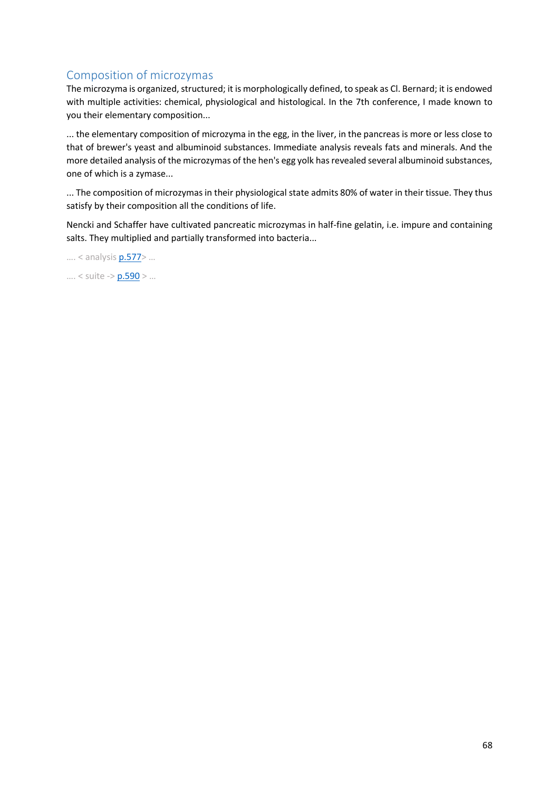# Composition of microzymas

The microzyma is organized, structured; it is morphologically defined, to speak as Cl. Bernard; it is endowed with multiple activities: chemical, physiological and histological. In the 7th conference, I made known to you their elementary composition...

... the elementary composition of microzyma in the egg, in the liver, in the pancreas is more or less close to that of brewer's yeast and albuminoid substances. Immediate analysis reveals fats and minerals. And the more detailed analysis of the microzymas of the hen's egg yolk has revealed several albuminoid substances, one of which is a zymase...

... The composition of microzymas in their physiological state admits 80% of water in their tissue. They thus satisfy by their composition all the conditions of life.

Nencki and Schaffer have cultivated pancreatic microzymas in half-fine gelatin, i.e. impure and containing salts. They multiplied and partially transformed into bacteria...

…. < analysi[s p.577](https://gallica.bnf.fr/ark:/12148/bpt6k65140517/f625.image.r=.langFR)> …

…. < suite -> [p.590](https://gallica.bnf.fr/ark:/12148/bpt6k65140517/f638.image.r=.langFR) > …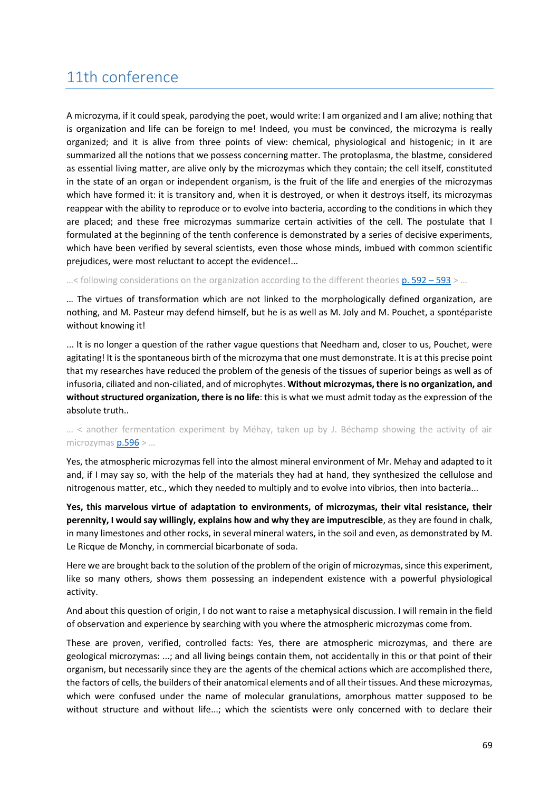# 11th conference

A microzyma, if it could speak, parodying the poet, would write: I am organized and I am alive; nothing that is organization and life can be foreign to me! Indeed, you must be convinced, the microzyma is really organized; and it is alive from three points of view: chemical, physiological and histogenic; in it are summarized all the notions that we possess concerning matter. The protoplasma, the blastme, considered as essential living matter, are alive only by the microzymas which they contain; the cell itself, constituted in the state of an organ or independent organism, is the fruit of the life and energies of the microzymas which have formed it: it is transitory and, when it is destroyed, or when it destroys itself, its microzymas reappear with the ability to reproduce or to evolve into bacteria, according to the conditions in which they are placed; and these free microzymas summarize certain activities of the cell. The postulate that I formulated at the beginning of the tenth conference is demonstrated by a series of decisive experiments, which have been verified by several scientists, even those whose minds, imbued with common scientific prejudices, were most reluctant to accept the evidence!...

 $\ldots$  < following considerations on the organization according to the different theorie[s p. 592](https://gallica.bnf.fr/ark:/12148/bpt6k65140517/f640.image.r=.langFR) – 593 >  $\ldots$ 

… The virtues of transformation which are not linked to the morphologically defined organization, are nothing, and M. Pasteur may defend himself, but he is as well as M. Joly and M. Pouchet, a spontépariste without knowing it!

... It is no longer a question of the rather vague questions that Needham and, closer to us, Pouchet, were agitating! It is the spontaneous birth of the microzyma that one must demonstrate. It is at this precise point that my researches have reduced the problem of the genesis of the tissues of superior beings as well as of infusoria, ciliated and non-ciliated, and of microphytes. **Without microzymas, there is no organization, and without structured organization, there is no life**: this is what we must admit today as the expression of the absolute truth..

### … < another fermentation experiment by Méhay, taken up by J. Béchamp showing the activity of air microzymas [p.596](https://gallica.bnf.fr/ark:/12148/bpt6k65140517/f644.image.r=.langFR) > …

Yes, the atmospheric microzymas fell into the almost mineral environment of Mr. Mehay and adapted to it and, if I may say so, with the help of the materials they had at hand, they synthesized the cellulose and nitrogenous matter, etc., which they needed to multiply and to evolve into vibrios, then into bacteria...

**Yes, this marvelous virtue of adaptation to environments, of microzymas, their vital resistance, their perennity, I would say willingly, explains how and why they are imputrescible**, as they are found in chalk, in many limestones and other rocks, in several mineral waters, in the soil and even, as demonstrated by M. Le Ricque de Monchy, in commercial bicarbonate of soda.

Here we are brought back to the solution of the problem of the origin of microzymas, since this experiment, like so many others, shows them possessing an independent existence with a powerful physiological activity.

And about this question of origin, I do not want to raise a metaphysical discussion. I will remain in the field of observation and experience by searching with you where the atmospheric microzymas come from.

These are proven, verified, controlled facts: Yes, there are atmospheric microzymas, and there are geological microzymas: ...; and all living beings contain them, not accidentally in this or that point of their organism, but necessarily since they are the agents of the chemical actions which are accomplished there, the factors of cells, the builders of their anatomical elements and of all their tissues. And these microzymas, which were confused under the name of molecular granulations, amorphous matter supposed to be without structure and without life...; which the scientists were only concerned with to declare their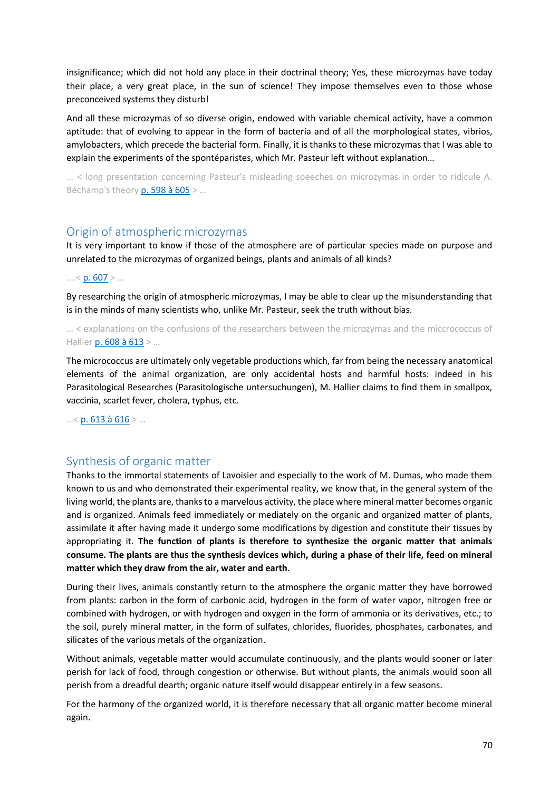insignificance; which did not hold any place in their doctrinal theory; Yes, these microzymas have today their place, a very great place, in the sun of science! They impose themselves even to those whose preconceived systems they disturb!

And all these microzymas of so diverse origin, endowed with variable chemical activity, have a common aptitude: that of evolving to appear in the form of bacteria and of all the morphological states, vibrios, amylobacters, which precede the bacterial form. Finally, it is thanks to these microzymas that I was able to explain the experiments of the spontéparistes, which Mr. Pasteur left without explanation…

… < long presentation concerning Pasteur's misleading speeches on microzymas in order to ridicule A. Béchamp's theory [p. 598 à 605](https://gallica.bnf.fr/ark:/12148/bpt6k65140517/f646.image.r=.langFR) > …

## Origin of atmospheric microzymas

It is very important to know if those of the atmosphere are of particular species made on purpose and unrelated to the microzymas of organized beings, plants and animals of all kinds?

 $.... < p. 607 > ...$  $.... < p. 607 > ...$  $.... < p. 607 > ...$ 

By researching the origin of atmospheric microzymas, I may be able to clear up the misunderstanding that is in the minds of many scientists who, unlike Mr. Pasteur, seek the truth without bias.

… < explanations on the confusions of the researchers between the microzymas and the miccrococcus of Hallier [p. 608 à 613](https://gallica.bnf.fr/ark:/12148/bpt6k65140517/f656.image.r=.langFR) > ...

The micrococcus are ultimately only vegetable productions which, far from being the necessary anatomical elements of the animal organization, are only accidental hosts and harmful hosts: indeed in his Parasitological Researches (Parasitologische untersuchungen), M. Hallier claims to find them in smallpox, vaccinia, scarlet fever, cholera, typhus, etc.

 $...$  < [p. 613 à 616](https://gallica.bnf.fr/ark:/12148/bpt6k65140517/f661.image.r=.langFR) > ...

## Synthesis of organic matter

Thanks to the immortal statements of Lavoisier and especially to the work of M. Dumas, who made them known to us and who demonstrated their experimental reality, we know that, in the general system of the living world, the plants are, thanks to a marvelous activity, the place where mineral matter becomes organic and is organized. Animals feed immediately or mediately on the organic and organized matter of plants, assimilate it after having made it undergo some modifications by digestion and constitute their tissues by appropriating it. **The function of plants is therefore to synthesize the organic matter that animals consume. The plants are thus the synthesis devices which, during a phase of their life, feed on mineral matter which they draw from the air, water and earth**.

During their lives, animals constantly return to the atmosphere the organic matter they have borrowed from plants: carbon in the form of carbonic acid, hydrogen in the form of water vapor, nitrogen free or combined with hydrogen, or with hydrogen and oxygen in the form of ammonia or its derivatives, etc.; to the soil, purely mineral matter, in the form of sulfates, chlorides, fluorides, phosphates, carbonates, and silicates of the various metals of the organization.

Without animals, vegetable matter would accumulate continuously, and the plants would sooner or later perish for lack of food, through congestion or otherwise. But without plants, the animals would soon all perish from a dreadful dearth; organic nature itself would disappear entirely in a few seasons.

For the harmony of the organized world, it is therefore necessary that all organic matter become mineral again.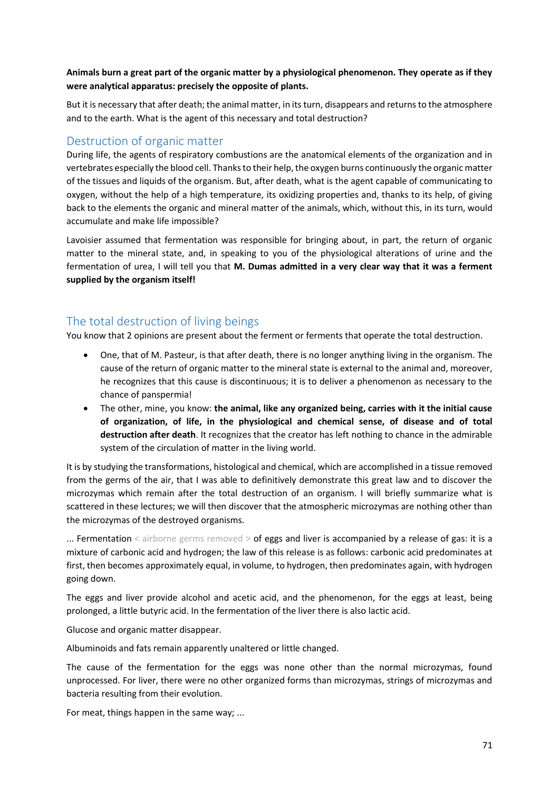## **Animals burn a great part of the organic matter by a physiological phenomenon. They operate as if they were analytical apparatus: precisely the opposite of plants.**

But it is necessary that after death; the animal matter, in its turn, disappears and returns to the atmosphere and to the earth. What is the agent of this necessary and total destruction?

## Destruction of organic matter

During life, the agents of respiratory combustions are the anatomical elements of the organization and in vertebrates especially the blood cell. Thanks to their help, the oxygen burns continuously the organic matter of the tissues and liquids of the organism. But, after death, what is the agent capable of communicating to oxygen, without the help of a high temperature, its oxidizing properties and, thanks to its help, of giving back to the elements the organic and mineral matter of the animals, which, without this, in its turn, would accumulate and make life impossible?

Lavoisier assumed that fermentation was responsible for bringing about, in part, the return of organic matter to the mineral state, and, in speaking to you of the physiological alterations of urine and the fermentation of urea, I will tell you that **M. Dumas admitted in a very clear way that it was a ferment supplied by the organism itself!**

# The total destruction of living beings

You know that 2 opinions are present about the ferment or ferments that operate the total destruction.

- One, that of M. Pasteur, is that after death, there is no longer anything living in the organism. The cause of the return of organic matter to the mineral state is external to the animal and, moreover, he recognizes that this cause is discontinuous; it is to deliver a phenomenon as necessary to the chance of panspermia!
- The other, mine, you know: **the animal, like any organized being, carries with it the initial cause of organization, of life, in the physiological and chemical sense, of disease and of total destruction after death**. It recognizes that the creator has left nothing to chance in the admirable system of the circulation of matter in the living world.

It is by studying the transformations, histological and chemical, which are accomplished in a tissue removed from the germs of the air, that I was able to definitively demonstrate this great law and to discover the microzymas which remain after the total destruction of an organism. I will briefly summarize what is scattered in these lectures; we will then discover that the atmospheric microzymas are nothing other than the microzymas of the destroyed organisms.

... Fermentation < airborne germs removed > of eggs and liver is accompanied by a release of gas: it is a mixture of carbonic acid and hydrogen; the law of this release is as follows: carbonic acid predominates at first, then becomes approximately equal, in volume, to hydrogen, then predominates again, with hydrogen going down.

The eggs and liver provide alcohol and acetic acid, and the phenomenon, for the eggs at least, being prolonged, a little butyric acid. In the fermentation of the liver there is also lactic acid.

Glucose and organic matter disappear.

Albuminoids and fats remain apparently unaltered or little changed.

The cause of the fermentation for the eggs was none other than the normal microzymas, found unprocessed. For liver, there were no other organized forms than microzymas, strings of microzymas and bacteria resulting from their evolution.

For meat, things happen in the same way; ...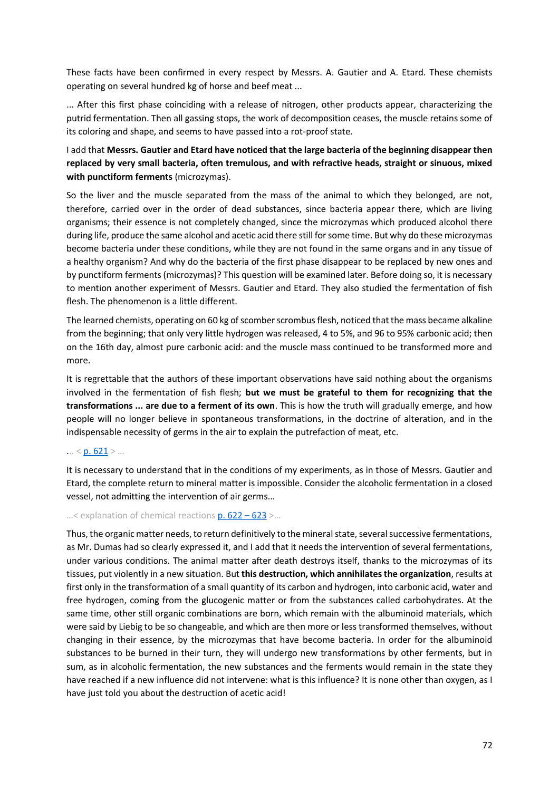These facts have been confirmed in every respect by Messrs. A. Gautier and A. Etard. These chemists operating on several hundred kg of horse and beef meat ...

... After this first phase coinciding with a release of nitrogen, other products appear, characterizing the putrid fermentation. Then all gassing stops, the work of decomposition ceases, the muscle retains some of its coloring and shape, and seems to have passed into a rot-proof state.

## I add that **Messrs. Gautier and Etard have noticed that the large bacteria of the beginning disappear then replaced by very small bacteria, often tremulous, and with refractive heads, straight or sinuous, mixed with punctiform ferments** (microzymas).

So the liver and the muscle separated from the mass of the animal to which they belonged, are not, therefore, carried over in the order of dead substances, since bacteria appear there, which are living organisms; their essence is not completely changed, since the microzymas which produced alcohol there during life, produce the same alcohol and acetic acid there still for some time. But why do these microzymas become bacteria under these conditions, while they are not found in the same organs and in any tissue of a healthy organism? And why do the bacteria of the first phase disappear to be replaced by new ones and by punctiform ferments (microzymas)? This question will be examined later. Before doing so, it is necessary to mention another experiment of Messrs. Gautier and Etard. They also studied the fermentation of fish flesh. The phenomenon is a little different.

The learned chemists, operating on 60 kg of scomber scrombus flesh, noticed that the mass became alkaline from the beginning; that only very little hydrogen was released, 4 to 5%, and 96 to 95% carbonic acid; then on the 16th day, almost pure carbonic acid: and the muscle mass continued to be transformed more and more.

It is regrettable that the authors of these important observations have said nothing about the organisms involved in the fermentation of fish flesh; **but we must be grateful to them for recognizing that the transformations ... are due to a ferment of its own**. This is how the truth will gradually emerge, and how people will no longer believe in spontaneous transformations, in the doctrine of alteration, and in the indispensable necessity of germs in the air to explain the putrefaction of meat, etc.

#### $... < p. 621$  $... < p. 621$  > ...

It is necessary to understand that in the conditions of my experiments, as in those of Messrs. Gautier and Etard, the complete return to mineral matter is impossible. Consider the alcoholic fermentation in a closed vessel, not admitting the intervention of air germs...

#### …< explanation of chemical reaction[s p. 622](https://gallica.bnf.fr/ark:/12148/bpt6k65140517/f670.image.r=.langFR) – 623 >…

Thus, the organic matter needs, to return definitively to the mineral state, several successive fermentations, as Mr. Dumas had so clearly expressed it, and I add that it needs the intervention of several fermentations, under various conditions. The animal matter after death destroys itself, thanks to the microzymas of its tissues, put violently in a new situation. But **this destruction, which annihilates the organization**, results at first only in the transformation of a small quantity of its carbon and hydrogen, into carbonic acid, water and free hydrogen, coming from the glucogenic matter or from the substances called carbohydrates. At the same time, other still organic combinations are born, which remain with the albuminoid materials, which were said by Liebig to be so changeable, and which are then more or less transformed themselves, without changing in their essence, by the microzymas that have become bacteria. In order for the albuminoid substances to be burned in their turn, they will undergo new transformations by other ferments, but in sum, as in alcoholic fermentation, the new substances and the ferments would remain in the state they have reached if a new influence did not intervene: what is this influence? It is none other than oxygen, as I have just told you about the destruction of acetic acid!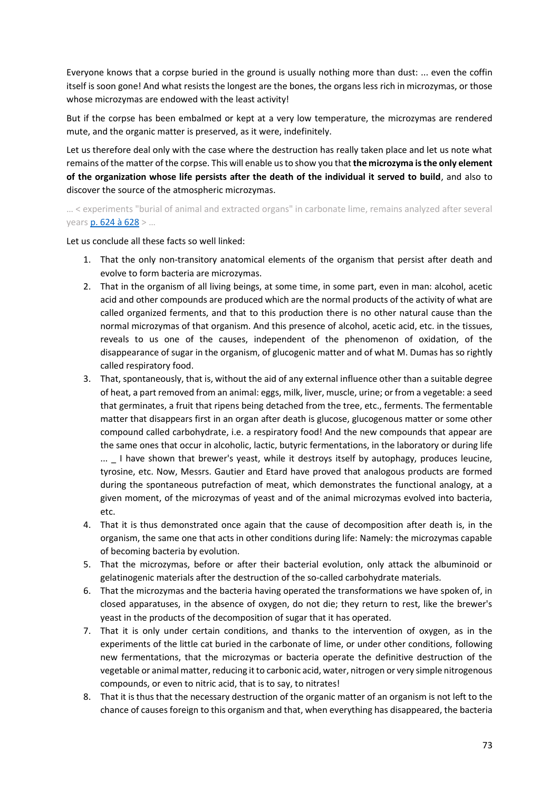Everyone knows that a corpse buried in the ground is usually nothing more than dust: ... even the coffin itself is soon gone! And what resists the longest are the bones, the organs less rich in microzymas, or those whose microzymas are endowed with the least activity!

But if the corpse has been embalmed or kept at a very low temperature, the microzymas are rendered mute, and the organic matter is preserved, as it were, indefinitely.

Let us therefore deal only with the case where the destruction has really taken place and let us note what remains of the matter of the corpse. This will enable us to show you that **the microzyma is the only element of the organization whose life persists after the death of the individual it served to build**, and also to discover the source of the atmospheric microzymas.

… < experiments "burial of animal and extracted organs" in carbonate lime, remains analyzed after several years [p. 624 à 628](https://gallica.bnf.fr/ark:/12148/bpt6k65140517/f672.image.r=.langFR) > …

Let us conclude all these facts so well linked:

- 1. That the only non-transitory anatomical elements of the organism that persist after death and evolve to form bacteria are microzymas.
- 2. That in the organism of all living beings, at some time, in some part, even in man: alcohol, acetic acid and other compounds are produced which are the normal products of the activity of what are called organized ferments, and that to this production there is no other natural cause than the normal microzymas of that organism. And this presence of alcohol, acetic acid, etc. in the tissues, reveals to us one of the causes, independent of the phenomenon of oxidation, of the disappearance of sugar in the organism, of glucogenic matter and of what M. Dumas has so rightly called respiratory food.
- 3. That, spontaneously, that is, without the aid of any external influence other than a suitable degree of heat, a part removed from an animal: eggs, milk, liver, muscle, urine; or from a vegetable: a seed that germinates, a fruit that ripens being detached from the tree, etc., ferments. The fermentable matter that disappears first in an organ after death is glucose, glucogenous matter or some other compound called carbohydrate, i.e. a respiratory food! And the new compounds that appear are the same ones that occur in alcoholic, lactic, butyric fermentations, in the laboratory or during life ... I have shown that brewer's yeast, while it destroys itself by autophagy, produces leucine, tyrosine, etc. Now, Messrs. Gautier and Etard have proved that analogous products are formed during the spontaneous putrefaction of meat, which demonstrates the functional analogy, at a given moment, of the microzymas of yeast and of the animal microzymas evolved into bacteria, etc.
- 4. That it is thus demonstrated once again that the cause of decomposition after death is, in the organism, the same one that acts in other conditions during life: Namely: the microzymas capable of becoming bacteria by evolution.
- 5. That the microzymas, before or after their bacterial evolution, only attack the albuminoid or gelatinogenic materials after the destruction of the so-called carbohydrate materials.
- 6. That the microzymas and the bacteria having operated the transformations we have spoken of, in closed apparatuses, in the absence of oxygen, do not die; they return to rest, like the brewer's yeast in the products of the decomposition of sugar that it has operated.
- 7. That it is only under certain conditions, and thanks to the intervention of oxygen, as in the experiments of the little cat buried in the carbonate of lime, or under other conditions, following new fermentations, that the microzymas or bacteria operate the definitive destruction of the vegetable or animal matter, reducing it to carbonic acid, water, nitrogen or very simple nitrogenous compounds, or even to nitric acid, that is to say, to nitrates!
- 8. That it is thus that the necessary destruction of the organic matter of an organism is not left to the chance of causes foreign to this organism and that, when everything has disappeared, the bacteria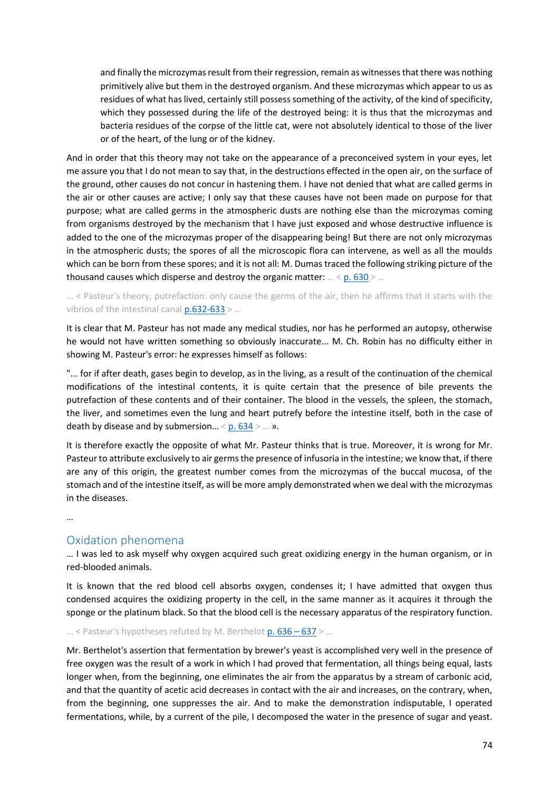and finally the microzymas result from their regression, remain as witnesses that there was nothing primitively alive but them in the destroyed organism. And these microzymas which appear to us as residues of what has lived, certainly still possess something of the activity, of the kind of specificity, which they possessed during the life of the destroyed being: it is thus that the microzymas and bacteria residues of the corpse of the little cat, were not absolutely identical to those of the liver or of the heart, of the lung or of the kidney.

And in order that this theory may not take on the appearance of a preconceived system in your eyes, let me assure you that I do not mean to say that, in the destructions effected in the open air, on the surface of the ground, other causes do not concur in hastening them. I have not denied that what are called germs in the air or other causes are active; I only say that these causes have not been made on purpose for that purpose; what are called germs in the atmospheric dusts are nothing else than the microzymas coming from organisms destroyed by the mechanism that I have just exposed and whose destructive influence is added to the one of the microzymas proper of the disappearing being! But there are not only microzymas in the atmospheric dusts; the spores of all the microscopic flora can intervene, as well as all the moulds which can be born from these spores; and it is not all: M. Dumas traced the following striking picture of the thousand causes which disperse and destroy the organic matter: … < [p. 630](https://gallica.bnf.fr/ark:/12148/bpt6k65140517/f678.image.r=.langFR) > …

… < Pasteur's theory, putrefaction: only cause the germs of the air, then he affirms that it starts with the vibrios of the intestinal canal  $p.632-633$  > ...

It is clear that M. Pasteur has not made any medical studies, nor has he performed an autopsy, otherwise he would not have written something so obviously inaccurate... M. Ch. Robin has no difficulty either in showing M. Pasteur's error: he expresses himself as follows:

"... for if after death, gases begin to develop, as in the living, as a result of the continuation of the chemical modifications of the intestinal contents, it is quite certain that the presence of bile prevents the putrefaction of these contents and of their container. The blood in the vessels, the spleen, the stomach, the liver, and sometimes even the lung and heart putrefy before the intestine itself, both in the case of death by disease and by submersion...  $\leq p.634 \geq ... \geq p$ .

It is therefore exactly the opposite of what Mr. Pasteur thinks that is true. Moreover, it is wrong for Mr. Pasteur to attribute exclusively to air germs the presence of infusoria in the intestine; we know that, if there are any of this origin, the greatest number comes from the microzymas of the buccal mucosa, of the stomach and of the intestine itself, as will be more amply demonstrated when we deal with the microzymas in the diseases.

…

## Oxidation phenomena

… I was led to ask myself why oxygen acquired such great oxidizing energy in the human organism, or in red-blooded animals.

It is known that the red blood cell absorbs oxygen, condenses it; I have admitted that oxygen thus condensed acquires the oxidizing property in the cell, in the same manner as it acquires it through the sponge or the platinum black. So that the blood cell is the necessary apparatus of the respiratory function.

... < Pasteur's hypotheses refuted by M. Berthelot [p. 636](https://gallica.bnf.fr/ark:/12148/bpt6k65140517/f684.image.r=.langFR) - 637 > ...

Mr. Berthelot's assertion that fermentation by brewer's yeast is accomplished very well in the presence of free oxygen was the result of a work in which I had proved that fermentation, all things being equal, lasts longer when, from the beginning, one eliminates the air from the apparatus by a stream of carbonic acid, and that the quantity of acetic acid decreases in contact with the air and increases, on the contrary, when, from the beginning, one suppresses the air. And to make the demonstration indisputable, I operated fermentations, while, by a current of the pile, I decomposed the water in the presence of sugar and yeast.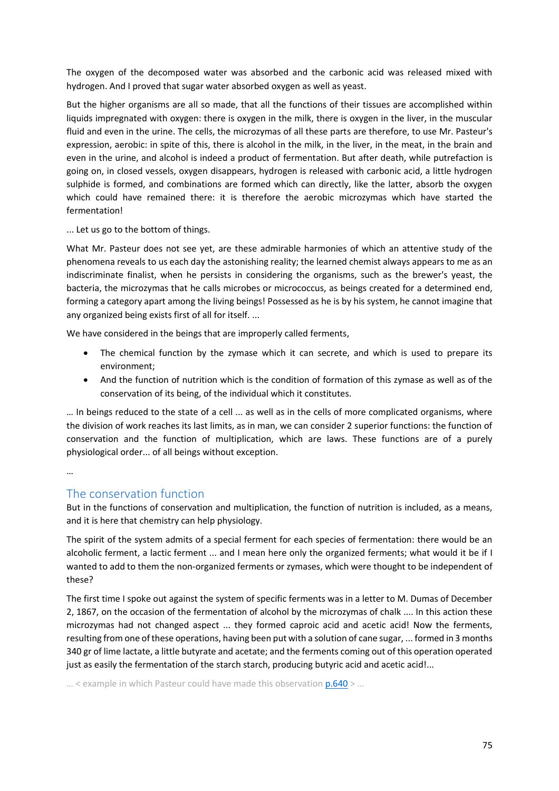The oxygen of the decomposed water was absorbed and the carbonic acid was released mixed with hydrogen. And I proved that sugar water absorbed oxygen as well as yeast.

But the higher organisms are all so made, that all the functions of their tissues are accomplished within liquids impregnated with oxygen: there is oxygen in the milk, there is oxygen in the liver, in the muscular fluid and even in the urine. The cells, the microzymas of all these parts are therefore, to use Mr. Pasteur's expression, aerobic: in spite of this, there is alcohol in the milk, in the liver, in the meat, in the brain and even in the urine, and alcohol is indeed a product of fermentation. But after death, while putrefaction is going on, in closed vessels, oxygen disappears, hydrogen is released with carbonic acid, a little hydrogen sulphide is formed, and combinations are formed which can directly, like the latter, absorb the oxygen which could have remained there: it is therefore the aerobic microzymas which have started the fermentation!

... Let us go to the bottom of things.

What Mr. Pasteur does not see yet, are these admirable harmonies of which an attentive study of the phenomena reveals to us each day the astonishing reality; the learned chemist always appears to me as an indiscriminate finalist, when he persists in considering the organisms, such as the brewer's yeast, the bacteria, the microzymas that he calls microbes or micrococcus, as beings created for a determined end, forming a category apart among the living beings! Possessed as he is by his system, he cannot imagine that any organized being exists first of all for itself. ...

We have considered in the beings that are improperly called ferments,

- The chemical function by the zymase which it can secrete, and which is used to prepare its environment;
- And the function of nutrition which is the condition of formation of this zymase as well as of the conservation of its being, of the individual which it constitutes.

… In beings reduced to the state of a cell ... as well as in the cells of more complicated organisms, where the division of work reaches its last limits, as in man, we can consider 2 superior functions: the function of conservation and the function of multiplication, which are laws. These functions are of a purely physiological order... of all beings without exception.

…

# The conservation function

But in the functions of conservation and multiplication, the function of nutrition is included, as a means, and it is here that chemistry can help physiology.

The spirit of the system admits of a special ferment for each species of fermentation: there would be an alcoholic ferment, a lactic ferment ... and I mean here only the organized ferments; what would it be if I wanted to add to them the non-organized ferments or zymases, which were thought to be independent of these?

The first time I spoke out against the system of specific ferments was in a letter to M. Dumas of December 2, 1867, on the occasion of the fermentation of alcohol by the microzymas of chalk .... In this action these microzymas had not changed aspect ... they formed caproic acid and acetic acid! Now the ferments, resulting from one of these operations, having been put with a solution of cane sugar, ... formed in 3 months 340 gr of lime lactate, a little butyrate and acetate; and the ferments coming out of this operation operated just as easily the fermentation of the starch starch, producing butyric acid and acetic acid!...

… < example in which Pasteur could have made this observation [p.640](https://gallica.bnf.fr/ark:/12148/bpt6k65140517/f688.image.r=.langFR) > …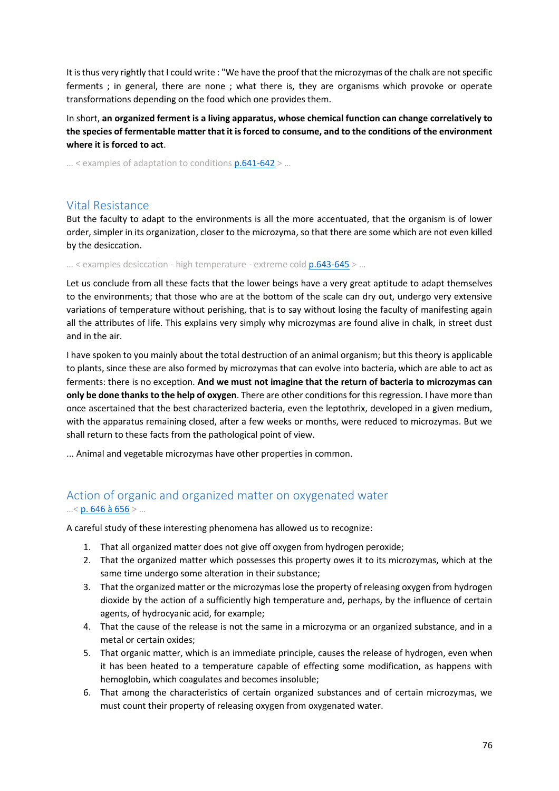It is thus very rightly that I could write : "We have the proof that the microzymas of the chalk are not specific ferments ; in general, there are none ; what there is, they are organisms which provoke or operate transformations depending on the food which one provides them.

In short, **an organized ferment is a living apparatus, whose chemical function can change correlatively to the species of fermentable matter that it is forced to consume, and to the conditions of the environment where it is forced to act**.

… < examples of adaptation to conditions [p.641-642](https://gallica.bnf.fr/ark:/12148/bpt6k65140517/f689.image.r=.langFR) > …

# Vital Resistance

But the faculty to adapt to the environments is all the more accentuated, that the organism is of lower order, simpler in its organization, closer to the microzyma, so that there are some which are not even killed by the desiccation.

 $...$  < examples desiccation - high temperature - extreme cold  $p.643-645$  > ...

Let us conclude from all these facts that the lower beings have a very great aptitude to adapt themselves to the environments; that those who are at the bottom of the scale can dry out, undergo very extensive variations of temperature without perishing, that is to say without losing the faculty of manifesting again all the attributes of life. This explains very simply why microzymas are found alive in chalk, in street dust and in the air.

I have spoken to you mainly about the total destruction of an animal organism; but this theory is applicable to plants, since these are also formed by microzymas that can evolve into bacteria, which are able to act as ferments: there is no exception. **And we must not imagine that the return of bacteria to microzymas can only be done thanks to the help of oxygen**. There are other conditions for this regression. I have more than once ascertained that the best characterized bacteria, even the leptothrix, developed in a given medium, with the apparatus remaining closed, after a few weeks or months, were reduced to microzymas. But we shall return to these facts from the pathological point of view.

... Animal and vegetable microzymas have other properties in common.

# Action of organic and organized matter on oxygenated water …< [p. 646 à 656](https://gallica.bnf.fr/ark:/12148/bpt6k65140517/f694.image.r=.langFR) > …

A careful study of these interesting phenomena has allowed us to recognize:

- 1. That all organized matter does not give off oxygen from hydrogen peroxide;
- 2. That the organized matter which possesses this property owes it to its microzymas, which at the same time undergo some alteration in their substance;
- 3. That the organized matter or the microzymas lose the property of releasing oxygen from hydrogen dioxide by the action of a sufficiently high temperature and, perhaps, by the influence of certain agents, of hydrocyanic acid, for example;
- 4. That the cause of the release is not the same in a microzyma or an organized substance, and in a metal or certain oxides;
- 5. That organic matter, which is an immediate principle, causes the release of hydrogen, even when it has been heated to a temperature capable of effecting some modification, as happens with hemoglobin, which coagulates and becomes insoluble;
- 6. That among the characteristics of certain organized substances and of certain microzymas, we must count their property of releasing oxygen from oxygenated water.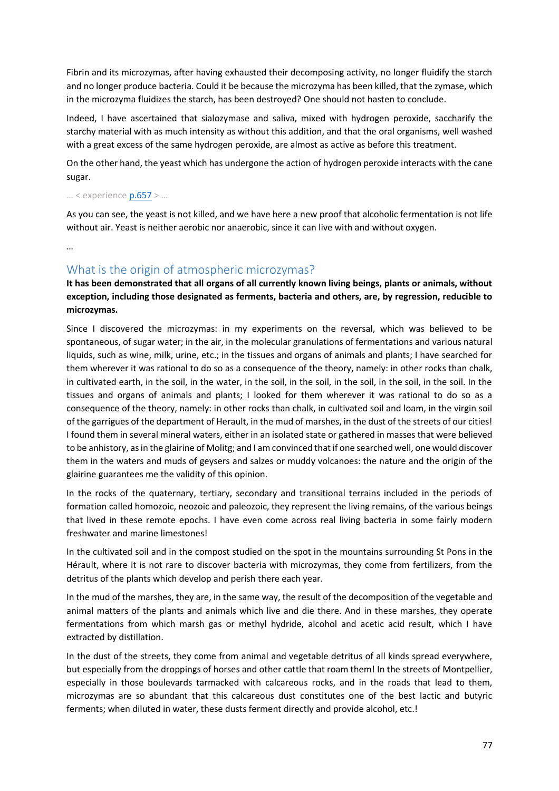Fibrin and its microzymas, after having exhausted their decomposing activity, no longer fluidify the starch and no longer produce bacteria. Could it be because the microzyma has been killed, that the zymase, which in the microzyma fluidizes the starch, has been destroyed? One should not hasten to conclude.

Indeed, I have ascertained that sialozymase and saliva, mixed with hydrogen peroxide, saccharify the starchy material with as much intensity as without this addition, and that the oral organisms, well washed with a great excess of the same hydrogen peroxide, are almost as active as before this treatment.

On the other hand, the yeast which has undergone the action of hydrogen peroxide interacts with the cane sugar.

… < experienc[e p.657](https://gallica.bnf.fr/ark:/12148/bpt6k65140517/f705.image.r=.langFR) > …

As you can see, the yeast is not killed, and we have here a new proof that alcoholic fermentation is not life without air. Yeast is neither aerobic nor anaerobic, since it can live with and without oxygen.

…

# What is the origin of atmospheric microzymas?

**It has been demonstrated that all organs of all currently known living beings, plants or animals, without exception, including those designated as ferments, bacteria and others, are, by regression, reducible to microzymas.**

Since I discovered the microzymas: in my experiments on the reversal, which was believed to be spontaneous, of sugar water; in the air, in the molecular granulations of fermentations and various natural liquids, such as wine, milk, urine, etc.; in the tissues and organs of animals and plants; I have searched for them wherever it was rational to do so as a consequence of the theory, namely: in other rocks than chalk, in cultivated earth, in the soil, in the water, in the soil, in the soil, in the soil, in the soil, in the soil. In the tissues and organs of animals and plants; I looked for them wherever it was rational to do so as a consequence of the theory, namely: in other rocks than chalk, in cultivated soil and loam, in the virgin soil of the garrigues of the department of Herault, in the mud of marshes, in the dust of the streets of our cities! I found them in several mineral waters, either in an isolated state or gathered in masses that were believed to be anhistory, as in the glairine of Molitg; and I am convinced that if one searched well, one would discover them in the waters and muds of geysers and salzes or muddy volcanoes: the nature and the origin of the glairine guarantees me the validity of this opinion.

In the rocks of the quaternary, tertiary, secondary and transitional terrains included in the periods of formation called homozoic, neozoic and paleozoic, they represent the living remains, of the various beings that lived in these remote epochs. I have even come across real living bacteria in some fairly modern freshwater and marine limestones!

In the cultivated soil and in the compost studied on the spot in the mountains surrounding St Pons in the Hérault, where it is not rare to discover bacteria with microzymas, they come from fertilizers, from the detritus of the plants which develop and perish there each year.

In the mud of the marshes, they are, in the same way, the result of the decomposition of the vegetable and animal matters of the plants and animals which live and die there. And in these marshes, they operate fermentations from which marsh gas or methyl hydride, alcohol and acetic acid result, which I have extracted by distillation.

In the dust of the streets, they come from animal and vegetable detritus of all kinds spread everywhere, but especially from the droppings of horses and other cattle that roam them! In the streets of Montpellier, especially in those boulevards tarmacked with calcareous rocks, and in the roads that lead to them, microzymas are so abundant that this calcareous dust constitutes one of the best lactic and butyric ferments; when diluted in water, these dusts ferment directly and provide alcohol, etc.!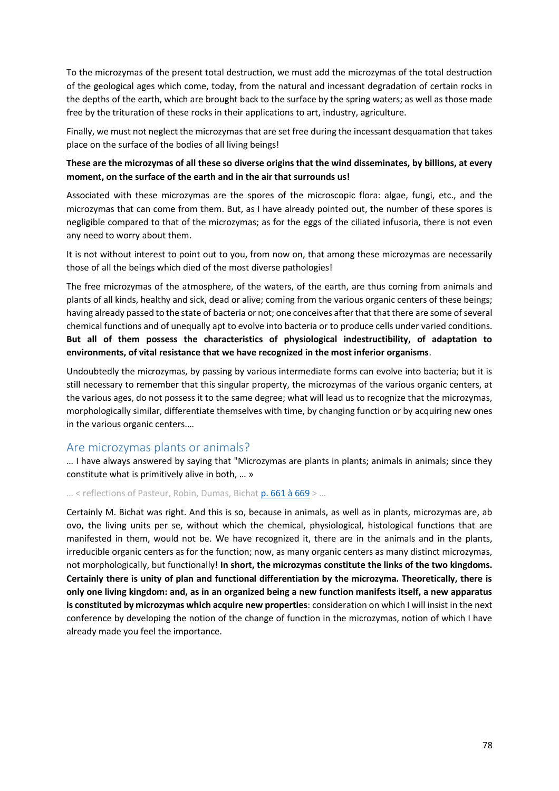To the microzymas of the present total destruction, we must add the microzymas of the total destruction of the geological ages which come, today, from the natural and incessant degradation of certain rocks in the depths of the earth, which are brought back to the surface by the spring waters; as well as those made free by the trituration of these rocks in their applications to art, industry, agriculture.

Finally, we must not neglect the microzymas that are set free during the incessant desquamation that takes place on the surface of the bodies of all living beings!

### **These are the microzymas of all these so diverse origins that the wind disseminates, by billions, at every moment, on the surface of the earth and in the air that surrounds us!**

Associated with these microzymas are the spores of the microscopic flora: algae, fungi, etc., and the microzymas that can come from them. But, as I have already pointed out, the number of these spores is negligible compared to that of the microzymas; as for the eggs of the ciliated infusoria, there is not even any need to worry about them.

It is not without interest to point out to you, from now on, that among these microzymas are necessarily those of all the beings which died of the most diverse pathologies!

The free microzymas of the atmosphere, of the waters, of the earth, are thus coming from animals and plants of all kinds, healthy and sick, dead or alive; coming from the various organic centers of these beings; having already passed to the state of bacteria or not; one conceives after that that there are some of several chemical functions and of unequally apt to evolve into bacteria or to produce cells under varied conditions. **But all of them possess the characteristics of physiological indestructibility, of adaptation to environments, of vital resistance that we have recognized in the most inferior organisms**.

Undoubtedly the microzymas, by passing by various intermediate forms can evolve into bacteria; but it is still necessary to remember that this singular property, the microzymas of the various organic centers, at the various ages, do not possess it to the same degree; what will lead us to recognize that the microzymas, morphologically similar, differentiate themselves with time, by changing function or by acquiring new ones in the various organic centers.…

## Are microzymas plants or animals?

… I have always answered by saying that "Microzymas are plants in plants; animals in animals; since they constitute what is primitively alive in both, … »

#### … < reflections of Pasteur, Robin, Dumas, Bicha[t p. 661 à 669](https://gallica.bnf.fr/ark:/12148/bpt6k65140517/f709.image.r=.langFR) > …

Certainly M. Bichat was right. And this is so, because in animals, as well as in plants, microzymas are, ab ovo, the living units per se, without which the chemical, physiological, histological functions that are manifested in them, would not be. We have recognized it, there are in the animals and in the plants, irreducible organic centers as for the function; now, as many organic centers as many distinct microzymas, not morphologically, but functionally! **In short, the microzymas constitute the links of the two kingdoms. Certainly there is unity of plan and functional differentiation by the microzyma. Theoretically, there is only one living kingdom: and, as in an organized being a new function manifests itself, a new apparatus is constituted by microzymas which acquire new properties**: consideration on which I will insist in the next conference by developing the notion of the change of function in the microzymas, notion of which I have already made you feel the importance.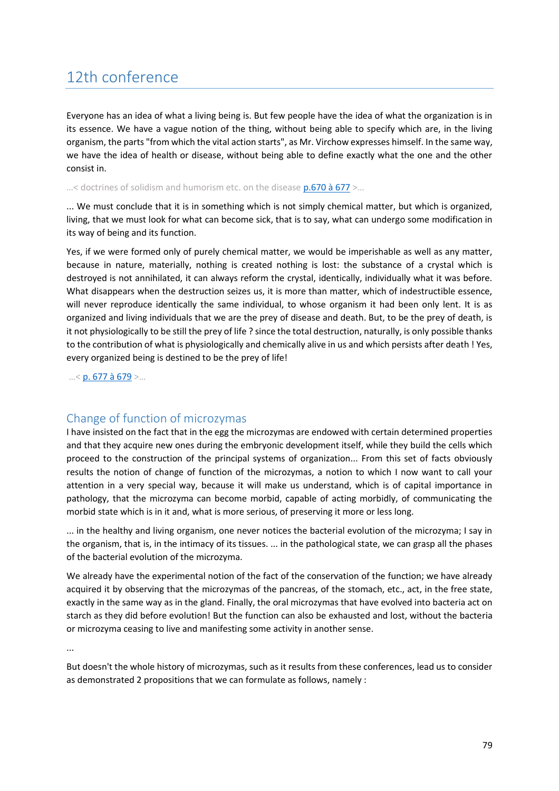# 12th conference

Everyone has an idea of what a living being is. But few people have the idea of what the organization is in its essence. We have a vague notion of the thing, without being able to specify which are, in the living organism, the parts "from which the vital action starts", as Mr. Virchow expresses himself. In the same way, we have the idea of health or disease, without being able to define exactly what the one and the other consist in.

...< doctrines of solidism and humorism etc. on the disease **p.670 à 677** >...

... We must conclude that it is in something which is not simply chemical matter, but which is organized, living, that we must look for what can become sick, that is to say, what can undergo some modification in its way of being and its function.

Yes, if we were formed only of purely chemical matter, we would be imperishable as well as any matter, because in nature, materially, nothing is created nothing is lost: the substance of a crystal which is destroyed is not annihilated, it can always reform the crystal, identically, individually what it was before. What disappears when the destruction seizes us, it is more than matter, which of indestructible essence, will never reproduce identically the same individual, to whose organism it had been only lent. It is as organized and living individuals that we are the prey of disease and death. But, to be the prey of death, is it not physiologically to be still the prey of life ? since the total destruction, naturally, is only possible thanks to the contribution of what is physiologically and chemically alive in us and which persists after death ! Yes, every organized being is destined to be the prey of life!

…< [p. 677 à 679](https://gallica.bnf.fr/ark:/12148/bpt6k65140517/f725.image.r=.langFR) >…

# Change of function of microzymas

I have insisted on the fact that in the egg the microzymas are endowed with certain determined properties and that they acquire new ones during the embryonic development itself, while they build the cells which proceed to the construction of the principal systems of organization... From this set of facts obviously results the notion of change of function of the microzymas, a notion to which I now want to call your attention in a very special way, because it will make us understand, which is of capital importance in pathology, that the microzyma can become morbid, capable of acting morbidly, of communicating the morbid state which is in it and, what is more serious, of preserving it more or less long.

... in the healthy and living organism, one never notices the bacterial evolution of the microzyma; I say in the organism, that is, in the intimacy of its tissues. ... in the pathological state, we can grasp all the phases of the bacterial evolution of the microzyma.

We already have the experimental notion of the fact of the conservation of the function; we have already acquired it by observing that the microzymas of the pancreas, of the stomach, etc., act, in the free state, exactly in the same way as in the gland. Finally, the oral microzymas that have evolved into bacteria act on starch as they did before evolution! But the function can also be exhausted and lost, without the bacteria or microzyma ceasing to live and manifesting some activity in another sense.

...

But doesn't the whole history of microzymas, such as it results from these conferences, lead us to consider as demonstrated 2 propositions that we can formulate as follows, namely :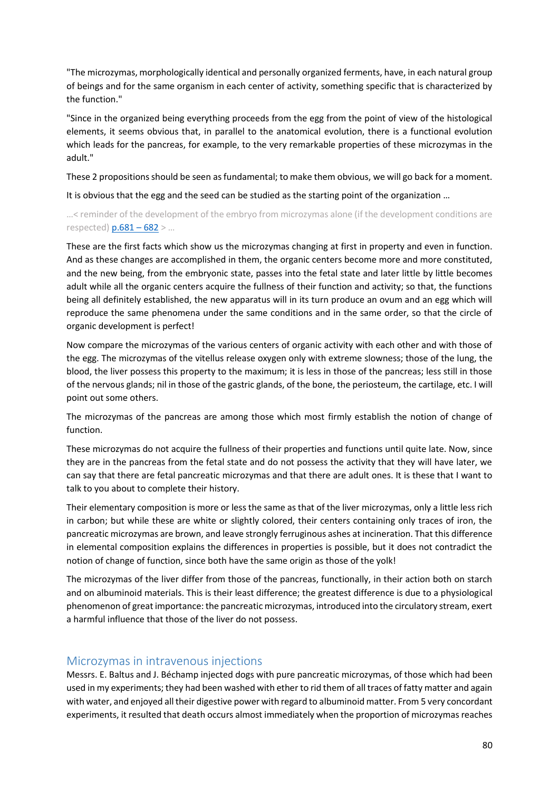"The microzymas, morphologically identical and personally organized ferments, have, in each natural group of beings and for the same organism in each center of activity, something specific that is characterized by the function."

"Since in the organized being everything proceeds from the egg from the point of view of the histological elements, it seems obvious that, in parallel to the anatomical evolution, there is a functional evolution which leads for the pancreas, for example, to the very remarkable properties of these microzymas in the adult."

These 2 propositions should be seen as fundamental; to make them obvious, we will go back for a moment.

It is obvious that the egg and the seed can be studied as the starting point of the organization …

…< reminder of the development of the embryo from microzymas alone (if the development conditions are respected)  $p.681 - 682$  > ...

These are the first facts which show us the microzymas changing at first in property and even in function. And as these changes are accomplished in them, the organic centers become more and more constituted, and the new being, from the embryonic state, passes into the fetal state and later little by little becomes adult while all the organic centers acquire the fullness of their function and activity; so that, the functions being all definitely established, the new apparatus will in its turn produce an ovum and an egg which will reproduce the same phenomena under the same conditions and in the same order, so that the circle of organic development is perfect!

Now compare the microzymas of the various centers of organic activity with each other and with those of the egg. The microzymas of the vitellus release oxygen only with extreme slowness; those of the lung, the blood, the liver possess this property to the maximum; it is less in those of the pancreas; less still in those of the nervous glands; nil in those of the gastric glands, of the bone, the periosteum, the cartilage, etc. I will point out some others.

The microzymas of the pancreas are among those which most firmly establish the notion of change of function.

These microzymas do not acquire the fullness of their properties and functions until quite late. Now, since they are in the pancreas from the fetal state and do not possess the activity that they will have later, we can say that there are fetal pancreatic microzymas and that there are adult ones. It is these that I want to talk to you about to complete their history.

Their elementary composition is more or less the same as that of the liver microzymas, only a little less rich in carbon; but while these are white or slightly colored, their centers containing only traces of iron, the pancreatic microzymas are brown, and leave strongly ferruginous ashes at incineration. That this difference in elemental composition explains the differences in properties is possible, but it does not contradict the notion of change of function, since both have the same origin as those of the yolk!

The microzymas of the liver differ from those of the pancreas, functionally, in their action both on starch and on albuminoid materials. This is their least difference; the greatest difference is due to a physiological phenomenon of great importance: the pancreatic microzymas, introduced into the circulatory stream, exert a harmful influence that those of the liver do not possess.

# Microzymas in intravenous injections

Messrs. E. Baltus and J. Béchamp injected dogs with pure pancreatic microzymas, of those which had been used in my experiments; they had been washed with ether to rid them of all traces of fatty matter and again with water, and enjoyed all their digestive power with regard to albuminoid matter. From 5 very concordant experiments, it resulted that death occurs almost immediately when the proportion of microzymas reaches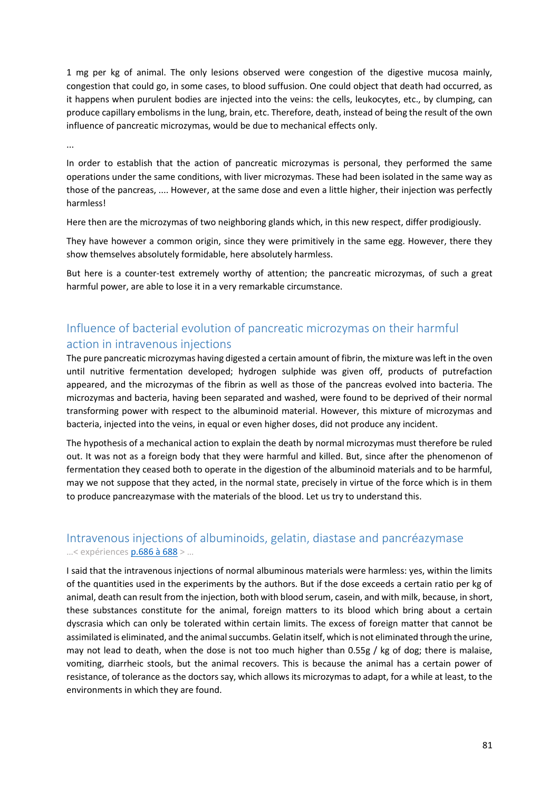1 mg per kg of animal. The only lesions observed were congestion of the digestive mucosa mainly, congestion that could go, in some cases, to blood suffusion. One could object that death had occurred, as it happens when purulent bodies are injected into the veins: the cells, leukocytes, etc., by clumping, can produce capillary embolisms in the lung, brain, etc. Therefore, death, instead of being the result of the own influence of pancreatic microzymas, would be due to mechanical effects only.

...

In order to establish that the action of pancreatic microzymas is personal, they performed the same operations under the same conditions, with liver microzymas. These had been isolated in the same way as those of the pancreas, .... However, at the same dose and even a little higher, their injection was perfectly harmless!

Here then are the microzymas of two neighboring glands which, in this new respect, differ prodigiously.

They have however a common origin, since they were primitively in the same egg. However, there they show themselves absolutely formidable, here absolutely harmless.

But here is a counter-test extremely worthy of attention; the pancreatic microzymas, of such a great harmful power, are able to lose it in a very remarkable circumstance.

# Influence of bacterial evolution of pancreatic microzymas on their harmful action in intravenous injections

The pure pancreatic microzymas having digested a certain amount of fibrin, the mixture was left in the oven until nutritive fermentation developed; hydrogen sulphide was given off, products of putrefaction appeared, and the microzymas of the fibrin as well as those of the pancreas evolved into bacteria. The microzymas and bacteria, having been separated and washed, were found to be deprived of their normal transforming power with respect to the albuminoid material. However, this mixture of microzymas and bacteria, injected into the veins, in equal or even higher doses, did not produce any incident.

The hypothesis of a mechanical action to explain the death by normal microzymas must therefore be ruled out. It was not as a foreign body that they were harmful and killed. But, since after the phenomenon of fermentation they ceased both to operate in the digestion of the albuminoid materials and to be harmful, may we not suppose that they acted, in the normal state, precisely in virtue of the force which is in them to produce pancreazymase with the materials of the blood. Let us try to understand this.

# Intravenous injections of albuminoids, gelatin, diastase and pancréazymase …< expériences [p.686 à 688](https://gallica.bnf.fr/ark:/12148/bpt6k65140517/f734.image.r=.langFR) > …

I said that the intravenous injections of normal albuminous materials were harmless: yes, within the limits of the quantities used in the experiments by the authors. But if the dose exceeds a certain ratio per kg of animal, death can result from the injection, both with blood serum, casein, and with milk, because, in short, these substances constitute for the animal, foreign matters to its blood which bring about a certain dyscrasia which can only be tolerated within certain limits. The excess of foreign matter that cannot be assimilated is eliminated, and the animal succumbs. Gelatin itself, which is not eliminated through the urine, may not lead to death, when the dose is not too much higher than 0.55g / kg of dog; there is malaise, vomiting, diarrheic stools, but the animal recovers. This is because the animal has a certain power of resistance, of tolerance as the doctors say, which allows its microzymas to adapt, for a while at least, to the environments in which they are found.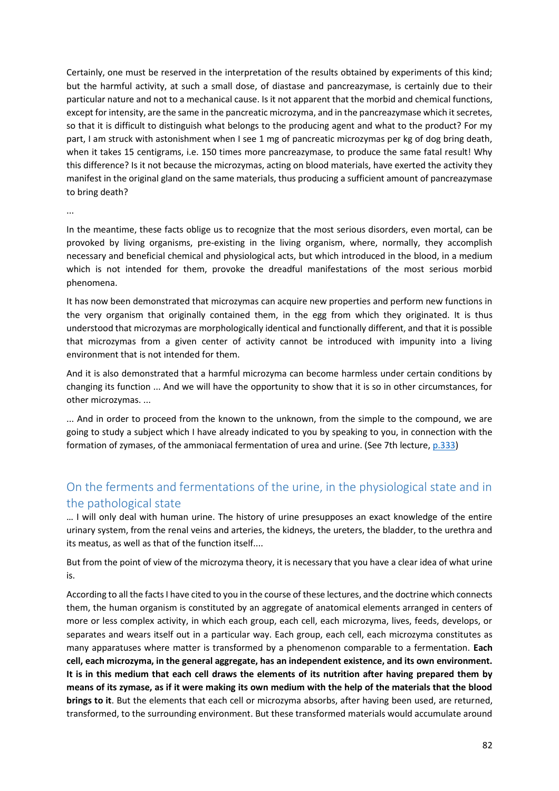Certainly, one must be reserved in the interpretation of the results obtained by experiments of this kind; but the harmful activity, at such a small dose, of diastase and pancreazymase, is certainly due to their particular nature and not to a mechanical cause. Is it not apparent that the morbid and chemical functions, except for intensity, are the same in the pancreatic microzyma, and in the pancreazymase which it secretes, so that it is difficult to distinguish what belongs to the producing agent and what to the product? For my part, I am struck with astonishment when I see 1 mg of pancreatic microzymas per kg of dog bring death, when it takes 15 centigrams, i.e. 150 times more pancreazymase, to produce the same fatal result! Why this difference? Is it not because the microzymas, acting on blood materials, have exerted the activity they manifest in the original gland on the same materials, thus producing a sufficient amount of pancreazymase to bring death?

...

In the meantime, these facts oblige us to recognize that the most serious disorders, even mortal, can be provoked by living organisms, pre-existing in the living organism, where, normally, they accomplish necessary and beneficial chemical and physiological acts, but which introduced in the blood, in a medium which is not intended for them, provoke the dreadful manifestations of the most serious morbid phenomena.

It has now been demonstrated that microzymas can acquire new properties and perform new functions in the very organism that originally contained them, in the egg from which they originated. It is thus understood that microzymas are morphologically identical and functionally different, and that it is possible that microzymas from a given center of activity cannot be introduced with impunity into a living environment that is not intended for them.

And it is also demonstrated that a harmful microzyma can become harmless under certain conditions by changing its function ... And we will have the opportunity to show that it is so in other circumstances, for other microzymas. ...

... And in order to proceed from the known to the unknown, from the simple to the compound, we are going to study a subject which I have already indicated to you by speaking to you, in connection with the formation of zymases, of the ammoniacal fermentation of urea and urine. (See 7th lecture[, p.333\)](https://gallica.bnf.fr/ark:/12148/bpt6k65140517/f381.image.r=.langFR)

# On the ferments and fermentations of the urine, in the physiological state and in the pathological state

… I will only deal with human urine. The history of urine presupposes an exact knowledge of the entire urinary system, from the renal veins and arteries, the kidneys, the ureters, the bladder, to the urethra and its meatus, as well as that of the function itself....

But from the point of view of the microzyma theory, it is necessary that you have a clear idea of what urine is.

According to all the facts I have cited to you in the course of these lectures, and the doctrine which connects them, the human organism is constituted by an aggregate of anatomical elements arranged in centers of more or less complex activity, in which each group, each cell, each microzyma, lives, feeds, develops, or separates and wears itself out in a particular way. Each group, each cell, each microzyma constitutes as many apparatuses where matter is transformed by a phenomenon comparable to a fermentation. **Each cell, each microzyma, in the general aggregate, has an independent existence, and its own environment. It is in this medium that each cell draws the elements of its nutrition after having prepared them by means of its zymase, as if it were making its own medium with the help of the materials that the blood brings to it**. But the elements that each cell or microzyma absorbs, after having been used, are returned, transformed, to the surrounding environment. But these transformed materials would accumulate around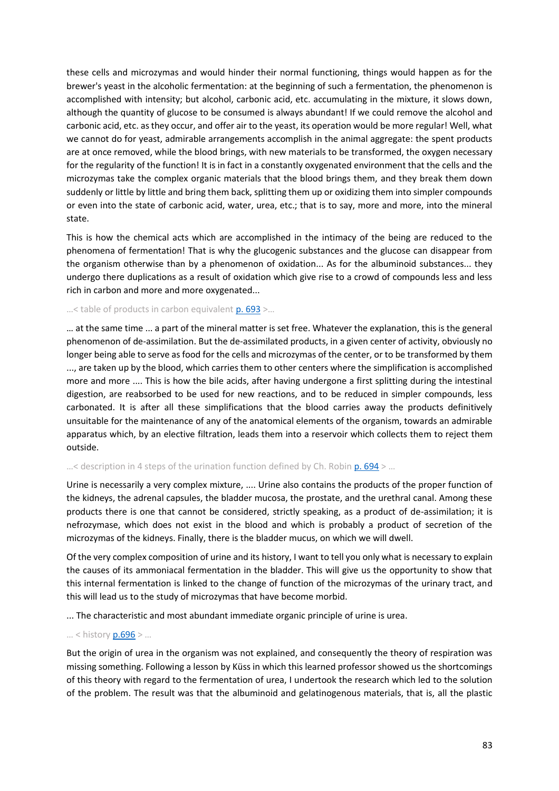these cells and microzymas and would hinder their normal functioning, things would happen as for the brewer's yeast in the alcoholic fermentation: at the beginning of such a fermentation, the phenomenon is accomplished with intensity; but alcohol, carbonic acid, etc. accumulating in the mixture, it slows down, although the quantity of glucose to be consumed is always abundant! If we could remove the alcohol and carbonic acid, etc. as they occur, and offer air to the yeast, its operation would be more regular! Well, what we cannot do for yeast, admirable arrangements accomplish in the animal aggregate: the spent products are at once removed, while the blood brings, with new materials to be transformed, the oxygen necessary for the regularity of the function! It is in fact in a constantly oxygenated environment that the cells and the microzymas take the complex organic materials that the blood brings them, and they break them down suddenly or little by little and bring them back, splitting them up or oxidizing them into simpler compounds or even into the state of carbonic acid, water, urea, etc.; that is to say, more and more, into the mineral state.

This is how the chemical acts which are accomplished in the intimacy of the being are reduced to the phenomena of fermentation! That is why the glucogenic substances and the glucose can disappear from the organism otherwise than by a phenomenon of oxidation... As for the albuminoid substances... they undergo there duplications as a result of oxidation which give rise to a crowd of compounds less and less rich in carbon and more and more oxygenated...

#### ...< table of products in carbon equivalent [p. 693](https://gallica.bnf.fr/ark:/12148/bpt6k65140517/f741.image.r=.langFR) >...

… at the same time ... a part of the mineral matter is set free. Whatever the explanation, this is the general phenomenon of de-assimilation. But the de-assimilated products, in a given center of activity, obviously no longer being able to serve as food for the cells and microzymas of the center, or to be transformed by them ..., are taken up by the blood, which carries them to other centers where the simplification is accomplished more and more .... This is how the bile acids, after having undergone a first splitting during the intestinal digestion, are reabsorbed to be used for new reactions, and to be reduced in simpler compounds, less carbonated. It is after all these simplifications that the blood carries away the products definitively unsuitable for the maintenance of any of the anatomical elements of the organism, towards an admirable apparatus which, by an elective filtration, leads them into a reservoir which collects them to reject them outside.

#### $\ldots$  < description in 4 steps of the urination function defined by Ch. Robin [p. 694](https://gallica.bnf.fr/ark:/12148/bpt6k65140517/f742.image.r=.langFR) >  $\ldots$

Urine is necessarily a very complex mixture, .... Urine also contains the products of the proper function of the kidneys, the adrenal capsules, the bladder mucosa, the prostate, and the urethral canal. Among these products there is one that cannot be considered, strictly speaking, as a product of de-assimilation; it is nefrozymase, which does not exist in the blood and which is probably a product of secretion of the microzymas of the kidneys. Finally, there is the bladder mucus, on which we will dwell.

Of the very complex composition of urine and its history, I want to tell you only what is necessary to explain the causes of its ammoniacal fermentation in the bladder. This will give us the opportunity to show that this internal fermentation is linked to the change of function of the microzymas of the urinary tract, and this will lead us to the study of microzymas that have become morbid.

... The characteristic and most abundant immediate organic principle of urine is urea.

#### … < history [p.696](https://gallica.bnf.fr/ark:/12148/bpt6k65140517/f744.image.r=.langFR) > …

But the origin of urea in the organism was not explained, and consequently the theory of respiration was missing something. Following a lesson by Küss in which this learned professor showed us the shortcomings of this theory with regard to the fermentation of urea, I undertook the research which led to the solution of the problem. The result was that the albuminoid and gelatinogenous materials, that is, all the plastic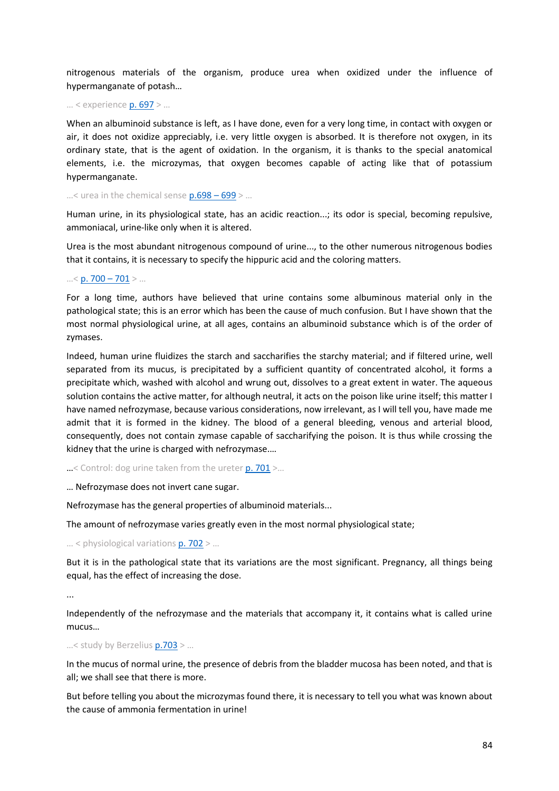nitrogenous materials of the organism, produce urea when oxidized under the influence of hypermanganate of potash…

… < experience [p. 697](https://gallica.bnf.fr/ark:/12148/bpt6k65140517/f745.image.r=.langFR) > …

When an albuminoid substance is left, as I have done, even for a very long time, in contact with oxygen or air, it does not oxidize appreciably, i.e. very little oxygen is absorbed. It is therefore not oxygen, in its ordinary state, that is the agent of oxidation. In the organism, it is thanks to the special anatomical elements, i.e. the microzymas, that oxygen becomes capable of acting like that of potassium hypermanganate.

...< urea in the chemical sense  $p.698 - 699$  > ...

Human urine, in its physiological state, has an acidic reaction...; its odor is special, becoming repulsive, ammoniacal, urine-like only when it is altered.

Urea is the most abundant nitrogenous compound of urine..., to the other numerous nitrogenous bodies that it contains, it is necessary to specify the hippuric acid and the coloring matters.

#### $...$  < [p. 700](https://gallica.bnf.fr/ark:/12148/bpt6k65140517/f748.image.r=.langFR) – 701 > ...

For a long time, authors have believed that urine contains some albuminous material only in the pathological state; this is an error which has been the cause of much confusion. But I have shown that the most normal physiological urine, at all ages, contains an albuminoid substance which is of the order of zymases.

Indeed, human urine fluidizes the starch and saccharifies the starchy material; and if filtered urine, well separated from its mucus, is precipitated by a sufficient quantity of concentrated alcohol, it forms a precipitate which, washed with alcohol and wrung out, dissolves to a great extent in water. The aqueous solution contains the active matter, for although neutral, it acts on the poison like urine itself; this matter I have named nefrozymase, because various considerations, now irrelevant, as I will tell you, have made me admit that it is formed in the kidney. The blood of a general bleeding, venous and arterial blood, consequently, does not contain zymase capable of saccharifying the poison. It is thus while crossing the kidney that the urine is charged with nefrozymase.…

 $\ldots$ < Control: dog urine taken from the ureter [p. 701](https://gallica.bnf.fr/ark:/12148/bpt6k65140517/f749.image.r=.langFR) >...

… Nefrozymase does not invert cane sugar.

Nefrozymase has the general properties of albuminoid materials...

The amount of nefrozymase varies greatly even in the most normal physiological state;

#### $...$  < physiological variations  $p. 702$  > ...

But it is in the pathological state that its variations are the most significant. Pregnancy, all things being equal, has the effect of increasing the dose.

...

Independently of the nefrozymase and the materials that accompany it, it contains what is called urine mucus…

#### …< study by Berzelius [p.703](https://gallica.bnf.fr/ark:/12148/bpt6k65140517/f751.image.r=.langFR) > …

In the mucus of normal urine, the presence of debris from the bladder mucosa has been noted, and that is all; we shall see that there is more.

But before telling you about the microzymas found there, it is necessary to tell you what was known about the cause of ammonia fermentation in urine!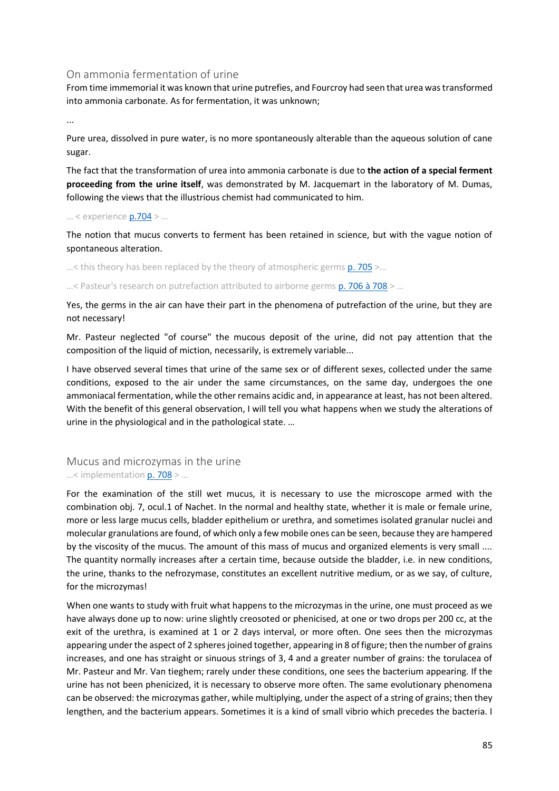### On ammonia fermentation of urine

From time immemorial it was known that urine putrefies, and Fourcroy had seen that urea was transformed into ammonia carbonate. As for fermentation, it was unknown;

...

Pure urea, dissolved in pure water, is no more spontaneously alterable than the aqueous solution of cane sugar.

The fact that the transformation of urea into ammonia carbonate is due to **the action of a special ferment proceeding from the urine itself**, was demonstrated by M. Jacquemart in the laboratory of M. Dumas, following the views that the illustrious chemist had communicated to him.

#### … < experienc[e p.704](https://gallica.bnf.fr/ark:/12148/bpt6k65140517/f752.image.r=.langFR) > …

The notion that mucus converts to ferment has been retained in science, but with the vague notion of spontaneous alteration.

 $...$ < this theory has been replaced by the theory of atmospheric germs  $p. 705$  >...

...< Pasteur's research on putrefaction attributed to airborne germs  $p.706$  à  $708$  > ...

Yes, the germs in the air can have their part in the phenomena of putrefaction of the urine, but they are not necessary!

Mr. Pasteur neglected "of course" the mucous deposit of the urine, did not pay attention that the composition of the liquid of miction, necessarily, is extremely variable...

I have observed several times that urine of the same sex or of different sexes, collected under the same conditions, exposed to the air under the same circumstances, on the same day, undergoes the one ammoniacal fermentation, while the other remains acidic and, in appearance at least, has not been altered. With the benefit of this general observation, I will tell you what happens when we study the alterations of urine in the physiological and in the pathological state. …

### Mucus and microzymas in the urine ...< implementation **p. 708** > ...

For the examination of the still wet mucus, it is necessary to use the microscope armed with the combination obj. 7, ocul.1 of Nachet. In the normal and healthy state, whether it is male or female urine, more or less large mucus cells, bladder epithelium or urethra, and sometimes isolated granular nuclei and molecular granulations are found, of which only a few mobile ones can be seen, because they are hampered by the viscosity of the mucus. The amount of this mass of mucus and organized elements is very small .... The quantity normally increases after a certain time, because outside the bladder, i.e. in new conditions, the urine, thanks to the nefrozymase, constitutes an excellent nutritive medium, or as we say, of culture, for the microzymas!

When one wants to study with fruit what happens to the microzymas in the urine, one must proceed as we have always done up to now: urine slightly creosoted or phenicised, at one or two drops per 200 cc, at the exit of the urethra, is examined at 1 or 2 days interval, or more often. One sees then the microzymas appearing under the aspect of 2 spheres joined together, appearing in 8 of figure; then the number of grains increases, and one has straight or sinuous strings of 3, 4 and a greater number of grains: the torulacea of Mr. Pasteur and Mr. Van tieghem; rarely under these conditions, one sees the bacterium appearing. If the urine has not been phenicized, it is necessary to observe more often. The same evolutionary phenomena can be observed: the microzymas gather, while multiplying, under the aspect of a string of grains; then they lengthen, and the bacterium appears. Sometimes it is a kind of small vibrio which precedes the bacteria. I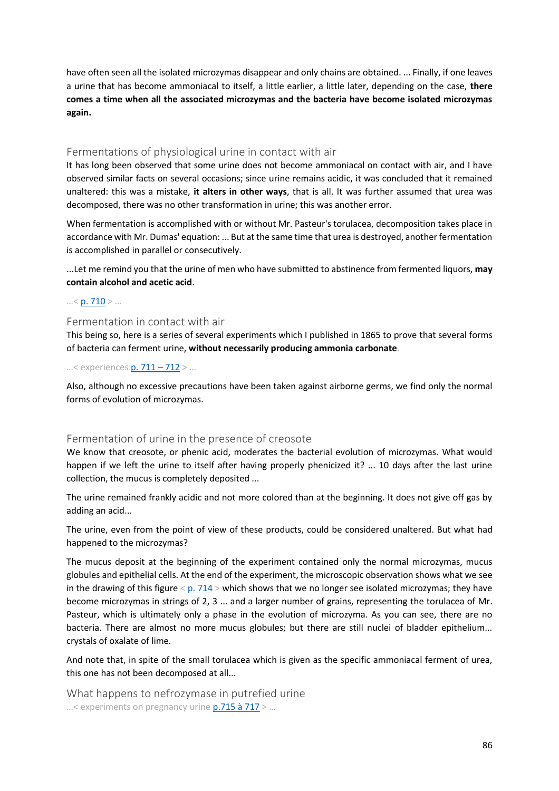have often seen all the isolated microzymas disappear and only chains are obtained. ... Finally, if one leaves a urine that has become ammoniacal to itself, a little earlier, a little later, depending on the case, **there comes a time when all the associated microzymas and the bacteria have become isolated microzymas again.**

#### Fermentations of physiological urine in contact with air

It has long been observed that some urine does not become ammoniacal on contact with air, and I have observed similar facts on several occasions; since urine remains acidic, it was concluded that it remained unaltered: this was a mistake, **it alters in other ways**, that is all. It was further assumed that urea was decomposed, there was no other transformation in urine; this was another error.

When fermentation is accomplished with or without Mr. Pasteur's torulacea, decomposition takes place in accordance with Mr. Dumas' equation: ... But at the same time that urea is destroyed, another fermentation is accomplished in parallel or consecutively.

...Let me remind you that the urine of men who have submitted to abstinence from fermented liquors, **may contain alcohol and acetic acid**.

#### …< [p. 710](https://gallica.bnf.fr/ark:/12148/bpt6k65140517/f758.image.r=.langFR) > …

#### Fermentation in contact with air

This being so, here is a series of several experiments which I published in 1865 to prove that several forms of bacteria can ferment urine, **without necessarily producing ammonia carbonate**.

#### …< experiences [p. 711](https://gallica.bnf.fr/ark:/12148/bpt6k65140517/f759.image.r=.langFR) – 712 > …

Also, although no excessive precautions have been taken against airborne germs, we find only the normal forms of evolution of microzymas.

#### Fermentation of urine in the presence of creosote

We know that creosote, or phenic acid, moderates the bacterial evolution of microzymas. What would happen if we left the urine to itself after having properly phenicized it? ... 10 days after the last urine collection, the mucus is completely deposited ...

The urine remained frankly acidic and not more colored than at the beginning. It does not give off gas by adding an acid...

The urine, even from the point of view of these products, could be considered unaltered. But what had happened to the microzymas?

The mucus deposit at the beginning of the experiment contained only the normal microzymas, mucus globules and epithelial cells. At the end of the experiment, the microscopic observation shows what we see in the drawing of this figure  $\langle p. 714 \rangle$  which shows that we no longer see isolated microzymas; they have become microzymas in strings of 2, 3 ... and a larger number of grains, representing the torulacea of Mr. Pasteur, which is ultimately only a phase in the evolution of microzyma. As you can see, there are no bacteria. There are almost no more mucus globules; but there are still nuclei of bladder epithelium... crystals of oxalate of lime.

And note that, in spite of the small torulacea which is given as the specific ammoniacal ferment of urea, this one has not been decomposed at all...

What happens to nefrozymase in putrefied urine …< experiments on pregnancy urin[e p.715 à 717](https://gallica.bnf.fr/ark:/12148/bpt6k65140517/f763.image.r=.langFR) > …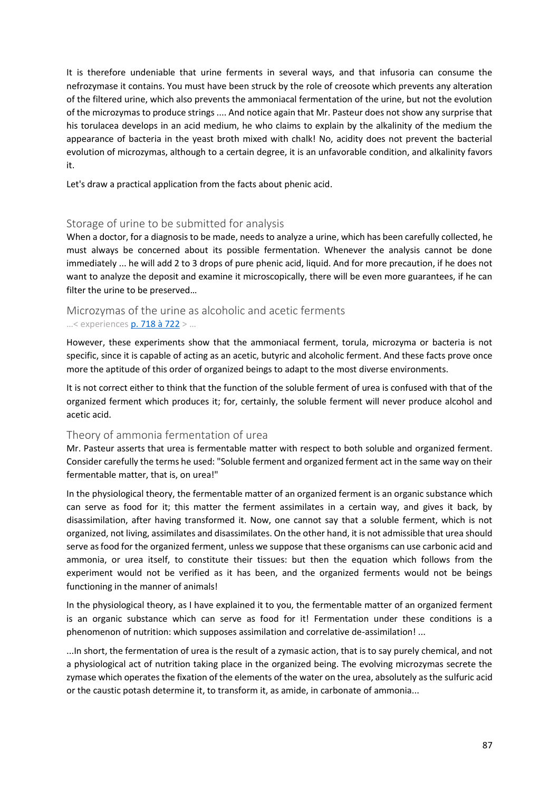It is therefore undeniable that urine ferments in several ways, and that infusoria can consume the nefrozymase it contains. You must have been struck by the role of creosote which prevents any alteration of the filtered urine, which also prevents the ammoniacal fermentation of the urine, but not the evolution of the microzymas to produce strings .... And notice again that Mr. Pasteur does not show any surprise that his torulacea develops in an acid medium, he who claims to explain by the alkalinity of the medium the appearance of bacteria in the yeast broth mixed with chalk! No, acidity does not prevent the bacterial evolution of microzymas, although to a certain degree, it is an unfavorable condition, and alkalinity favors it.

Let's draw a practical application from the facts about phenic acid.

## Storage of urine to be submitted for analysis

When a doctor, for a diagnosis to be made, needs to analyze a urine, which has been carefully collected, he must always be concerned about its possible fermentation. Whenever the analysis cannot be done immediately ... he will add 2 to 3 drops of pure phenic acid, liquid. And for more precaution, if he does not want to analyze the deposit and examine it microscopically, there will be even more guarantees, if he can filter the urine to be preserved…

## Microzymas of the urine as alcoholic and acetic ferments …< experiences [p. 718 à 722](https://gallica.bnf.fr/ark:/12148/bpt6k65140517/f766.image.r=.langFR) > …

However, these experiments show that the ammoniacal ferment, torula, microzyma or bacteria is not specific, since it is capable of acting as an acetic, butyric and alcoholic ferment. And these facts prove once more the aptitude of this order of organized beings to adapt to the most diverse environments.

It is not correct either to think that the function of the soluble ferment of urea is confused with that of the organized ferment which produces it; for, certainly, the soluble ferment will never produce alcohol and acetic acid.

## Theory of ammonia fermentation of urea

Mr. Pasteur asserts that urea is fermentable matter with respect to both soluble and organized ferment. Consider carefully the terms he used: "Soluble ferment and organized ferment act in the same way on their fermentable matter, that is, on urea!"

In the physiological theory, the fermentable matter of an organized ferment is an organic substance which can serve as food for it; this matter the ferment assimilates in a certain way, and gives it back, by disassimilation, after having transformed it. Now, one cannot say that a soluble ferment, which is not organized, not living, assimilates and disassimilates. On the other hand, it is not admissible that urea should serve as food for the organized ferment, unless we suppose that these organisms can use carbonic acid and ammonia, or urea itself, to constitute their tissues: but then the equation which follows from the experiment would not be verified as it has been, and the organized ferments would not be beings functioning in the manner of animals!

In the physiological theory, as I have explained it to you, the fermentable matter of an organized ferment is an organic substance which can serve as food for it! Fermentation under these conditions is a phenomenon of nutrition: which supposes assimilation and correlative de-assimilation! ...

...In short, the fermentation of urea is the result of a zymasic action, that is to say purely chemical, and not a physiological act of nutrition taking place in the organized being. The evolving microzymas secrete the zymase which operates the fixation of the elements of the water on the urea, absolutely as the sulfuric acid or the caustic potash determine it, to transform it, as amide, in carbonate of ammonia...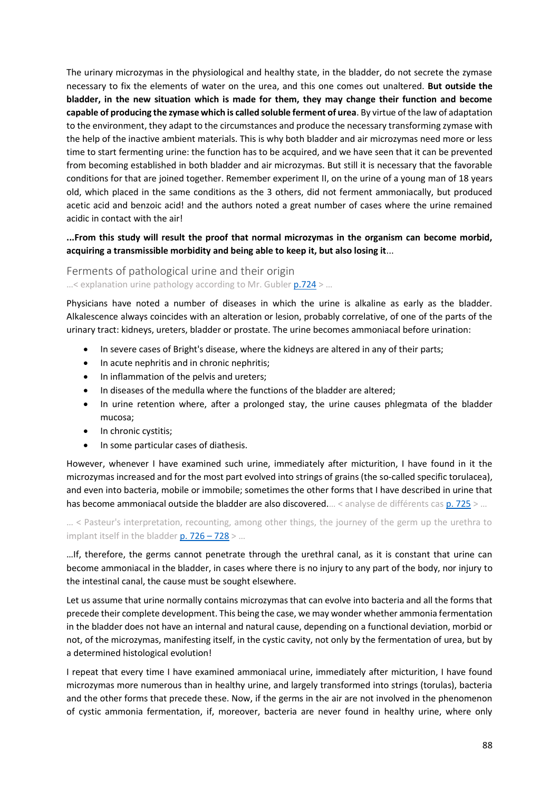The urinary microzymas in the physiological and healthy state, in the bladder, do not secrete the zymase necessary to fix the elements of water on the urea, and this one comes out unaltered. **But outside the bladder, in the new situation which is made for them, they may change their function and become capable of producing the zymase which is called soluble ferment of urea**. By virtue of the law of adaptation to the environment, they adapt to the circumstances and produce the necessary transforming zymase with the help of the inactive ambient materials. This is why both bladder and air microzymas need more or less time to start fermenting urine: the function has to be acquired, and we have seen that it can be prevented from becoming established in both bladder and air microzymas. But still it is necessary that the favorable conditions for that are joined together. Remember experiment II, on the urine of a young man of 18 years old, which placed in the same conditions as the 3 others, did not ferment ammoniacally, but produced acetic acid and benzoic acid! and the authors noted a great number of cases where the urine remained acidic in contact with the air!

## **...From this study will result the proof that normal microzymas in the organism can become morbid, acquiring a transmissible morbidity and being able to keep it, but also losing it**...

#### Ferments of pathological urine and their origin  $...$ < explanation urine pathology according to Mr. Gubler  $p.724$  > ...

Physicians have noted a number of diseases in which the urine is alkaline as early as the bladder. Alkalescence always coincides with an alteration or lesion, probably correlative, of one of the parts of the urinary tract: kidneys, ureters, bladder or prostate. The urine becomes ammoniacal before urination:

- In severe cases of Bright's disease, where the kidneys are altered in any of their parts;
- In acute nephritis and in chronic nephritis;
- In inflammation of the pelvis and ureters;
- In diseases of the medulla where the functions of the bladder are altered;
- In urine retention where, after a prolonged stay, the urine causes phlegmata of the bladder mucosa;
- In chronic cystitis;
- In some particular cases of diathesis.

However, whenever I have examined such urine, immediately after micturition, I have found in it the microzymas increased and for the most part evolved into strings of grains (the so-called specific torulacea), and even into bacteria, mobile or immobile; sometimes the other forms that I have described in urine that has become ammoniacal outside the bladder are also discovered.… < analyse de différents cas [p. 725](https://gallica.bnf.fr/ark:/12148/bpt6k65140517/f773.image.r=.langFR) > ...

… < Pasteur's interpretation, recounting, among other things, the journey of the germ up the urethra to implant itself in the bladde[r p. 726](https://gallica.bnf.fr/ark:/12148/bpt6k65140517/f774.image.r=.langFR) - 728 > ...

…If, therefore, the germs cannot penetrate through the urethral canal, as it is constant that urine can become ammoniacal in the bladder, in cases where there is no injury to any part of the body, nor injury to the intestinal canal, the cause must be sought elsewhere.

Let us assume that urine normally contains microzymas that can evolve into bacteria and all the forms that precede their complete development. This being the case, we may wonder whether ammonia fermentation in the bladder does not have an internal and natural cause, depending on a functional deviation, morbid or not, of the microzymas, manifesting itself, in the cystic cavity, not only by the fermentation of urea, but by a determined histological evolution!

I repeat that every time I have examined ammoniacal urine, immediately after micturition, I have found microzymas more numerous than in healthy urine, and largely transformed into strings (torulas), bacteria and the other forms that precede these. Now, if the germs in the air are not involved in the phenomenon of cystic ammonia fermentation, if, moreover, bacteria are never found in healthy urine, where only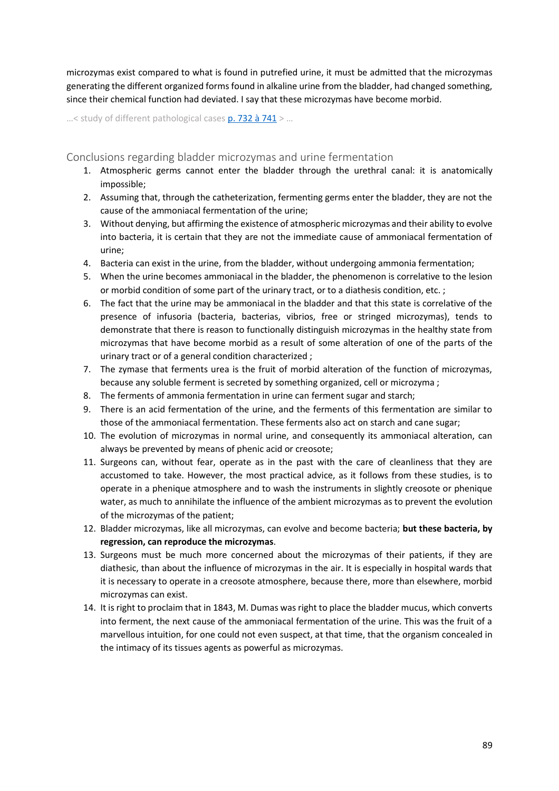microzymas exist compared to what is found in putrefied urine, it must be admitted that the microzymas generating the different organized forms found in alkaline urine from the bladder, had changed something, since their chemical function had deviated. I say that these microzymas have become morbid.

...< study of different pathological case[s p. 732 à 741](https://gallica.bnf.fr/ark:/12148/bpt6k65140517/f780.image.r=.langFR) > ...

Conclusions regarding bladder microzymas and urine fermentation

- 1. Atmospheric germs cannot enter the bladder through the urethral canal: it is anatomically impossible;
- 2. Assuming that, through the catheterization, fermenting germs enter the bladder, they are not the cause of the ammoniacal fermentation of the urine;
- 3. Without denying, but affirming the existence of atmospheric microzymas and their ability to evolve into bacteria, it is certain that they are not the immediate cause of ammoniacal fermentation of urine;
- 4. Bacteria can exist in the urine, from the bladder, without undergoing ammonia fermentation;
- 5. When the urine becomes ammoniacal in the bladder, the phenomenon is correlative to the lesion or morbid condition of some part of the urinary tract, or to a diathesis condition, etc. ;
- 6. The fact that the urine may be ammoniacal in the bladder and that this state is correlative of the presence of infusoria (bacteria, bacterias, vibrios, free or stringed microzymas), tends to demonstrate that there is reason to functionally distinguish microzymas in the healthy state from microzymas that have become morbid as a result of some alteration of one of the parts of the urinary tract or of a general condition characterized ;
- 7. The zymase that ferments urea is the fruit of morbid alteration of the function of microzymas, because any soluble ferment is secreted by something organized, cell or microzyma ;
- 8. The ferments of ammonia fermentation in urine can ferment sugar and starch;
- 9. There is an acid fermentation of the urine, and the ferments of this fermentation are similar to those of the ammoniacal fermentation. These ferments also act on starch and cane sugar;
- 10. The evolution of microzymas in normal urine, and consequently its ammoniacal alteration, can always be prevented by means of phenic acid or creosote;
- 11. Surgeons can, without fear, operate as in the past with the care of cleanliness that they are accustomed to take. However, the most practical advice, as it follows from these studies, is to operate in a phenique atmosphere and to wash the instruments in slightly creosote or phenique water, as much to annihilate the influence of the ambient microzymas as to prevent the evolution of the microzymas of the patient;
- 12. Bladder microzymas, like all microzymas, can evolve and become bacteria; **but these bacteria, by regression, can reproduce the microzymas**.
- 13. Surgeons must be much more concerned about the microzymas of their patients, if they are diathesic, than about the influence of microzymas in the air. It is especially in hospital wards that it is necessary to operate in a creosote atmosphere, because there, more than elsewhere, morbid microzymas can exist.
- 14. It is right to proclaim that in 1843, M. Dumas was right to place the bladder mucus, which converts into ferment, the next cause of the ammoniacal fermentation of the urine. This was the fruit of a marvellous intuition, for one could not even suspect, at that time, that the organism concealed in the intimacy of its tissues agents as powerful as microzymas.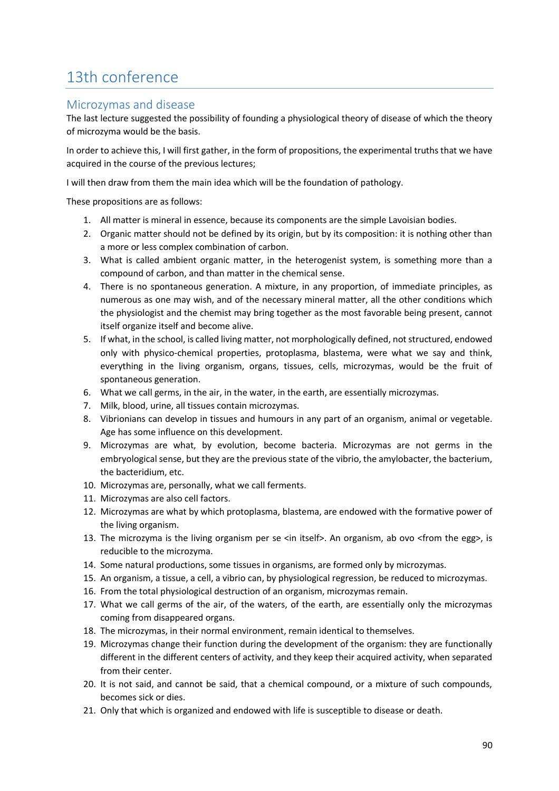# 13th conference

# Microzymas and disease

The last lecture suggested the possibility of founding a physiological theory of disease of which the theory of microzyma would be the basis.

In order to achieve this, I will first gather, in the form of propositions, the experimental truths that we have acquired in the course of the previous lectures;

I will then draw from them the main idea which will be the foundation of pathology.

These propositions are as follows:

- 1. All matter is mineral in essence, because its components are the simple Lavoisian bodies.
- 2. Organic matter should not be defined by its origin, but by its composition: it is nothing other than a more or less complex combination of carbon.
- 3. What is called ambient organic matter, in the heterogenist system, is something more than a compound of carbon, and than matter in the chemical sense.
- 4. There is no spontaneous generation. A mixture, in any proportion, of immediate principles, as numerous as one may wish, and of the necessary mineral matter, all the other conditions which the physiologist and the chemist may bring together as the most favorable being present, cannot itself organize itself and become alive.
- 5. If what, in the school, is called living matter, not morphologically defined, not structured, endowed only with physico-chemical properties, protoplasma, blastema, were what we say and think, everything in the living organism, organs, tissues, cells, microzymas, would be the fruit of spontaneous generation.
- 6. What we call germs, in the air, in the water, in the earth, are essentially microzymas.
- 7. Milk, blood, urine, all tissues contain microzymas.
- 8. Vibrionians can develop in tissues and humours in any part of an organism, animal or vegetable. Age has some influence on this development.
- 9. Microzymas are what, by evolution, become bacteria. Microzymas are not germs in the embryological sense, but they are the previous state of the vibrio, the amylobacter, the bacterium, the bacteridium, etc.
- 10. Microzymas are, personally, what we call ferments.
- 11. Microzymas are also cell factors.
- 12. Microzymas are what by which protoplasma, blastema, are endowed with the formative power of the living organism.
- 13. The microzyma is the living organism per se <in itself>. An organism, ab ovo <from the egg>, is reducible to the microzyma.
- 14. Some natural productions, some tissues in organisms, are formed only by microzymas.
- 15. An organism, a tissue, a cell, a vibrio can, by physiological regression, be reduced to microzymas.
- 16. From the total physiological destruction of an organism, microzymas remain.
- 17. What we call germs of the air, of the waters, of the earth, are essentially only the microzymas coming from disappeared organs.
- 18. The microzymas, in their normal environment, remain identical to themselves.
- 19. Microzymas change their function during the development of the organism: they are functionally different in the different centers of activity, and they keep their acquired activity, when separated from their center.
- 20. It is not said, and cannot be said, that a chemical compound, or a mixture of such compounds, becomes sick or dies.
- 21. Only that which is organized and endowed with life is susceptible to disease or death.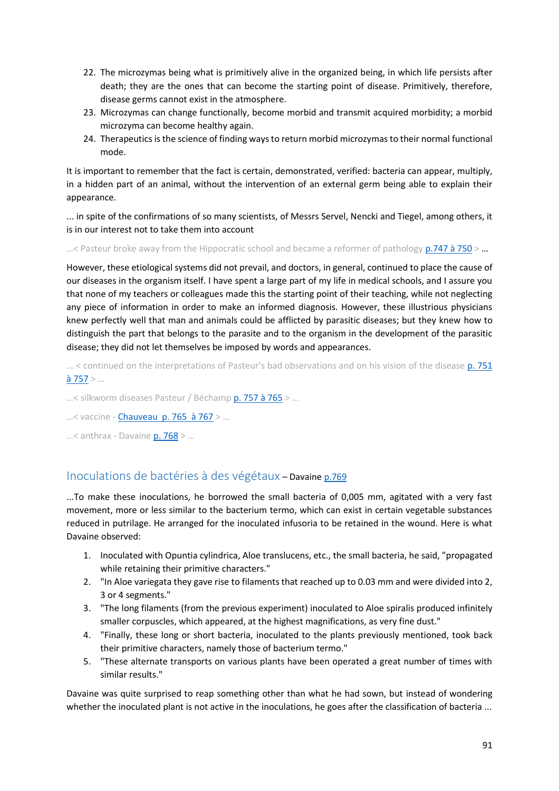- 22. The microzymas being what is primitively alive in the organized being, in which life persists after death; they are the ones that can become the starting point of disease. Primitively, therefore, disease germs cannot exist in the atmosphere.
- 23. Microzymas can change functionally, become morbid and transmit acquired morbidity; a morbid microzyma can become healthy again.
- 24. Therapeutics is the science of finding ways to return morbid microzymas to their normal functional mode.

It is important to remember that the fact is certain, demonstrated, verified: bacteria can appear, multiply, in a hidden part of an animal, without the intervention of an external germ being able to explain their appearance.

... in spite of the confirmations of so many scientists, of Messrs Servel, Nencki and Tiegel, among others, it is in our interest not to take them into account

...< Pasteur broke away from the Hippocratic school and became a reformer of pathology  $p.747$  à 750 > ...

However, these etiological systems did not prevail, and doctors, in general, continued to place the cause of our diseases in the organism itself. I have spent a large part of my life in medical schools, and I assure you that none of my teachers or colleagues made this the starting point of their teaching, while not neglecting any piece of information in order to make an informed diagnosis. However, these illustrious physicians knew perfectly well that man and animals could be afflicted by parasitic diseases; but they knew how to distinguish the part that belongs to the parasite and to the organism in the development of the parasitic disease; they did not let themselves be imposed by words and appearances.

... < continued on the interpretations of Pasteur's bad observations and on his vision of the disease p. 751  $\hat{a}$  757 > ...

…< silkworm diseases Pasteur / Bécham[p p. 757 à 765](https://gallica.bnf.fr/ark:/12148/bpt6k65140517/f805.image.r=.langFR) > …

…< vaccine - [Chauveau p. 765 à 767](https://gallica.bnf.fr/ark:/12148/bpt6k65140517/f813.image.r=.langFR) > …

...< anthrax - Davaine [p. 768](https://gallica.bnf.fr/ark:/12148/bpt6k65140517/f816.image.r=.langFR) > ...

# Inoculations de bactéries à des végétaux – Davaine [p.769](https://gallica.bnf.fr/ark:/12148/bpt6k65140517/f817.image.r=.langFR)

...To make these inoculations, he borrowed the small bacteria of 0,005 mm, agitated with a very fast movement, more or less similar to the bacterium termo, which can exist in certain vegetable substances reduced in putrilage. He arranged for the inoculated infusoria to be retained in the wound. Here is what Davaine observed:

- 1. Inoculated with Opuntia cylindrica, Aloe translucens, etc., the small bacteria, he said, "propagated while retaining their primitive characters."
- 2. "In Aloe variegata they gave rise to filaments that reached up to 0.03 mm and were divided into 2, 3 or 4 segments."
- 3. "The long filaments (from the previous experiment) inoculated to Aloe spiralis produced infinitely smaller corpuscles, which appeared, at the highest magnifications, as very fine dust."
- 4. "Finally, these long or short bacteria, inoculated to the plants previously mentioned, took back their primitive characters, namely those of bacterium termo."
- 5. "These alternate transports on various plants have been operated a great number of times with similar results."

Davaine was quite surprised to reap something other than what he had sown, but instead of wondering whether the inoculated plant is not active in the inoculations, he goes after the classification of bacteria ...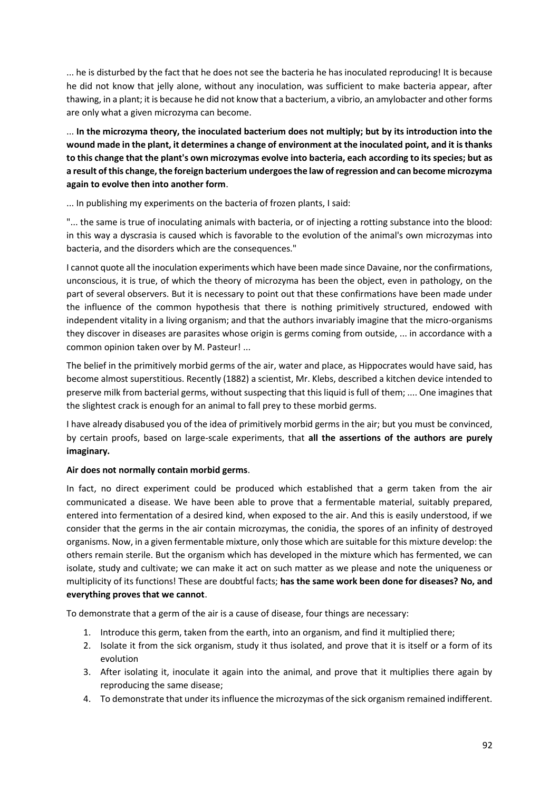... he is disturbed by the fact that he does not see the bacteria he has inoculated reproducing! It is because he did not know that jelly alone, without any inoculation, was sufficient to make bacteria appear, after thawing, in a plant; it is because he did not know that a bacterium, a vibrio, an amylobacter and other forms are only what a given microzyma can become.

... **In the microzyma theory, the inoculated bacterium does not multiply; but by its introduction into the wound made in the plant, it determines a change of environment at the inoculated point, and it is thanks to this change that the plant's own microzymas evolve into bacteria, each according to its species; but as a result of this change, the foreign bacterium undergoes the law of regression and can become microzyma again to evolve then into another form**.

... In publishing my experiments on the bacteria of frozen plants, I said:

"... the same is true of inoculating animals with bacteria, or of injecting a rotting substance into the blood: in this way a dyscrasia is caused which is favorable to the evolution of the animal's own microzymas into bacteria, and the disorders which are the consequences."

I cannot quote all the inoculation experiments which have been made since Davaine, nor the confirmations, unconscious, it is true, of which the theory of microzyma has been the object, even in pathology, on the part of several observers. But it is necessary to point out that these confirmations have been made under the influence of the common hypothesis that there is nothing primitively structured, endowed with independent vitality in a living organism; and that the authors invariably imagine that the micro-organisms they discover in diseases are parasites whose origin is germs coming from outside, ... in accordance with a common opinion taken over by M. Pasteur! ...

The belief in the primitively morbid germs of the air, water and place, as Hippocrates would have said, has become almost superstitious. Recently (1882) a scientist, Mr. Klebs, described a kitchen device intended to preserve milk from bacterial germs, without suspecting that this liquid is full of them; .... One imagines that the slightest crack is enough for an animal to fall prey to these morbid germs.

I have already disabused you of the idea of primitively morbid germs in the air; but you must be convinced, by certain proofs, based on large-scale experiments, that **all the assertions of the authors are purely imaginary.**

## **Air does not normally contain morbid germs**.

In fact, no direct experiment could be produced which established that a germ taken from the air communicated a disease. We have been able to prove that a fermentable material, suitably prepared, entered into fermentation of a desired kind, when exposed to the air. And this is easily understood, if we consider that the germs in the air contain microzymas, the conidia, the spores of an infinity of destroyed organisms. Now, in a given fermentable mixture, only those which are suitable for this mixture develop: the others remain sterile. But the organism which has developed in the mixture which has fermented, we can isolate, study and cultivate; we can make it act on such matter as we please and note the uniqueness or multiplicity of its functions! These are doubtful facts; **has the same work been done for diseases? No, and everything proves that we cannot**.

To demonstrate that a germ of the air is a cause of disease, four things are necessary:

- 1. Introduce this germ, taken from the earth, into an organism, and find it multiplied there;
- 2. Isolate it from the sick organism, study it thus isolated, and prove that it is itself or a form of its evolution
- 3. After isolating it, inoculate it again into the animal, and prove that it multiplies there again by reproducing the same disease;
- 4. To demonstrate that under its influence the microzymas of the sick organism remained indifferent.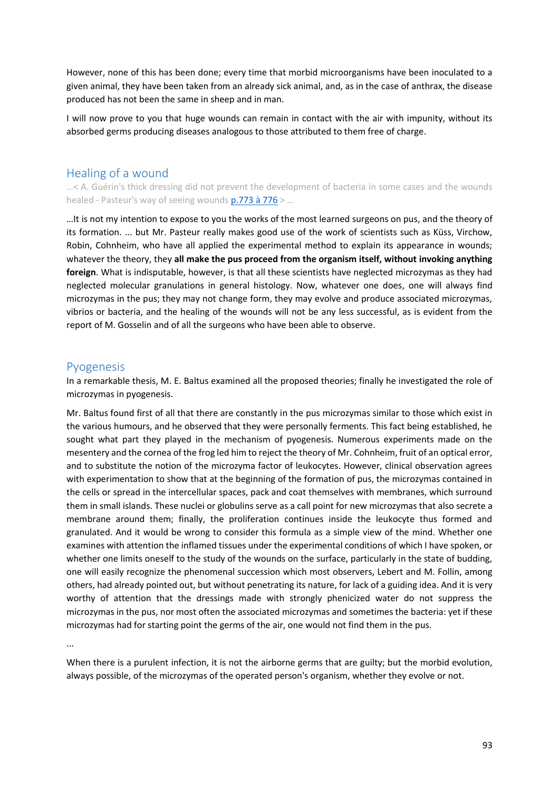However, none of this has been done; every time that morbid microorganisms have been inoculated to a given animal, they have been taken from an already sick animal, and, as in the case of anthrax, the disease produced has not been the same in sheep and in man.

I will now prove to you that huge wounds can remain in contact with the air with impunity, without its absorbed germs producing diseases analogous to those attributed to them free of charge.

# Healing of a wound

…< A. Guérin's thick dressing did not prevent the development of bacteria in some cases and the wounds healed - Pasteur's way of seeing wounds  $p.773$  à 776 > ...

…It is not my intention to expose to you the works of the most learned surgeons on pus, and the theory of its formation. ... but Mr. Pasteur really makes good use of the work of scientists such as Küss, Virchow, Robin, Cohnheim, who have all applied the experimental method to explain its appearance in wounds; whatever the theory, they **all make the pus proceed from the organism itself, without invoking anything foreign**. What is indisputable, however, is that all these scientists have neglected microzymas as they had neglected molecular granulations in general histology. Now, whatever one does, one will always find microzymas in the pus; they may not change form, they may evolve and produce associated microzymas, vibrios or bacteria, and the healing of the wounds will not be any less successful, as is evident from the report of M. Gosselin and of all the surgeons who have been able to observe.

## Pyogenesis

In a remarkable thesis, M. E. Baltus examined all the proposed theories; finally he investigated the role of microzymas in pyogenesis.

Mr. Baltus found first of all that there are constantly in the pus microzymas similar to those which exist in the various humours, and he observed that they were personally ferments. This fact being established, he sought what part they played in the mechanism of pyogenesis. Numerous experiments made on the mesentery and the cornea of the frog led him to reject the theory of Mr. Cohnheim, fruit of an optical error, and to substitute the notion of the microzyma factor of leukocytes. However, clinical observation agrees with experimentation to show that at the beginning of the formation of pus, the microzymas contained in the cells or spread in the intercellular spaces, pack and coat themselves with membranes, which surround them in small islands. These nuclei or globulins serve as a call point for new microzymas that also secrete a membrane around them; finally, the proliferation continues inside the leukocyte thus formed and granulated. And it would be wrong to consider this formula as a simple view of the mind. Whether one examines with attention the inflamed tissues under the experimental conditions of which I have spoken, or whether one limits oneself to the study of the wounds on the surface, particularly in the state of budding, one will easily recognize the phenomenal succession which most observers, Lebert and M. Follin, among others, had already pointed out, but without penetrating its nature, for lack of a guiding idea. And it is very worthy of attention that the dressings made with strongly phenicized water do not suppress the microzymas in the pus, nor most often the associated microzymas and sometimes the bacteria: yet if these microzymas had for starting point the germs of the air, one would not find them in the pus.

...

When there is a purulent infection, it is not the airborne germs that are guilty; but the morbid evolution, always possible, of the microzymas of the operated person's organism, whether they evolve or not.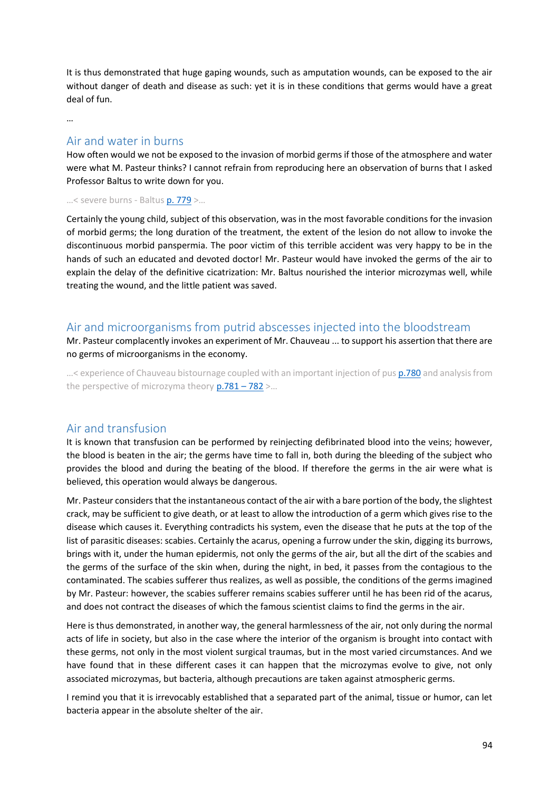It is thus demonstrated that huge gaping wounds, such as amputation wounds, can be exposed to the air without danger of death and disease as such: yet it is in these conditions that germs would have a great deal of fun.

…

## Air and water in burns

How often would we not be exposed to the invasion of morbid germs if those of the atmosphere and water were what M. Pasteur thinks? I cannot refrain from reproducing here an observation of burns that I asked Professor Baltus to write down for you.

#### …< severe burns - Baltus [p. 779](https://gallica.bnf.fr/ark:/12148/bpt6k65140517/f827.image.r=.langFR) >…

Certainly the young child, subject of this observation, was in the most favorable conditions for the invasion of morbid germs; the long duration of the treatment, the extent of the lesion do not allow to invoke the discontinuous morbid panspermia. The poor victim of this terrible accident was very happy to be in the hands of such an educated and devoted doctor! Mr. Pasteur would have invoked the germs of the air to explain the delay of the definitive cicatrization: Mr. Baltus nourished the interior microzymas well, while treating the wound, and the little patient was saved.

## Air and microorganisms from putrid abscesses injected into the bloodstream

Mr. Pasteur complacently invokes an experiment of Mr. Chauveau ... to support his assertion that there are no germs of microorganisms in the economy.

…< experience of Chauveau bistournage coupled with an important injection of pus [p.780](https://gallica.bnf.fr/ark:/12148/bpt6k65140517/f828.image.r=.langFR) and analysis from the perspective of microzyma theory  $p.781 - 782$  $p.781 - 782$  >...

# Air and transfusion

It is known that transfusion can be performed by reinjecting defibrinated blood into the veins; however, the blood is beaten in the air; the germs have time to fall in, both during the bleeding of the subject who provides the blood and during the beating of the blood. If therefore the germs in the air were what is believed, this operation would always be dangerous.

Mr. Pasteur considers that the instantaneous contact of the air with a bare portion of the body, the slightest crack, may be sufficient to give death, or at least to allow the introduction of a germ which gives rise to the disease which causes it. Everything contradicts his system, even the disease that he puts at the top of the list of parasitic diseases: scabies. Certainly the acarus, opening a furrow under the skin, digging its burrows, brings with it, under the human epidermis, not only the germs of the air, but all the dirt of the scabies and the germs of the surface of the skin when, during the night, in bed, it passes from the contagious to the contaminated. The scabies sufferer thus realizes, as well as possible, the conditions of the germs imagined by Mr. Pasteur: however, the scabies sufferer remains scabies sufferer until he has been rid of the acarus, and does not contract the diseases of which the famous scientist claims to find the germs in the air.

Here is thus demonstrated, in another way, the general harmlessness of the air, not only during the normal acts of life in society, but also in the case where the interior of the organism is brought into contact with these germs, not only in the most violent surgical traumas, but in the most varied circumstances. And we have found that in these different cases it can happen that the microzymas evolve to give, not only associated microzymas, but bacteria, although precautions are taken against atmospheric germs.

I remind you that it is irrevocably established that a separated part of the animal, tissue or humor, can let bacteria appear in the absolute shelter of the air.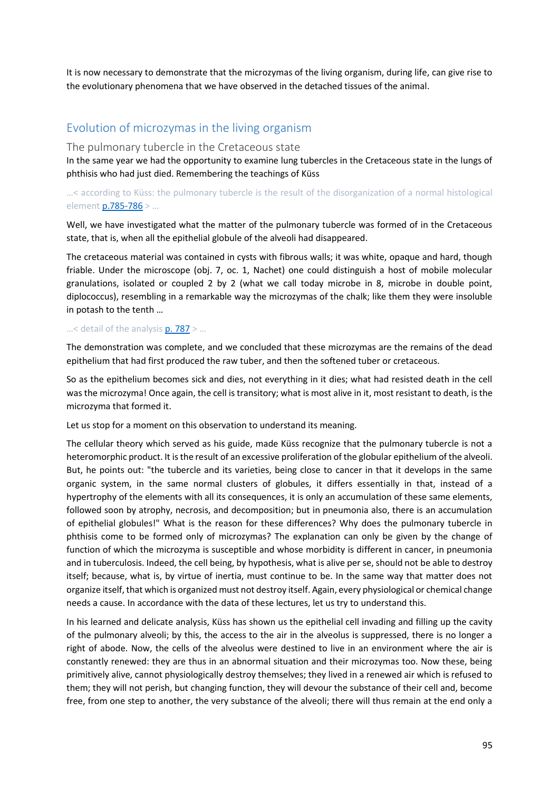It is now necessary to demonstrate that the microzymas of the living organism, during life, can give rise to the evolutionary phenomena that we have observed in the detached tissues of the animal.

# Evolution of microzymas in the living organism

#### The pulmonary tubercle in the Cretaceous state

In the same year we had the opportunity to examine lung tubercles in the Cretaceous state in the lungs of phthisis who had just died. Remembering the teachings of Küss

## …< according to Küss: the pulmonary tubercle is the result of the disorganization of a normal histological elemen[t p.785-786](https://gallica.bnf.fr/ark:/12148/bpt6k65140517/f833.image.r=.langFR) > …

Well, we have investigated what the matter of the pulmonary tubercle was formed of in the Cretaceous state, that is, when all the epithelial globule of the alveoli had disappeared.

The cretaceous material was contained in cysts with fibrous walls; it was white, opaque and hard, though friable. Under the microscope (obj. 7, oc. 1, Nachet) one could distinguish a host of mobile molecular granulations, isolated or coupled 2 by 2 (what we call today microbe in 8, microbe in double point, diplococcus), resembling in a remarkable way the microzymas of the chalk; like them they were insoluble in potash to the tenth …

#### ...< detail of the analysis  $p. 787$  > ...

The demonstration was complete, and we concluded that these microzymas are the remains of the dead epithelium that had first produced the raw tuber, and then the softened tuber or cretaceous.

So as the epithelium becomes sick and dies, not everything in it dies; what had resisted death in the cell was the microzyma! Once again, the cell is transitory; what is most alive in it, most resistant to death, is the microzyma that formed it.

Let us stop for a moment on this observation to understand its meaning.

The cellular theory which served as his guide, made Küss recognize that the pulmonary tubercle is not a heteromorphic product. It is the result of an excessive proliferation of the globular epithelium of the alveoli. But, he points out: "the tubercle and its varieties, being close to cancer in that it develops in the same organic system, in the same normal clusters of globules, it differs essentially in that, instead of a hypertrophy of the elements with all its consequences, it is only an accumulation of these same elements, followed soon by atrophy, necrosis, and decomposition; but in pneumonia also, there is an accumulation of epithelial globules!" What is the reason for these differences? Why does the pulmonary tubercle in phthisis come to be formed only of microzymas? The explanation can only be given by the change of function of which the microzyma is susceptible and whose morbidity is different in cancer, in pneumonia and in tuberculosis. Indeed, the cell being, by hypothesis, what is alive per se, should not be able to destroy itself; because, what is, by virtue of inertia, must continue to be. In the same way that matter does not organize itself, that which is organized must not destroy itself. Again, every physiological or chemical change needs a cause. In accordance with the data of these lectures, let us try to understand this.

In his learned and delicate analysis, Küss has shown us the epithelial cell invading and filling up the cavity of the pulmonary alveoli; by this, the access to the air in the alveolus is suppressed, there is no longer a right of abode. Now, the cells of the alveolus were destined to live in an environment where the air is constantly renewed: they are thus in an abnormal situation and their microzymas too. Now these, being primitively alive, cannot physiologically destroy themselves; they lived in a renewed air which is refused to them; they will not perish, but changing function, they will devour the substance of their cell and, become free, from one step to another, the very substance of the alveoli; there will thus remain at the end only a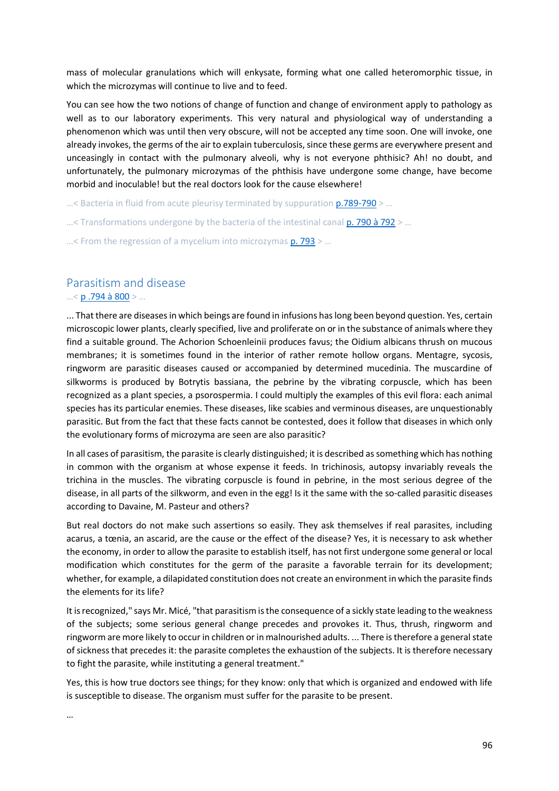mass of molecular granulations which will enkysate, forming what one called heteromorphic tissue, in which the microzymas will continue to live and to feed.

You can see how the two notions of change of function and change of environment apply to pathology as well as to our laboratory experiments. This very natural and physiological way of understanding a phenomenon which was until then very obscure, will not be accepted any time soon. One will invoke, one already invokes, the germs of the air to explain tuberculosis, since these germs are everywhere present and unceasingly in contact with the pulmonary alveoli, why is not everyone phthisic? Ah! no doubt, and unfortunately, the pulmonary microzymas of the phthisis have undergone some change, have become morbid and inoculable! but the real doctors look for the cause elsewhere!

 $...$ < Bacteria in fluid from acute pleurisy terminated by suppuration  $p.789-790$  > ...

 $\ldots$ < Transformations undergone by the bacteria of the intestinal cana[l p. 790 à 792](https://gallica.bnf.fr/ark:/12148/bpt6k65140517/f838.image.r=.langFR) >  $\ldots$ 

 $...$ < From the regression of a mycelium into microzymas  $p. 793$  > ...

# Parasitism and disease

#### …< [p .794 à 800](https://gallica.bnf.fr/ark:/12148/bpt6k65140517/f842.image.r=.langFR) > …

... That there are diseases in which beings are found in infusions has long been beyond question. Yes, certain microscopic lower plants, clearly specified, live and proliferate on or in the substance of animals where they find a suitable ground. The Achorion Schoenleinii produces favus; the Oidium albicans thrush on mucous membranes; it is sometimes found in the interior of rather remote hollow organs. Mentagre, sycosis, ringworm are parasitic diseases caused or accompanied by determined mucedinia. The muscardine of silkworms is produced by Botrytis bassiana, the pebrine by the vibrating corpuscle, which has been recognized as a plant species, a psorospermia. I could multiply the examples of this evil flora: each animal species has its particular enemies. These diseases, like scabies and verminous diseases, are unquestionably parasitic. But from the fact that these facts cannot be contested, does it follow that diseases in which only the evolutionary forms of microzyma are seen are also parasitic?

In all cases of parasitism, the parasite is clearly distinguished; it is described as something which has nothing in common with the organism at whose expense it feeds. In trichinosis, autopsy invariably reveals the trichina in the muscles. The vibrating corpuscle is found in pebrine, in the most serious degree of the disease, in all parts of the silkworm, and even in the egg! Is it the same with the so-called parasitic diseases according to Davaine, M. Pasteur and others?

But real doctors do not make such assertions so easily. They ask themselves if real parasites, including acarus, a tœnia, an ascarid, are the cause or the effect of the disease? Yes, it is necessary to ask whether the economy, in order to allow the parasite to establish itself, has not first undergone some general or local modification which constitutes for the germ of the parasite a favorable terrain for its development; whether, for example, a dilapidated constitution does not create an environment in which the parasite finds the elements for its life?

It is recognized," says Mr. Micé, "that parasitism is the consequence of a sickly state leading to the weakness of the subjects; some serious general change precedes and provokes it. Thus, thrush, ringworm and ringworm are more likely to occur in children or in malnourished adults. ... There is therefore a general state of sickness that precedes it: the parasite completes the exhaustion of the subjects. It is therefore necessary to fight the parasite, while instituting a general treatment."

Yes, this is how true doctors see things; for they know: only that which is organized and endowed with life is susceptible to disease. The organism must suffer for the parasite to be present.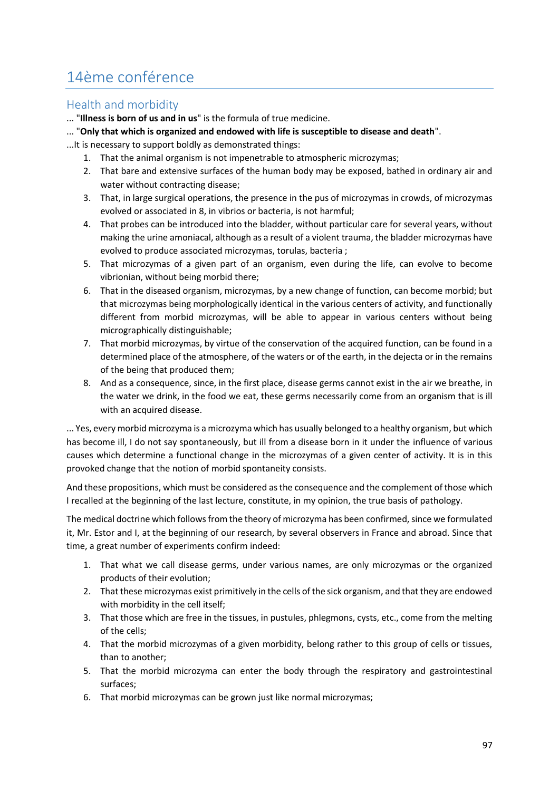# 14ème conférence

# Health and morbidity

... "**Illness is born of us and in us**" is the formula of true medicine.

- ... "**Only that which is organized and endowed with life is susceptible to disease and death**".
- ...It is necessary to support boldly as demonstrated things:
	- 1. That the animal organism is not impenetrable to atmospheric microzymas;
	- 2. That bare and extensive surfaces of the human body may be exposed, bathed in ordinary air and water without contracting disease;
	- 3. That, in large surgical operations, the presence in the pus of microzymas in crowds, of microzymas evolved or associated in 8, in vibrios or bacteria, is not harmful;
	- 4. That probes can be introduced into the bladder, without particular care for several years, without making the urine amoniacal, although as a result of a violent trauma, the bladder microzymas have evolved to produce associated microzymas, torulas, bacteria ;
	- 5. That microzymas of a given part of an organism, even during the life, can evolve to become vibrionian, without being morbid there;
	- 6. That in the diseased organism, microzymas, by a new change of function, can become morbid; but that microzymas being morphologically identical in the various centers of activity, and functionally different from morbid microzymas, will be able to appear in various centers without being micrographically distinguishable;
	- 7. That morbid microzymas, by virtue of the conservation of the acquired function, can be found in a determined place of the atmosphere, of the waters or of the earth, in the dejecta or in the remains of the being that produced them;
	- 8. And as a consequence, since, in the first place, disease germs cannot exist in the air we breathe, in the water we drink, in the food we eat, these germs necessarily come from an organism that is ill with an acquired disease.

... Yes, every morbid microzyma is a microzyma which has usually belonged to a healthy organism, but which has become ill, I do not say spontaneously, but ill from a disease born in it under the influence of various causes which determine a functional change in the microzymas of a given center of activity. It is in this provoked change that the notion of morbid spontaneity consists.

And these propositions, which must be considered as the consequence and the complement of those which I recalled at the beginning of the last lecture, constitute, in my opinion, the true basis of pathology.

The medical doctrine which follows from the theory of microzyma has been confirmed, since we formulated it, Mr. Estor and I, at the beginning of our research, by several observers in France and abroad. Since that time, a great number of experiments confirm indeed:

- 1. That what we call disease germs, under various names, are only microzymas or the organized products of their evolution;
- 2. That these microzymas exist primitively in the cells of the sick organism, and that they are endowed with morbidity in the cell itself;
- 3. That those which are free in the tissues, in pustules, phlegmons, cysts, etc., come from the melting of the cells;
- 4. That the morbid microzymas of a given morbidity, belong rather to this group of cells or tissues, than to another;
- 5. That the morbid microzyma can enter the body through the respiratory and gastrointestinal surfaces;
- 6. That morbid microzymas can be grown just like normal microzymas;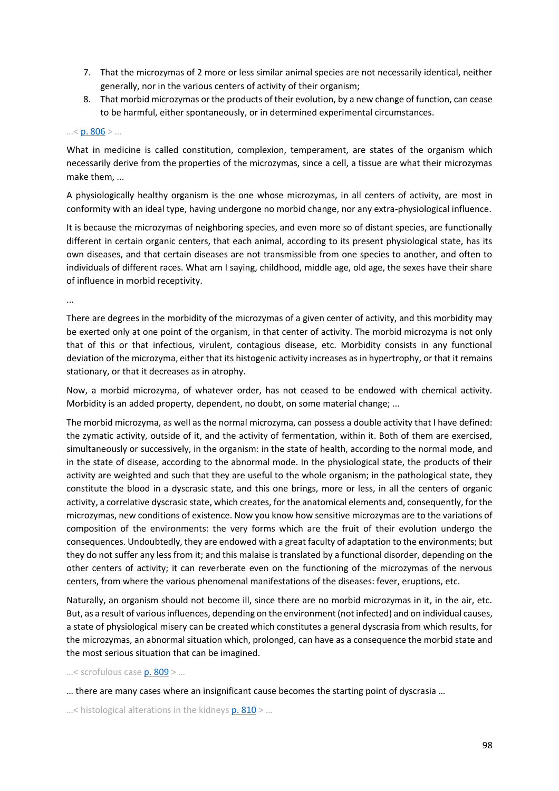- 7. That the microzymas of 2 more or less similar animal species are not necessarily identical, neither generally, nor in the various centers of activity of their organism;
- 8. That morbid microzymas or the products of their evolution, by a new change of function, can cease to be harmful, either spontaneously, or in determined experimental circumstances.

#### $... < p.806 > ...$

What in medicine is called constitution, complexion, temperament, are states of the organism which necessarily derive from the properties of the microzymas, since a cell, a tissue are what their microzymas make them, ...

A physiologically healthy organism is the one whose microzymas, in all centers of activity, are most in conformity with an ideal type, having undergone no morbid change, nor any extra-physiological influence.

It is because the microzymas of neighboring species, and even more so of distant species, are functionally different in certain organic centers, that each animal, according to its present physiological state, has its own diseases, and that certain diseases are not transmissible from one species to another, and often to individuals of different races. What am I saying, childhood, middle age, old age, the sexes have their share of influence in morbid receptivity.

...

There are degrees in the morbidity of the microzymas of a given center of activity, and this morbidity may be exerted only at one point of the organism, in that center of activity. The morbid microzyma is not only that of this or that infectious, virulent, contagious disease, etc. Morbidity consists in any functional deviation of the microzyma, either that its histogenic activity increases as in hypertrophy, or that it remains stationary, or that it decreases as in atrophy.

Now, a morbid microzyma, of whatever order, has not ceased to be endowed with chemical activity. Morbidity is an added property, dependent, no doubt, on some material change; ...

The morbid microzyma, as well as the normal microzyma, can possess a double activity that I have defined: the zymatic activity, outside of it, and the activity of fermentation, within it. Both of them are exercised, simultaneously or successively, in the organism: in the state of health, according to the normal mode, and in the state of disease, according to the abnormal mode. In the physiological state, the products of their activity are weighted and such that they are useful to the whole organism; in the pathological state, they constitute the blood in a dyscrasic state, and this one brings, more or less, in all the centers of organic activity, a correlative dyscrasic state, which creates, for the anatomical elements and, consequently, for the microzymas, new conditions of existence. Now you know how sensitive microzymas are to the variations of composition of the environments: the very forms which are the fruit of their evolution undergo the consequences. Undoubtedly, they are endowed with a great faculty of adaptation to the environments; but they do not suffer any less from it; and this malaise is translated by a functional disorder, depending on the other centers of activity; it can reverberate even on the functioning of the microzymas of the nervous centers, from where the various phenomenal manifestations of the diseases: fever, eruptions, etc.

Naturally, an organism should not become ill, since there are no morbid microzymas in it, in the air, etc. But, as a result of various influences, depending on the environment (not infected) and on individual causes, a state of physiological misery can be created which constitutes a general dyscrasia from which results, for the microzymas, an abnormal situation which, prolonged, can have as a consequence the morbid state and the most serious situation that can be imagined.

…< scrofulous case [p. 809](https://gallica.bnf.fr/ark:/12148/bpt6k65140517/f857.image.r=.langFR) > …

… there are many cases where an insignificant cause becomes the starting point of dyscrasia …

...< histological alterations in the kidneys  $p. 810$  > ...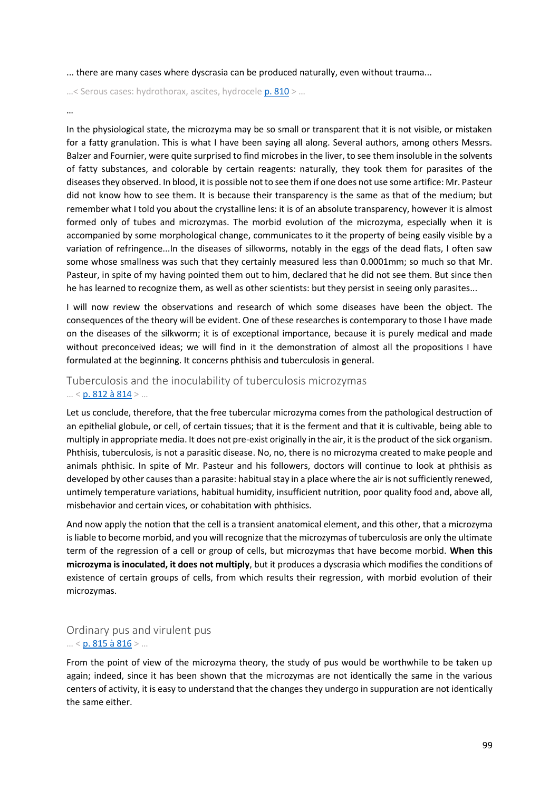... there are many cases where dyscrasia can be produced naturally, even without trauma...

…< Serous cases: hydrothorax, ascites, hydrocele [p. 810](https://gallica.bnf.fr/ark:/12148/bpt6k65140517/f858.image.r=.langFR) > …

#### …

In the physiological state, the microzyma may be so small or transparent that it is not visible, or mistaken for a fatty granulation. This is what I have been saying all along. Several authors, among others Messrs. Balzer and Fournier, were quite surprised to find microbes in the liver, to see them insoluble in the solvents of fatty substances, and colorable by certain reagents: naturally, they took them for parasites of the diseases they observed. In blood, it is possible not to see them if one does not use some artifice: Mr. Pasteur did not know how to see them. It is because their transparency is the same as that of the medium; but remember what I told you about the crystalline lens: it is of an absolute transparency, however it is almost formed only of tubes and microzymas. The morbid evolution of the microzyma, especially when it is accompanied by some morphological change, communicates to it the property of being easily visible by a variation of refringence...In the diseases of silkworms, notably in the eggs of the dead flats, I often saw some whose smallness was such that they certainly measured less than 0.0001mm; so much so that Mr. Pasteur, in spite of my having pointed them out to him, declared that he did not see them. But since then he has learned to recognize them, as well as other scientists: but they persist in seeing only parasites...

I will now review the observations and research of which some diseases have been the object. The consequences of the theory will be evident. One of these researches is contemporary to those I have made on the diseases of the silkworm; it is of exceptional importance, because it is purely medical and made without preconceived ideas; we will find in it the demonstration of almost all the propositions I have formulated at the beginning. It concerns phthisis and tuberculosis in general.

## Tuberculosis and the inoculability of tuberculosis microzymas  $\ldots$  < [p. 812 à 814](https://gallica.bnf.fr/ark:/12148/bpt6k65140517/f860.image.r=.langFR) >  $\ldots$

Let us conclude, therefore, that the free tubercular microzyma comes from the pathological destruction of an epithelial globule, or cell, of certain tissues; that it is the ferment and that it is cultivable, being able to multiply in appropriate media. It does not pre-exist originally in the air, it is the product of the sick organism. Phthisis, tuberculosis, is not a parasitic disease. No, no, there is no microzyma created to make people and animals phthisic. In spite of Mr. Pasteur and his followers, doctors will continue to look at phthisis as developed by other causes than a parasite: habitual stay in a place where the air is not sufficiently renewed, untimely temperature variations, habitual humidity, insufficient nutrition, poor quality food and, above all, misbehavior and certain vices, or cohabitation with phthisics.

And now apply the notion that the cell is a transient anatomical element, and this other, that a microzyma is liable to become morbid, and you will recognize that the microzymas of tuberculosis are only the ultimate term of the regression of a cell or group of cells, but microzymas that have become morbid. **When this microzyma is inoculated, it does not multiply**, but it produces a dyscrasia which modifies the conditions of existence of certain groups of cells, from which results their regression, with morbid evolution of their microzymas.

## Ordinary pus and virulent pus  $... < p. 815$  à  $816$  > ...

From the point of view of the microzyma theory, the study of pus would be worthwhile to be taken up again; indeed, since it has been shown that the microzymas are not identically the same in the various centers of activity, it is easy to understand that the changes they undergo in suppuration are not identically the same either.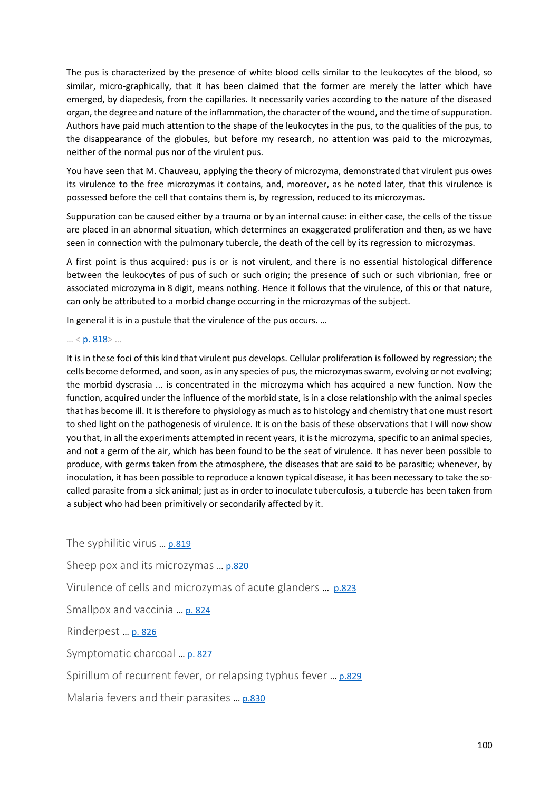The pus is characterized by the presence of white blood cells similar to the leukocytes of the blood, so similar, micro-graphically, that it has been claimed that the former are merely the latter which have emerged, by diapedesis, from the capillaries. It necessarily varies according to the nature of the diseased organ, the degree and nature of the inflammation, the character of the wound, and the time of suppuration. Authors have paid much attention to the shape of the leukocytes in the pus, to the qualities of the pus, to the disappearance of the globules, but before my research, no attention was paid to the microzymas, neither of the normal pus nor of the virulent pus.

You have seen that M. Chauveau, applying the theory of microzyma, demonstrated that virulent pus owes its virulence to the free microzymas it contains, and, moreover, as he noted later, that this virulence is possessed before the cell that contains them is, by regression, reduced to its microzymas.

Suppuration can be caused either by a trauma or by an internal cause: in either case, the cells of the tissue are placed in an abnormal situation, which determines an exaggerated proliferation and then, as we have seen in connection with the pulmonary tubercle, the death of the cell by its regression to microzymas.

A first point is thus acquired: pus is or is not virulent, and there is no essential histological difference between the leukocytes of pus of such or such origin; the presence of such or such vibrionian, free or associated microzyma in 8 digit, means nothing. Hence it follows that the virulence, of this or that nature, can only be attributed to a morbid change occurring in the microzymas of the subject.

In general it is in a pustule that the virulence of the pus occurs. …

#### … < [p. 818](https://gallica.bnf.fr/ark:/12148/bpt6k65140517/f866.image.r=.langFR)> …

It is in these foci of this kind that virulent pus develops. Cellular proliferation is followed by regression; the cells become deformed, and soon, as in any species of pus, the microzymas swarm, evolving or not evolving; the morbid dyscrasia ... is concentrated in the microzyma which has acquired a new function. Now the function, acquired under the influence of the morbid state, is in a close relationship with the animal species that has become ill. It is therefore to physiology as much as to histology and chemistry that one must resort to shed light on the pathogenesis of virulence. It is on the basis of these observations that I will now show you that, in all the experiments attempted in recent years, it is the microzyma, specific to an animal species, and not a germ of the air, which has been found to be the seat of virulence. It has never been possible to produce, with germs taken from the atmosphere, the diseases that are said to be parasitic; whenever, by inoculation, it has been possible to reproduce a known typical disease, it has been necessary to take the socalled parasite from a sick animal; just as in order to inoculate tuberculosis, a tubercle has been taken from a subject who had been primitively or secondarily affected by it.

The syphilitic virus … [p.819](https://gallica.bnf.fr/ark:/12148/bpt6k65140517/f867.image.r=.langFR) Sheep pox and its microzymas … [p.820](https://gallica.bnf.fr/ark:/12148/bpt6k65140517/f868.image.r=.langFR) Virulence of cells and microzymas of acute glanders … [p.823](https://gallica.bnf.fr/ark:/12148/bpt6k65140517/f871.image.r=.langFR) Smallpox and vaccinia … [p. 824](https://gallica.bnf.fr/ark:/12148/bpt6k65140517/f872.image.r=.langFR) Rinderpest … [p. 826](https://gallica.bnf.fr/ark:/12148/bpt6k65140517/f874.image.r=.langFR) Symptomatic charcoal … [p. 827](https://gallica.bnf.fr/ark:/12148/bpt6k65140517/f875.image.r=.langFR) Spirillum of recurrent fever, or relapsing typhus fever ... [p.829](https://gallica.bnf.fr/ark:/12148/bpt6k65140517/f877.image.r=.langFR) Malaria fevers and their parasites … [p.830](https://gallica.bnf.fr/ark:/12148/bpt6k65140517/f878.image.r=.langFR)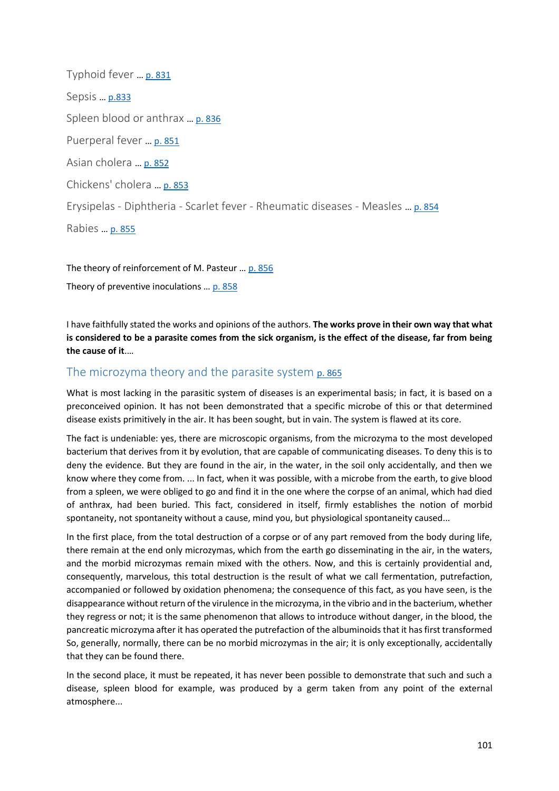Typhoid fever … [p. 831](https://gallica.bnf.fr/ark:/12148/bpt6k65140517/f879.image.r=.langFR) Sepsis … [p.833](https://gallica.bnf.fr/ark:/12148/bpt6k65140517/f881.image.r=.langFR) Spleen blood or anthrax … [p. 836](https://gallica.bnf.fr/ark:/12148/bpt6k65140517/f884.image.r=.langFR) Puerperal fever … [p. 851](https://gallica.bnf.fr/ark:/12148/bpt6k65140517/f899.image.r=.langFR) Asian cholera … [p. 852](https://gallica.bnf.fr/ark:/12148/bpt6k65140517/f900.image.r=.langFR) Chickens' cholera … [p. 853](https://gallica.bnf.fr/ark:/12148/bpt6k65140517/f901.image.r=.langFR) Erysipelas - Diphtheria - Scarlet fever - Rheumatic diseases - Measles … [p. 854](https://gallica.bnf.fr/ark:/12148/bpt6k65140517/f902.image.r=.langFR) Rabies … [p. 855](https://gallica.bnf.fr/ark:/12148/bpt6k65140517/f903.image.r=.langFR)

The theory of reinforcement of M. Pasteur ... [p. 856](https://gallica.bnf.fr/ark:/12148/bpt6k65140517/f904.image.r=.langFR) Theory of preventive inoculations … [p. 858](https://gallica.bnf.fr/ark:/12148/bpt6k65140517/f906.image.r=.langFR)

I have faithfully stated the works and opinions of the authors. **The works prove in their own way that what is considered to be a parasite comes from the sick organism, is the effect of the disease, far from being the cause of it**.…

# The microzyma theory and the parasite system [p. 865](https://gallica.bnf.fr/ark:/12148/bpt6k65140517/f906.image.r=.langFR)

What is most lacking in the parasitic system of diseases is an experimental basis; in fact, it is based on a preconceived opinion. It has not been demonstrated that a specific microbe of this or that determined disease exists primitively in the air. It has been sought, but in vain. The system is flawed at its core.

The fact is undeniable: yes, there are microscopic organisms, from the microzyma to the most developed bacterium that derives from it by evolution, that are capable of communicating diseases. To deny this is to deny the evidence. But they are found in the air, in the water, in the soil only accidentally, and then we know where they come from. ... In fact, when it was possible, with a microbe from the earth, to give blood from a spleen, we were obliged to go and find it in the one where the corpse of an animal, which had died of anthrax, had been buried. This fact, considered in itself, firmly establishes the notion of morbid spontaneity, not spontaneity without a cause, mind you, but physiological spontaneity caused...

In the first place, from the total destruction of a corpse or of any part removed from the body during life, there remain at the end only microzymas, which from the earth go disseminating in the air, in the waters, and the morbid microzymas remain mixed with the others. Now, and this is certainly providential and, consequently, marvelous, this total destruction is the result of what we call fermentation, putrefaction, accompanied or followed by oxidation phenomena; the consequence of this fact, as you have seen, is the disappearance without return of the virulence in the microzyma, in the vibrio and in the bacterium, whether they regress or not; it is the same phenomenon that allows to introduce without danger, in the blood, the pancreatic microzyma after it has operated the putrefaction of the albuminoids that it has first transformed So, generally, normally, there can be no morbid microzymas in the air; it is only exceptionally, accidentally that they can be found there.

In the second place, it must be repeated, it has never been possible to demonstrate that such and such a disease, spleen blood for example, was produced by a germ taken from any point of the external atmosphere...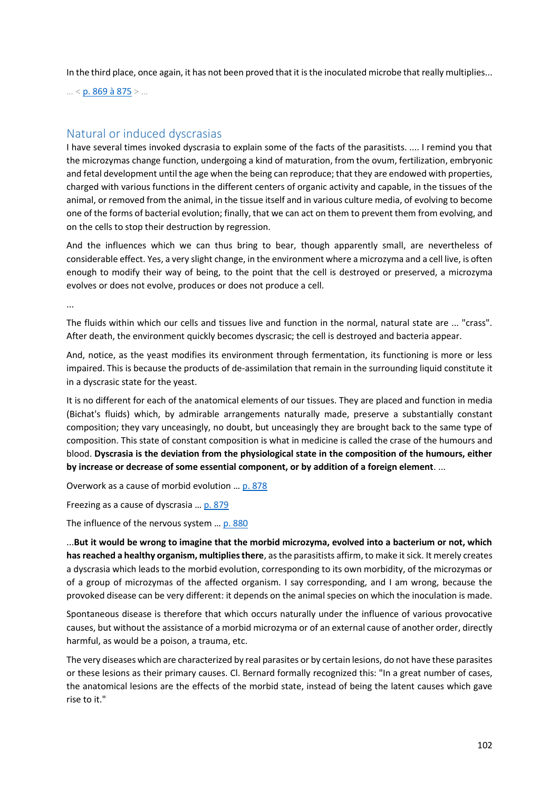In the third place, once again, it has not been proved that it is the inoculated microbe that really multiplies...

… < [p. 869 à 875](https://gallica.bnf.fr/ark:/12148/bpt6k65140517/f917.image.r=.langFR) > …

## Natural or induced dyscrasias

I have several times invoked dyscrasia to explain some of the facts of the parasitists. .... I remind you that the microzymas change function, undergoing a kind of maturation, from the ovum, fertilization, embryonic and fetal development until the age when the being can reproduce; that they are endowed with properties, charged with various functions in the different centers of organic activity and capable, in the tissues of the animal, or removed from the animal, in the tissue itself and in various culture media, of evolving to become one of the forms of bacterial evolution; finally, that we can act on them to prevent them from evolving, and on the cells to stop their destruction by regression.

And the influences which we can thus bring to bear, though apparently small, are nevertheless of considerable effect. Yes, a very slight change, in the environment where a microzyma and a cell live, is often enough to modify their way of being, to the point that the cell is destroyed or preserved, a microzyma evolves or does not evolve, produces or does not produce a cell.

...

The fluids within which our cells and tissues live and function in the normal, natural state are ... "crass". After death, the environment quickly becomes dyscrasic; the cell is destroyed and bacteria appear.

And, notice, as the yeast modifies its environment through fermentation, its functioning is more or less impaired. This is because the products of de-assimilation that remain in the surrounding liquid constitute it in a dyscrasic state for the yeast.

It is no different for each of the anatomical elements of our tissues. They are placed and function in media (Bichat's fluids) which, by admirable arrangements naturally made, preserve a substantially constant composition; they vary unceasingly, no doubt, but unceasingly they are brought back to the same type of composition. This state of constant composition is what in medicine is called the crase of the humours and blood. **Dyscrasia is the deviation from the physiological state in the composition of the humours, either by increase or decrease of some essential component, or by addition of a foreign element**. ...

Overwork as a cause of morbid evolution … [p. 878](https://gallica.bnf.fr/ark:/12148/bpt6k65140517/f926.image.r=.langFR)

Freezing as a cause of dyscrasia … [p. 879](https://gallica.bnf.fr/ark:/12148/bpt6k65140517/f927.image.r=.langFR)

The influence of the nervous system ... [p. 880](https://gallica.bnf.fr/ark:/12148/bpt6k65140517/f928.image.r=.langFR)

...**But it would be wrong to imagine that the morbid microzyma, evolved into a bacterium or not, which has reached a healthy organism, multiplies there**, as the parasitists affirm, to make it sick. It merely creates a dyscrasia which leads to the morbid evolution, corresponding to its own morbidity, of the microzymas or of a group of microzymas of the affected organism. I say corresponding, and I am wrong, because the provoked disease can be very different: it depends on the animal species on which the inoculation is made.

Spontaneous disease is therefore that which occurs naturally under the influence of various provocative causes, but without the assistance of a morbid microzyma or of an external cause of another order, directly harmful, as would be a poison, a trauma, etc.

The very diseases which are characterized by real parasites or by certain lesions, do not have these parasites or these lesions as their primary causes. Cl. Bernard formally recognized this: "In a great number of cases, the anatomical lesions are the effects of the morbid state, instead of being the latent causes which gave rise to it."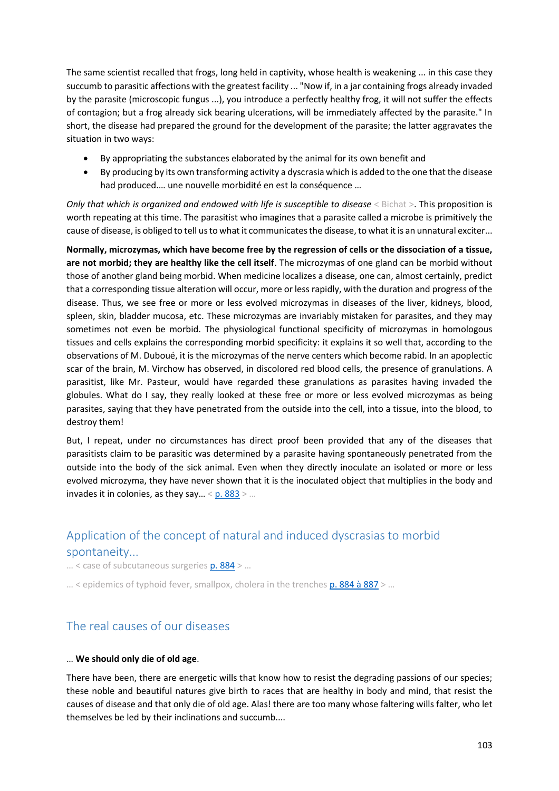The same scientist recalled that frogs, long held in captivity, whose health is weakening ... in this case they succumb to parasitic affections with the greatest facility ... "Now if, in a jar containing frogs already invaded by the parasite (microscopic fungus ...), you introduce a perfectly healthy frog, it will not suffer the effects of contagion; but a frog already sick bearing ulcerations, will be immediately affected by the parasite." In short, the disease had prepared the ground for the development of the parasite; the latter aggravates the situation in two ways:

- By appropriating the substances elaborated by the animal for its own benefit and
- By producing by its own transforming activity a dyscrasia which is added to the one that the disease had produced.… une nouvelle morbidité en est la conséquence …

*Only that which is organized and endowed with life is susceptible to disease* < Bichat > This proposition is worth repeating at this time. The parasitist who imagines that a parasite called a microbe is primitively the cause of disease, is obliged to tell us to what it communicates the disease, to what it is an unnatural exciter...

**Normally, microzymas, which have become free by the regression of cells or the dissociation of a tissue, are not morbid; they are healthy like the cell itself**. The microzymas of one gland can be morbid without those of another gland being morbid. When medicine localizes a disease, one can, almost certainly, predict that a corresponding tissue alteration will occur, more or less rapidly, with the duration and progress of the disease. Thus, we see free or more or less evolved microzymas in diseases of the liver, kidneys, blood, spleen, skin, bladder mucosa, etc. These microzymas are invariably mistaken for parasites, and they may sometimes not even be morbid. The physiological functional specificity of microzymas in homologous tissues and cells explains the corresponding morbid specificity: it explains it so well that, according to the observations of M. Duboué, it is the microzymas of the nerve centers which become rabid. In an apoplectic scar of the brain, M. Virchow has observed, in discolored red blood cells, the presence of granulations. A parasitist, like Mr. Pasteur, would have regarded these granulations as parasites having invaded the globules. What do I say, they really looked at these free or more or less evolved microzymas as being parasites, saying that they have penetrated from the outside into the cell, into a tissue, into the blood, to destroy them!

But, I repeat, under no circumstances has direct proof been provided that any of the diseases that parasitists claim to be parasitic was determined by a parasite having spontaneously penetrated from the outside into the body of the sick animal. Even when they directly inoculate an isolated or more or less evolved microzyma, they have never shown that it is the inoculated object that multiplies in the body and invades it in colonies, as they say... <  $p. 883$  > ...

# Application of the concept of natural and induced dyscrasias to morbid spontaneity...

… < case of subcutaneous surgerie[s p. 884](https://gallica.bnf.fr/ark:/12148/bpt6k65140517/f932.image.r=.langFR) > …

 $\ldots$  < epidemics of typhoid fever, smallpox, cholera in the trenche[s p. 884 à 887](https://gallica.bnf.fr/ark:/12148/bpt6k65140517/f932.image.r=.langFR) >  $\ldots$ 

# The real causes of our diseases

#### … **We should only die of old age**.

There have been, there are energetic wills that know how to resist the degrading passions of our species; these noble and beautiful natures give birth to races that are healthy in body and mind, that resist the causes of disease and that only die of old age. Alas! there are too many whose faltering wills falter, who let themselves be led by their inclinations and succumb....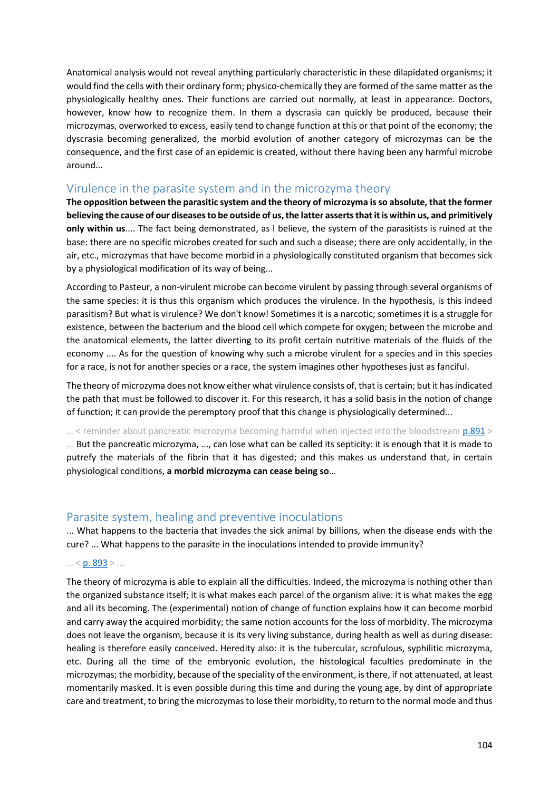Anatomical analysis would not reveal anything particularly characteristic in these dilapidated organisms; it would find the cells with their ordinary form; physico-chemically they are formed of the same matter as the physiologically healthy ones. Their functions are carried out normally, at least in appearance. Doctors, however, know how to recognize them. In them a dyscrasia can quickly be produced, because their microzymas, overworked to excess, easily tend to change function at this or that point of the economy; the dyscrasia becoming generalized, the morbid evolution of another category of microzymas can be the consequence, and the first case of an epidemic is created, without there having been any harmful microbe around...

# Virulence in the parasite system and in the microzyma theory

**The opposition between the parasitic system and the theory of microzyma is so absolute, that the former believing the cause of our diseases to be outside of us, the latter asserts that it is within us, and primitively only within us**.... The fact being demonstrated, as I believe, the system of the parasitists is ruined at the base: there are no specific microbes created for such and such a disease; there are only accidentally, in the air, etc., microzymas that have become morbid in a physiologically constituted organism that becomes sick by a physiological modification of its way of being...

According to Pasteur, a non-virulent microbe can become virulent by passing through several organisms of the same species: it is thus this organism which produces the virulence. In the hypothesis, is this indeed parasitism? But what is virulence? We don't know! Sometimes it is a narcotic; sometimes it is a struggle for existence, between the bacterium and the blood cell which compete for oxygen; between the microbe and the anatomical elements, the latter diverting to its profit certain nutritive materials of the fluids of the economy .... As for the question of knowing why such a microbe virulent for a species and in this species for a race, is not for another species or a race, the system imagines other hypotheses just as fanciful.

The theory of microzyma does not know either what virulence consists of, that is certain; but it has indicated the path that must be followed to discover it. For this research, it has a solid basis in the notion of change of function; it can provide the peremptory proof that this change is physiologically determined...

... < reminder about pancreatic microzyma becoming harmful when injected into the bloodstream [p.891](https://gallica.bnf.fr/ark:/12148/bpt6k65140517/f939.image.r=.langFR) > … But the pancreatic microzyma, ..., can lose what can be called its septicity: it is enough that it is made to putrefy the materials of the fibrin that it has digested; and this makes us understand that, in certain physiological conditions, **a morbid microzyma can cease being so**…

# Parasite system, healing and preventive inoculations

... What happens to the bacteria that invades the sick animal by billions, when the disease ends with the cure? ... What happens to the parasite in the inoculations intended to provide immunity?

#### $... < p. 893$  $... < p. 893$  > ...

The theory of microzyma is able to explain all the difficulties. Indeed, the microzyma is nothing other than the organized substance itself; it is what makes each parcel of the organism alive: it is what makes the egg and all its becoming. The (experimental) notion of change of function explains how it can become morbid and carry away the acquired morbidity; the same notion accounts for the loss of morbidity. The microzyma does not leave the organism, because it is its very living substance, during health as well as during disease: healing is therefore easily conceived. Heredity also: it is the tubercular, scrofulous, syphilitic microzyma, etc. During all the time of the embryonic evolution, the histological faculties predominate in the microzymas; the morbidity, because of the speciality of the environment, is there, if not attenuated, at least momentarily masked. It is even possible during this time and during the young age, by dint of appropriate care and treatment, to bring the microzymas to lose their morbidity, to return to the normal mode and thus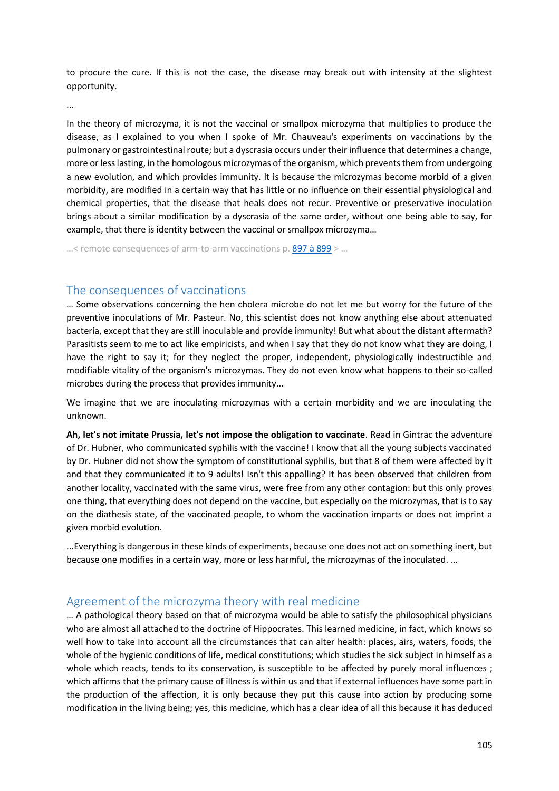to procure the cure. If this is not the case, the disease may break out with intensity at the slightest opportunity.

...

In the theory of microzyma, it is not the vaccinal or smallpox microzyma that multiplies to produce the disease, as I explained to you when I spoke of Mr. Chauveau's experiments on vaccinations by the pulmonary or gastrointestinal route; but a dyscrasia occurs under their influence that determines a change, more or less lasting, in the homologous microzymas of the organism, which prevents them from undergoing a new evolution, and which provides immunity. It is because the microzymas become morbid of a given morbidity, are modified in a certain way that has little or no influence on their essential physiological and chemical properties, that the disease that heals does not recur. Preventive or preservative inoculation brings about a similar modification by a dyscrasia of the same order, without one being able to say, for example, that there is identity between the vaccinal or smallpox microzyma…

 $...$ < remote consequences of arm-to-arm vaccinations p. [897 à 899](https://gallica.bnf.fr/ark:/12148/bpt6k65140517/f945.image.r=.langFR) > ...

# The consequences of vaccinations

… Some observations concerning the hen cholera microbe do not let me but worry for the future of the preventive inoculations of Mr. Pasteur. No, this scientist does not know anything else about attenuated bacteria, except that they are still inoculable and provide immunity! But what about the distant aftermath? Parasitists seem to me to act like empiricists, and when I say that they do not know what they are doing, I have the right to say it; for they neglect the proper, independent, physiologically indestructible and modifiable vitality of the organism's microzymas. They do not even know what happens to their so-called microbes during the process that provides immunity...

We imagine that we are inoculating microzymas with a certain morbidity and we are inoculating the unknown.

**Ah, let's not imitate Prussia, let's not impose the obligation to vaccinate**. Read in Gintrac the adventure of Dr. Hubner, who communicated syphilis with the vaccine! I know that all the young subjects vaccinated by Dr. Hubner did not show the symptom of constitutional syphilis, but that 8 of them were affected by it and that they communicated it to 9 adults! Isn't this appalling? It has been observed that children from another locality, vaccinated with the same virus, were free from any other contagion: but this only proves one thing, that everything does not depend on the vaccine, but especially on the microzymas, that is to say on the diathesis state, of the vaccinated people, to whom the vaccination imparts or does not imprint a given morbid evolution.

...Everything is dangerous in these kinds of experiments, because one does not act on something inert, but because one modifies in a certain way, more or less harmful, the microzymas of the inoculated. …

# Agreement of the microzyma theory with real medicine

… A pathological theory based on that of microzyma would be able to satisfy the philosophical physicians who are almost all attached to the doctrine of Hippocrates. This learned medicine, in fact, which knows so well how to take into account all the circumstances that can alter health: places, airs, waters, foods, the whole of the hygienic conditions of life, medical constitutions; which studies the sick subject in himself as a whole which reacts, tends to its conservation, is susceptible to be affected by purely moral influences ; which affirms that the primary cause of illness is within us and that if external influences have some part in the production of the affection, it is only because they put this cause into action by producing some modification in the living being; yes, this medicine, which has a clear idea of all this because it has deduced